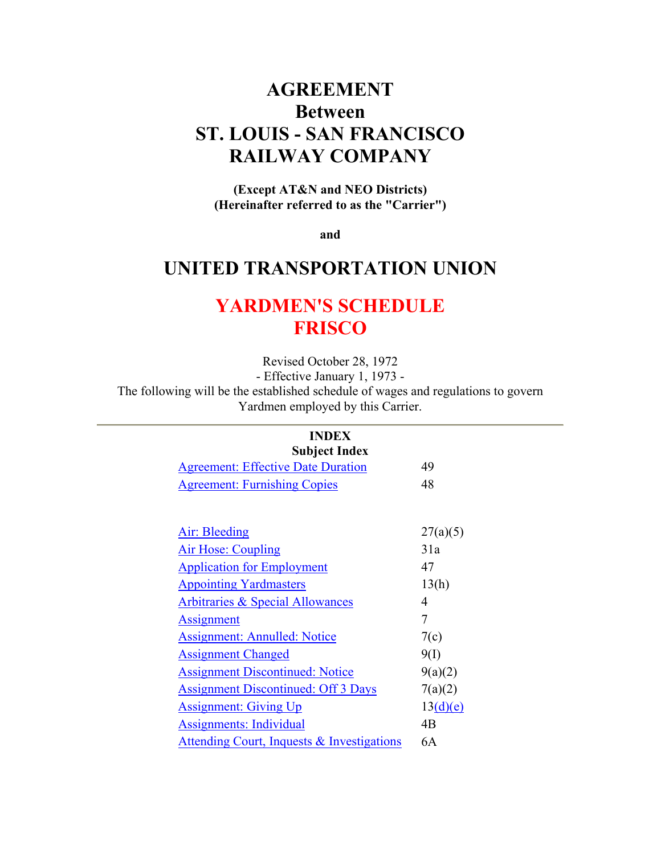# **AGREEMENT Between ST. LOUIS - SAN FRANCISCO RAILWAY COMPANY**

**(Except AT&N and NEO Districts) (Hereinafter referred to as the "Carrier")** 

**and** 

# **UNITED TRANSPORTATION UNION**

# **YARDMEN'S SCHEDULE FRISCO**

Revised October 28, 1972

- Effective January 1, 1973 -

The following will be the established schedule of wages and regulations to govern Yardmen employed by this Carrier.

#### **INDEX Subject Index**

| 49       |
|----------|
| 48       |
|          |
| 27(a)(5) |
| 31a      |
| 47       |
| 13(h)    |
| 4        |
| 7        |
| 7(c)     |
| 9(1)     |
| 9(a)(2)  |
| 7(a)(2)  |
| 13(d)(e) |
| 4B       |
| 6A       |
|          |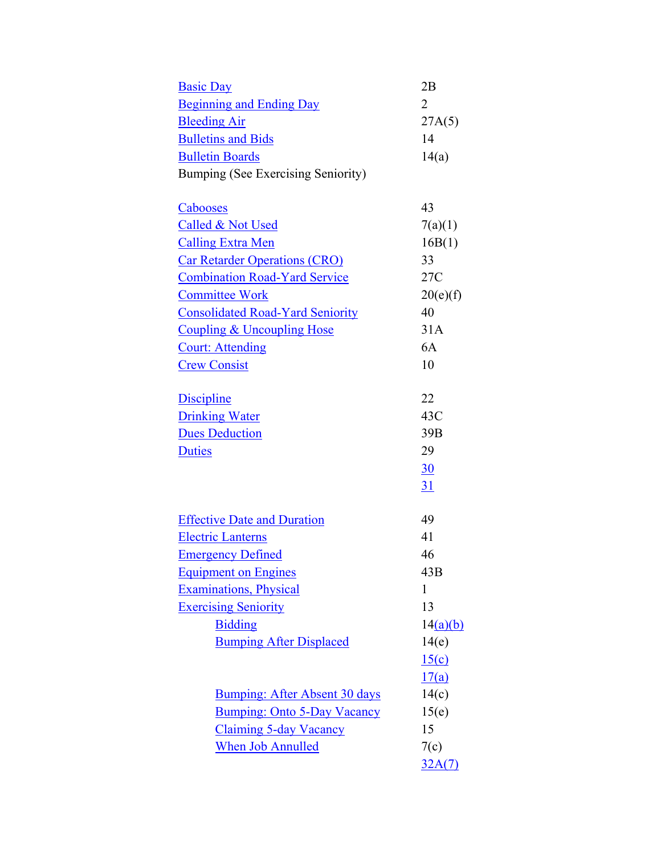| <b>Basic Day</b>                          | 2B              |
|-------------------------------------------|-----------------|
| <b>Beginning and Ending Day</b>           | $\overline{2}$  |
| <b>Bleeding Air</b>                       | 27A(5)          |
| <b>Bulletins and Bids</b>                 | 14              |
| <b>Bulletin Boards</b>                    | 14(a)           |
| <b>Bumping (See Exercising Seniority)</b> |                 |
|                                           |                 |
| <b>Cabooses</b>                           | 43              |
| Called & Not Used                         | 7(a)(1)         |
| <b>Calling Extra Men</b>                  | 16B(1)          |
| <b>Car Retarder Operations (CRO)</b>      | 33              |
| <b>Combination Road-Yard Service</b>      | 27C             |
| <b>Committee Work</b>                     | 20(e)(f)        |
| <b>Consolidated Road-Yard Seniority</b>   | 40              |
| <b>Coupling &amp; Uncoupling Hose</b>     | 31A             |
| <b>Court: Attending</b>                   | 6A              |
| <b>Crew Consist</b>                       | 10              |
| <b>Discipline</b>                         | 22              |
| <b>Drinking Water</b>                     | 43C             |
| <b>Dues Deduction</b>                     | 39 <sub>B</sub> |
| <b>Duties</b>                             | 29              |
|                                           | 30              |
|                                           | <u>31</u>       |
|                                           |                 |
| <b>Effective Date and Duration</b>        | 49              |
| <b>Electric Lanterns</b>                  | 41              |
| <b>Emergency Defined</b>                  | 46              |
| <b>Equipment on Engines</b>               | 43B             |
| <b>Examinations</b> , Physical            | 1               |
| <b>Exercising Seniority</b>               | 13              |
| <b>Bidding</b>                            | 14(a)(b)        |
| <b>Bumping After Displaced</b>            | 14(e)           |
|                                           | 15(c)           |
|                                           | 17(a)           |
| Bumping: After Absent 30 days             | 14(c)           |
| <b>Bumping: Onto 5-Day Vacancy</b>        | 15(e)           |
| <b>Claiming 5-day Vacancy</b>             | 15              |
| <b>When Job Annulled</b>                  | 7(c)            |
|                                           | 32A(7)          |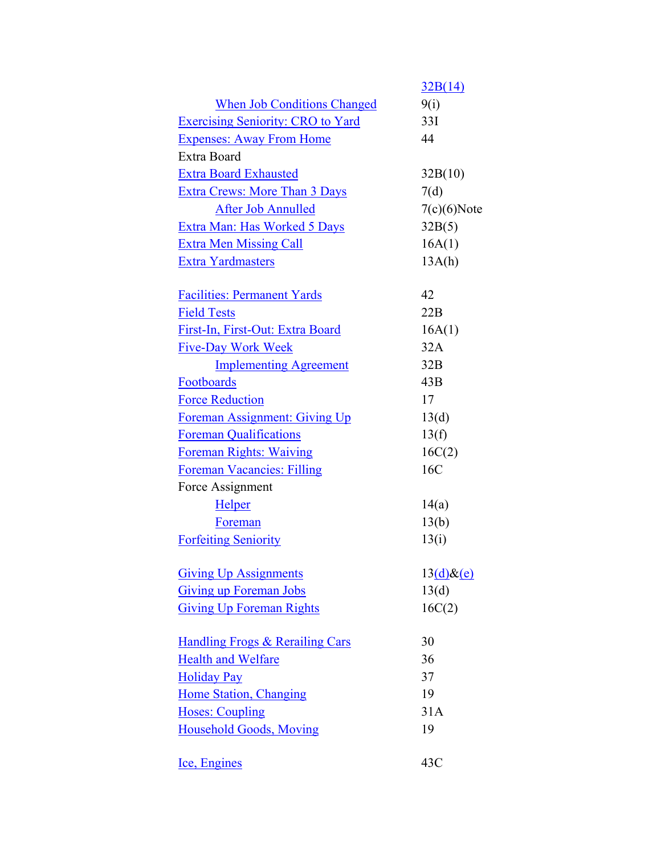|                                          | 32B(14)        |
|------------------------------------------|----------------|
| <b>When Job Conditions Changed</b>       | 9(i)           |
| <b>Exercising Seniority: CRO to Yard</b> | 33I            |
| <b>Expenses: Away From Home</b>          | 44             |
| Extra Board                              |                |
| <b>Extra Board Exhausted</b>             | 32B(10)        |
| <b>Extra Crews: More Than 3 Days</b>     | 7(d)           |
| <b>After Job Annulled</b>                | $7(c)(6)$ Note |
| Extra Man: Has Worked 5 Days             | 32B(5)         |
| <b>Extra Men Missing Call</b>            | 16A(1)         |
| <b>Extra Yardmasters</b>                 | 13A(h)         |
|                                          |                |
| <b>Facilities: Permanent Yards</b>       | 42             |
| <b>Field Tests</b>                       | 22B            |
| First-In, First-Out: Extra Board         | 16A(1)         |
| <b>Five-Day Work Week</b>                | 32A            |
| <b>Implementing Agreement</b>            | 32B            |
| Footboards                               | 43B            |
| <b>Force Reduction</b>                   | 17             |
| Foreman Assignment: Giving Up            | 13(d)          |
| <b>Foreman Qualifications</b>            | 13(f)          |
| <b>Foreman Rights: Waiving</b>           | 16C(2)         |
| <b>Foreman Vacancies: Filling</b>        | 16C            |
| Force Assignment                         |                |
| <b>Helper</b>                            | 14(a)          |
| Foreman                                  | 13(b)          |
| <b>Forfeiting Seniority</b>              | 13(i)          |
|                                          |                |
| <b>Giving Up Assignments</b>             | $13(d)$ &(e)   |
| <b>Giving up Foreman Jobs</b>            | 13(d)          |
| <b>Giving Up Foreman Rights</b>          | 16C(2)         |
|                                          |                |
| Handling Frogs & Rerailing Cars          | 30             |
| <b>Health and Welfare</b>                | 36             |
| <b>Holiday Pay</b>                       | 37             |
| <b>Home Station, Changing</b>            | 19             |
| <b>Hoses: Coupling</b>                   | 31A            |
| <b>Household Goods, Moving</b>           | 19             |
|                                          |                |
| Ice, Engines                             | 43C            |
|                                          |                |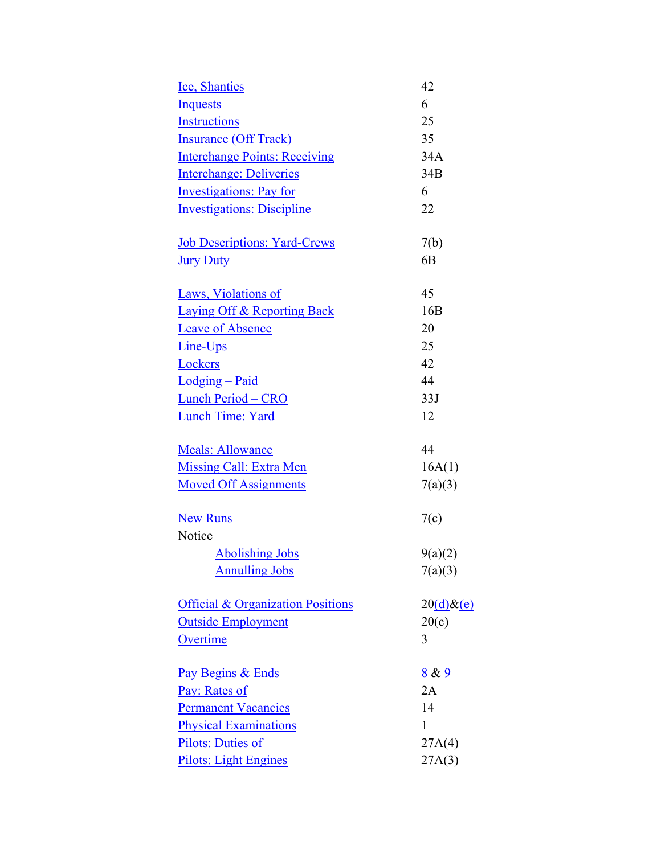| <b>Ice, Shanties</b>                         | 42              |
|----------------------------------------------|-----------------|
| <b>Inquests</b>                              | 6               |
| <b>Instructions</b>                          | 25              |
| <b>Insurance (Off Track)</b>                 | 35              |
| <b>Interchange Points: Receiving</b>         | 34A             |
| <b>Interchange: Deliveries</b>               | 34B             |
| <b>Investigations: Pay for</b>               | 6               |
| <b>Investigations: Discipline</b>            | 22              |
| <b>Job Descriptions: Yard-Crews</b>          | 7(b)            |
| <b>Jury Duty</b>                             | 6 <sub>B</sub>  |
| Laws, Violations of                          | 45              |
| <b>Laying Off &amp; Reporting Back</b>       | 16 <sub>B</sub> |
| <b>Leave of Absence</b>                      | 20              |
| Line-Ups                                     | 25              |
| Lockers                                      | 42              |
| Lodging - Paid                               | 44              |
| <b>Lunch Period - CRO</b>                    | 33J             |
| <b>Lunch Time: Yard</b>                      | 12              |
| <b>Meals: Allowance</b>                      | 44              |
| <b>Missing Call: Extra Men</b>               | 16A(1)          |
| <b>Moved Off Assignments</b>                 | 7(a)(3)         |
| <b>New Runs</b>                              | 7(c)            |
| Notice                                       |                 |
| <b>Abolishing Jobs</b>                       | 9(a)(2)         |
| <b>Annulling Jobs</b>                        | 7(a)(3)         |
| <b>Official &amp; Organization Positions</b> | $20(d)\&(e)$    |
| <b>Outside Employment</b>                    | 20(c)           |
| Overtime                                     | 3               |
| Pay Begins & Ends                            | 8 & 9           |
| Pay: Rates of                                | 2A              |
| <b>Permanent Vacancies</b>                   | 14              |
| <b>Physical Examinations</b>                 | 1               |
| Pilots: Duties of                            | 27A(4)          |
| <b>Pilots: Light Engines</b>                 | 27A(3)          |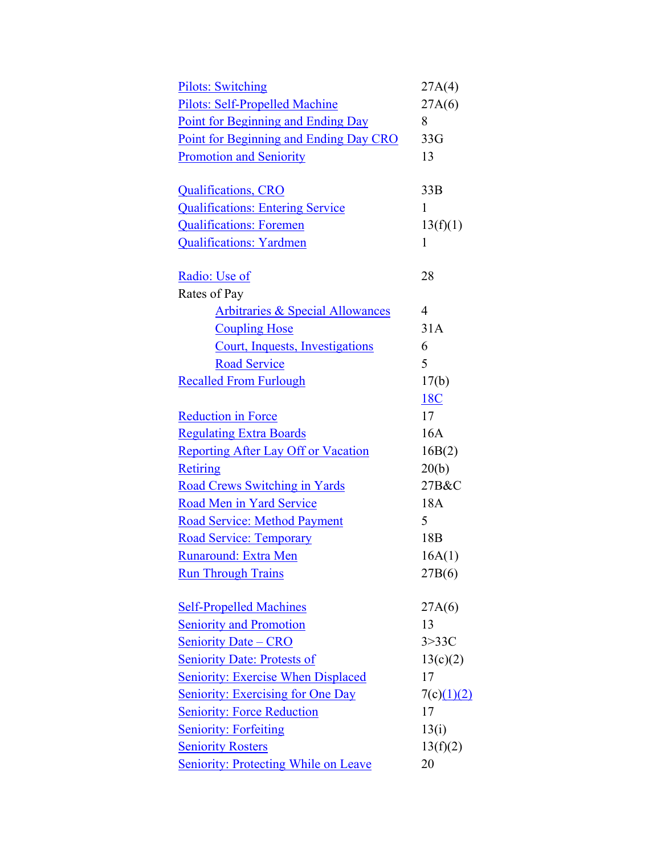| <b>Pilots: Switching</b>                    | 27A(4)          |
|---------------------------------------------|-----------------|
| <b>Pilots: Self-Propelled Machine</b>       | 27A(6)          |
| Point for Beginning and Ending Day          | 8               |
| Point for Beginning and Ending Day CRO      | 33G             |
| <b>Promotion and Seniority</b>              | 13              |
|                                             |                 |
| <b>Qualifications, CRO</b>                  | 33B             |
| <b>Qualifications: Entering Service</b>     | 1               |
| <b>Qualifications: Foremen</b>              | 13(f)(1)        |
| <b>Qualifications: Yardmen</b>              | $\mathbf{1}$    |
| Radio: Use of                               | 28              |
| Rates of Pay                                |                 |
| <b>Arbitraries &amp; Special Allowances</b> | $\overline{4}$  |
| <b>Coupling Hose</b>                        | 31A             |
| Court, Inquests, Investigations             | 6               |
| <b>Road Service</b>                         | 5               |
| <b>Recalled From Furlough</b>               | 17(b)           |
|                                             | 18C             |
| <b>Reduction in Force</b>                   | 17              |
| <b>Regulating Extra Boards</b>              | 16A             |
| <b>Reporting After Lay Off or Vacation</b>  | 16B(2)          |
| Retiring                                    | 20(b)           |
| <b>Road Crews Switching in Yards</b>        | 27B&C           |
| Road Men in Yard Service                    | 18A             |
| <b>Road Service: Method Payment</b>         | 5               |
| <b>Road Service: Temporary</b>              | 18 <sub>B</sub> |
| Runaround: Extra Men                        | 16A(1)          |
| <b>Run Through Trains</b>                   | 27B(6)          |
|                                             |                 |
| <b>Self-Propelled Machines</b>              | 27A(6)          |
| <b>Seniority and Promotion</b>              | 13              |
| <b>Seniority Date - CRO</b>                 | 3 > 33C         |
| <b>Seniority Date: Protests of</b>          | 13(c)(2)        |
| <b>Seniority: Exercise When Displaced</b>   | 17              |
| <b>Seniority: Exercising for One Day</b>    | 7(c)(1)(2)      |
| <b>Seniority: Force Reduction</b>           | 17              |
| <b>Seniority: Forfeiting</b>                | 13(i)           |
| <b>Seniority Rosters</b>                    | 13(f)(2)        |
| <b>Seniority: Protecting While on Leave</b> | 20              |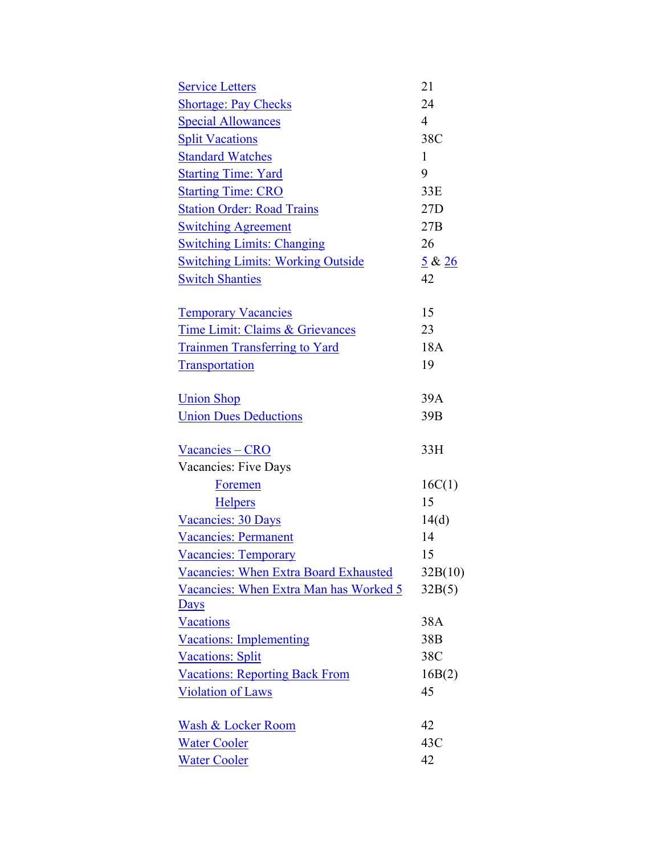| <b>Service Letters</b>                       | 21              |
|----------------------------------------------|-----------------|
| <b>Shortage: Pay Checks</b>                  | 24              |
| <b>Special Allowances</b>                    | $\overline{4}$  |
| <b>Split Vacations</b>                       | 38C             |
| <b>Standard Watches</b>                      | $\mathbf{1}$    |
| <b>Starting Time: Yard</b>                   | 9               |
| <b>Starting Time: CRO</b>                    | 33E             |
| <b>Station Order: Road Trains</b>            | 27D             |
| <b>Switching Agreement</b>                   | 27B             |
| <b>Switching Limits: Changing</b>            | 26              |
| <b>Switching Limits: Working Outside</b>     | 5 & 26          |
| <b>Switch Shanties</b>                       | 42              |
| <b>Temporary Vacancies</b>                   | 15              |
| Time Limit: Claims & Grievances              | 23              |
| <b>Trainmen Transferring to Yard</b>         | 18A             |
| <b>Transportation</b>                        | 19              |
| <b>Union Shop</b>                            | 39A             |
| <b>Union Dues Deductions</b>                 | 39 <sub>B</sub> |
| Vacancies – CRO                              | 33H             |
| Vacancies: Five Days                         |                 |
| <b>Foremen</b>                               | 16C(1)          |
| <b>Helpers</b>                               | 15              |
| Vacancies: 30 Days                           | 14(d)           |
| <b>Vacancies: Permanent</b>                  | 14              |
| <b>Vacancies: Temporary</b>                  | 15              |
| <b>Vacancies: When Extra Board Exhausted</b> | 32B(10)         |
| Vacancies: When Extra Man has Worked 5       | 32B(5)          |
| <b>Days</b>                                  |                 |
| <b>Vacations</b>                             | 38A             |
| <b>Vacations: Implementing</b>               | 38B             |
| <b>Vacations: Split</b>                      | 38C             |
| <b>Vacations: Reporting Back From</b>        | 16B(2)          |
| <b>Violation of Laws</b>                     | 45              |
| <b>Wash &amp; Locker Room</b>                | 42              |
| <b>Water Cooler</b>                          | 43C             |
| <b>Water Cooler</b>                          | 42              |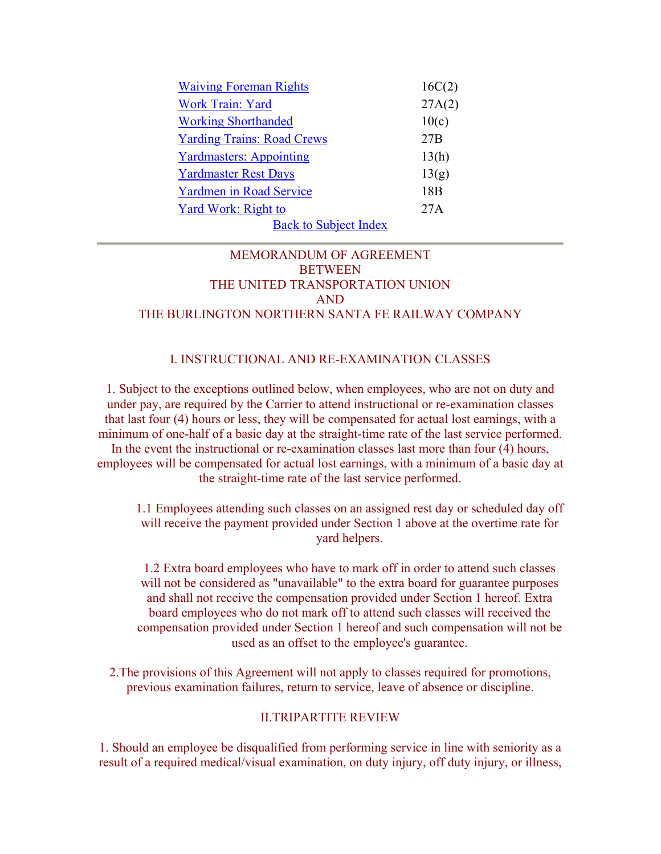| <b>Waiving Foreman Rights</b>     | 16C(2)          |
|-----------------------------------|-----------------|
| Work Train: Yard                  | 27A(2)          |
| <b>Working Shorthanded</b>        | 10(c)           |
| <b>Yarding Trains: Road Crews</b> | 27B             |
| <b>Yardmasters: Appointing</b>    | 13(h)           |
| <b>Yardmaster Rest Days</b>       | 13(g)           |
| <b>Yardmen in Road Service</b>    | 18 <sub>B</sub> |
| Yard Work: Right to               | 27A             |
| <b>Back to Subject Index</b>      |                 |

# MEMORANDUM OF AGREEMENT **BETWEEN** THE UNITED TRANSPORTATION UNION AND THE BURLINGTON NORTHERN SANTA FE RAILWAY COMPANY

## I. INSTRUCTIONAL AND RE-EXAMINATION CLASSES

1. Subject to the exceptions outlined below, when employees, who are not on duty and under pay, are required by the Carrier to attend instructional or re-examination classes that last four (4) hours or less, they will be compensated for actual lost earnings, with a minimum of one-half of a basic day at the straight-time rate of the last service performed. In the event the instructional or re-examination classes last more than four (4) hours, employees will be compensated for actual lost earnings, with a minimum of a basic day at the straight-time rate of the last service performed.

1.1 Employees attending such classes on an assigned rest day or scheduled day off will receive the payment provided under Section 1 above at the overtime rate for yard helpers.

1.2 Extra board employees who have to mark off in order to attend such classes will not be considered as "unavailable" to the extra board for guarantee purposes and shall not receive the compensation provided under Section 1 hereof. Extra board employees who do not mark off to attend such classes will received the compensation provided under Section 1 hereof and such compensation will not be used as an offset to the employee's guarantee.

2.The provisions of this Agreement will not apply to classes required for promotions, previous examination failures, return to service, leave of absence or discipline.

#### II.TRIPARTITE REVIEW

1. Should an employee be disqualified from performing service in line with seniority as a result of a required medical/visual examination, on duty injury, off duty injury, or illness,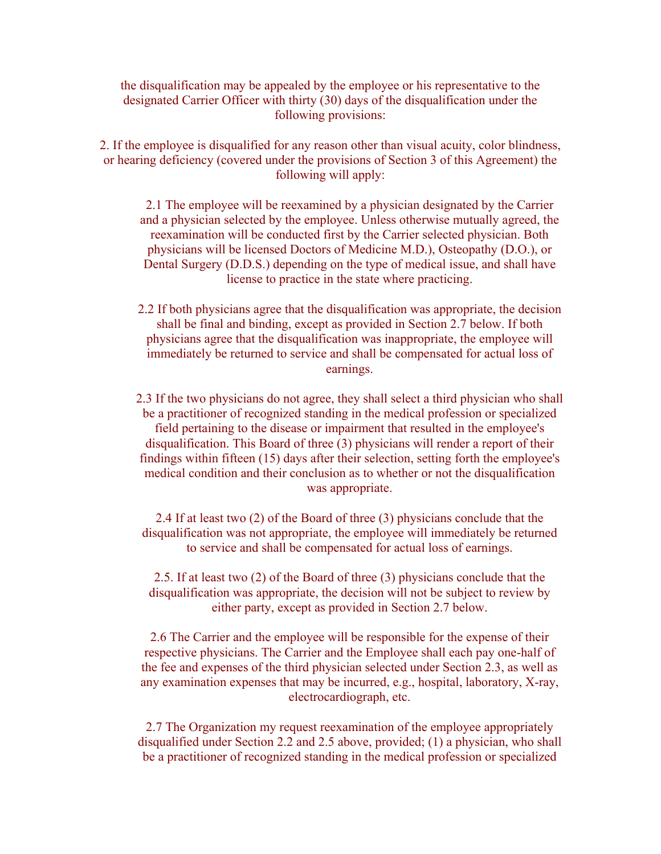the disqualification may be appealed by the employee or his representative to the designated Carrier Officer with thirty (30) days of the disqualification under the following provisions:

2. If the employee is disqualified for any reason other than visual acuity, color blindness, or hearing deficiency (covered under the provisions of Section 3 of this Agreement) the following will apply:

2.1 The employee will be reexamined by a physician designated by the Carrier and a physician selected by the employee. Unless otherwise mutually agreed, the reexamination will be conducted first by the Carrier selected physician. Both physicians will be licensed Doctors of Medicine M.D.), Osteopathy (D.O.), or Dental Surgery (D.D.S.) depending on the type of medical issue, and shall have license to practice in the state where practicing.

2.2 If both physicians agree that the disqualification was appropriate, the decision shall be final and binding, except as provided in Section 2.7 below. If both physicians agree that the disqualification was inappropriate, the employee will immediately be returned to service and shall be compensated for actual loss of earnings.

2.3 If the two physicians do not agree, they shall select a third physician who shall be a practitioner of recognized standing in the medical profession or specialized field pertaining to the disease or impairment that resulted in the employee's disqualification. This Board of three (3) physicians will render a report of their findings within fifteen (15) days after their selection, setting forth the employee's medical condition and their conclusion as to whether or not the disqualification was appropriate.

2.4 If at least two (2) of the Board of three (3) physicians conclude that the disqualification was not appropriate, the employee will immediately be returned to service and shall be compensated for actual loss of earnings.

2.5. If at least two (2) of the Board of three (3) physicians conclude that the disqualification was appropriate, the decision will not be subject to review by either party, except as provided in Section 2.7 below.

2.6 The Carrier and the employee will be responsible for the expense of their respective physicians. The Carrier and the Employee shall each pay one-half of the fee and expenses of the third physician selected under Section 2.3, as well as any examination expenses that may be incurred, e.g., hospital, laboratory, X-ray, electrocardiograph, etc.

2.7 The Organization my request reexamination of the employee appropriately disqualified under Section 2.2 and 2.5 above, provided; (1) a physician, who shall be a practitioner of recognized standing in the medical profession or specialized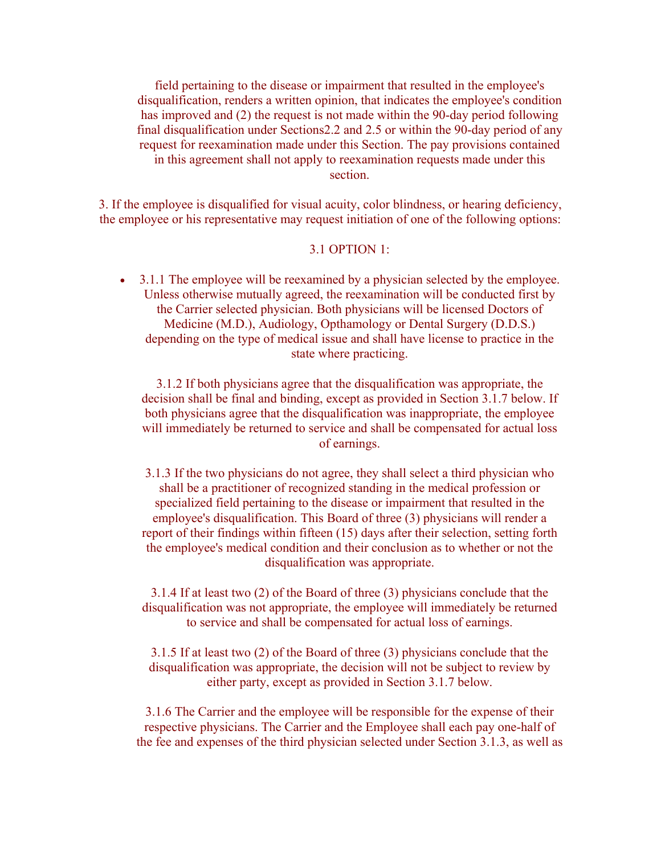field pertaining to the disease or impairment that resulted in the employee's disqualification, renders a written opinion, that indicates the employee's condition has improved and (2) the request is not made within the 90-day period following final disqualification under Sections2.2 and 2.5 or within the 90-day period of any request for reexamination made under this Section. The pay provisions contained in this agreement shall not apply to reexamination requests made under this section.

3. If the employee is disqualified for visual acuity, color blindness, or hearing deficiency, the employee or his representative may request initiation of one of the following options:

#### 3.1 OPTION 1:

• 3.1.1 The employee will be reexamined by a physician selected by the employee. Unless otherwise mutually agreed, the reexamination will be conducted first by the Carrier selected physician. Both physicians will be licensed Doctors of Medicine (M.D.), Audiology, Opthamology or Dental Surgery (D.D.S.) depending on the type of medical issue and shall have license to practice in the state where practicing.

3.1.2 If both physicians agree that the disqualification was appropriate, the decision shall be final and binding, except as provided in Section 3.1.7 below. If both physicians agree that the disqualification was inappropriate, the employee will immediately be returned to service and shall be compensated for actual loss of earnings.

3.1.3 If the two physicians do not agree, they shall select a third physician who shall be a practitioner of recognized standing in the medical profession or specialized field pertaining to the disease or impairment that resulted in the employee's disqualification. This Board of three (3) physicians will render a report of their findings within fifteen (15) days after their selection, setting forth the employee's medical condition and their conclusion as to whether or not the disqualification was appropriate.

3.1.4 If at least two (2) of the Board of three (3) physicians conclude that the disqualification was not appropriate, the employee will immediately be returned to service and shall be compensated for actual loss of earnings.

3.1.5 If at least two (2) of the Board of three (3) physicians conclude that the disqualification was appropriate, the decision will not be subject to review by either party, except as provided in Section 3.1.7 below.

3.1.6 The Carrier and the employee will be responsible for the expense of their respective physicians. The Carrier and the Employee shall each pay one-half of the fee and expenses of the third physician selected under Section 3.1.3, as well as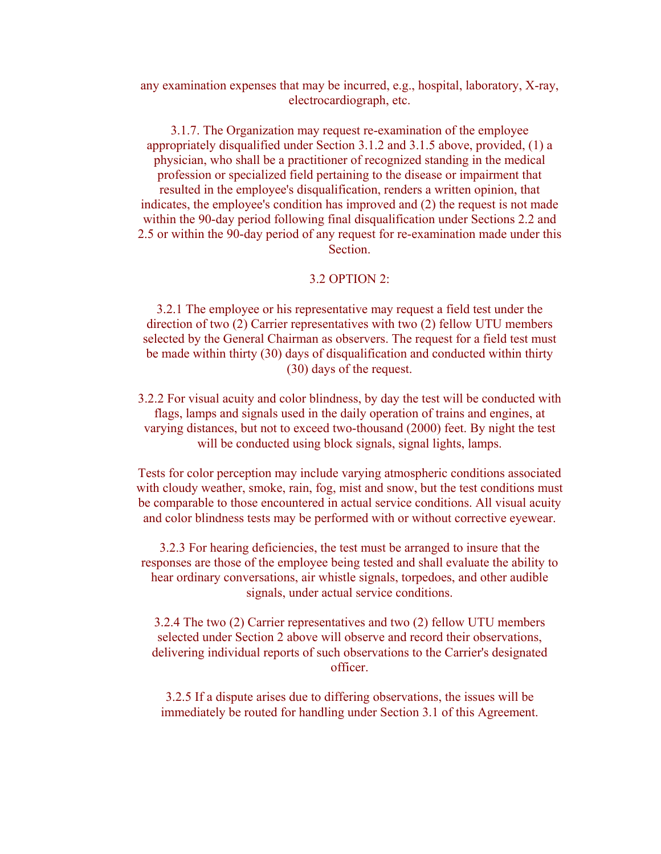any examination expenses that may be incurred, e.g., hospital, laboratory, X-ray, electrocardiograph, etc.

3.1.7. The Organization may request re-examination of the employee appropriately disqualified under Section 3.1.2 and 3.1.5 above, provided, (1) a physician, who shall be a practitioner of recognized standing in the medical profession or specialized field pertaining to the disease or impairment that resulted in the employee's disqualification, renders a written opinion, that indicates, the employee's condition has improved and (2) the request is not made within the 90-day period following final disqualification under Sections 2.2 and 2.5 or within the 90-day period of any request for re-examination made under this **Section** 

#### 3.2 OPTION 2:

3.2.1 The employee or his representative may request a field test under the direction of two (2) Carrier representatives with two (2) fellow UTU members selected by the General Chairman as observers. The request for a field test must be made within thirty (30) days of disqualification and conducted within thirty (30) days of the request.

3.2.2 For visual acuity and color blindness, by day the test will be conducted with flags, lamps and signals used in the daily operation of trains and engines, at varying distances, but not to exceed two-thousand (2000) feet. By night the test will be conducted using block signals, signal lights, lamps.

Tests for color perception may include varying atmospheric conditions associated with cloudy weather, smoke, rain, fog, mist and snow, but the test conditions must be comparable to those encountered in actual service conditions. All visual acuity and color blindness tests may be performed with or without corrective eyewear.

3.2.3 For hearing deficiencies, the test must be arranged to insure that the responses are those of the employee being tested and shall evaluate the ability to hear ordinary conversations, air whistle signals, torpedoes, and other audible signals, under actual service conditions.

3.2.4 The two (2) Carrier representatives and two (2) fellow UTU members selected under Section 2 above will observe and record their observations, delivering individual reports of such observations to the Carrier's designated officer.

3.2.5 If a dispute arises due to differing observations, the issues will be immediately be routed for handling under Section 3.1 of this Agreement.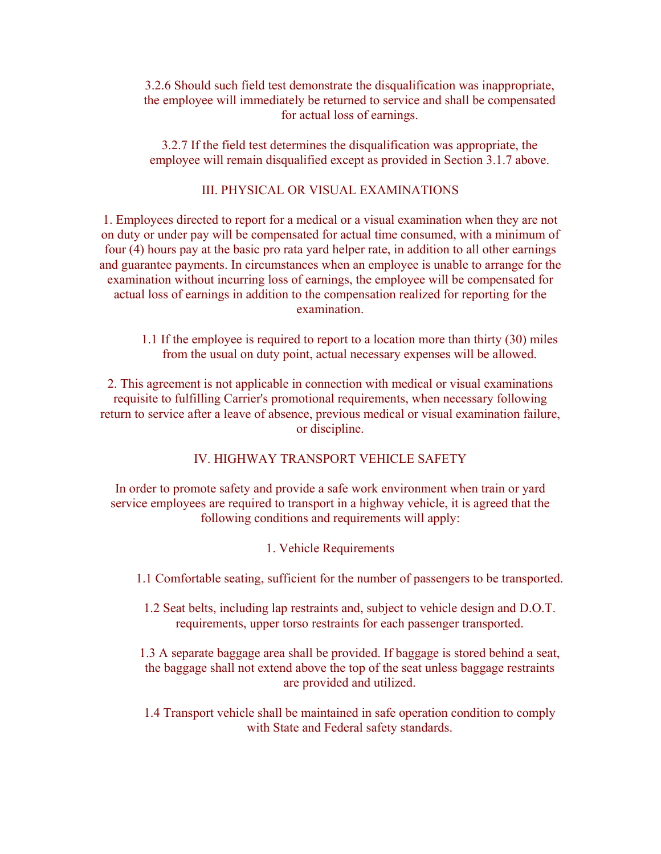3.2.6 Should such field test demonstrate the disqualification was inappropriate, the employee will immediately be returned to service and shall be compensated for actual loss of earnings.

3.2.7 If the field test determines the disqualification was appropriate, the employee will remain disqualified except as provided in Section 3.1.7 above.

### III. PHYSICAL OR VISUAL EXAMINATIONS

1. Employees directed to report for a medical or a visual examination when they are not on duty or under pay will be compensated for actual time consumed, with a minimum of four (4) hours pay at the basic pro rata yard helper rate, in addition to all other earnings and guarantee payments. In circumstances when an employee is unable to arrange for the examination without incurring loss of earnings, the employee will be compensated for actual loss of earnings in addition to the compensation realized for reporting for the examination.

1.1 If the employee is required to report to a location more than thirty (30) miles from the usual on duty point, actual necessary expenses will be allowed.

2. This agreement is not applicable in connection with medical or visual examinations requisite to fulfilling Carrier's promotional requirements, when necessary following return to service after a leave of absence, previous medical or visual examination failure, or discipline.

#### IV. HIGHWAY TRANSPORT VEHICLE SAFETY

In order to promote safety and provide a safe work environment when train or yard service employees are required to transport in a highway vehicle, it is agreed that the following conditions and requirements will apply:

- 1. Vehicle Requirements
- 1.1 Comfortable seating, sufficient for the number of passengers to be transported.
	- 1.2 Seat belts, including lap restraints and, subject to vehicle design and D.O.T. requirements, upper torso restraints for each passenger transported.

1.3 A separate baggage area shall be provided. If baggage is stored behind a seat, the baggage shall not extend above the top of the seat unless baggage restraints are provided and utilized.

1.4 Transport vehicle shall be maintained in safe operation condition to comply with State and Federal safety standards.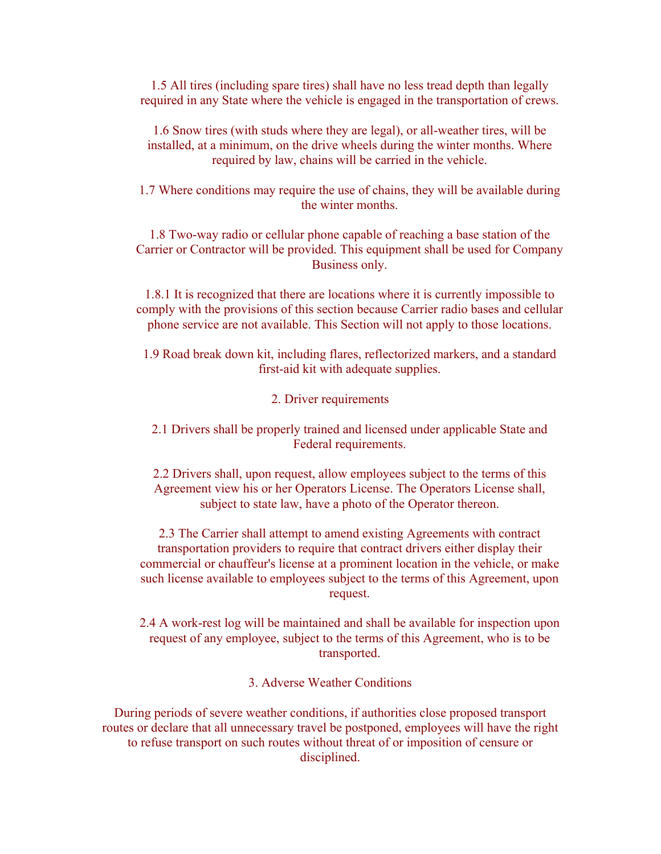1.5 All tires (including spare tires) shall have no less tread depth than legally required in any State where the vehicle is engaged in the transportation of crews.

1.6 Snow tires (with studs where they are legal), or all-weather tires, will be installed, at a minimum, on the drive wheels during the winter months. Where required by law, chains will be carried in the vehicle.

1.7 Where conditions may require the use of chains, they will be available during the winter months.

1.8 Two-way radio or cellular phone capable of reaching a base station of the Carrier or Contractor will be provided. This equipment shall be used for Company Business only.

1.8.1 It is recognized that there are locations where it is currently impossible to comply with the provisions of this section because Carrier radio bases and cellular phone service are not available. This Section will not apply to those locations.

1.9 Road break down kit, including flares, reflectorized markers, and a standard first-aid kit with adequate supplies.

2. Driver requirements

2.1 Drivers shall be properly trained and licensed under applicable State and Federal requirements.

2.2 Drivers shall, upon request, allow employees subject to the terms of this Agreement view his or her Operators License. The Operators License shall, subject to state law, have a photo of the Operator thereon.

2.3 The Carrier shall attempt to amend existing Agreements with contract transportation providers to require that contract drivers either display their commercial or chauffeur's license at a prominent location in the vehicle, or make such license available to employees subject to the terms of this Agreement, upon request.

2.4 A work-rest log will be maintained and shall be available for inspection upon request of any employee, subject to the terms of this Agreement, who is to be transported.

3. Adverse Weather Conditions

During periods of severe weather conditions, if authorities close proposed transport routes or declare that all unnecessary travel be postponed, employees will have the right to refuse transport on such routes without threat of or imposition of censure or disciplined.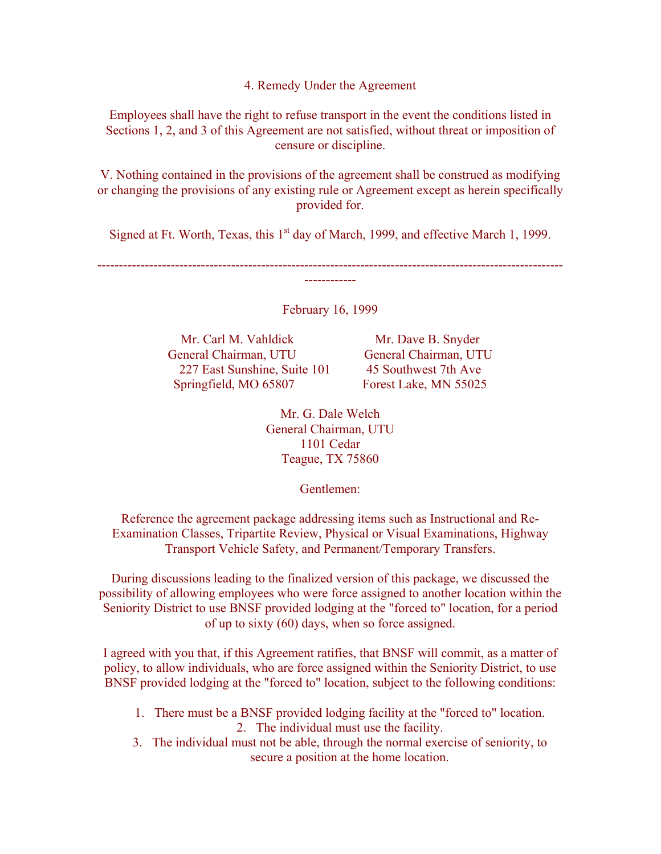4. Remedy Under the Agreement

Employees shall have the right to refuse transport in the event the conditions listed in Sections 1, 2, and 3 of this Agreement are not satisfied, without threat or imposition of censure or discipline.

V. Nothing contained in the provisions of the agreement shall be construed as modifying or changing the provisions of any existing rule or Agreement except as herein specifically provided for.

Signed at Ft. Worth, Texas, this  $1<sup>st</sup>$  day of March, 1999, and effective March 1, 1999.

February 16, 1999

------------

Mr. Carl M. Vahldick Mr. Dave B. Snyder General Chairman, UTU General Chairman, UTU 227 East Sunshine, Suite 101 45 Southwest 7th Ave Springfield, MO 65807 Forest Lake, MN 55025

------------------------------------------------------------------------------------------------------------

Mr. G. Dale Welch General Chairman, UTU 1101 Cedar Teague, TX 75860

Gentlemen:

Reference the agreement package addressing items such as Instructional and Re-Examination Classes, Tripartite Review, Physical or Visual Examinations, Highway Transport Vehicle Safety, and Permanent/Temporary Transfers.

During discussions leading to the finalized version of this package, we discussed the possibility of allowing employees who were force assigned to another location within the Seniority District to use BNSF provided lodging at the "forced to" location, for a period of up to sixty (60) days, when so force assigned.

I agreed with you that, if this Agreement ratifies, that BNSF will commit, as a matter of policy, to allow individuals, who are force assigned within the Seniority District, to use BNSF provided lodging at the "forced to" location, subject to the following conditions:

- 1. There must be a BNSF provided lodging facility at the "forced to" location. 2. The individual must use the facility.
- 3. The individual must not be able, through the normal exercise of seniority, to secure a position at the home location.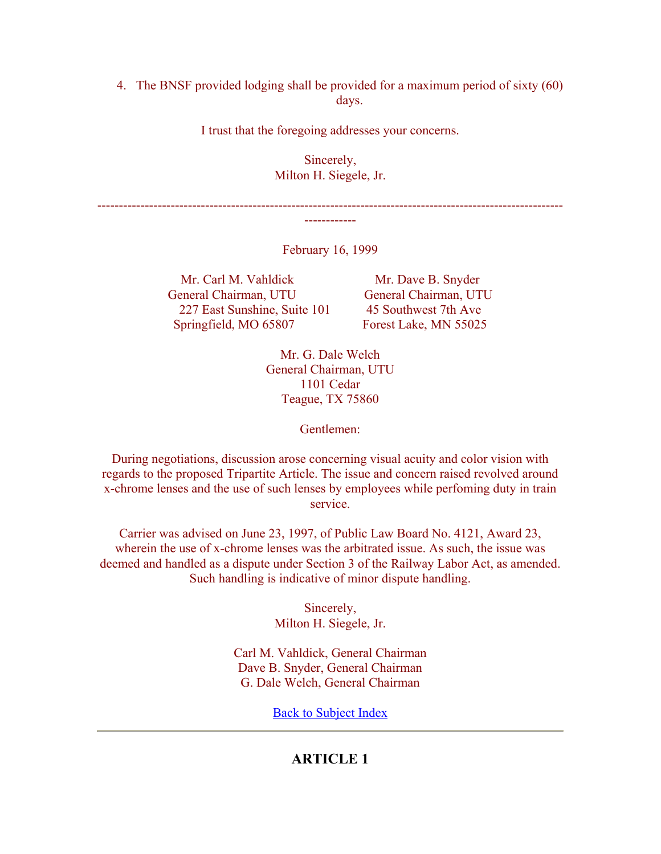## 4. The BNSF provided lodging shall be provided for a maximum period of sixty (60) days.

I trust that the foregoing addresses your concerns.

Sincerely, Milton H. Siegele, Jr.

------------------------------------------------------------------------------------------------------------ ------------

February 16, 1999

Mr. Carl M. Vahldick Mr. Dave B. Snyder General Chairman, UTU General Chairman, UTU 227 East Sunshine, Suite 101 45 Southwest 7th Ave Springfield, MO 65807 Forest Lake, MN 55025

Mr. G. Dale Welch General Chairman, UTU 1101 Cedar Teague, TX 75860

Gentlemen:

During negotiations, discussion arose concerning visual acuity and color vision with regards to the proposed Tripartite Article. The issue and concern raised revolved around x-chrome lenses and the use of such lenses by employees while perfoming duty in train service.

Carrier was advised on June 23, 1997, of Public Law Board No. 4121, Award 23, wherein the use of x-chrome lenses was the arbitrated issue. As such, the issue was deemed and handled as a dispute under Section 3 of the Railway Labor Act, as amended. Such handling is indicative of minor dispute handling.

> Sincerely, Milton H. Siegele, Jr.

Carl M. Vahldick, General Chairman Dave B. Snyder, General Chairman G. Dale Welch, General Chairman

Back to Subject Index

## **ARTICLE 1**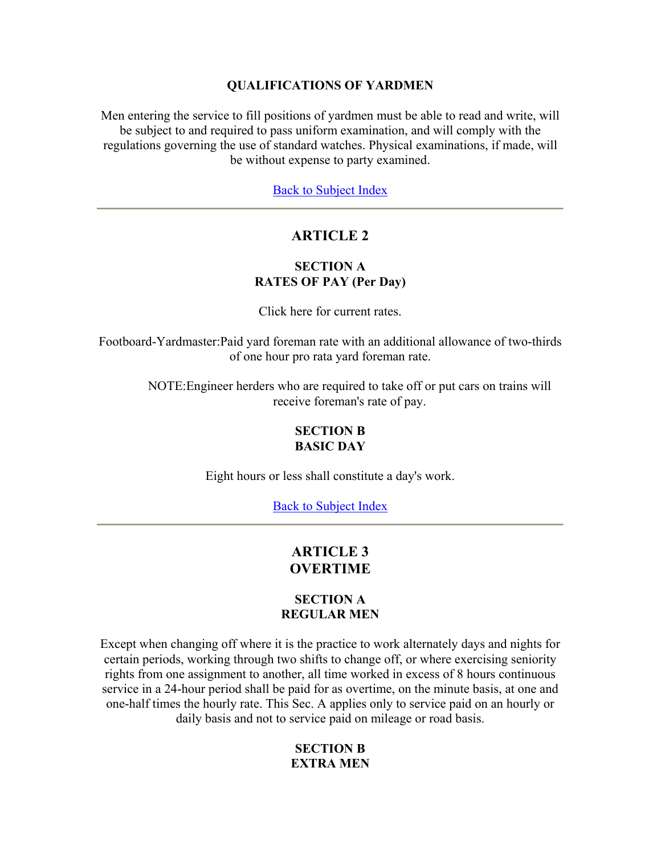#### **QUALIFICATIONS OF YARDMEN**

Men entering the service to fill positions of yardmen must be able to read and write, will be subject to and required to pass uniform examination, and will comply with the regulations governing the use of standard watches. Physical examinations, if made, will be without expense to party examined.

Back to Subject Index

# **ARTICLE 2**

## **SECTION A RATES OF PAY (Per Day)**

Click here for current rates.

Footboard-Yardmaster:Paid yard foreman rate with an additional allowance of two-thirds of one hour pro rata yard foreman rate.

> NOTE:Engineer herders who are required to take off or put cars on trains will receive foreman's rate of pay.

#### **SECTION B BASIC DAY**

Eight hours or less shall constitute a day's work.

Back to Subject Index

# **ARTICLE 3 OVERTIME**

#### **SECTION A REGULAR MEN**

Except when changing off where it is the practice to work alternately days and nights for certain periods, working through two shifts to change off, or where exercising seniority rights from one assignment to another, all time worked in excess of 8 hours continuous service in a 24-hour period shall be paid for as overtime, on the minute basis, at one and one-half times the hourly rate. This Sec. A applies only to service paid on an hourly or daily basis and not to service paid on mileage or road basis.

### **SECTION B EXTRA MEN**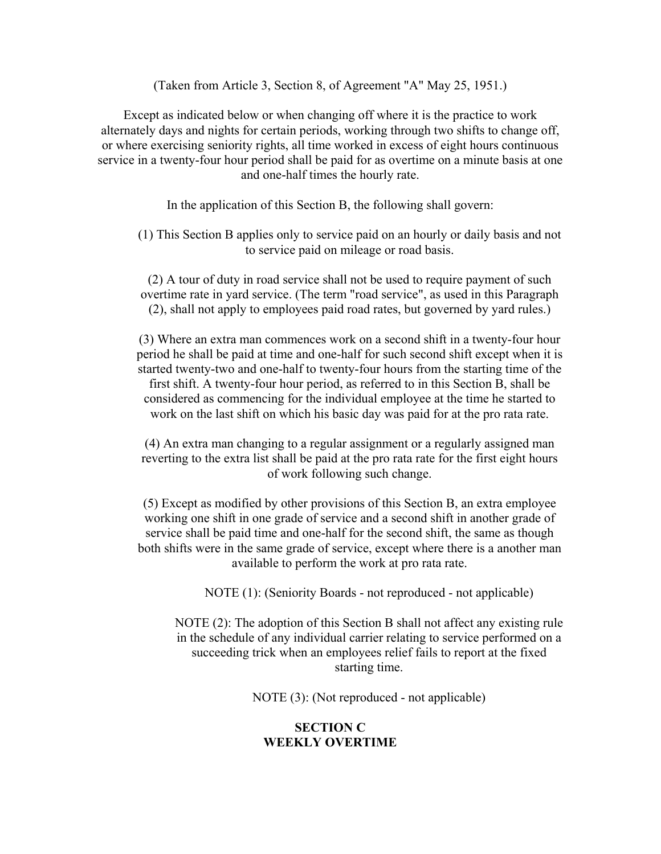(Taken from Article 3, Section 8, of Agreement "A" May 25, 1951.)

Except as indicated below or when changing off where it is the practice to work alternately days and nights for certain periods, working through two shifts to change off, or where exercising seniority rights, all time worked in excess of eight hours continuous service in a twenty-four hour period shall be paid for as overtime on a minute basis at one and one-half times the hourly rate.

In the application of this Section B, the following shall govern:

(1) This Section B applies only to service paid on an hourly or daily basis and not to service paid on mileage or road basis.

(2) A tour of duty in road service shall not be used to require payment of such overtime rate in yard service. (The term "road service", as used in this Paragraph (2), shall not apply to employees paid road rates, but governed by yard rules.)

(3) Where an extra man commences work on a second shift in a twenty-four hour period he shall be paid at time and one-half for such second shift except when it is started twenty-two and one-half to twenty-four hours from the starting time of the first shift. A twenty-four hour period, as referred to in this Section B, shall be considered as commencing for the individual employee at the time he started to work on the last shift on which his basic day was paid for at the pro rata rate.

(4) An extra man changing to a regular assignment or a regularly assigned man reverting to the extra list shall be paid at the pro rata rate for the first eight hours of work following such change.

(5) Except as modified by other provisions of this Section B, an extra employee working one shift in one grade of service and a second shift in another grade of service shall be paid time and one-half for the second shift, the same as though both shifts were in the same grade of service, except where there is a another man available to perform the work at pro rata rate.

NOTE (1): (Seniority Boards - not reproduced - not applicable)

NOTE (2): The adoption of this Section B shall not affect any existing rule in the schedule of any individual carrier relating to service performed on a succeeding trick when an employees relief fails to report at the fixed starting time.

NOTE (3): (Not reproduced - not applicable)

#### **SECTION C WEEKLY OVERTIME**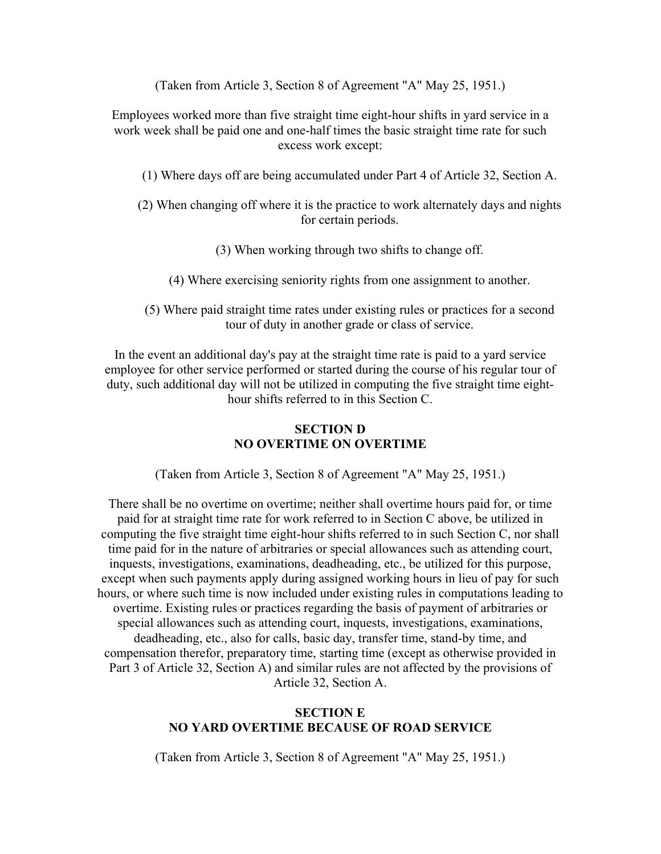(Taken from Article 3, Section 8 of Agreement "A" May 25, 1951.)

Employees worked more than five straight time eight-hour shifts in yard service in a work week shall be paid one and one-half times the basic straight time rate for such excess work except:

- (1) Where days off are being accumulated under Part 4 of Article 32, Section A.
- (2) When changing off where it is the practice to work alternately days and nights for certain periods.
	- (3) When working through two shifts to change off.
	- (4) Where exercising seniority rights from one assignment to another.
- (5) Where paid straight time rates under existing rules or practices for a second tour of duty in another grade or class of service.

In the event an additional day's pay at the straight time rate is paid to a yard service employee for other service performed or started during the course of his regular tour of duty, such additional day will not be utilized in computing the five straight time eighthour shifts referred to in this Section C.

### **SECTION D NO OVERTIME ON OVERTIME**

(Taken from Article 3, Section 8 of Agreement "A" May 25, 1951.)

There shall be no overtime on overtime; neither shall overtime hours paid for, or time paid for at straight time rate for work referred to in Section C above, be utilized in computing the five straight time eight-hour shifts referred to in such Section C, nor shall time paid for in the nature of arbitraries or special allowances such as attending court, inquests, investigations, examinations, deadheading, etc., be utilized for this purpose, except when such payments apply during assigned working hours in lieu of pay for such hours, or where such time is now included under existing rules in computations leading to overtime. Existing rules or practices regarding the basis of payment of arbitraries or special allowances such as attending court, inquests, investigations, examinations, deadheading, etc., also for calls, basic day, transfer time, stand-by time, and compensation therefor, preparatory time, starting time (except as otherwise provided in Part 3 of Article 32, Section A) and similar rules are not affected by the provisions of Article 32, Section A.

#### **SECTION E NO YARD OVERTIME BECAUSE OF ROAD SERVICE**

(Taken from Article 3, Section 8 of Agreement "A" May 25, 1951.)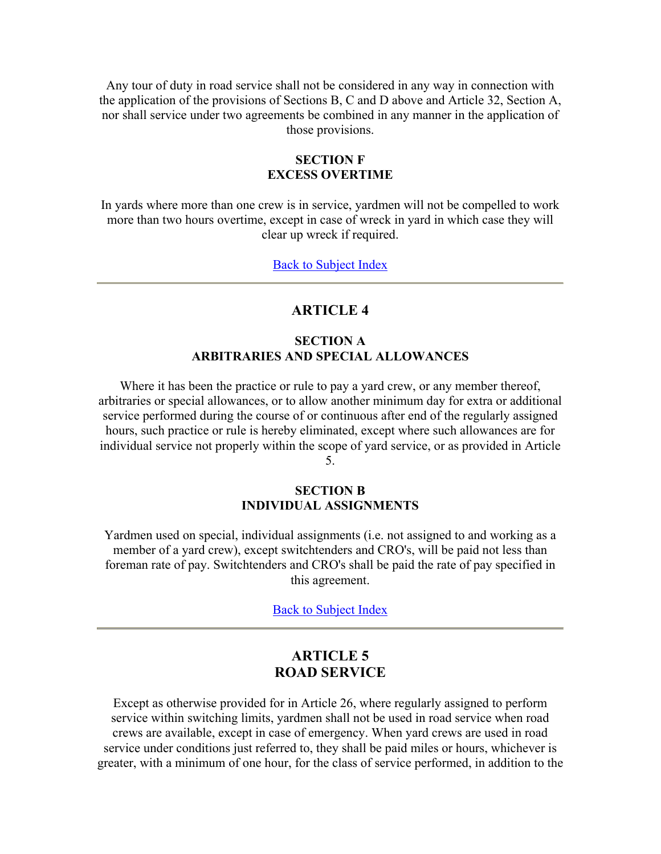Any tour of duty in road service shall not be considered in any way in connection with the application of the provisions of Sections B, C and D above and Article 32, Section A, nor shall service under two agreements be combined in any manner in the application of those provisions.

#### **SECTION F EXCESS OVERTIME**

In yards where more than one crew is in service, yardmen will not be compelled to work more than two hours overtime, except in case of wreck in yard in which case they will clear up wreck if required.

Back to Subject Index

## **ARTICLE 4**

## **SECTION A ARBITRARIES AND SPECIAL ALLOWANCES**

Where it has been the practice or rule to pay a yard crew, or any member thereof, arbitraries or special allowances, or to allow another minimum day for extra or additional service performed during the course of or continuous after end of the regularly assigned hours, such practice or rule is hereby eliminated, except where such allowances are for individual service not properly within the scope of yard service, or as provided in Article 5.

#### **SECTION B INDIVIDUAL ASSIGNMENTS**

Yardmen used on special, individual assignments (i.e. not assigned to and working as a member of a yard crew), except switchtenders and CRO's, will be paid not less than foreman rate of pay. Switchtenders and CRO's shall be paid the rate of pay specified in this agreement.

Back to Subject Index

# **ARTICLE 5 ROAD SERVICE**

Except as otherwise provided for in Article 26, where regularly assigned to perform service within switching limits, yardmen shall not be used in road service when road crews are available, except in case of emergency. When yard crews are used in road service under conditions just referred to, they shall be paid miles or hours, whichever is greater, with a minimum of one hour, for the class of service performed, in addition to the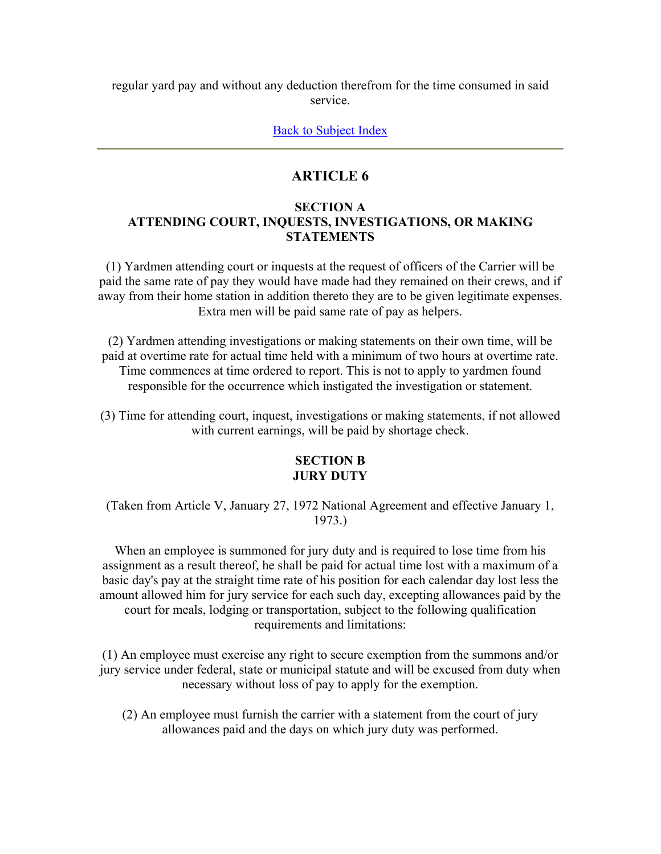regular yard pay and without any deduction therefrom for the time consumed in said service.

Back to Subject Index

# **ARTICLE 6**

### **SECTION A ATTENDING COURT, INQUESTS, INVESTIGATIONS, OR MAKING STATEMENTS**

(1) Yardmen attending court or inquests at the request of officers of the Carrier will be paid the same rate of pay they would have made had they remained on their crews, and if away from their home station in addition thereto they are to be given legitimate expenses. Extra men will be paid same rate of pay as helpers.

(2) Yardmen attending investigations or making statements on their own time, will be paid at overtime rate for actual time held with a minimum of two hours at overtime rate. Time commences at time ordered to report. This is not to apply to yardmen found responsible for the occurrence which instigated the investigation or statement.

(3) Time for attending court, inquest, investigations or making statements, if not allowed with current earnings, will be paid by shortage check.

## **SECTION B JURY DUTY**

(Taken from Article V, January 27, 1972 National Agreement and effective January 1, 1973.)

When an employee is summoned for jury duty and is required to lose time from his assignment as a result thereof, he shall be paid for actual time lost with a maximum of a basic day's pay at the straight time rate of his position for each calendar day lost less the amount allowed him for jury service for each such day, excepting allowances paid by the court for meals, lodging or transportation, subject to the following qualification requirements and limitations:

(1) An employee must exercise any right to secure exemption from the summons and/or jury service under federal, state or municipal statute and will be excused from duty when necessary without loss of pay to apply for the exemption.

(2) An employee must furnish the carrier with a statement from the court of jury allowances paid and the days on which jury duty was performed.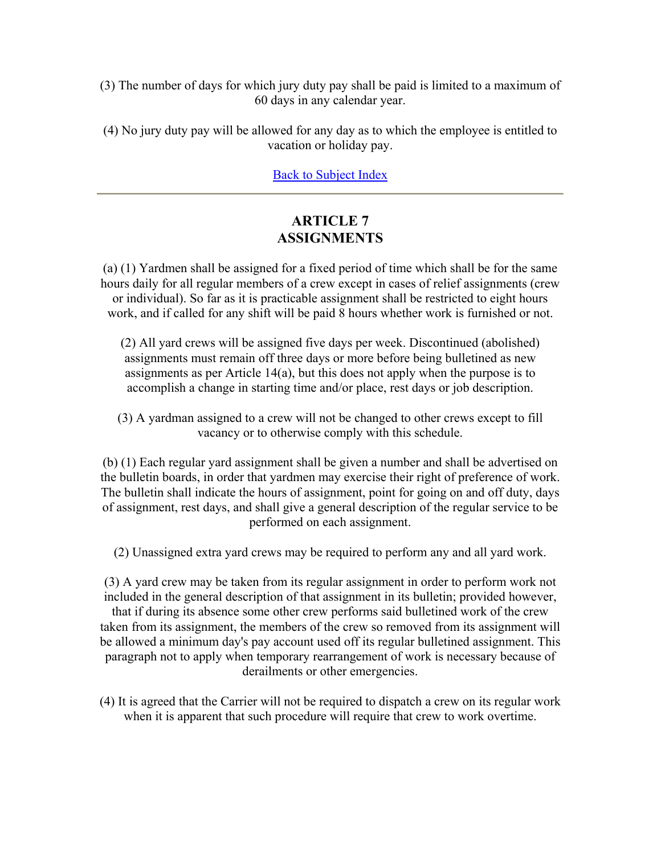(3) The number of days for which jury duty pay shall be paid is limited to a maximum of 60 days in any calendar year.

(4) No jury duty pay will be allowed for any day as to which the employee is entitled to vacation or holiday pay.

Back to Subject Index

# **ARTICLE 7 ASSIGNMENTS**

(a) (1) Yardmen shall be assigned for a fixed period of time which shall be for the same hours daily for all regular members of a crew except in cases of relief assignments (crew or individual). So far as it is practicable assignment shall be restricted to eight hours work, and if called for any shift will be paid 8 hours whether work is furnished or not.

- (2) All yard crews will be assigned five days per week. Discontinued (abolished) assignments must remain off three days or more before being bulletined as new assignments as per Article 14(a), but this does not apply when the purpose is to accomplish a change in starting time and/or place, rest days or job description.
- (3) A yardman assigned to a crew will not be changed to other crews except to fill vacancy or to otherwise comply with this schedule.

(b) (1) Each regular yard assignment shall be given a number and shall be advertised on the bulletin boards, in order that yardmen may exercise their right of preference of work. The bulletin shall indicate the hours of assignment, point for going on and off duty, days of assignment, rest days, and shall give a general description of the regular service to be performed on each assignment.

(2) Unassigned extra yard crews may be required to perform any and all yard work.

(3) A yard crew may be taken from its regular assignment in order to perform work not included in the general description of that assignment in its bulletin; provided however, that if during its absence some other crew performs said bulletined work of the crew taken from its assignment, the members of the crew so removed from its assignment will be allowed a minimum day's pay account used off its regular bulletined assignment. This paragraph not to apply when temporary rearrangement of work is necessary because of derailments or other emergencies.

(4) It is agreed that the Carrier will not be required to dispatch a crew on its regular work when it is apparent that such procedure will require that crew to work overtime.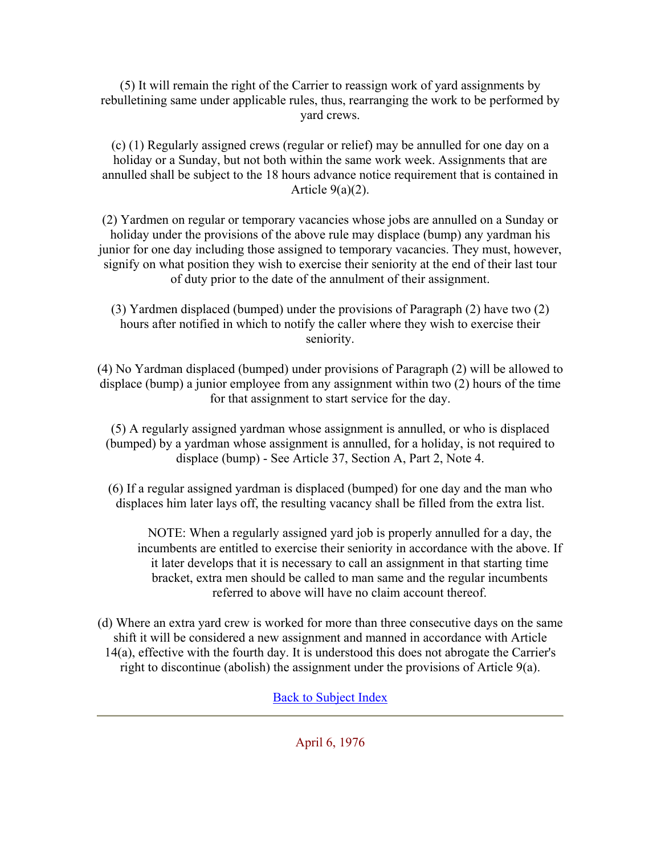(5) It will remain the right of the Carrier to reassign work of yard assignments by rebulletining same under applicable rules, thus, rearranging the work to be performed by yard crews.

(c) (1) Regularly assigned crews (regular or relief) may be annulled for one day on a holiday or a Sunday, but not both within the same work week. Assignments that are annulled shall be subject to the 18 hours advance notice requirement that is contained in Article  $9(a)(2)$ .

(2) Yardmen on regular or temporary vacancies whose jobs are annulled on a Sunday or holiday under the provisions of the above rule may displace (bump) any yardman his junior for one day including those assigned to temporary vacancies. They must, however, signify on what position they wish to exercise their seniority at the end of their last tour of duty prior to the date of the annulment of their assignment.

(3) Yardmen displaced (bumped) under the provisions of Paragraph (2) have two (2) hours after notified in which to notify the caller where they wish to exercise their seniority.

(4) No Yardman displaced (bumped) under provisions of Paragraph (2) will be allowed to displace (bump) a junior employee from any assignment within two (2) hours of the time for that assignment to start service for the day.

(5) A regularly assigned yardman whose assignment is annulled, or who is displaced (bumped) by a yardman whose assignment is annulled, for a holiday, is not required to displace (bump) - See Article 37, Section A, Part 2, Note 4.

(6) If a regular assigned yardman is displaced (bumped) for one day and the man who displaces him later lays off, the resulting vacancy shall be filled from the extra list.

NOTE: When a regularly assigned yard job is properly annulled for a day, the incumbents are entitled to exercise their seniority in accordance with the above. If it later develops that it is necessary to call an assignment in that starting time bracket, extra men should be called to man same and the regular incumbents referred to above will have no claim account thereof.

(d) Where an extra yard crew is worked for more than three consecutive days on the same shift it will be considered a new assignment and manned in accordance with Article 14(a), effective with the fourth day. It is understood this does not abrogate the Carrier's right to discontinue (abolish) the assignment under the provisions of Article 9(a).

Back to Subject Index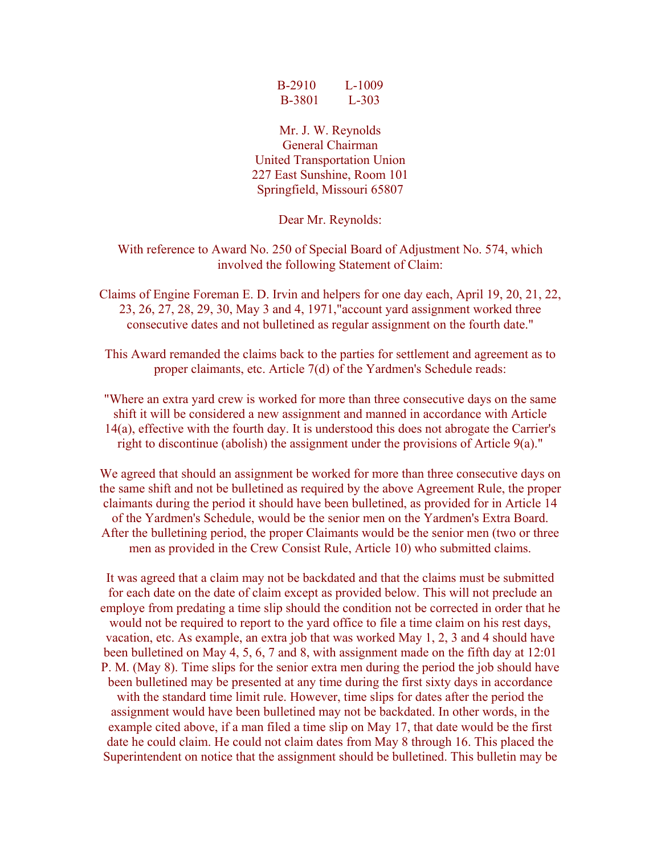| <b>B-2910</b> | $L=1009$  |
|---------------|-----------|
| <b>B-3801</b> | $L - 303$ |

Mr. J. W. Reynolds General Chairman United Transportation Union 227 East Sunshine, Room 101 Springfield, Missouri 65807

Dear Mr. Reynolds:

With reference to Award No. 250 of Special Board of Adjustment No. 574, which involved the following Statement of Claim:

Claims of Engine Foreman E. D. Irvin and helpers for one day each, April 19, 20, 21, 22, 23, 26, 27, 28, 29, 30, May 3 and 4, 1971,"account yard assignment worked three consecutive dates and not bulletined as regular assignment on the fourth date."

This Award remanded the claims back to the parties for settlement and agreement as to proper claimants, etc. Article 7(d) of the Yardmen's Schedule reads:

"Where an extra yard crew is worked for more than three consecutive days on the same shift it will be considered a new assignment and manned in accordance with Article 14(a), effective with the fourth day. It is understood this does not abrogate the Carrier's right to discontinue (abolish) the assignment under the provisions of Article 9(a)."

We agreed that should an assignment be worked for more than three consecutive days on the same shift and not be bulletined as required by the above Agreement Rule, the proper claimants during the period it should have been bulletined, as provided for in Article 14 of the Yardmen's Schedule, would be the senior men on the Yardmen's Extra Board. After the bulletining period, the proper Claimants would be the senior men (two or three men as provided in the Crew Consist Rule, Article 10) who submitted claims.

It was agreed that a claim may not be backdated and that the claims must be submitted for each date on the date of claim except as provided below. This will not preclude an employe from predating a time slip should the condition not be corrected in order that he would not be required to report to the yard office to file a time claim on his rest days, vacation, etc. As example, an extra job that was worked May 1, 2, 3 and 4 should have been bulletined on May 4, 5, 6, 7 and 8, with assignment made on the fifth day at 12:01 P. M. (May 8). Time slips for the senior extra men during the period the job should have been bulletined may be presented at any time during the first sixty days in accordance with the standard time limit rule. However, time slips for dates after the period the assignment would have been bulletined may not be backdated. In other words, in the example cited above, if a man filed a time slip on May 17, that date would be the first date he could claim. He could not claim dates from May 8 through 16. This placed the Superintendent on notice that the assignment should be bulletined. This bulletin may be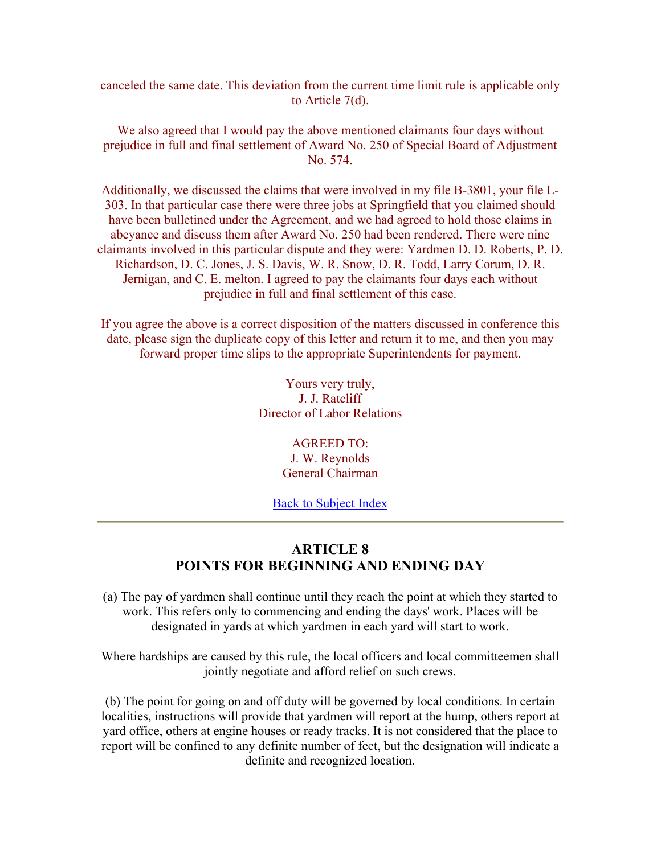canceled the same date. This deviation from the current time limit rule is applicable only to Article 7(d).

We also agreed that I would pay the above mentioned claimants four days without prejudice in full and final settlement of Award No. 250 of Special Board of Adjustment No. 574.

Additionally, we discussed the claims that were involved in my file B-3801, your file L-303. In that particular case there were three jobs at Springfield that you claimed should have been bulletined under the Agreement, and we had agreed to hold those claims in abeyance and discuss them after Award No. 250 had been rendered. There were nine claimants involved in this particular dispute and they were: Yardmen D. D. Roberts, P. D. Richardson, D. C. Jones, J. S. Davis, W. R. Snow, D. R. Todd, Larry Corum, D. R. Jernigan, and C. E. melton. I agreed to pay the claimants four days each without prejudice in full and final settlement of this case.

If you agree the above is a correct disposition of the matters discussed in conference this date, please sign the duplicate copy of this letter and return it to me, and then you may forward proper time slips to the appropriate Superintendents for payment.

> Yours very truly, J. J. Ratcliff Director of Labor Relations

> > AGREED TO: J. W. Reynolds General Chairman

**Back to Subject Index** 

# **ARTICLE 8 POINTS FOR BEGINNING AND ENDING DAY**

(a) The pay of yardmen shall continue until they reach the point at which they started to work. This refers only to commencing and ending the days' work. Places will be designated in yards at which yardmen in each yard will start to work.

Where hardships are caused by this rule, the local officers and local committeemen shall jointly negotiate and afford relief on such crews.

(b) The point for going on and off duty will be governed by local conditions. In certain localities, instructions will provide that yardmen will report at the hump, others report at yard office, others at engine houses or ready tracks. It is not considered that the place to report will be confined to any definite number of feet, but the designation will indicate a definite and recognized location.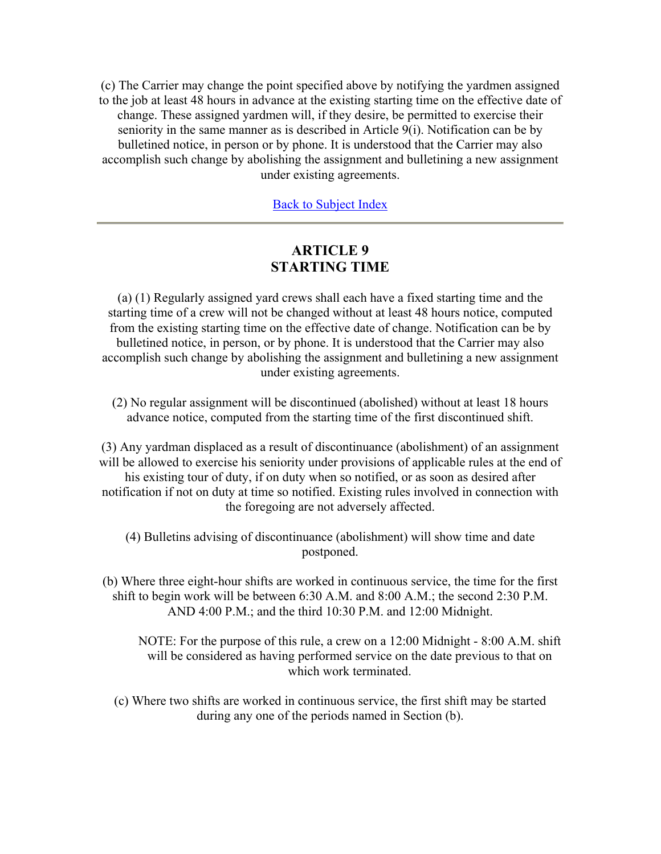(c) The Carrier may change the point specified above by notifying the yardmen assigned to the job at least 48 hours in advance at the existing starting time on the effective date of change. These assigned yardmen will, if they desire, be permitted to exercise their seniority in the same manner as is described in Article 9(i). Notification can be by bulletined notice, in person or by phone. It is understood that the Carrier may also accomplish such change by abolishing the assignment and bulletining a new assignment under existing agreements.

Back to Subject Index

# **ARTICLE 9 STARTING TIME**

(a) (1) Regularly assigned yard crews shall each have a fixed starting time and the starting time of a crew will not be changed without at least 48 hours notice, computed from the existing starting time on the effective date of change. Notification can be by bulletined notice, in person, or by phone. It is understood that the Carrier may also accomplish such change by abolishing the assignment and bulletining a new assignment under existing agreements.

(2) No regular assignment will be discontinued (abolished) without at least 18 hours advance notice, computed from the starting time of the first discontinued shift.

(3) Any yardman displaced as a result of discontinuance (abolishment) of an assignment will be allowed to exercise his seniority under provisions of applicable rules at the end of his existing tour of duty, if on duty when so notified, or as soon as desired after notification if not on duty at time so notified. Existing rules involved in connection with the foregoing are not adversely affected.

(4) Bulletins advising of discontinuance (abolishment) will show time and date postponed.

(b) Where three eight-hour shifts are worked in continuous service, the time for the first shift to begin work will be between 6:30 A.M. and 8:00 A.M.; the second 2:30 P.M. AND 4:00 P.M.; and the third 10:30 P.M. and 12:00 Midnight.

NOTE: For the purpose of this rule, a crew on a 12:00 Midnight - 8:00 A.M. shift will be considered as having performed service on the date previous to that on which work terminated.

(c) Where two shifts are worked in continuous service, the first shift may be started during any one of the periods named in Section (b).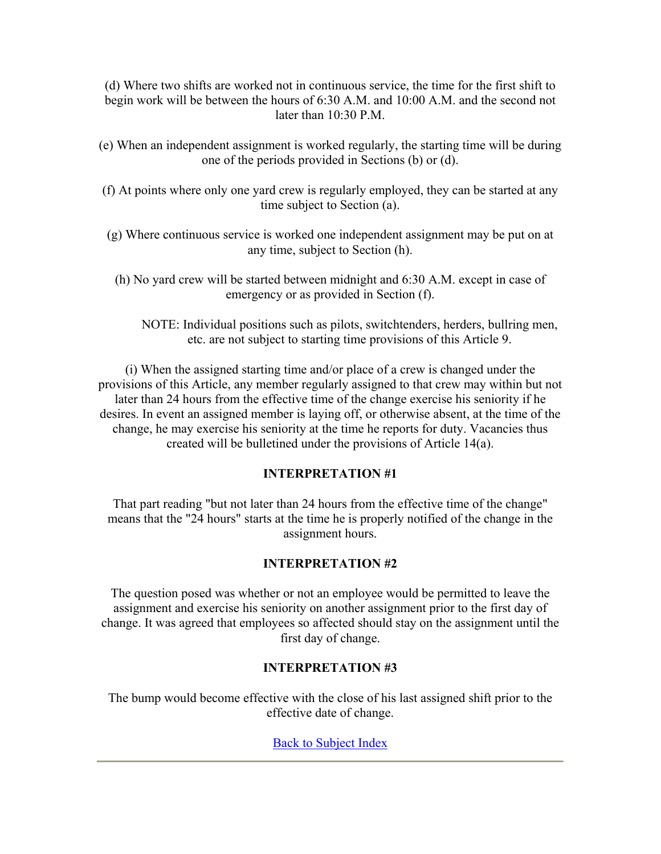(d) Where two shifts are worked not in continuous service, the time for the first shift to begin work will be between the hours of 6:30 A.M. and 10:00 A.M. and the second not later than 10:30 P.M.

- (e) When an independent assignment is worked regularly, the starting time will be during one of the periods provided in Sections (b) or (d).
- (f) At points where only one yard crew is regularly employed, they can be started at any time subject to Section (a).
- (g) Where continuous service is worked one independent assignment may be put on at any time, subject to Section (h).
	- (h) No yard crew will be started between midnight and 6:30 A.M. except in case of emergency or as provided in Section (f).
		- NOTE: Individual positions such as pilots, switchtenders, herders, bullring men, etc. are not subject to starting time provisions of this Article 9.

(i) When the assigned starting time and/or place of a crew is changed under the provisions of this Article, any member regularly assigned to that crew may within but not later than 24 hours from the effective time of the change exercise his seniority if he desires. In event an assigned member is laying off, or otherwise absent, at the time of the change, he may exercise his seniority at the time he reports for duty. Vacancies thus created will be bulletined under the provisions of Article 14(a).

## **INTERPRETATION #1**

That part reading "but not later than 24 hours from the effective time of the change" means that the "24 hours" starts at the time he is properly notified of the change in the assignment hours.

## **INTERPRETATION #2**

The question posed was whether or not an employee would be permitted to leave the assignment and exercise his seniority on another assignment prior to the first day of change. It was agreed that employees so affected should stay on the assignment until the first day of change.

## **INTERPRETATION #3**

The bump would become effective with the close of his last assigned shift prior to the effective date of change.

Back to Subject Index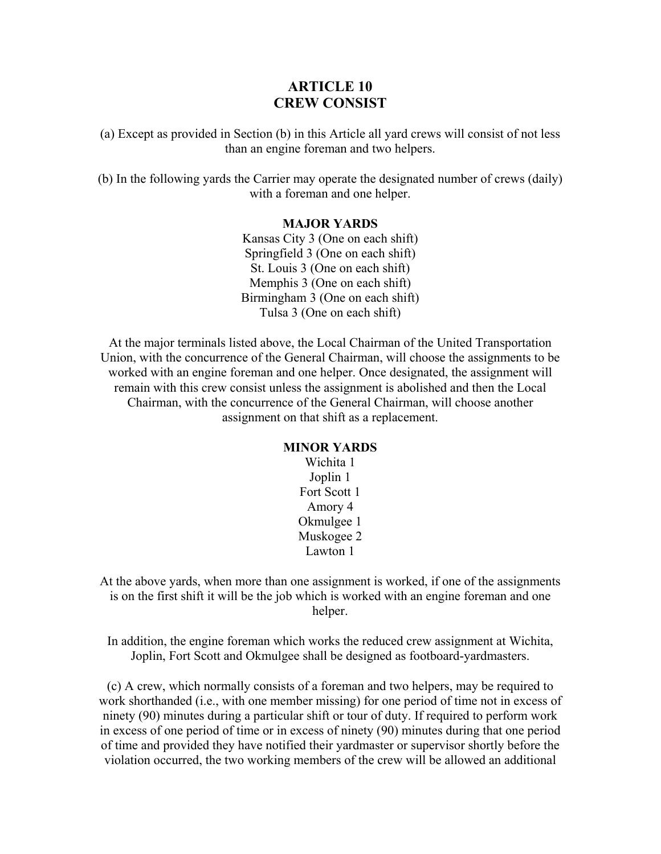# **ARTICLE 10 CREW CONSIST**

(a) Except as provided in Section (b) in this Article all yard crews will consist of not less than an engine foreman and two helpers.

(b) In the following yards the Carrier may operate the designated number of crews (daily) with a foreman and one helper.

#### **MAJOR YARDS**

Kansas City 3 (One on each shift) Springfield 3 (One on each shift) St. Louis 3 (One on each shift) Memphis 3 (One on each shift) Birmingham 3 (One on each shift) Tulsa 3 (One on each shift)

At the major terminals listed above, the Local Chairman of the United Transportation Union, with the concurrence of the General Chairman, will choose the assignments to be worked with an engine foreman and one helper. Once designated, the assignment will remain with this crew consist unless the assignment is abolished and then the Local Chairman, with the concurrence of the General Chairman, will choose another assignment on that shift as a replacement.

### **MINOR YARDS**

Wichita 1 Joplin 1 Fort Scott 1 Amory 4 Okmulgee 1 Muskogee 2 Lawton 1

At the above yards, when more than one assignment is worked, if one of the assignments is on the first shift it will be the job which is worked with an engine foreman and one helper.

In addition, the engine foreman which works the reduced crew assignment at Wichita, Joplin, Fort Scott and Okmulgee shall be designed as footboard-yardmasters.

(c) A crew, which normally consists of a foreman and two helpers, may be required to work shorthanded (i.e., with one member missing) for one period of time not in excess of ninety (90) minutes during a particular shift or tour of duty. If required to perform work in excess of one period of time or in excess of ninety (90) minutes during that one period of time and provided they have notified their yardmaster or supervisor shortly before the violation occurred, the two working members of the crew will be allowed an additional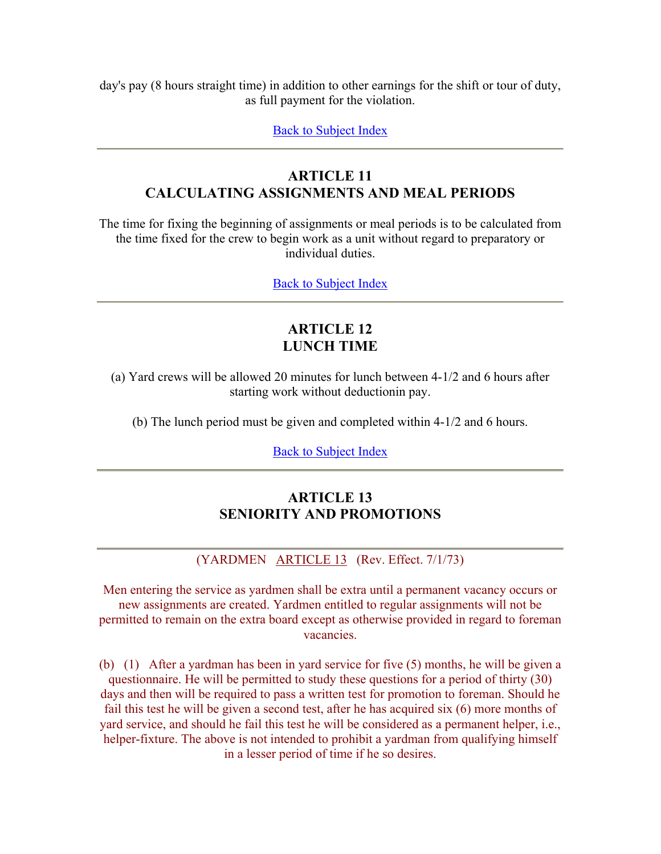day's pay (8 hours straight time) in addition to other earnings for the shift or tour of duty, as full payment for the violation.

Back to Subject Index

# **ARTICLE 11 CALCULATING ASSIGNMENTS AND MEAL PERIODS**

The time for fixing the beginning of assignments or meal periods is to be calculated from the time fixed for the crew to begin work as a unit without regard to preparatory or individual duties.

Back to Subject Index

# **ARTICLE 12 LUNCH TIME**

(a) Yard crews will be allowed 20 minutes for lunch between 4-1/2 and 6 hours after starting work without deductionin pay.

(b) The lunch period must be given and completed within 4-1/2 and 6 hours.

Back to Subject Index

# **ARTICLE 13 SENIORITY AND PROMOTIONS**

(YARDMEN ARTICLE 13 (Rev. Effect. 7/1/73)

Men entering the service as yardmen shall be extra until a permanent vacancy occurs or new assignments are created. Yardmen entitled to regular assignments will not be permitted to remain on the extra board except as otherwise provided in regard to foreman vacancies.

(b) (1) After a yardman has been in yard service for five (5) months, he will be given a questionnaire. He will be permitted to study these questions for a period of thirty (30) days and then will be required to pass a written test for promotion to foreman. Should he fail this test he will be given a second test, after he has acquired six (6) more months of yard service, and should he fail this test he will be considered as a permanent helper, i.e., helper-fixture. The above is not intended to prohibit a yardman from qualifying himself in a lesser period of time if he so desires.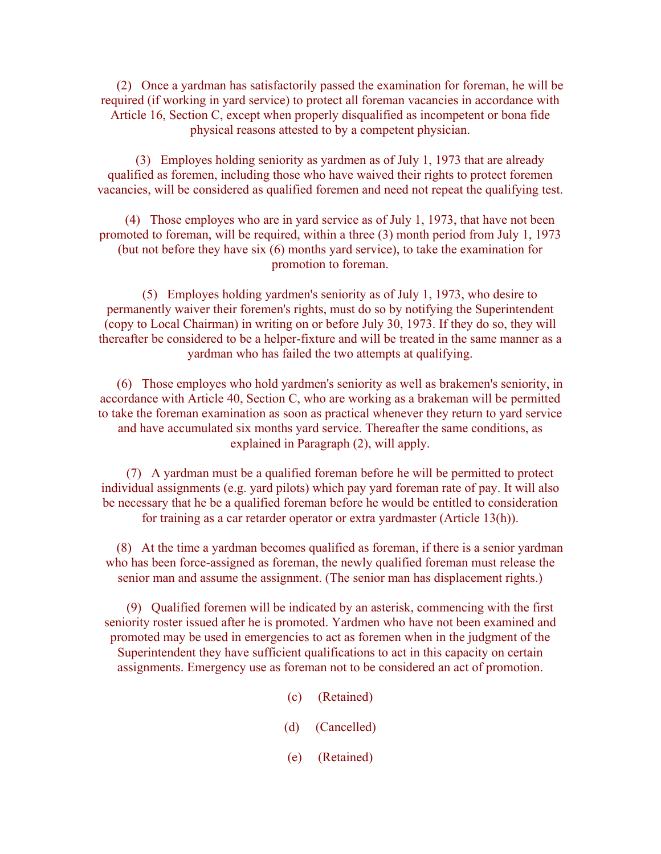(2) Once a yardman has satisfactorily passed the examination for foreman, he will be required (if working in yard service) to protect all foreman vacancies in accordance with Article 16, Section C, except when properly disqualified as incompetent or bona fide physical reasons attested to by a competent physician.

 (3) Employes holding seniority as yardmen as of July 1, 1973 that are already qualified as foremen, including those who have waived their rights to protect foremen vacancies, will be considered as qualified foremen and need not repeat the qualifying test.

 (4) Those employes who are in yard service as of July 1, 1973, that have not been promoted to foreman, will be required, within a three (3) month period from July 1, 1973 (but not before they have six (6) months yard service), to take the examination for promotion to foreman.

 (5) Employes holding yardmen's seniority as of July 1, 1973, who desire to permanently waiver their foremen's rights, must do so by notifying the Superintendent (copy to Local Chairman) in writing on or before July 30, 1973. If they do so, they will thereafter be considered to be a helper-fixture and will be treated in the same manner as a yardman who has failed the two attempts at qualifying.

 (6) Those employes who hold yardmen's seniority as well as brakemen's seniority, in accordance with Article 40, Section C, who are working as a brakeman will be permitted to take the foreman examination as soon as practical whenever they return to yard service and have accumulated six months yard service. Thereafter the same conditions, as explained in Paragraph (2), will apply.

 (7) A yardman must be a qualified foreman before he will be permitted to protect individual assignments (e.g. yard pilots) which pay yard foreman rate of pay. It will also be necessary that he be a qualified foreman before he would be entitled to consideration for training as a car retarder operator or extra yardmaster (Article 13(h)).

 (8) At the time a yardman becomes qualified as foreman, if there is a senior yardman who has been force-assigned as foreman, the newly qualified foreman must release the senior man and assume the assignment. (The senior man has displacement rights.)

 (9) Qualified foremen will be indicated by an asterisk, commencing with the first seniority roster issued after he is promoted. Yardmen who have not been examined and promoted may be used in emergencies to act as foremen when in the judgment of the Superintendent they have sufficient qualifications to act in this capacity on certain assignments. Emergency use as foreman not to be considered an act of promotion.

- (c) (Retained)
- (d) (Cancelled)
- (e) (Retained)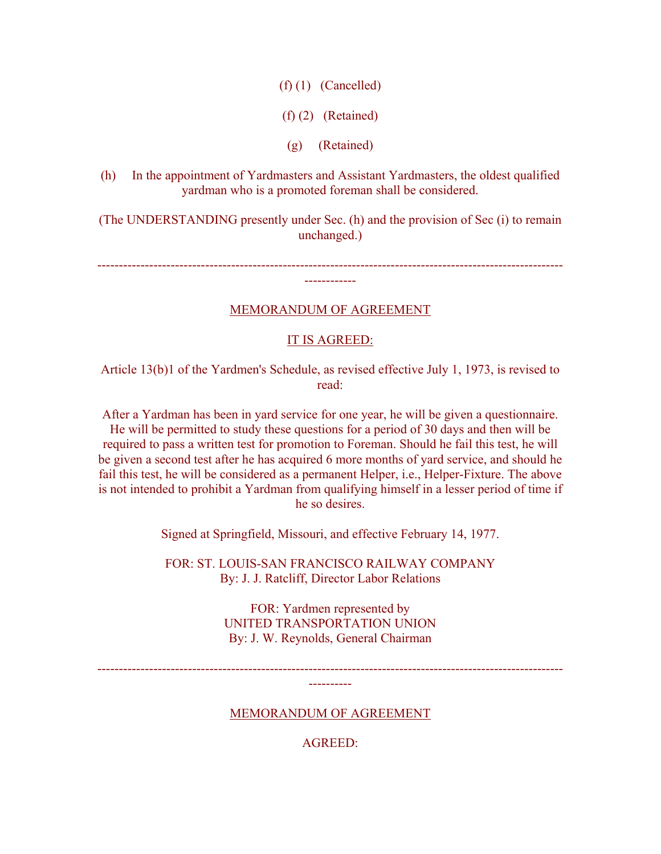$(f)$  (1) (Cancelled)

(f) (2) (Retained)

(g) (Retained)

(h) In the appointment of Yardmasters and Assistant Yardmasters, the oldest qualified yardman who is a promoted foreman shall be considered.

(The UNDERSTANDING presently under Sec. (h) and the provision of Sec (i) to remain unchanged.)

------------------------------------------------------------------------------------------------------------ ------------

MEMORANDUM OF AGREEMENT

## IT IS AGREED:

Article 13(b)1 of the Yardmen's Schedule, as revised effective July 1, 1973, is revised to read:

After a Yardman has been in yard service for one year, he will be given a questionnaire. He will be permitted to study these questions for a period of 30 days and then will be required to pass a written test for promotion to Foreman. Should he fail this test, he will be given a second test after he has acquired 6 more months of yard service, and should he fail this test, he will be considered as a permanent Helper, i.e., Helper-Fixture. The above is not intended to prohibit a Yardman from qualifying himself in a lesser period of time if he so desires.

Signed at Springfield, Missouri, and effective February 14, 1977.

FOR: ST. LOUIS-SAN FRANCISCO RAILWAY COMPANY By: J. J. Ratcliff, Director Labor Relations

> FOR: Yardmen represented by UNITED TRANSPORTATION UNION By: J. W. Reynolds, General Chairman

------------------------------------------------------------------------------------------------------------ ----------

MEMORANDUM OF AGREEMENT

AGREED: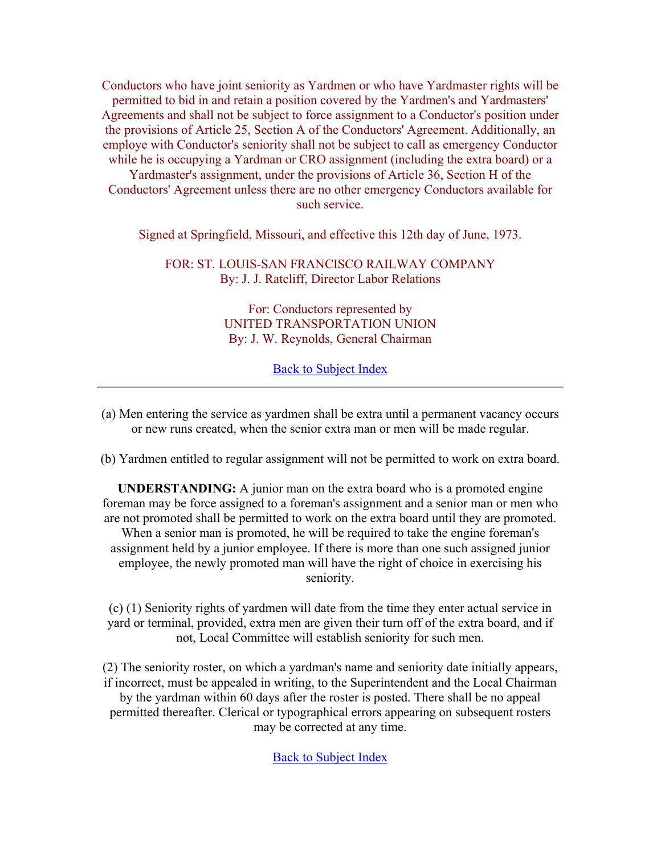Conductors who have joint seniority as Yardmen or who have Yardmaster rights will be permitted to bid in and retain a position covered by the Yardmen's and Yardmasters' Agreements and shall not be subject to force assignment to a Conductor's position under the provisions of Article 25, Section A of the Conductors' Agreement. Additionally, an employe with Conductor's seniority shall not be subject to call as emergency Conductor while he is occupying a Yardman or CRO assignment (including the extra board) or a Yardmaster's assignment, under the provisions of Article 36, Section H of the Conductors' Agreement unless there are no other emergency Conductors available for such service.

Signed at Springfield, Missouri, and effective this 12th day of June, 1973.

FOR: ST. LOUIS-SAN FRANCISCO RAILWAY COMPANY By: J. J. Ratcliff, Director Labor Relations

> For: Conductors represented by UNITED TRANSPORTATION UNION By: J. W. Reynolds, General Chairman

> > Back to Subject Index

(a) Men entering the service as yardmen shall be extra until a permanent vacancy occurs or new runs created, when the senior extra man or men will be made regular.

(b) Yardmen entitled to regular assignment will not be permitted to work on extra board.

**UNDERSTANDING:** A junior man on the extra board who is a promoted engine foreman may be force assigned to a foreman's assignment and a senior man or men who are not promoted shall be permitted to work on the extra board until they are promoted. When a senior man is promoted, he will be required to take the engine foreman's assignment held by a junior employee. If there is more than one such assigned junior employee, the newly promoted man will have the right of choice in exercising his seniority.

(c) (1) Seniority rights of yardmen will date from the time they enter actual service in yard or terminal, provided, extra men are given their turn off of the extra board, and if not, Local Committee will establish seniority for such men.

(2) The seniority roster, on which a yardman's name and seniority date initially appears, if incorrect, must be appealed in writing, to the Superintendent and the Local Chairman by the yardman within 60 days after the roster is posted. There shall be no appeal permitted thereafter. Clerical or typographical errors appearing on subsequent rosters may be corrected at any time.

Back to Subject Index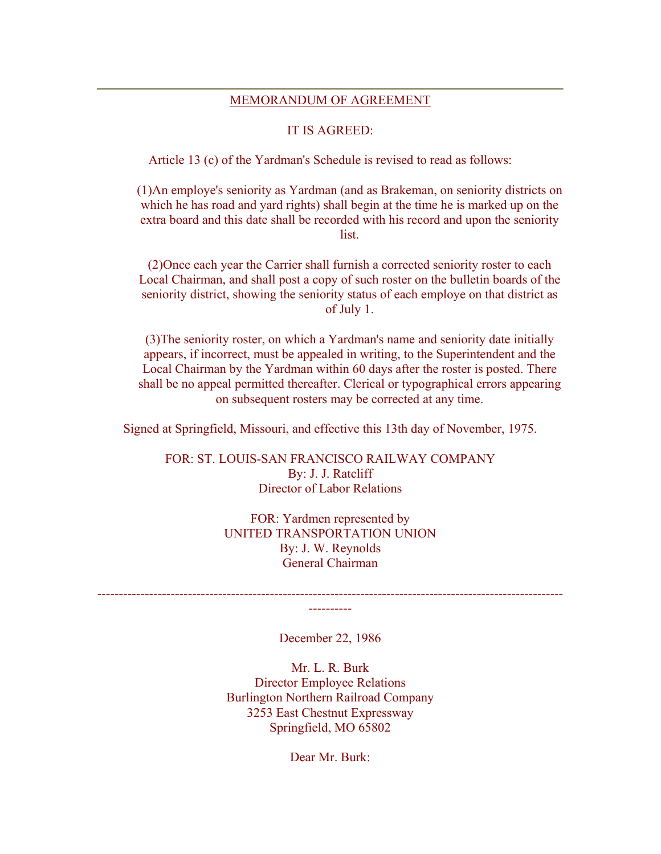#### MEMORANDUM OF AGREEMENT

#### IT IS AGREED:

Article 13 (c) of the Yardman's Schedule is revised to read as follows:

(1)An employe's seniority as Yardman (and as Brakeman, on seniority districts on which he has road and yard rights) shall begin at the time he is marked up on the extra board and this date shall be recorded with his record and upon the seniority list.

(2)Once each year the Carrier shall furnish a corrected seniority roster to each Local Chairman, and shall post a copy of such roster on the bulletin boards of the seniority district, showing the seniority status of each employe on that district as of July 1.

(3)The seniority roster, on which a Yardman's name and seniority date initially appears, if incorrect, must be appealed in writing, to the Superintendent and the Local Chairman by the Yardman within 60 days after the roster is posted. There shall be no appeal permitted thereafter. Clerical or typographical errors appearing on subsequent rosters may be corrected at any time.

Signed at Springfield, Missouri, and effective this 13th day of November, 1975.

FOR: ST. LOUIS-SAN FRANCISCO RAILWAY COMPANY By: J. J. Ratcliff Director of Labor Relations

> FOR: Yardmen represented by UNITED TRANSPORTATION UNION By: J. W. Reynolds General Chairman

------------------------------------------------------------------------------------------------------------ ----------

December 22, 1986

Mr. L. R. Burk Director Employee Relations Burlington Northern Railroad Company 3253 East Chestnut Expressway Springfield, MO 65802

Dear Mr. Burk: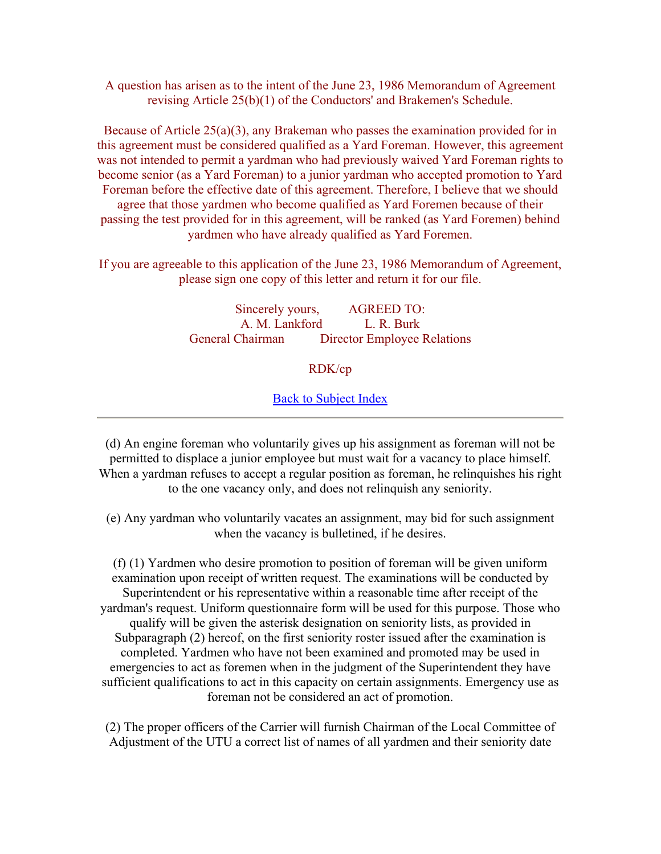A question has arisen as to the intent of the June 23, 1986 Memorandum of Agreement revising Article 25(b)(1) of the Conductors' and Brakemen's Schedule.

Because of Article 25(a)(3), any Brakeman who passes the examination provided for in this agreement must be considered qualified as a Yard Foreman. However, this agreement was not intended to permit a yardman who had previously waived Yard Foreman rights to become senior (as a Yard Foreman) to a junior yardman who accepted promotion to Yard Foreman before the effective date of this agreement. Therefore, I believe that we should agree that those yardmen who become qualified as Yard Foremen because of their passing the test provided for in this agreement, will be ranked (as Yard Foremen) behind yardmen who have already qualified as Yard Foremen.

If you are agreeable to this application of the June 23, 1986 Memorandum of Agreement, please sign one copy of this letter and return it for our file.

> Sincerely yours, AGREED TO: A. M. Lankford L. R. Burk General Chairman Director Employee Relations

#### RDK/cp

#### Back to Subject Index

(d) An engine foreman who voluntarily gives up his assignment as foreman will not be permitted to displace a junior employee but must wait for a vacancy to place himself. When a yardman refuses to accept a regular position as foreman, he relinquishes his right to the one vacancy only, and does not relinquish any seniority.

(e) Any yardman who voluntarily vacates an assignment, may bid for such assignment when the vacancy is bulletined, if he desires.

(f) (1) Yardmen who desire promotion to position of foreman will be given uniform examination upon receipt of written request. The examinations will be conducted by Superintendent or his representative within a reasonable time after receipt of the yardman's request. Uniform questionnaire form will be used for this purpose. Those who qualify will be given the asterisk designation on seniority lists, as provided in Subparagraph (2) hereof, on the first seniority roster issued after the examination is completed. Yardmen who have not been examined and promoted may be used in emergencies to act as foremen when in the judgment of the Superintendent they have sufficient qualifications to act in this capacity on certain assignments. Emergency use as foreman not be considered an act of promotion.

(2) The proper officers of the Carrier will furnish Chairman of the Local Committee of Adjustment of the UTU a correct list of names of all yardmen and their seniority date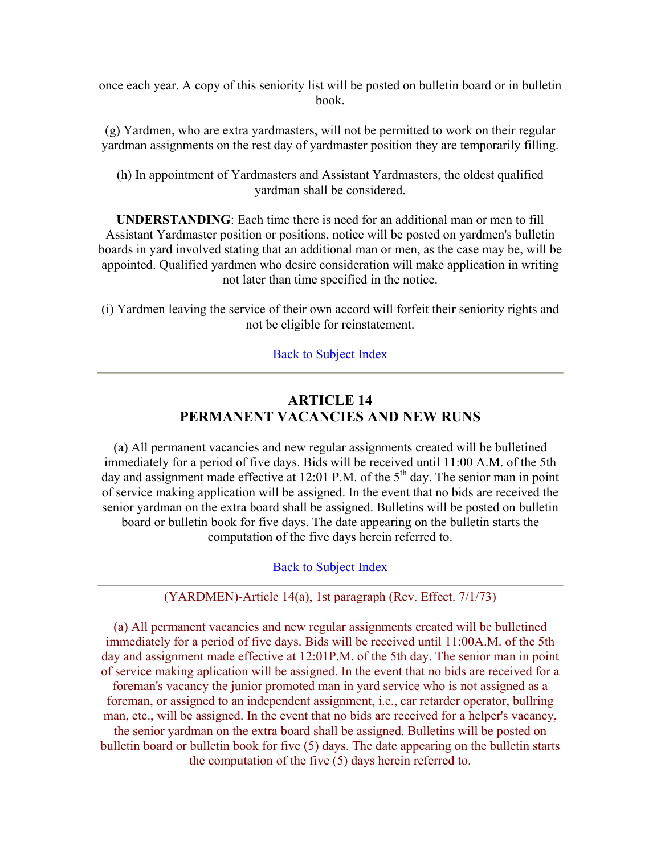once each year. A copy of this seniority list will be posted on bulletin board or in bulletin book.

(g) Yardmen, who are extra yardmasters, will not be permitted to work on their regular yardman assignments on the rest day of yardmaster position they are temporarily filling.

(h) In appointment of Yardmasters and Assistant Yardmasters, the oldest qualified yardman shall be considered.

**UNDERSTANDING**: Each time there is need for an additional man or men to fill Assistant Yardmaster position or positions, notice will be posted on yardmen's bulletin boards in yard involved stating that an additional man or men, as the case may be, will be appointed. Qualified yardmen who desire consideration will make application in writing not later than time specified in the notice.

(i) Yardmen leaving the service of their own accord will forfeit their seniority rights and not be eligible for reinstatement.

Back to Subject Index

# **ARTICLE 14 PERMANENT VACANCIES AND NEW RUNS**

(a) All permanent vacancies and new regular assignments created will be bulletined immediately for a period of five days. Bids will be received until 11:00 A.M. of the 5th day and assignment made effective at 12:01 P.M. of the  $5<sup>th</sup>$  day. The senior man in point of service making application will be assigned. In the event that no bids are received the senior yardman on the extra board shall be assigned. Bulletins will be posted on bulletin board or bulletin book for five days. The date appearing on the bulletin starts the computation of the five days herein referred to.

#### Back to Subject Index

#### (YARDMEN)-Article 14(a), 1st paragraph (Rev. Effect. 7/1/73)

(a) All permanent vacancies and new regular assignments created will be bulletined immediately for a period of five days. Bids will be received until 11:00A.M. of the 5th day and assignment made effective at 12:01P.M. of the 5th day. The senior man in point of service making aplication will be assigned. In the event that no bids are received for a foreman's vacancy the junior promoted man in yard service who is not assigned as a foreman, or assigned to an independent assignment, i.e., car retarder operator, bullring man, etc., will be assigned. In the event that no bids are received for a helper's vacancy, the senior yardman on the extra board shall be assigned. Bulletins will be posted on bulletin board or bulletin book for five (5) days. The date appearing on the bulletin starts the computation of the five (5) days herein referred to.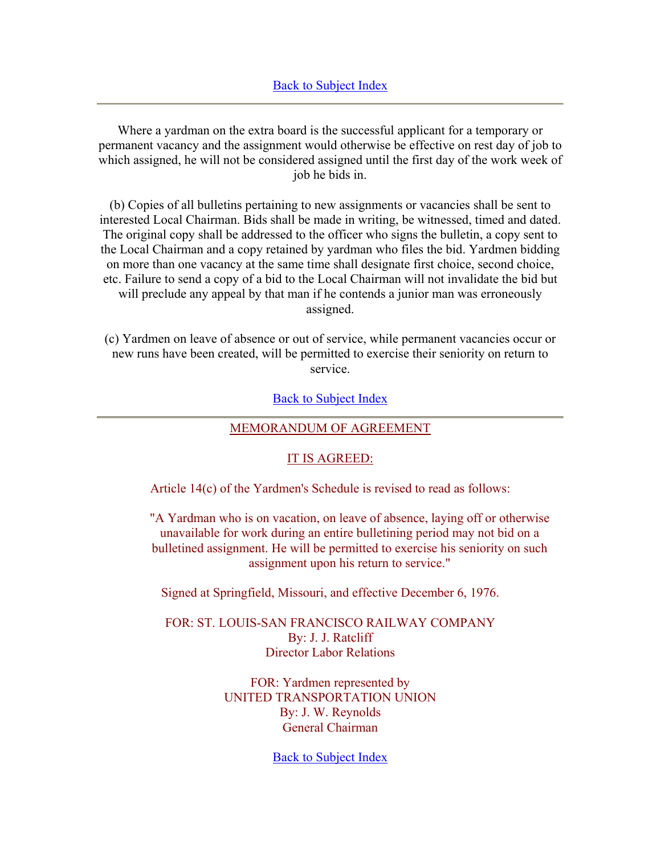Where a yardman on the extra board is the successful applicant for a temporary or permanent vacancy and the assignment would otherwise be effective on rest day of job to which assigned, he will not be considered assigned until the first day of the work week of job he bids in.

(b) Copies of all bulletins pertaining to new assignments or vacancies shall be sent to interested Local Chairman. Bids shall be made in writing, be witnessed, timed and dated. The original copy shall be addressed to the officer who signs the bulletin, a copy sent to the Local Chairman and a copy retained by yardman who files the bid. Yardmen bidding on more than one vacancy at the same time shall designate first choice, second choice, etc. Failure to send a copy of a bid to the Local Chairman will not invalidate the bid but will preclude any appeal by that man if he contends a junior man was erroneously assigned.

(c) Yardmen on leave of absence or out of service, while permanent vacancies occur or new runs have been created, will be permitted to exercise their seniority on return to service.

Back to Subject Index

#### MEMORANDUM OF AGREEMENT

#### IT IS AGREED:

Article 14(c) of the Yardmen's Schedule is revised to read as follows:

"A Yardman who is on vacation, on leave of absence, laying off or otherwise unavailable for work during an entire bulletining period may not bid on a bulletined assignment. He will be permitted to exercise his seniority on such assignment upon his return to service."

Signed at Springfield, Missouri, and effective December 6, 1976.

FOR: ST. LOUIS-SAN FRANCISCO RAILWAY COMPANY By: J. J. Ratcliff Director Labor Relations

> FOR: Yardmen represented by UNITED TRANSPORTATION UNION By: J. W. Reynolds General Chairman

> > Back to Subject Index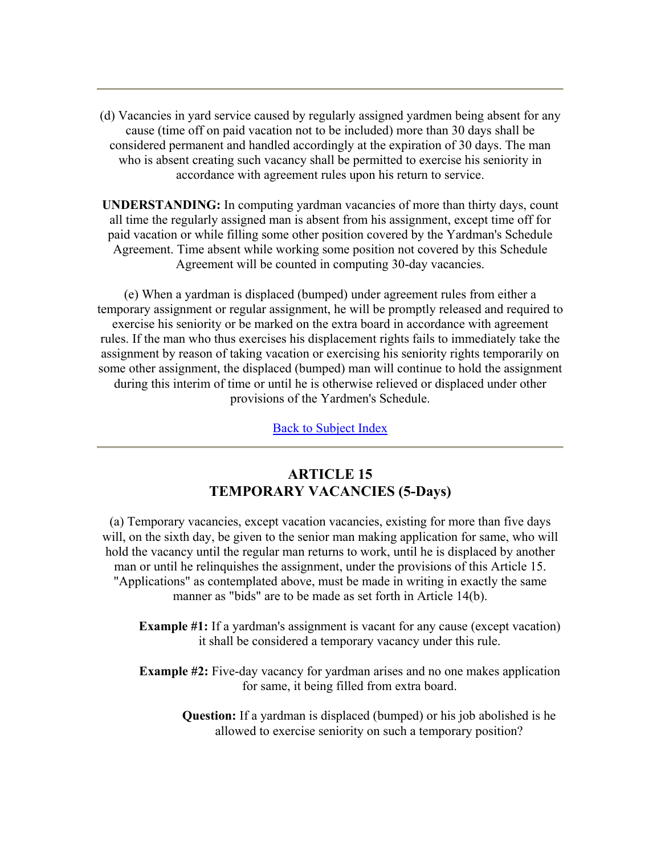(d) Vacancies in yard service caused by regularly assigned yardmen being absent for any cause (time off on paid vacation not to be included) more than 30 days shall be considered permanent and handled accordingly at the expiration of 30 days. The man who is absent creating such vacancy shall be permitted to exercise his seniority in accordance with agreement rules upon his return to service.

**UNDERSTANDING:** In computing yardman vacancies of more than thirty days, count all time the regularly assigned man is absent from his assignment, except time off for paid vacation or while filling some other position covered by the Yardman's Schedule Agreement. Time absent while working some position not covered by this Schedule Agreement will be counted in computing 30-day vacancies.

(e) When a yardman is displaced (bumped) under agreement rules from either a temporary assignment or regular assignment, he will be promptly released and required to exercise his seniority or be marked on the extra board in accordance with agreement rules. If the man who thus exercises his displacement rights fails to immediately take the assignment by reason of taking vacation or exercising his seniority rights temporarily on some other assignment, the displaced (bumped) man will continue to hold the assignment during this interim of time or until he is otherwise relieved or displaced under other provisions of the Yardmen's Schedule.

Back to Subject Index

# **ARTICLE 15 TEMPORARY VACANCIES (5-Days)**

(a) Temporary vacancies, except vacation vacancies, existing for more than five days will, on the sixth day, be given to the senior man making application for same, who will hold the vacancy until the regular man returns to work, until he is displaced by another man or until he relinquishes the assignment, under the provisions of this Article 15. "Applications" as contemplated above, must be made in writing in exactly the same manner as "bids" are to be made as set forth in Article 14(b).

- **Example #1:** If a yardman's assignment is vacant for any cause (except vacation) it shall be considered a temporary vacancy under this rule.
- **Example #2:** Five-day vacancy for yardman arises and no one makes application for same, it being filled from extra board.
	- **Question:** If a yardman is displaced (bumped) or his job abolished is he allowed to exercise seniority on such a temporary position?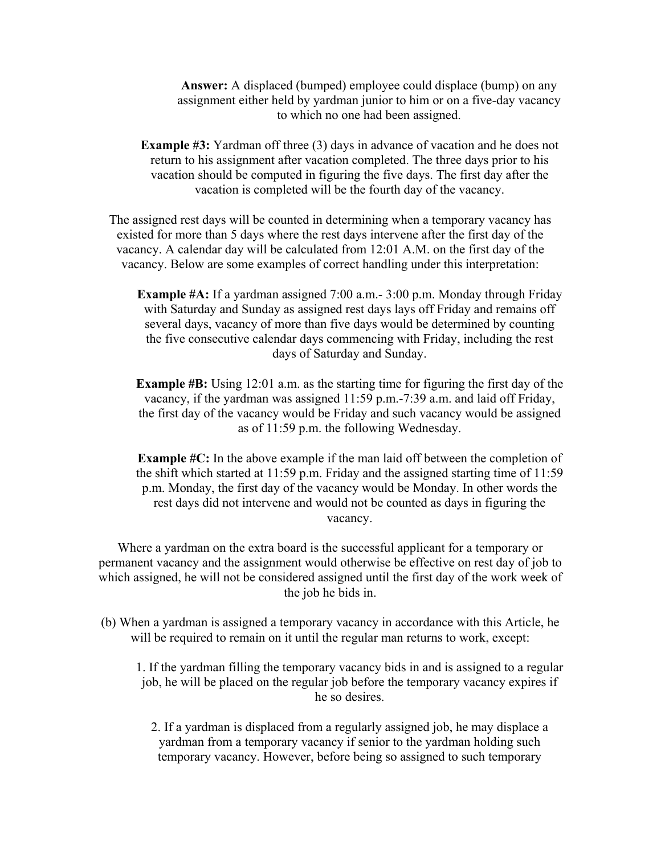**Answer:** A displaced (bumped) employee could displace (bump) on any assignment either held by yardman junior to him or on a five-day vacancy to which no one had been assigned.

**Example #3:** Yardman off three (3) days in advance of vacation and he does not return to his assignment after vacation completed. The three days prior to his vacation should be computed in figuring the five days. The first day after the vacation is completed will be the fourth day of the vacancy.

The assigned rest days will be counted in determining when a temporary vacancy has existed for more than 5 days where the rest days intervene after the first day of the vacancy. A calendar day will be calculated from 12:01 A.M. on the first day of the vacancy. Below are some examples of correct handling under this interpretation:

**Example #A:** If a yardman assigned 7:00 a.m.- 3:00 p.m. Monday through Friday with Saturday and Sunday as assigned rest days lays off Friday and remains off several days, vacancy of more than five days would be determined by counting the five consecutive calendar days commencing with Friday, including the rest days of Saturday and Sunday.

**Example #B:** Using 12:01 a.m. as the starting time for figuring the first day of the vacancy, if the yardman was assigned 11:59 p.m.-7:39 a.m. and laid off Friday, the first day of the vacancy would be Friday and such vacancy would be assigned as of 11:59 p.m. the following Wednesday.

**Example #C:** In the above example if the man laid off between the completion of the shift which started at 11:59 p.m. Friday and the assigned starting time of 11:59 p.m. Monday, the first day of the vacancy would be Monday. In other words the rest days did not intervene and would not be counted as days in figuring the vacancy.

Where a yardman on the extra board is the successful applicant for a temporary or permanent vacancy and the assignment would otherwise be effective on rest day of job to which assigned, he will not be considered assigned until the first day of the work week of the job he bids in.

(b) When a yardman is assigned a temporary vacancy in accordance with this Article, he will be required to remain on it until the regular man returns to work, except:

1. If the yardman filling the temporary vacancy bids in and is assigned to a regular job, he will be placed on the regular job before the temporary vacancy expires if he so desires.

2. If a yardman is displaced from a regularly assigned job, he may displace a yardman from a temporary vacancy if senior to the yardman holding such temporary vacancy. However, before being so assigned to such temporary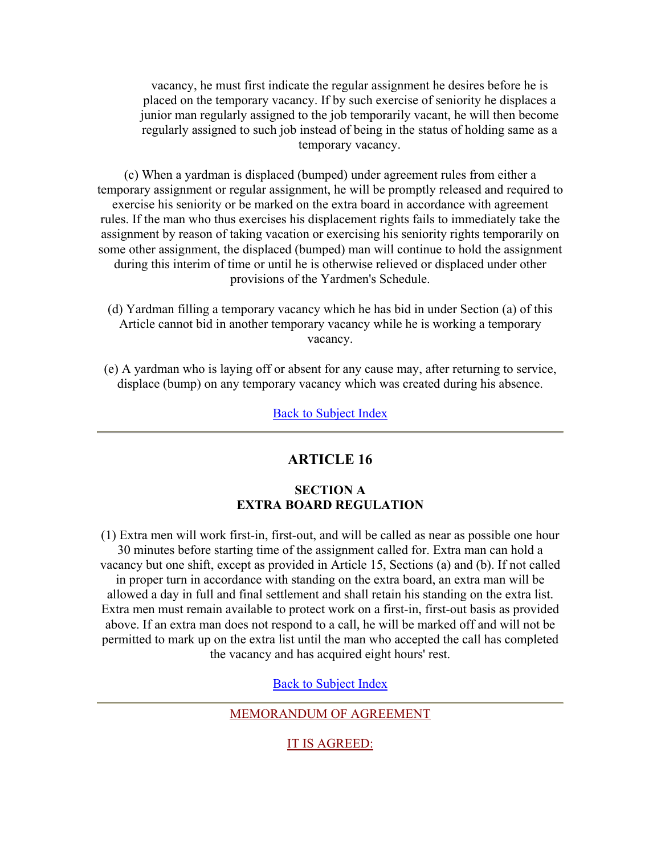vacancy, he must first indicate the regular assignment he desires before he is placed on the temporary vacancy. If by such exercise of seniority he displaces a junior man regularly assigned to the job temporarily vacant, he will then become regularly assigned to such job instead of being in the status of holding same as a temporary vacancy.

(c) When a yardman is displaced (bumped) under agreement rules from either a temporary assignment or regular assignment, he will be promptly released and required to exercise his seniority or be marked on the extra board in accordance with agreement rules. If the man who thus exercises his displacement rights fails to immediately take the assignment by reason of taking vacation or exercising his seniority rights temporarily on some other assignment, the displaced (bumped) man will continue to hold the assignment during this interim of time or until he is otherwise relieved or displaced under other provisions of the Yardmen's Schedule.

- (d) Yardman filling a temporary vacancy which he has bid in under Section (a) of this Article cannot bid in another temporary vacancy while he is working a temporary vacancy.
- (e) A yardman who is laying off or absent for any cause may, after returning to service, displace (bump) on any temporary vacancy which was created during his absence.

**Back to Subject Index** 

# **ARTICLE 16**

## **SECTION A EXTRA BOARD REGULATION**

(1) Extra men will work first-in, first-out, and will be called as near as possible one hour 30 minutes before starting time of the assignment called for. Extra man can hold a vacancy but one shift, except as provided in Article 15, Sections (a) and (b). If not called in proper turn in accordance with standing on the extra board, an extra man will be allowed a day in full and final settlement and shall retain his standing on the extra list. Extra men must remain available to protect work on a first-in, first-out basis as provided above. If an extra man does not respond to a call, he will be marked off and will not be permitted to mark up on the extra list until the man who accepted the call has completed the vacancy and has acquired eight hours' rest.

Back to Subject Index

MEMORANDUM OF AGREEMENT

IT IS AGREED: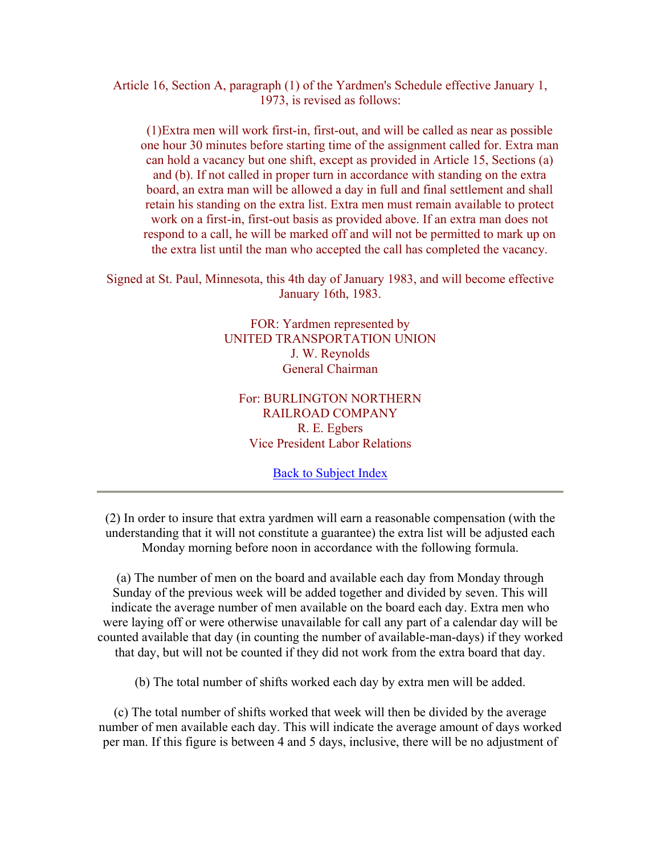Article 16, Section A, paragraph (1) of the Yardmen's Schedule effective January 1, 1973, is revised as follows:

(1)Extra men will work first-in, first-out, and will be called as near as possible one hour 30 minutes before starting time of the assignment called for. Extra man can hold a vacancy but one shift, except as provided in Article 15, Sections (a) and (b). If not called in proper turn in accordance with standing on the extra board, an extra man will be allowed a day in full and final settlement and shall retain his standing on the extra list. Extra men must remain available to protect work on a first-in, first-out basis as provided above. If an extra man does not respond to a call, he will be marked off and will not be permitted to mark up on the extra list until the man who accepted the call has completed the vacancy.

Signed at St. Paul, Minnesota, this 4th day of January 1983, and will become effective January 16th, 1983.

> FOR: Yardmen represented by UNITED TRANSPORTATION UNION J. W. Reynolds General Chairman

For: BURLINGTON NORTHERN RAILROAD COMPANY R. E. Egbers Vice President Labor Relations

Back to Subject Index

(2) In order to insure that extra yardmen will earn a reasonable compensation (with the understanding that it will not constitute a guarantee) the extra list will be adjusted each Monday morning before noon in accordance with the following formula.

(a) The number of men on the board and available each day from Monday through Sunday of the previous week will be added together and divided by seven. This will indicate the average number of men available on the board each day. Extra men who were laying off or were otherwise unavailable for call any part of a calendar day will be counted available that day (in counting the number of available-man-days) if they worked that day, but will not be counted if they did not work from the extra board that day.

(b) The total number of shifts worked each day by extra men will be added.

(c) The total number of shifts worked that week will then be divided by the average number of men available each day. This will indicate the average amount of days worked per man. If this figure is between 4 and 5 days, inclusive, there will be no adjustment of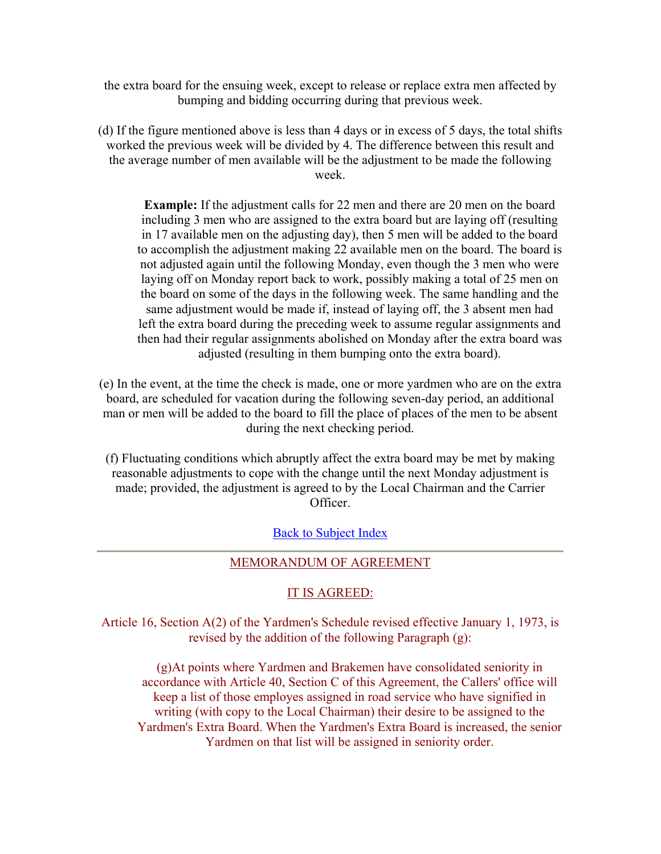the extra board for the ensuing week, except to release or replace extra men affected by bumping and bidding occurring during that previous week.

(d) If the figure mentioned above is less than 4 days or in excess of 5 days, the total shifts worked the previous week will be divided by 4. The difference between this result and the average number of men available will be the adjustment to be made the following week.

**Example:** If the adjustment calls for 22 men and there are 20 men on the board including 3 men who are assigned to the extra board but are laying off (resulting in 17 available men on the adjusting day), then 5 men will be added to the board to accomplish the adjustment making 22 available men on the board. The board is not adjusted again until the following Monday, even though the 3 men who were laying off on Monday report back to work, possibly making a total of 25 men on the board on some of the days in the following week. The same handling and the same adjustment would be made if, instead of laying off, the 3 absent men had left the extra board during the preceding week to assume regular assignments and then had their regular assignments abolished on Monday after the extra board was adjusted (resulting in them bumping onto the extra board).

(e) In the event, at the time the check is made, one or more yardmen who are on the extra board, are scheduled for vacation during the following seven-day period, an additional man or men will be added to the board to fill the place of places of the men to be absent during the next checking period.

(f) Fluctuating conditions which abruptly affect the extra board may be met by making reasonable adjustments to cope with the change until the next Monday adjustment is made; provided, the adjustment is agreed to by the Local Chairman and the Carrier Officer.

Back to Subject Index

#### MEMORANDUM OF AGREEMENT

### IT IS AGREED:

Article 16, Section A(2) of the Yardmen's Schedule revised effective January 1, 1973, is revised by the addition of the following Paragraph (g):

(g)At points where Yardmen and Brakemen have consolidated seniority in accordance with Article 40, Section C of this Agreement, the Callers' office will keep a list of those employes assigned in road service who have signified in writing (with copy to the Local Chairman) their desire to be assigned to the Yardmen's Extra Board. When the Yardmen's Extra Board is increased, the senior Yardmen on that list will be assigned in seniority order.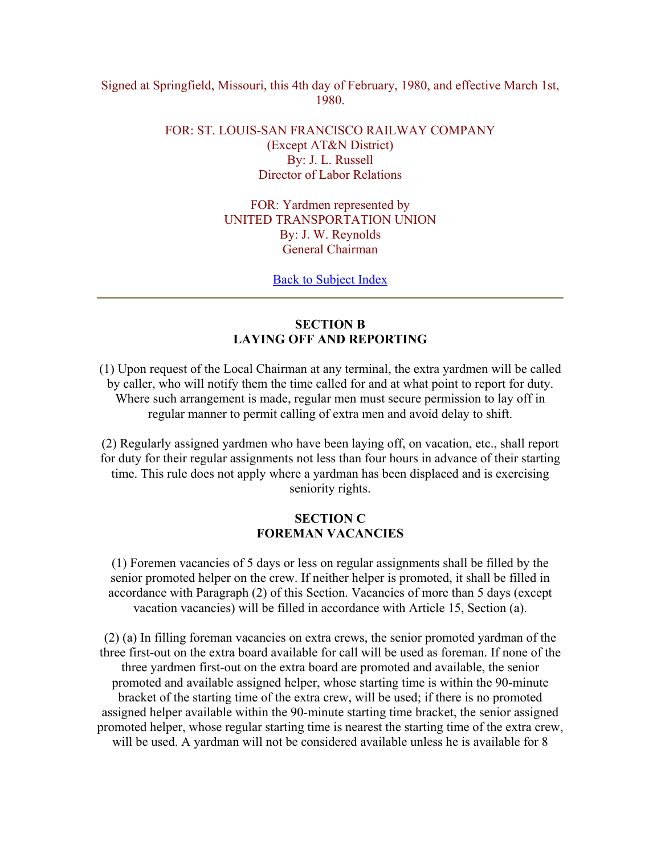### Signed at Springfield, Missouri, this 4th day of February, 1980, and effective March 1st, 1980.

# FOR: ST. LOUIS-SAN FRANCISCO RAILWAY COMPANY (Except AT&N District) By: J. L. Russell Director of Labor Relations

FOR: Yardmen represented by UNITED TRANSPORTATION UNION By: J. W. Reynolds General Chairman

Back to Subject Index

# **SECTION B LAYING OFF AND REPORTING**

(1) Upon request of the Local Chairman at any terminal, the extra yardmen will be called by caller, who will notify them the time called for and at what point to report for duty. Where such arrangement is made, regular men must secure permission to lay off in regular manner to permit calling of extra men and avoid delay to shift.

(2) Regularly assigned yardmen who have been laying off, on vacation, etc., shall report for duty for their regular assignments not less than four hours in advance of their starting time. This rule does not apply where a yardman has been displaced and is exercising seniority rights.

## **SECTION C FOREMAN VACANCIES**

(1) Foremen vacancies of 5 days or less on regular assignments shall be filled by the senior promoted helper on the crew. If neither helper is promoted, it shall be filled in accordance with Paragraph (2) of this Section. Vacancies of more than 5 days (except vacation vacancies) will be filled in accordance with Article 15, Section (a).

(2) (a) In filling foreman vacancies on extra crews, the senior promoted yardman of the three first-out on the extra board available for call will be used as foreman. If none of the three yardmen first-out on the extra board are promoted and available, the senior promoted and available assigned helper, whose starting time is within the 90-minute bracket of the starting time of the extra crew, will be used; if there is no promoted assigned helper available within the 90-minute starting time bracket, the senior assigned promoted helper, whose regular starting time is nearest the starting time of the extra crew, will be used. A yardman will not be considered available unless he is available for 8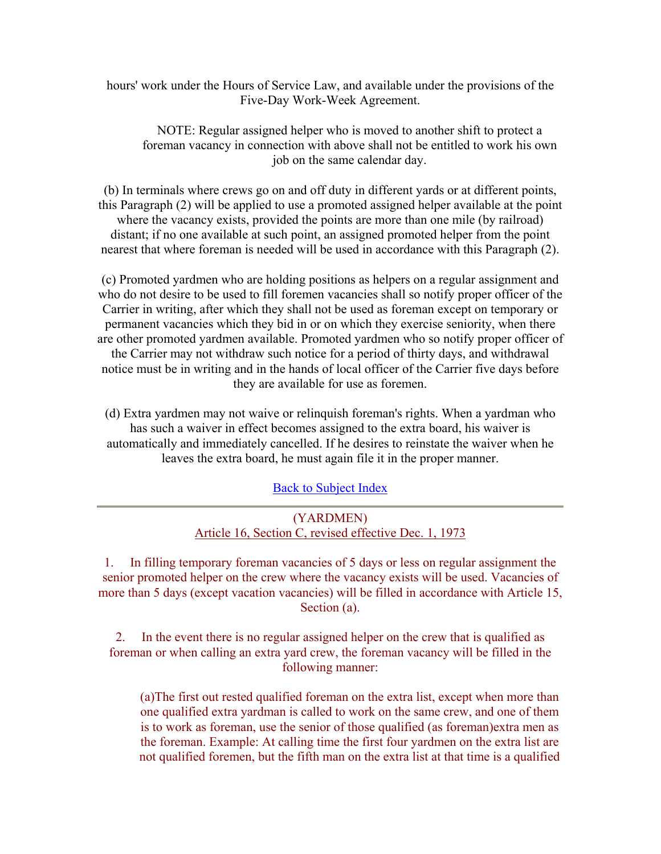hours' work under the Hours of Service Law, and available under the provisions of the Five-Day Work-Week Agreement.

NOTE: Regular assigned helper who is moved to another shift to protect a foreman vacancy in connection with above shall not be entitled to work his own job on the same calendar day.

(b) In terminals where crews go on and off duty in different yards or at different points, this Paragraph (2) will be applied to use a promoted assigned helper available at the point where the vacancy exists, provided the points are more than one mile (by railroad) distant; if no one available at such point, an assigned promoted helper from the point nearest that where foreman is needed will be used in accordance with this Paragraph (2).

(c) Promoted yardmen who are holding positions as helpers on a regular assignment and who do not desire to be used to fill foremen vacancies shall so notify proper officer of the Carrier in writing, after which they shall not be used as foreman except on temporary or permanent vacancies which they bid in or on which they exercise seniority, when there are other promoted yardmen available. Promoted yardmen who so notify proper officer of the Carrier may not withdraw such notice for a period of thirty days, and withdrawal notice must be in writing and in the hands of local officer of the Carrier five days before they are available for use as foremen.

(d) Extra yardmen may not waive or relinquish foreman's rights. When a yardman who has such a waiver in effect becomes assigned to the extra board, his waiver is automatically and immediately cancelled. If he desires to reinstate the waiver when he leaves the extra board, he must again file it in the proper manner.

Back to Subject Index

| (YARDMEN)                                             |  |
|-------------------------------------------------------|--|
| Article 16, Section C, revised effective Dec. 1, 1973 |  |

1. In filling temporary foreman vacancies of 5 days or less on regular assignment the senior promoted helper on the crew where the vacancy exists will be used. Vacancies of more than 5 days (except vacation vacancies) will be filled in accordance with Article 15, Section (a).

2. In the event there is no regular assigned helper on the crew that is qualified as foreman or when calling an extra yard crew, the foreman vacancy will be filled in the following manner:

(a)The first out rested qualified foreman on the extra list, except when more than one qualified extra yardman is called to work on the same crew, and one of them is to work as foreman, use the senior of those qualified (as foreman)extra men as the foreman. Example: At calling time the first four yardmen on the extra list are not qualified foremen, but the fifth man on the extra list at that time is a qualified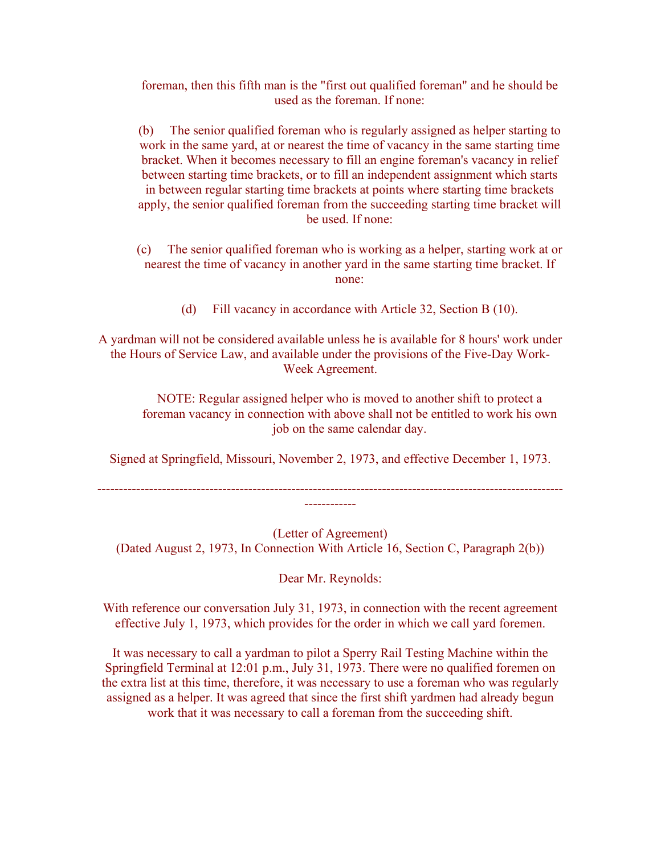foreman, then this fifth man is the "first out qualified foreman" and he should be used as the foreman. If none:

(b) The senior qualified foreman who is regularly assigned as helper starting to work in the same yard, at or nearest the time of vacancy in the same starting time bracket. When it becomes necessary to fill an engine foreman's vacancy in relief between starting time brackets, or to fill an independent assignment which starts in between regular starting time brackets at points where starting time brackets apply, the senior qualified foreman from the succeeding starting time bracket will be used. If none:

- (c) The senior qualified foreman who is working as a helper, starting work at or nearest the time of vacancy in another yard in the same starting time bracket. If none:
	- (d) Fill vacancy in accordance with Article 32, Section B (10).

A yardman will not be considered available unless he is available for 8 hours' work under the Hours of Service Law, and available under the provisions of the Five-Day Work-Week Agreement.

NOTE: Regular assigned helper who is moved to another shift to protect a foreman vacancy in connection with above shall not be entitled to work his own job on the same calendar day.

Signed at Springfield, Missouri, November 2, 1973, and effective December 1, 1973.

------------------------------------------------------------------------------------------------------------ ------------

(Letter of Agreement) (Dated August 2, 1973, In Connection With Article 16, Section C, Paragraph 2(b))

Dear Mr. Reynolds:

With reference our conversation July 31, 1973, in connection with the recent agreement effective July 1, 1973, which provides for the order in which we call yard foremen.

It was necessary to call a yardman to pilot a Sperry Rail Testing Machine within the Springfield Terminal at 12:01 p.m., July 31, 1973. There were no qualified foremen on the extra list at this time, therefore, it was necessary to use a foreman who was regularly assigned as a helper. It was agreed that since the first shift yardmen had already begun work that it was necessary to call a foreman from the succeeding shift.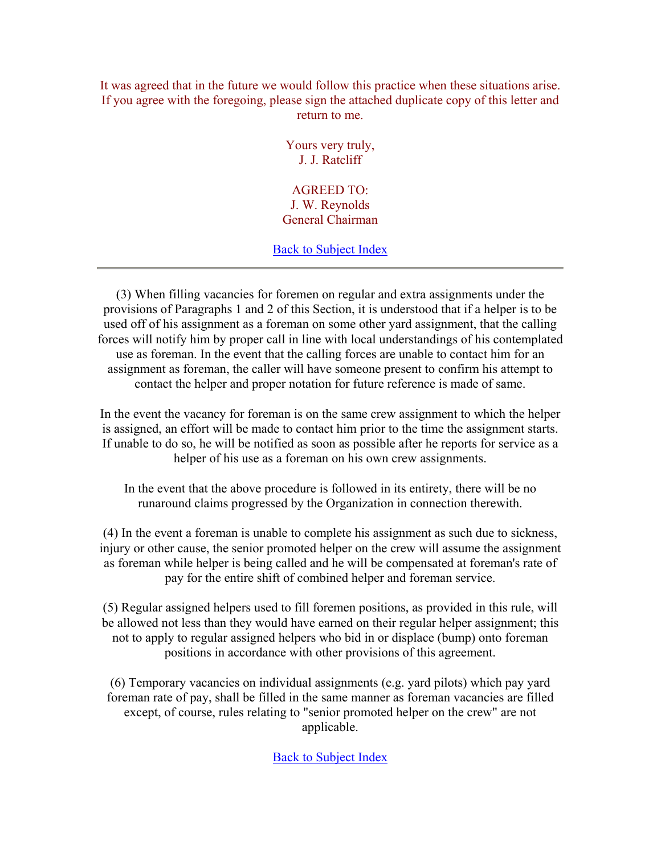It was agreed that in the future we would follow this practice when these situations arise. If you agree with the foregoing, please sign the attached duplicate copy of this letter and return to me.

> Yours very truly, J. J. Ratcliff

AGREED TO: J. W. Reynolds General Chairman

Back to Subject Index

(3) When filling vacancies for foremen on regular and extra assignments under the provisions of Paragraphs 1 and 2 of this Section, it is understood that if a helper is to be used off of his assignment as a foreman on some other yard assignment, that the calling forces will notify him by proper call in line with local understandings of his contemplated use as foreman. In the event that the calling forces are unable to contact him for an assignment as foreman, the caller will have someone present to confirm his attempt to contact the helper and proper notation for future reference is made of same.

In the event the vacancy for foreman is on the same crew assignment to which the helper is assigned, an effort will be made to contact him prior to the time the assignment starts. If unable to do so, he will be notified as soon as possible after he reports for service as a helper of his use as a foreman on his own crew assignments.

In the event that the above procedure is followed in its entirety, there will be no runaround claims progressed by the Organization in connection therewith.

(4) In the event a foreman is unable to complete his assignment as such due to sickness, injury or other cause, the senior promoted helper on the crew will assume the assignment as foreman while helper is being called and he will be compensated at foreman's rate of pay for the entire shift of combined helper and foreman service.

(5) Regular assigned helpers used to fill foremen positions, as provided in this rule, will be allowed not less than they would have earned on their regular helper assignment; this not to apply to regular assigned helpers who bid in or displace (bump) onto foreman positions in accordance with other provisions of this agreement.

(6) Temporary vacancies on individual assignments (e.g. yard pilots) which pay yard foreman rate of pay, shall be filled in the same manner as foreman vacancies are filled except, of course, rules relating to "senior promoted helper on the crew" are not applicable.

Back to Subject Index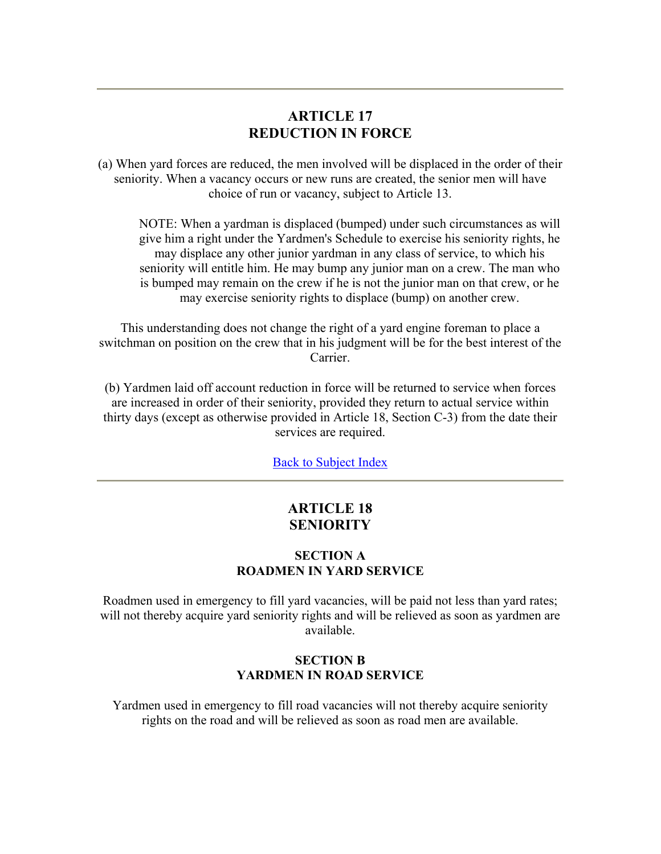# **ARTICLE 17 REDUCTION IN FORCE**

(a) When yard forces are reduced, the men involved will be displaced in the order of their seniority. When a vacancy occurs or new runs are created, the senior men will have choice of run or vacancy, subject to Article 13.

NOTE: When a yardman is displaced (bumped) under such circumstances as will give him a right under the Yardmen's Schedule to exercise his seniority rights, he may displace any other junior yardman in any class of service, to which his seniority will entitle him. He may bump any junior man on a crew. The man who is bumped may remain on the crew if he is not the junior man on that crew, or he may exercise seniority rights to displace (bump) on another crew.

This understanding does not change the right of a yard engine foreman to place a switchman on position on the crew that in his judgment will be for the best interest of the Carrier.

(b) Yardmen laid off account reduction in force will be returned to service when forces are increased in order of their seniority, provided they return to actual service within thirty days (except as otherwise provided in Article 18, Section C-3) from the date their services are required.

Back to Subject Index

# **ARTICLE 18 SENIORITY**

### **SECTION A ROADMEN IN YARD SERVICE**

Roadmen used in emergency to fill yard vacancies, will be paid not less than yard rates; will not thereby acquire yard seniority rights and will be relieved as soon as yardmen are available.

## **SECTION B YARDMEN IN ROAD SERVICE**

Yardmen used in emergency to fill road vacancies will not thereby acquire seniority rights on the road and will be relieved as soon as road men are available.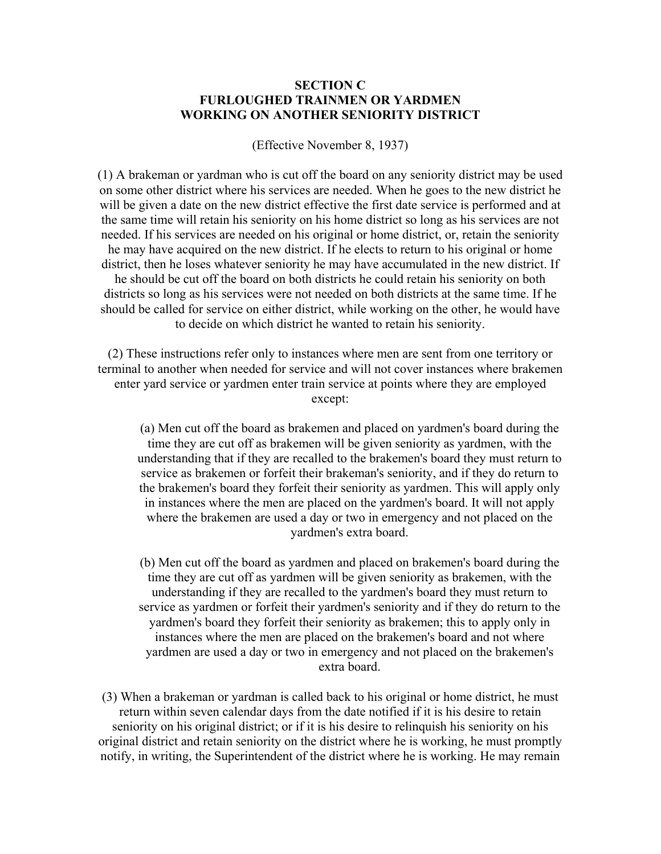### **SECTION C FURLOUGHED TRAINMEN OR YARDMEN WORKING ON ANOTHER SENIORITY DISTRICT**

(Effective November 8, 1937)

(1) A brakeman or yardman who is cut off the board on any seniority district may be used on some other district where his services are needed. When he goes to the new district he will be given a date on the new district effective the first date service is performed and at the same time will retain his seniority on his home district so long as his services are not needed. If his services are needed on his original or home district, or, retain the seniority he may have acquired on the new district. If he elects to return to his original or home district, then he loses whatever seniority he may have accumulated in the new district. If he should be cut off the board on both districts he could retain his seniority on both districts so long as his services were not needed on both districts at the same time. If he should be called for service on either district, while working on the other, he would have to decide on which district he wanted to retain his seniority.

(2) These instructions refer only to instances where men are sent from one territory or terminal to another when needed for service and will not cover instances where brakemen enter yard service or yardmen enter train service at points where they are employed except:

(a) Men cut off the board as brakemen and placed on yardmen's board during the time they are cut off as brakemen will be given seniority as yardmen, with the understanding that if they are recalled to the brakemen's board they must return to service as brakemen or forfeit their brakeman's seniority, and if they do return to the brakemen's board they forfeit their seniority as yardmen. This will apply only in instances where the men are placed on the yardmen's board. It will not apply where the brakemen are used a day or two in emergency and not placed on the yardmen's extra board.

(b) Men cut off the board as yardmen and placed on brakemen's board during the time they are cut off as yardmen will be given seniority as brakemen, with the understanding if they are recalled to the yardmen's board they must return to service as yardmen or forfeit their yardmen's seniority and if they do return to the yardmen's board they forfeit their seniority as brakemen; this to apply only in instances where the men are placed on the brakemen's board and not where yardmen are used a day or two in emergency and not placed on the brakemen's extra board.

(3) When a brakeman or yardman is called back to his original or home district, he must return within seven calendar days from the date notified if it is his desire to retain seniority on his original district; or if it is his desire to relinquish his seniority on his original district and retain seniority on the district where he is working, he must promptly notify, in writing, the Superintendent of the district where he is working. He may remain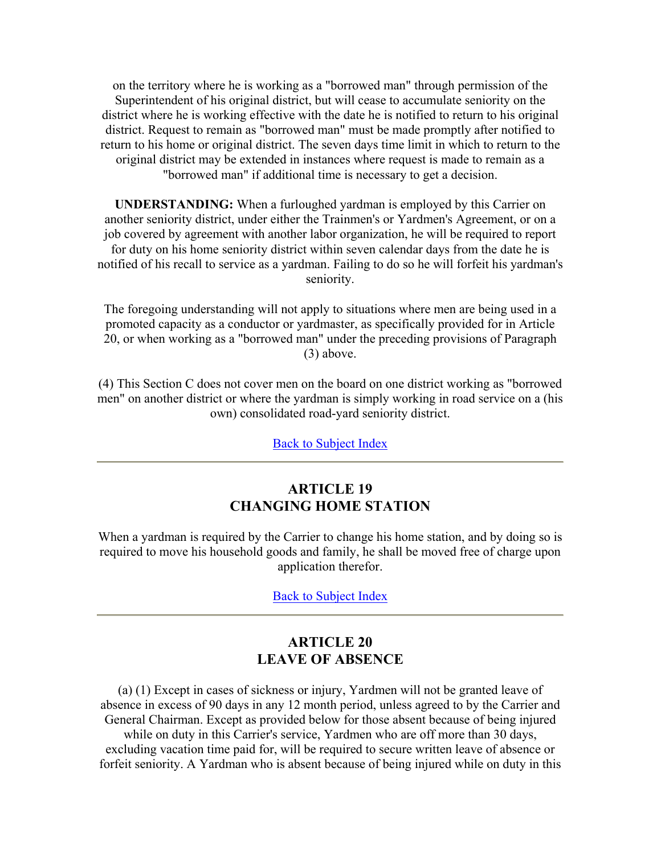on the territory where he is working as a "borrowed man" through permission of the Superintendent of his original district, but will cease to accumulate seniority on the district where he is working effective with the date he is notified to return to his original district. Request to remain as "borrowed man" must be made promptly after notified to return to his home or original district. The seven days time limit in which to return to the original district may be extended in instances where request is made to remain as a "borrowed man" if additional time is necessary to get a decision.

**UNDERSTANDING:** When a furloughed yardman is employed by this Carrier on another seniority district, under either the Trainmen's or Yardmen's Agreement, or on a job covered by agreement with another labor organization, he will be required to report for duty on his home seniority district within seven calendar days from the date he is notified of his recall to service as a yardman. Failing to do so he will forfeit his yardman's seniority.

The foregoing understanding will not apply to situations where men are being used in a promoted capacity as a conductor or yardmaster, as specifically provided for in Article 20, or when working as a "borrowed man" under the preceding provisions of Paragraph (3) above.

(4) This Section C does not cover men on the board on one district working as "borrowed men" on another district or where the yardman is simply working in road service on a (his own) consolidated road-yard seniority district.

Back to Subject Index

# **ARTICLE 19 CHANGING HOME STATION**

When a yardman is required by the Carrier to change his home station, and by doing so is required to move his household goods and family, he shall be moved free of charge upon application therefor.

Back to Subject Index

# **ARTICLE 20 LEAVE OF ABSENCE**

(a) (1) Except in cases of sickness or injury, Yardmen will not be granted leave of absence in excess of 90 days in any 12 month period, unless agreed to by the Carrier and General Chairman. Except as provided below for those absent because of being injured while on duty in this Carrier's service, Yardmen who are off more than 30 days, excluding vacation time paid for, will be required to secure written leave of absence or forfeit seniority. A Yardman who is absent because of being injured while on duty in this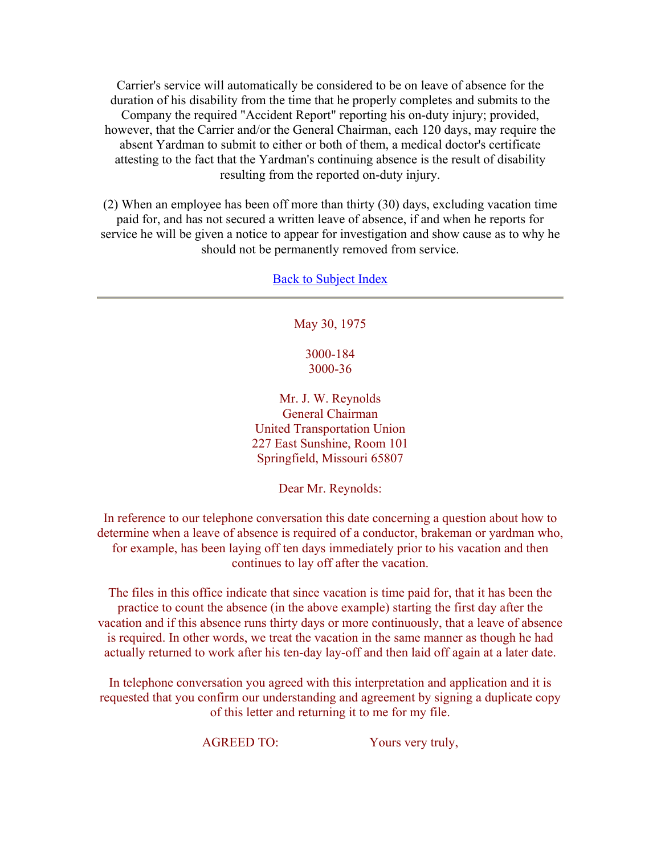Carrier's service will automatically be considered to be on leave of absence for the duration of his disability from the time that he properly completes and submits to the Company the required "Accident Report" reporting his on-duty injury; provided, however, that the Carrier and/or the General Chairman, each 120 days, may require the absent Yardman to submit to either or both of them, a medical doctor's certificate attesting to the fact that the Yardman's continuing absence is the result of disability resulting from the reported on-duty injury.

(2) When an employee has been off more than thirty (30) days, excluding vacation time paid for, and has not secured a written leave of absence, if and when he reports for service he will be given a notice to appear for investigation and show cause as to why he should not be permanently removed from service.

Back to Subject Index

May 30, 1975

3000-184 3000-36

Mr. J. W. Reynolds General Chairman United Transportation Union 227 East Sunshine, Room 101 Springfield, Missouri 65807

Dear Mr. Reynolds:

In reference to our telephone conversation this date concerning a question about how to determine when a leave of absence is required of a conductor, brakeman or yardman who, for example, has been laying off ten days immediately prior to his vacation and then continues to lay off after the vacation.

The files in this office indicate that since vacation is time paid for, that it has been the practice to count the absence (in the above example) starting the first day after the vacation and if this absence runs thirty days or more continuously, that a leave of absence is required. In other words, we treat the vacation in the same manner as though he had actually returned to work after his ten-day lay-off and then laid off again at a later date.

In telephone conversation you agreed with this interpretation and application and it is requested that you confirm our understanding and agreement by signing a duplicate copy of this letter and returning it to me for my file.

AGREED TO: Yours very truly,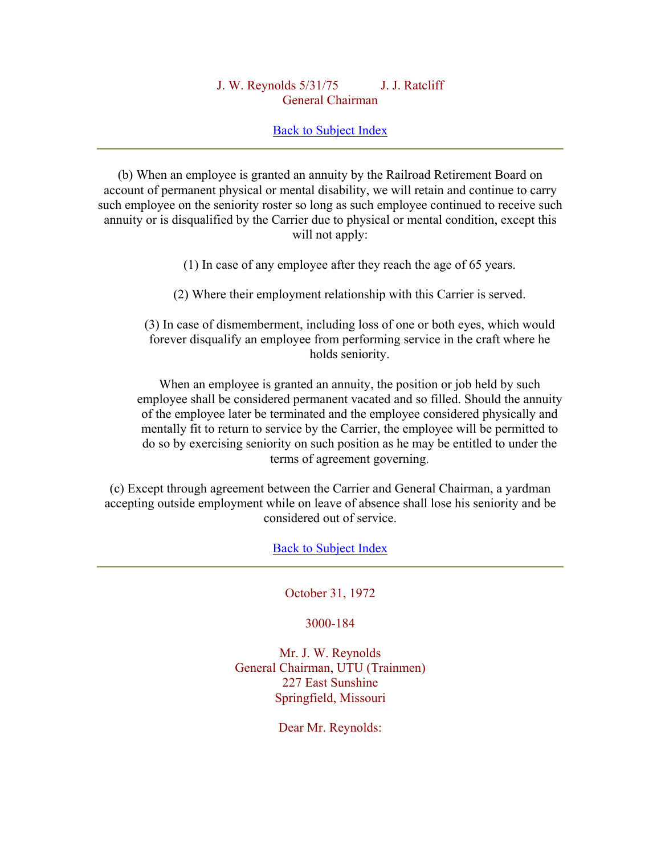## J. W. Reynolds 5/31/75 J. J. Ratcliff General Chairman

## Back to Subject Index

(b) When an employee is granted an annuity by the Railroad Retirement Board on account of permanent physical or mental disability, we will retain and continue to carry such employee on the seniority roster so long as such employee continued to receive such annuity or is disqualified by the Carrier due to physical or mental condition, except this will not apply:

(1) In case of any employee after they reach the age of 65 years.

(2) Where their employment relationship with this Carrier is served.

(3) In case of dismemberment, including loss of one or both eyes, which would forever disqualify an employee from performing service in the craft where he holds seniority.

When an employee is granted an annuity, the position or job held by such employee shall be considered permanent vacated and so filled. Should the annuity of the employee later be terminated and the employee considered physically and mentally fit to return to service by the Carrier, the employee will be permitted to do so by exercising seniority on such position as he may be entitled to under the terms of agreement governing.

(c) Except through agreement between the Carrier and General Chairman, a yardman accepting outside employment while on leave of absence shall lose his seniority and be considered out of service.

Back to Subject Index

October 31, 1972

3000-184

Mr. J. W. Reynolds General Chairman, UTU (Trainmen) 227 East Sunshine Springfield, Missouri

Dear Mr. Reynolds: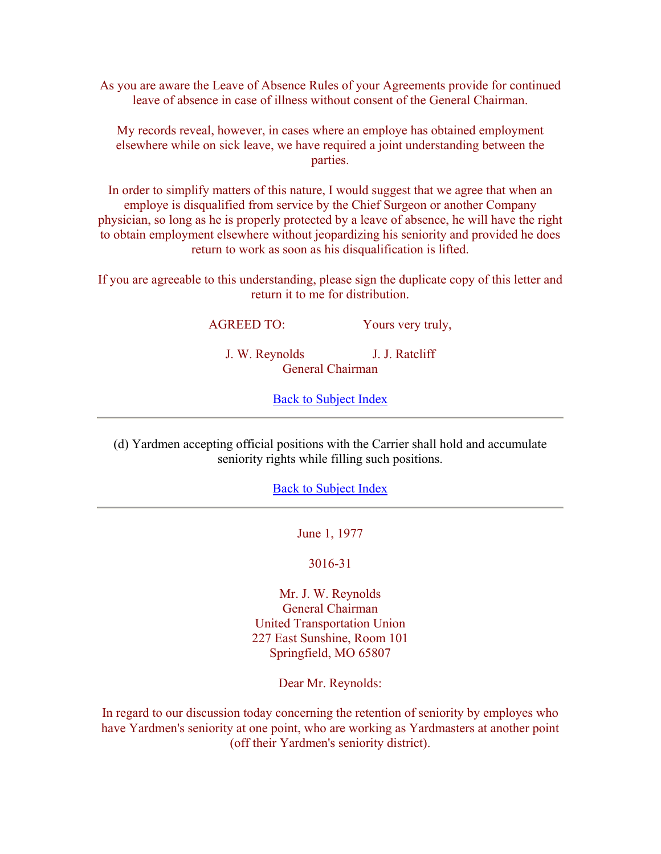As you are aware the Leave of Absence Rules of your Agreements provide for continued leave of absence in case of illness without consent of the General Chairman.

My records reveal, however, in cases where an employe has obtained employment elsewhere while on sick leave, we have required a joint understanding between the parties.

In order to simplify matters of this nature, I would suggest that we agree that when an employe is disqualified from service by the Chief Surgeon or another Company physician, so long as he is properly protected by a leave of absence, he will have the right to obtain employment elsewhere without jeopardizing his seniority and provided he does return to work as soon as his disqualification is lifted.

If you are agreeable to this understanding, please sign the duplicate copy of this letter and return it to me for distribution.

AGREED TO: Yours very truly,

J. W. Reynolds J. J. Ratcliff General Chairman

Back to Subject Index

(d) Yardmen accepting official positions with the Carrier shall hold and accumulate seniority rights while filling such positions.

Back to Subject Index

June 1, 1977

3016-31

Mr. J. W. Reynolds General Chairman United Transportation Union 227 East Sunshine, Room 101 Springfield, MO 65807

Dear Mr. Reynolds:

In regard to our discussion today concerning the retention of seniority by employes who have Yardmen's seniority at one point, who are working as Yardmasters at another point (off their Yardmen's seniority district).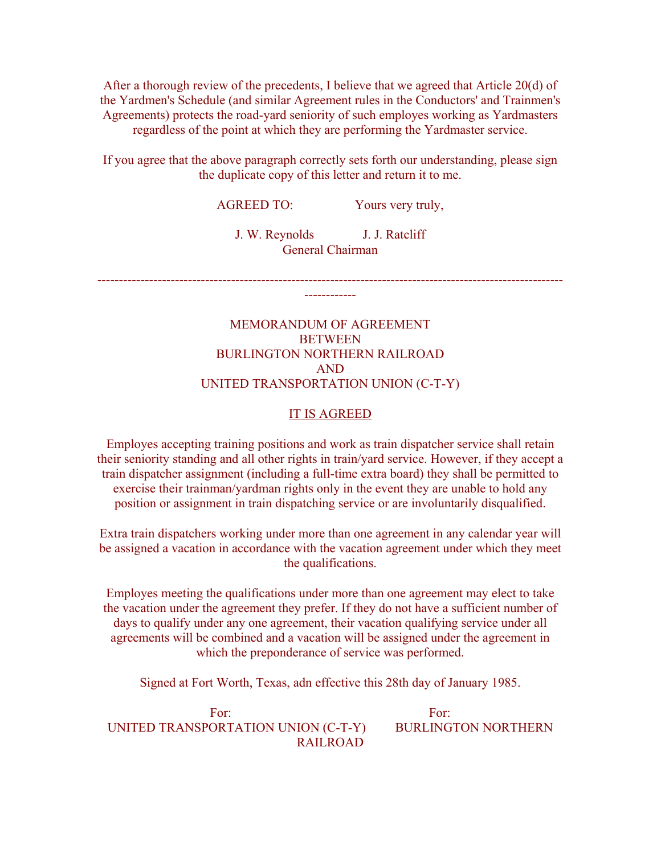After a thorough review of the precedents, I believe that we agreed that Article 20(d) of the Yardmen's Schedule (and similar Agreement rules in the Conductors' and Trainmen's Agreements) protects the road-yard seniority of such employes working as Yardmasters regardless of the point at which they are performing the Yardmaster service.

If you agree that the above paragraph correctly sets forth our understanding, please sign the duplicate copy of this letter and return it to me.

AGREED TO: Yours very truly,

J. W. Reynolds J. J. Ratcliff General Chairman

------------------------------------------------------------------------------------------------------------ ------------

# MEMORANDUM OF AGREEMENT **BETWEEN** BURLINGTON NORTHERN RAILROAD AND UNITED TRANSPORTATION UNION (C-T-Y)

#### IT IS AGREED

Employes accepting training positions and work as train dispatcher service shall retain their seniority standing and all other rights in train/yard service. However, if they accept a train dispatcher assignment (including a full-time extra board) they shall be permitted to exercise their trainman/yardman rights only in the event they are unable to hold any position or assignment in train dispatching service or are involuntarily disqualified.

Extra train dispatchers working under more than one agreement in any calendar year will be assigned a vacation in accordance with the vacation agreement under which they meet the qualifications.

Employes meeting the qualifications under more than one agreement may elect to take the vacation under the agreement they prefer. If they do not have a sufficient number of days to qualify under any one agreement, their vacation qualifying service under all agreements will be combined and a vacation will be assigned under the agreement in which the preponderance of service was performed.

Signed at Fort Worth, Texas, adn effective this 28th day of January 1985.

For: For: For: UNITED TRANSPORTATION UNION (C-T-Y) BURLINGTON NORTHERN RAILROAD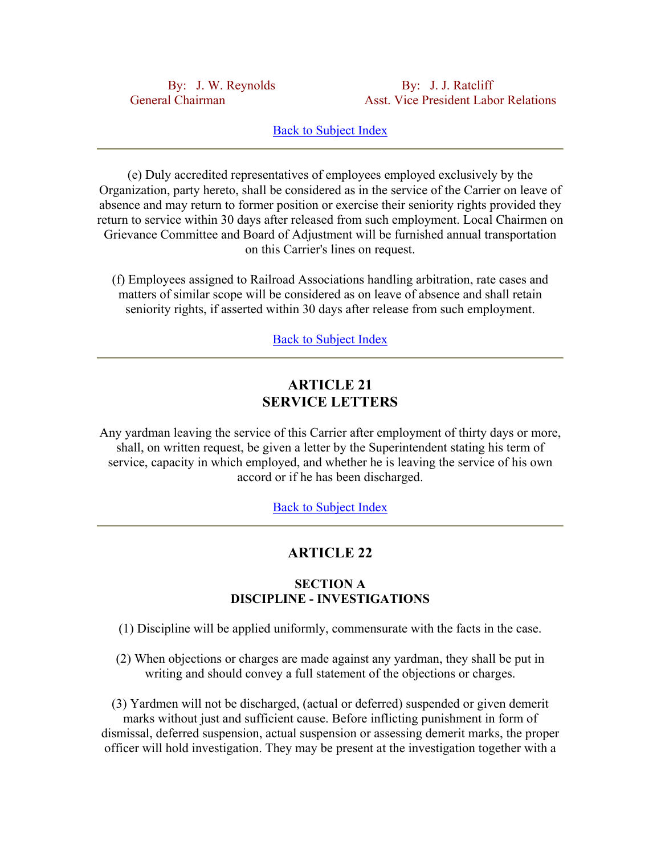By: J. W. Reynolds By: J. J. Ratcliff General Chairman Asst. Vice President Labor Relations

# **Back to Subject Index**

(e) Duly accredited representatives of employees employed exclusively by the Organization, party hereto, shall be considered as in the service of the Carrier on leave of absence and may return to former position or exercise their seniority rights provided they return to service within 30 days after released from such employment. Local Chairmen on Grievance Committee and Board of Adjustment will be furnished annual transportation on this Carrier's lines on request.

(f) Employees assigned to Railroad Associations handling arbitration, rate cases and matters of similar scope will be considered as on leave of absence and shall retain seniority rights, if asserted within 30 days after release from such employment.

**Back to Subject Index** 

# **ARTICLE 21 SERVICE LETTERS**

Any yardman leaving the service of this Carrier after employment of thirty days or more, shall, on written request, be given a letter by the Superintendent stating his term of service, capacity in which employed, and whether he is leaving the service of his own accord or if he has been discharged.

Back to Subject Index

## **ARTICLE 22**

### **SECTION A DISCIPLINE - INVESTIGATIONS**

- (1) Discipline will be applied uniformly, commensurate with the facts in the case.
- (2) When objections or charges are made against any yardman, they shall be put in writing and should convey a full statement of the objections or charges.

(3) Yardmen will not be discharged, (actual or deferred) suspended or given demerit marks without just and sufficient cause. Before inflicting punishment in form of dismissal, deferred suspension, actual suspension or assessing demerit marks, the proper officer will hold investigation. They may be present at the investigation together with a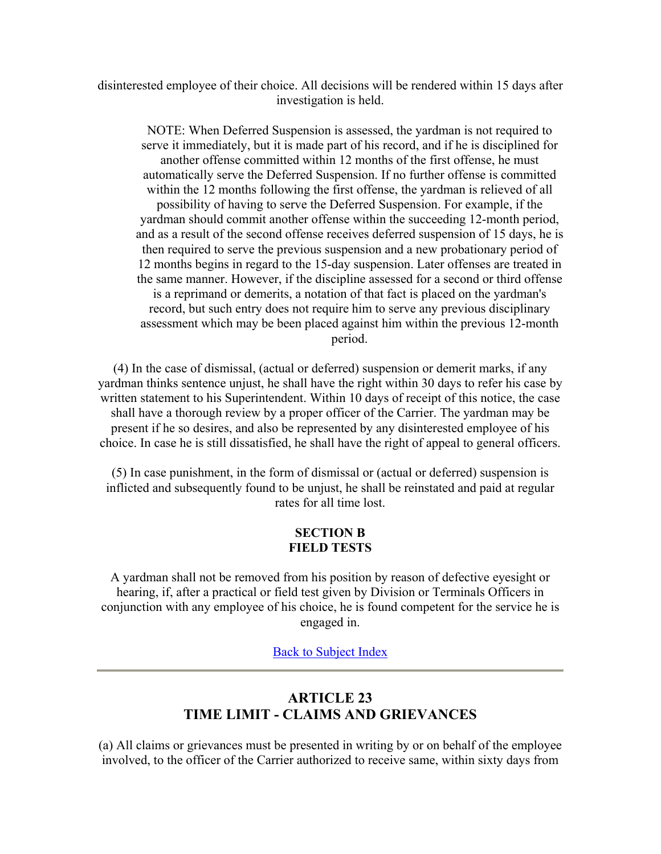disinterested employee of their choice. All decisions will be rendered within 15 days after investigation is held.

NOTE: When Deferred Suspension is assessed, the yardman is not required to serve it immediately, but it is made part of his record, and if he is disciplined for another offense committed within 12 months of the first offense, he must automatically serve the Deferred Suspension. If no further offense is committed within the 12 months following the first offense, the yardman is relieved of all possibility of having to serve the Deferred Suspension. For example, if the yardman should commit another offense within the succeeding 12-month period, and as a result of the second offense receives deferred suspension of 15 days, he is then required to serve the previous suspension and a new probationary period of 12 months begins in regard to the 15-day suspension. Later offenses are treated in the same manner. However, if the discipline assessed for a second or third offense is a reprimand or demerits, a notation of that fact is placed on the yardman's record, but such entry does not require him to serve any previous disciplinary assessment which may be been placed against him within the previous 12-month period.

(4) In the case of dismissal, (actual or deferred) suspension or demerit marks, if any yardman thinks sentence unjust, he shall have the right within 30 days to refer his case by written statement to his Superintendent. Within 10 days of receipt of this notice, the case shall have a thorough review by a proper officer of the Carrier. The yardman may be present if he so desires, and also be represented by any disinterested employee of his choice. In case he is still dissatisfied, he shall have the right of appeal to general officers.

(5) In case punishment, in the form of dismissal or (actual or deferred) suspension is inflicted and subsequently found to be unjust, he shall be reinstated and paid at regular rates for all time lost.

### **SECTION B FIELD TESTS**

A yardman shall not be removed from his position by reason of defective eyesight or hearing, if, after a practical or field test given by Division or Terminals Officers in conjunction with any employee of his choice, he is found competent for the service he is engaged in.

Back to Subject Index

# **ARTICLE 23 TIME LIMIT - CLAIMS AND GRIEVANCES**

(a) All claims or grievances must be presented in writing by or on behalf of the employee involved, to the officer of the Carrier authorized to receive same, within sixty days from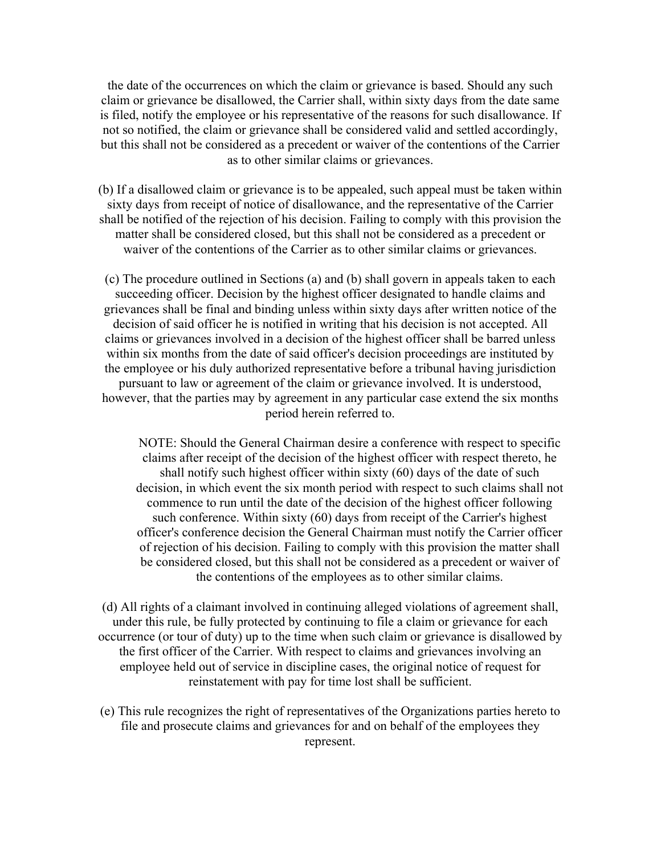the date of the occurrences on which the claim or grievance is based. Should any such claim or grievance be disallowed, the Carrier shall, within sixty days from the date same is filed, notify the employee or his representative of the reasons for such disallowance. If not so notified, the claim or grievance shall be considered valid and settled accordingly, but this shall not be considered as a precedent or waiver of the contentions of the Carrier as to other similar claims or grievances.

(b) If a disallowed claim or grievance is to be appealed, such appeal must be taken within sixty days from receipt of notice of disallowance, and the representative of the Carrier shall be notified of the rejection of his decision. Failing to comply with this provision the matter shall be considered closed, but this shall not be considered as a precedent or waiver of the contentions of the Carrier as to other similar claims or grievances.

(c) The procedure outlined in Sections (a) and (b) shall govern in appeals taken to each succeeding officer. Decision by the highest officer designated to handle claims and grievances shall be final and binding unless within sixty days after written notice of the decision of said officer he is notified in writing that his decision is not accepted. All claims or grievances involved in a decision of the highest officer shall be barred unless within six months from the date of said officer's decision proceedings are instituted by the employee or his duly authorized representative before a tribunal having jurisdiction pursuant to law or agreement of the claim or grievance involved. It is understood, however, that the parties may by agreement in any particular case extend the six months period herein referred to.

NOTE: Should the General Chairman desire a conference with respect to specific claims after receipt of the decision of the highest officer with respect thereto, he shall notify such highest officer within sixty (60) days of the date of such decision, in which event the six month period with respect to such claims shall not commence to run until the date of the decision of the highest officer following such conference. Within sixty (60) days from receipt of the Carrier's highest officer's conference decision the General Chairman must notify the Carrier officer of rejection of his decision. Failing to comply with this provision the matter shall be considered closed, but this shall not be considered as a precedent or waiver of the contentions of the employees as to other similar claims.

(d) All rights of a claimant involved in continuing alleged violations of agreement shall, under this rule, be fully protected by continuing to file a claim or grievance for each occurrence (or tour of duty) up to the time when such claim or grievance is disallowed by the first officer of the Carrier. With respect to claims and grievances involving an employee held out of service in discipline cases, the original notice of request for reinstatement with pay for time lost shall be sufficient.

(e) This rule recognizes the right of representatives of the Organizations parties hereto to file and prosecute claims and grievances for and on behalf of the employees they represent.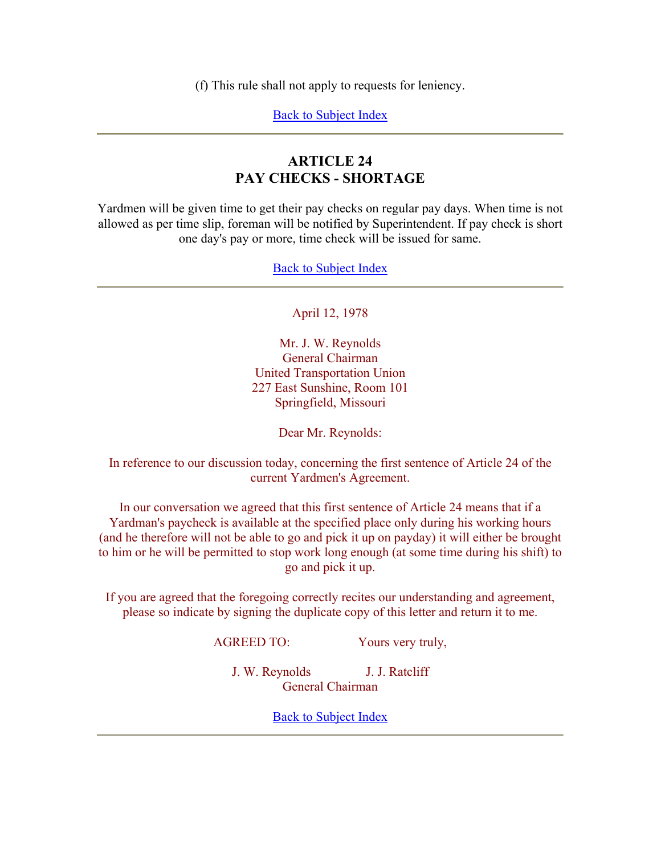(f) This rule shall not apply to requests for leniency.

Back to Subject Index

# **ARTICLE 24 PAY CHECKS - SHORTAGE**

Yardmen will be given time to get their pay checks on regular pay days. When time is not allowed as per time slip, foreman will be notified by Superintendent. If pay check is short one day's pay or more, time check will be issued for same.

Back to Subject Index

## April 12, 1978

Mr. J. W. Reynolds General Chairman United Transportation Union 227 East Sunshine, Room 101 Springfield, Missouri

Dear Mr. Reynolds:

In reference to our discussion today, concerning the first sentence of Article 24 of the current Yardmen's Agreement.

In our conversation we agreed that this first sentence of Article 24 means that if a Yardman's paycheck is available at the specified place only during his working hours (and he therefore will not be able to go and pick it up on payday) it will either be brought to him or he will be permitted to stop work long enough (at some time during his shift) to go and pick it up.

If you are agreed that the foregoing correctly recites our understanding and agreement, please so indicate by signing the duplicate copy of this letter and return it to me.

AGREED TO: Yours very truly,

J. W. Reynolds J. J. Ratcliff General Chairman

**Back to Subject Index**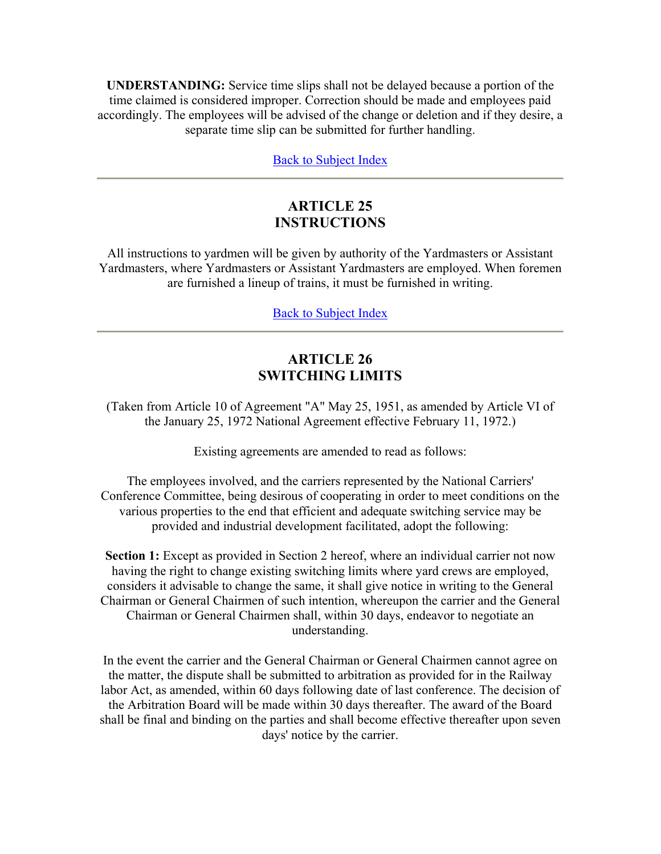**UNDERSTANDING:** Service time slips shall not be delayed because a portion of the time claimed is considered improper. Correction should be made and employees paid accordingly. The employees will be advised of the change or deletion and if they desire, a separate time slip can be submitted for further handling.

Back to Subject Index

# **ARTICLE 25 INSTRUCTIONS**

All instructions to yardmen will be given by authority of the Yardmasters or Assistant Yardmasters, where Yardmasters or Assistant Yardmasters are employed. When foremen are furnished a lineup of trains, it must be furnished in writing.

Back to Subject Index

# **ARTICLE 26 SWITCHING LIMITS**

(Taken from Article 10 of Agreement "A" May 25, 1951, as amended by Article VI of the January 25, 1972 National Agreement effective February 11, 1972.)

Existing agreements are amended to read as follows:

The employees involved, and the carriers represented by the National Carriers' Conference Committee, being desirous of cooperating in order to meet conditions on the various properties to the end that efficient and adequate switching service may be provided and industrial development facilitated, adopt the following:

**Section 1:** Except as provided in Section 2 hereof, where an individual carrier not now having the right to change existing switching limits where yard crews are employed, considers it advisable to change the same, it shall give notice in writing to the General Chairman or General Chairmen of such intention, whereupon the carrier and the General Chairman or General Chairmen shall, within 30 days, endeavor to negotiate an understanding.

In the event the carrier and the General Chairman or General Chairmen cannot agree on the matter, the dispute shall be submitted to arbitration as provided for in the Railway labor Act, as amended, within 60 days following date of last conference. The decision of the Arbitration Board will be made within 30 days thereafter. The award of the Board shall be final and binding on the parties and shall become effective thereafter upon seven days' notice by the carrier.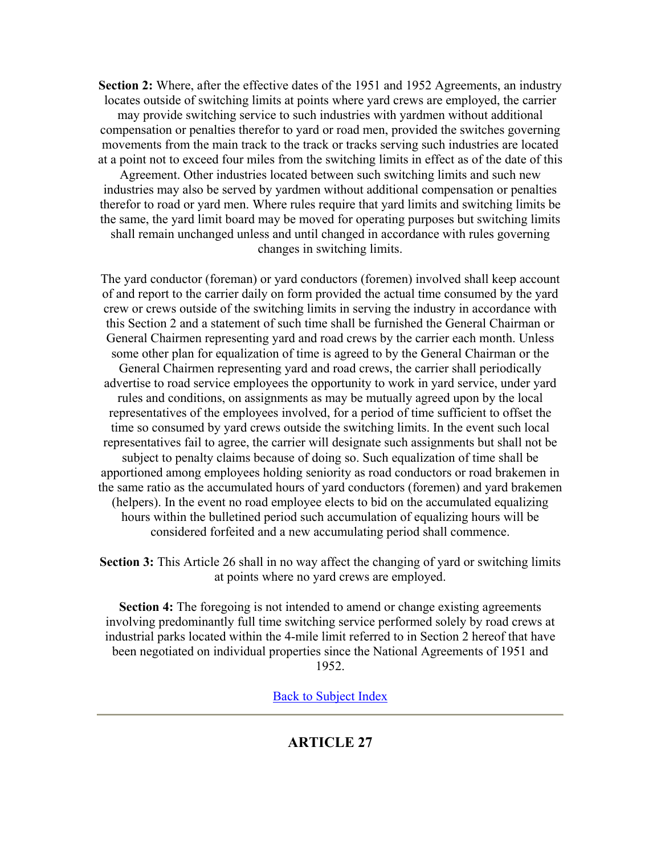**Section 2:** Where, after the effective dates of the 1951 and 1952 Agreements, an industry locates outside of switching limits at points where yard crews are employed, the carrier may provide switching service to such industries with yardmen without additional compensation or penalties therefor to yard or road men, provided the switches governing movements from the main track to the track or tracks serving such industries are located at a point not to exceed four miles from the switching limits in effect as of the date of this Agreement. Other industries located between such switching limits and such new

industries may also be served by yardmen without additional compensation or penalties therefor to road or yard men. Where rules require that yard limits and switching limits be the same, the yard limit board may be moved for operating purposes but switching limits shall remain unchanged unless and until changed in accordance with rules governing changes in switching limits.

The yard conductor (foreman) or yard conductors (foremen) involved shall keep account of and report to the carrier daily on form provided the actual time consumed by the yard crew or crews outside of the switching limits in serving the industry in accordance with this Section 2 and a statement of such time shall be furnished the General Chairman or General Chairmen representing yard and road crews by the carrier each month. Unless some other plan for equalization of time is agreed to by the General Chairman or the General Chairmen representing yard and road crews, the carrier shall periodically advertise to road service employees the opportunity to work in yard service, under yard rules and conditions, on assignments as may be mutually agreed upon by the local representatives of the employees involved, for a period of time sufficient to offset the time so consumed by yard crews outside the switching limits. In the event such local representatives fail to agree, the carrier will designate such assignments but shall not be subject to penalty claims because of doing so. Such equalization of time shall be apportioned among employees holding seniority as road conductors or road brakemen in the same ratio as the accumulated hours of yard conductors (foremen) and yard brakemen (helpers). In the event no road employee elects to bid on the accumulated equalizing hours within the bulletined period such accumulation of equalizing hours will be considered forfeited and a new accumulating period shall commence.

**Section 3:** This Article 26 shall in no way affect the changing of yard or switching limits at points where no yard crews are employed.

**Section 4:** The foregoing is not intended to amend or change existing agreements involving predominantly full time switching service performed solely by road crews at industrial parks located within the 4-mile limit referred to in Section 2 hereof that have been negotiated on individual properties since the National Agreements of 1951 and 1952.

Back to Subject Index

# **ARTICLE 27**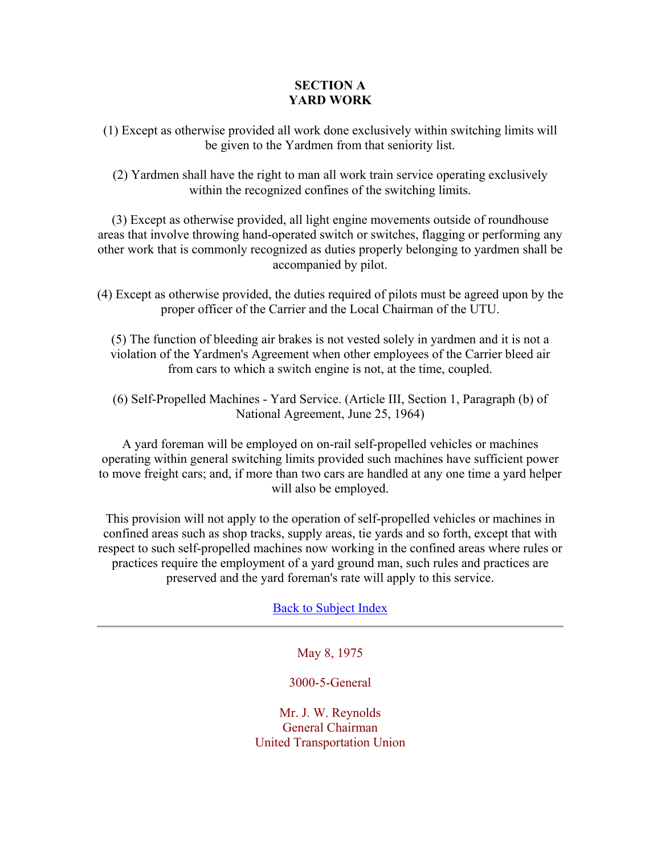## **SECTION A YARD WORK**

(1) Except as otherwise provided all work done exclusively within switching limits will be given to the Yardmen from that seniority list.

(2) Yardmen shall have the right to man all work train service operating exclusively within the recognized confines of the switching limits.

(3) Except as otherwise provided, all light engine movements outside of roundhouse areas that involve throwing hand-operated switch or switches, flagging or performing any other work that is commonly recognized as duties properly belonging to yardmen shall be accompanied by pilot.

(4) Except as otherwise provided, the duties required of pilots must be agreed upon by the proper officer of the Carrier and the Local Chairman of the UTU.

(5) The function of bleeding air brakes is not vested solely in yardmen and it is not a violation of the Yardmen's Agreement when other employees of the Carrier bleed air from cars to which a switch engine is not, at the time, coupled.

(6) Self-Propelled Machines - Yard Service. (Article III, Section 1, Paragraph (b) of National Agreement, June 25, 1964)

A yard foreman will be employed on on-rail self-propelled vehicles or machines operating within general switching limits provided such machines have sufficient power to move freight cars; and, if more than two cars are handled at any one time a yard helper will also be employed.

This provision will not apply to the operation of self-propelled vehicles or machines in confined areas such as shop tracks, supply areas, tie yards and so forth, except that with respect to such self-propelled machines now working in the confined areas where rules or practices require the employment of a yard ground man, such rules and practices are preserved and the yard foreman's rate will apply to this service.

# Back to Subject Index

May 8, 1975

# 3000-5-General

Mr. J. W. Reynolds General Chairman United Transportation Union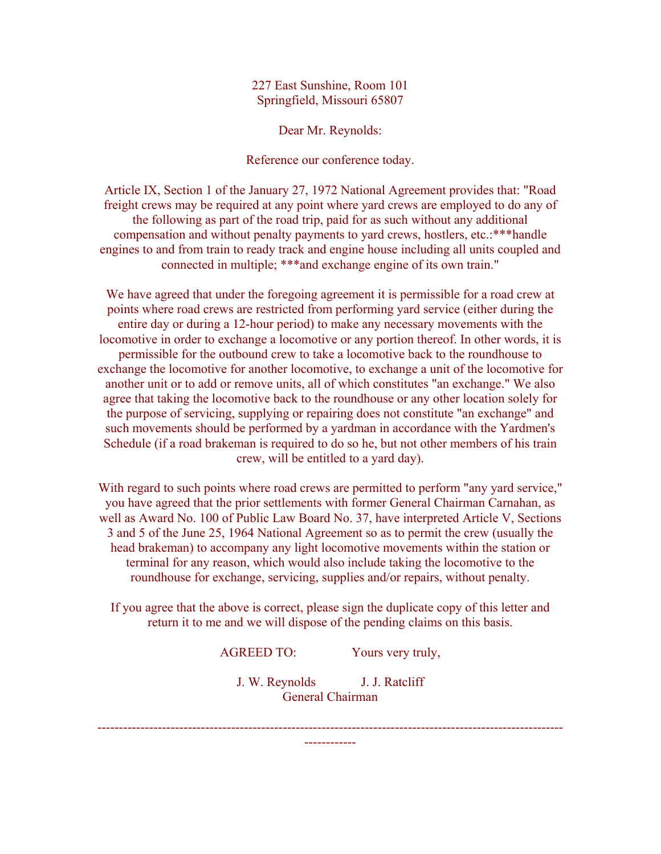227 East Sunshine, Room 101 Springfield, Missouri 65807

Dear Mr. Reynolds:

Reference our conference today.

Article IX, Section 1 of the January 27, 1972 National Agreement provides that: "Road freight crews may be required at any point where yard crews are employed to do any of the following as part of the road trip, paid for as such without any additional compensation and without penalty payments to yard crews, hostlers, etc.:\*\*\*handle engines to and from train to ready track and engine house including all units coupled and connected in multiple; \*\*\*and exchange engine of its own train."

We have agreed that under the foregoing agreement it is permissible for a road crew at points where road crews are restricted from performing yard service (either during the entire day or during a 12-hour period) to make any necessary movements with the locomotive in order to exchange a locomotive or any portion thereof. In other words, it is permissible for the outbound crew to take a locomotive back to the roundhouse to exchange the locomotive for another locomotive, to exchange a unit of the locomotive for another unit or to add or remove units, all of which constitutes "an exchange." We also agree that taking the locomotive back to the roundhouse or any other location solely for the purpose of servicing, supplying or repairing does not constitute "an exchange" and such movements should be performed by a yardman in accordance with the Yardmen's Schedule (if a road brakeman is required to do so he, but not other members of his train crew, will be entitled to a yard day).

With regard to such points where road crews are permitted to perform "any yard service," you have agreed that the prior settlements with former General Chairman Carnahan, as well as Award No. 100 of Public Law Board No. 37, have interpreted Article V, Sections 3 and 5 of the June 25, 1964 National Agreement so as to permit the crew (usually the head brakeman) to accompany any light locomotive movements within the station or terminal for any reason, which would also include taking the locomotive to the roundhouse for exchange, servicing, supplies and/or repairs, without penalty.

If you agree that the above is correct, please sign the duplicate copy of this letter and return it to me and we will dispose of the pending claims on this basis.

AGREED TO: Yours very truly,

J. W. Reynolds J. J. Ratcliff General Chairman

------------------------------------------------------------------------------------------------------------ ------------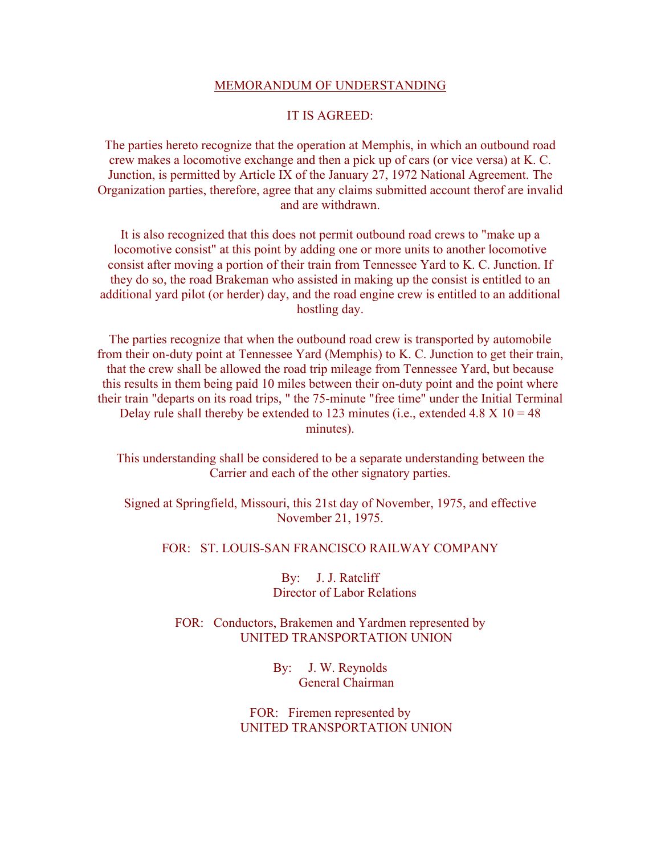#### MEMORANDUM OF UNDERSTANDING

### IT IS AGREED:

The parties hereto recognize that the operation at Memphis, in which an outbound road crew makes a locomotive exchange and then a pick up of cars (or vice versa) at K. C. Junction, is permitted by Article IX of the January 27, 1972 National Agreement. The Organization parties, therefore, agree that any claims submitted account therof are invalid and are withdrawn.

It is also recognized that this does not permit outbound road crews to "make up a locomotive consist" at this point by adding one or more units to another locomotive consist after moving a portion of their train from Tennessee Yard to K. C. Junction. If they do so, the road Brakeman who assisted in making up the consist is entitled to an additional yard pilot (or herder) day, and the road engine crew is entitled to an additional hostling day.

The parties recognize that when the outbound road crew is transported by automobile from their on-duty point at Tennessee Yard (Memphis) to K. C. Junction to get their train, that the crew shall be allowed the road trip mileage from Tennessee Yard, but because this results in them being paid 10 miles between their on-duty point and the point where their train "departs on its road trips, " the 75-minute "free time" under the Initial Terminal Delay rule shall thereby be extended to 123 minutes (i.e., extended 4.8  $X$  10 = 48 minutes).

This understanding shall be considered to be a separate understanding between the Carrier and each of the other signatory parties.

Signed at Springfield, Missouri, this 21st day of November, 1975, and effective November 21, 1975.

FOR: ST. LOUIS-SAN FRANCISCO RAILWAY COMPANY

By: J. J. Ratcliff Director of Labor Relations

FOR: Conductors, Brakemen and Yardmen represented by UNITED TRANSPORTATION UNION

> By: J. W. Reynolds General Chairman

FOR: Firemen represented by UNITED TRANSPORTATION UNION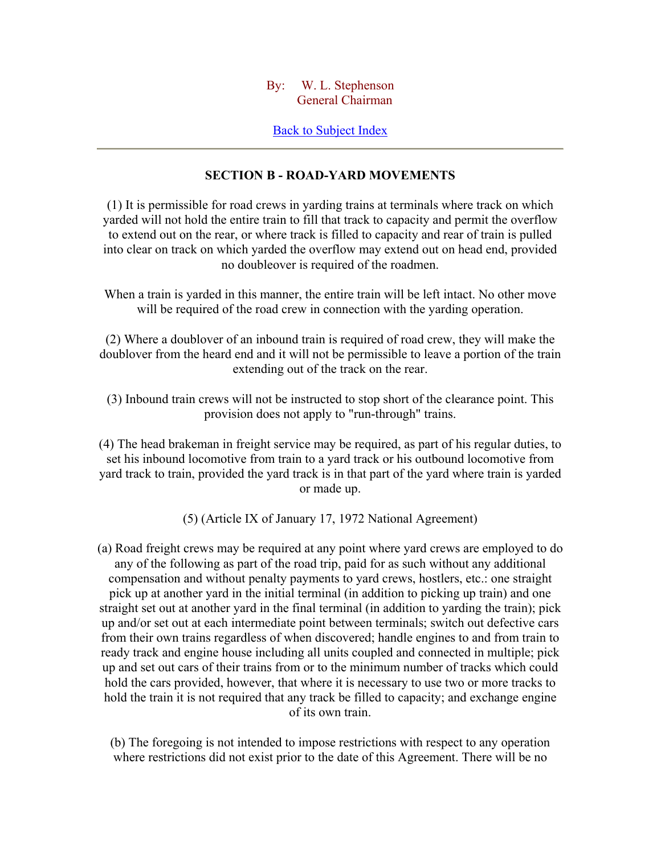### By: W. L. Stephenson General Chairman

## Back to Subject Index

## **SECTION B - ROAD-YARD MOVEMENTS**

(1) It is permissible for road crews in yarding trains at terminals where track on which yarded will not hold the entire train to fill that track to capacity and permit the overflow to extend out on the rear, or where track is filled to capacity and rear of train is pulled into clear on track on which yarded the overflow may extend out on head end, provided no doubleover is required of the roadmen.

When a train is yarded in this manner, the entire train will be left intact. No other move will be required of the road crew in connection with the yarding operation.

(2) Where a doublover of an inbound train is required of road crew, they will make the doublover from the heard end and it will not be permissible to leave a portion of the train extending out of the track on the rear.

(3) Inbound train crews will not be instructed to stop short of the clearance point. This provision does not apply to "run-through" trains.

(4) The head brakeman in freight service may be required, as part of his regular duties, to set his inbound locomotive from train to a yard track or his outbound locomotive from yard track to train, provided the yard track is in that part of the yard where train is yarded or made up.

(5) (Article IX of January 17, 1972 National Agreement)

(a) Road freight crews may be required at any point where yard crews are employed to do any of the following as part of the road trip, paid for as such without any additional compensation and without penalty payments to yard crews, hostlers, etc.: one straight pick up at another yard in the initial terminal (in addition to picking up train) and one straight set out at another yard in the final terminal (in addition to yarding the train); pick up and/or set out at each intermediate point between terminals; switch out defective cars from their own trains regardless of when discovered; handle engines to and from train to ready track and engine house including all units coupled and connected in multiple; pick up and set out cars of their trains from or to the minimum number of tracks which could hold the cars provided, however, that where it is necessary to use two or more tracks to hold the train it is not required that any track be filled to capacity; and exchange engine of its own train.

(b) The foregoing is not intended to impose restrictions with respect to any operation where restrictions did not exist prior to the date of this Agreement. There will be no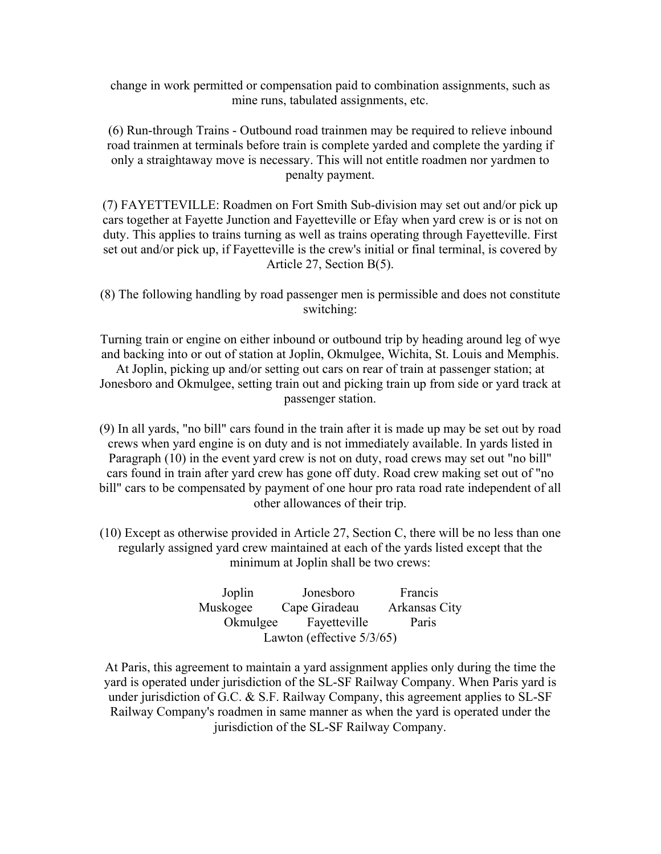change in work permitted or compensation paid to combination assignments, such as mine runs, tabulated assignments, etc.

(6) Run-through Trains - Outbound road trainmen may be required to relieve inbound road trainmen at terminals before train is complete yarded and complete the yarding if only a straightaway move is necessary. This will not entitle roadmen nor yardmen to penalty payment.

(7) FAYETTEVILLE: Roadmen on Fort Smith Sub-division may set out and/or pick up cars together at Fayette Junction and Fayetteville or Efay when yard crew is or is not on duty. This applies to trains turning as well as trains operating through Fayetteville. First set out and/or pick up, if Fayetteville is the crew's initial or final terminal, is covered by Article 27, Section B(5).

(8) The following handling by road passenger men is permissible and does not constitute switching:

Turning train or engine on either inbound or outbound trip by heading around leg of wye and backing into or out of station at Joplin, Okmulgee, Wichita, St. Louis and Memphis. At Joplin, picking up and/or setting out cars on rear of train at passenger station; at Jonesboro and Okmulgee, setting train out and picking train up from side or yard track at passenger station.

(9) In all yards, "no bill" cars found in the train after it is made up may be set out by road crews when yard engine is on duty and is not immediately available. In yards listed in Paragraph (10) in the event yard crew is not on duty, road crews may set out "no bill" cars found in train after yard crew has gone off duty. Road crew making set out of "no bill" cars to be compensated by payment of one hour pro rata road rate independent of all other allowances of their trip.

(10) Except as otherwise provided in Article 27, Section C, there will be no less than one regularly assigned yard crew maintained at each of the yards listed except that the minimum at Joplin shall be two crews:

| Joplin                    | Jonesboro     | Francis       |  |
|---------------------------|---------------|---------------|--|
| Muskogee                  | Cape Giradeau | Arkansas City |  |
| Okmulgee                  | Fayetteville  | Paris         |  |
| Lawton (effective 5/3/65) |               |               |  |

At Paris, this agreement to maintain a yard assignment applies only during the time the yard is operated under jurisdiction of the SL-SF Railway Company. When Paris yard is under jurisdiction of G.C. & S.F. Railway Company, this agreement applies to SL-SF Railway Company's roadmen in same manner as when the yard is operated under the jurisdiction of the SL-SF Railway Company.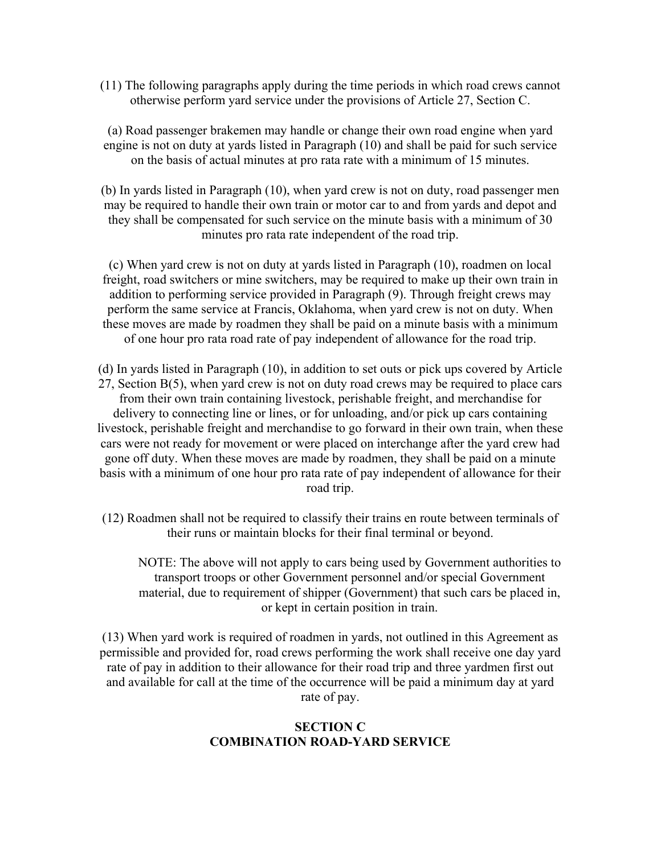(11) The following paragraphs apply during the time periods in which road crews cannot otherwise perform yard service under the provisions of Article 27, Section C.

(a) Road passenger brakemen may handle or change their own road engine when yard engine is not on duty at yards listed in Paragraph (10) and shall be paid for such service on the basis of actual minutes at pro rata rate with a minimum of 15 minutes.

(b) In yards listed in Paragraph (10), when yard crew is not on duty, road passenger men may be required to handle their own train or motor car to and from yards and depot and they shall be compensated for such service on the minute basis with a minimum of 30 minutes pro rata rate independent of the road trip.

(c) When yard crew is not on duty at yards listed in Paragraph (10), roadmen on local freight, road switchers or mine switchers, may be required to make up their own train in addition to performing service provided in Paragraph (9). Through freight crews may perform the same service at Francis, Oklahoma, when yard crew is not on duty. When these moves are made by roadmen they shall be paid on a minute basis with a minimum of one hour pro rata road rate of pay independent of allowance for the road trip.

(d) In yards listed in Paragraph (10), in addition to set outs or pick ups covered by Article 27, Section B(5), when yard crew is not on duty road crews may be required to place cars from their own train containing livestock, perishable freight, and merchandise for delivery to connecting line or lines, or for unloading, and/or pick up cars containing livestock, perishable freight and merchandise to go forward in their own train, when these cars were not ready for movement or were placed on interchange after the yard crew had gone off duty. When these moves are made by roadmen, they shall be paid on a minute basis with a minimum of one hour pro rata rate of pay independent of allowance for their road trip.

(12) Roadmen shall not be required to classify their trains en route between terminals of their runs or maintain blocks for their final terminal or beyond.

NOTE: The above will not apply to cars being used by Government authorities to transport troops or other Government personnel and/or special Government material, due to requirement of shipper (Government) that such cars be placed in, or kept in certain position in train.

(13) When yard work is required of roadmen in yards, not outlined in this Agreement as permissible and provided for, road crews performing the work shall receive one day yard rate of pay in addition to their allowance for their road trip and three yardmen first out and available for call at the time of the occurrence will be paid a minimum day at yard rate of pay.

# **SECTION C COMBINATION ROAD-YARD SERVICE**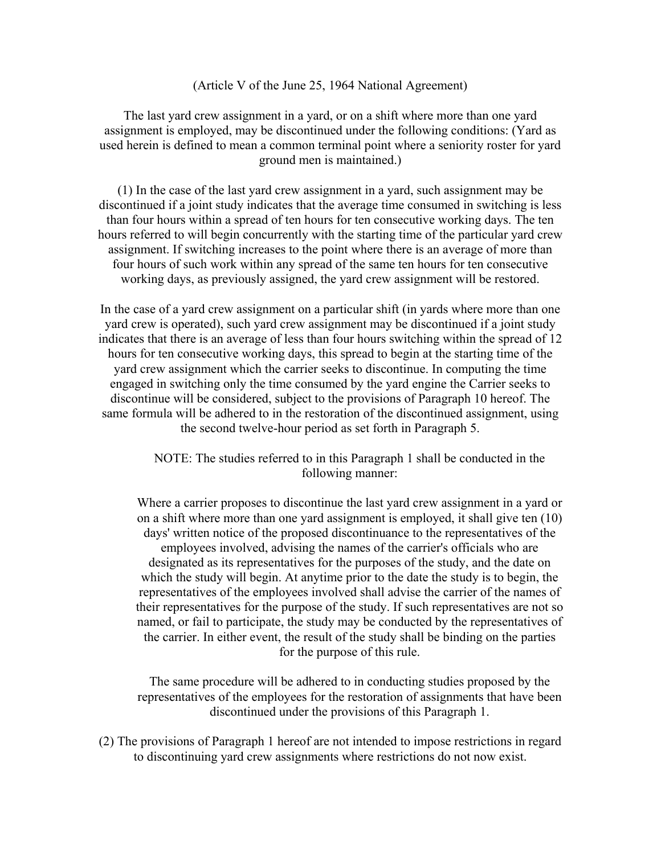#### (Article V of the June 25, 1964 National Agreement)

The last yard crew assignment in a yard, or on a shift where more than one yard assignment is employed, may be discontinued under the following conditions: (Yard as used herein is defined to mean a common terminal point where a seniority roster for yard ground men is maintained.)

(1) In the case of the last yard crew assignment in a yard, such assignment may be discontinued if a joint study indicates that the average time consumed in switching is less than four hours within a spread of ten hours for ten consecutive working days. The ten hours referred to will begin concurrently with the starting time of the particular yard crew assignment. If switching increases to the point where there is an average of more than four hours of such work within any spread of the same ten hours for ten consecutive working days, as previously assigned, the yard crew assignment will be restored.

In the case of a yard crew assignment on a particular shift (in yards where more than one yard crew is operated), such yard crew assignment may be discontinued if a joint study indicates that there is an average of less than four hours switching within the spread of 12 hours for ten consecutive working days, this spread to begin at the starting time of the yard crew assignment which the carrier seeks to discontinue. In computing the time engaged in switching only the time consumed by the yard engine the Carrier seeks to discontinue will be considered, subject to the provisions of Paragraph 10 hereof. The same formula will be adhered to in the restoration of the discontinued assignment, using the second twelve-hour period as set forth in Paragraph 5.

> NOTE: The studies referred to in this Paragraph 1 shall be conducted in the following manner:

Where a carrier proposes to discontinue the last yard crew assignment in a yard or on a shift where more than one yard assignment is employed, it shall give ten (10) days' written notice of the proposed discontinuance to the representatives of the employees involved, advising the names of the carrier's officials who are designated as its representatives for the purposes of the study, and the date on which the study will begin. At anytime prior to the date the study is to begin, the representatives of the employees involved shall advise the carrier of the names of their representatives for the purpose of the study. If such representatives are not so named, or fail to participate, the study may be conducted by the representatives of the carrier. In either event, the result of the study shall be binding on the parties for the purpose of this rule.

The same procedure will be adhered to in conducting studies proposed by the representatives of the employees for the restoration of assignments that have been discontinued under the provisions of this Paragraph 1.

(2) The provisions of Paragraph 1 hereof are not intended to impose restrictions in regard to discontinuing yard crew assignments where restrictions do not now exist.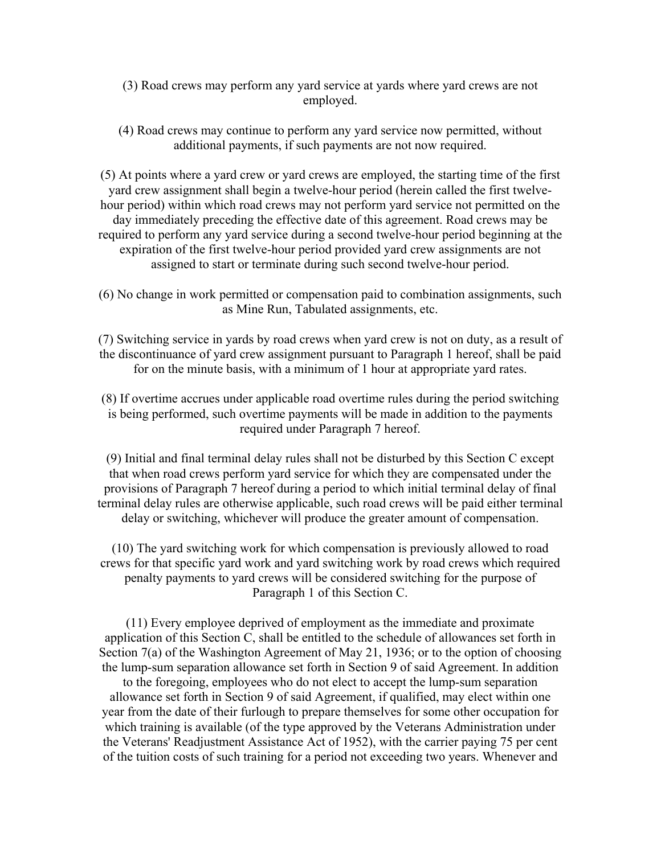- (3) Road crews may perform any yard service at yards where yard crews are not employed.
- (4) Road crews may continue to perform any yard service now permitted, without additional payments, if such payments are not now required.

(5) At points where a yard crew or yard crews are employed, the starting time of the first yard crew assignment shall begin a twelve-hour period (herein called the first twelvehour period) within which road crews may not perform yard service not permitted on the day immediately preceding the effective date of this agreement. Road crews may be required to perform any yard service during a second twelve-hour period beginning at the expiration of the first twelve-hour period provided yard crew assignments are not assigned to start or terminate during such second twelve-hour period.

(6) No change in work permitted or compensation paid to combination assignments, such as Mine Run, Tabulated assignments, etc.

(7) Switching service in yards by road crews when yard crew is not on duty, as a result of the discontinuance of yard crew assignment pursuant to Paragraph 1 hereof, shall be paid for on the minute basis, with a minimum of 1 hour at appropriate yard rates.

(8) If overtime accrues under applicable road overtime rules during the period switching is being performed, such overtime payments will be made in addition to the payments required under Paragraph 7 hereof.

(9) Initial and final terminal delay rules shall not be disturbed by this Section C except that when road crews perform yard service for which they are compensated under the provisions of Paragraph 7 hereof during a period to which initial terminal delay of final terminal delay rules are otherwise applicable, such road crews will be paid either terminal delay or switching, whichever will produce the greater amount of compensation.

(10) The yard switching work for which compensation is previously allowed to road crews for that specific yard work and yard switching work by road crews which required penalty payments to yard crews will be considered switching for the purpose of Paragraph 1 of this Section C.

(11) Every employee deprived of employment as the immediate and proximate application of this Section C, shall be entitled to the schedule of allowances set forth in Section 7(a) of the Washington Agreement of May 21, 1936; or to the option of choosing the lump-sum separation allowance set forth in Section 9 of said Agreement. In addition to the foregoing, employees who do not elect to accept the lump-sum separation allowance set forth in Section 9 of said Agreement, if qualified, may elect within one year from the date of their furlough to prepare themselves for some other occupation for which training is available (of the type approved by the Veterans Administration under the Veterans' Readjustment Assistance Act of 1952), with the carrier paying 75 per cent of the tuition costs of such training for a period not exceeding two years. Whenever and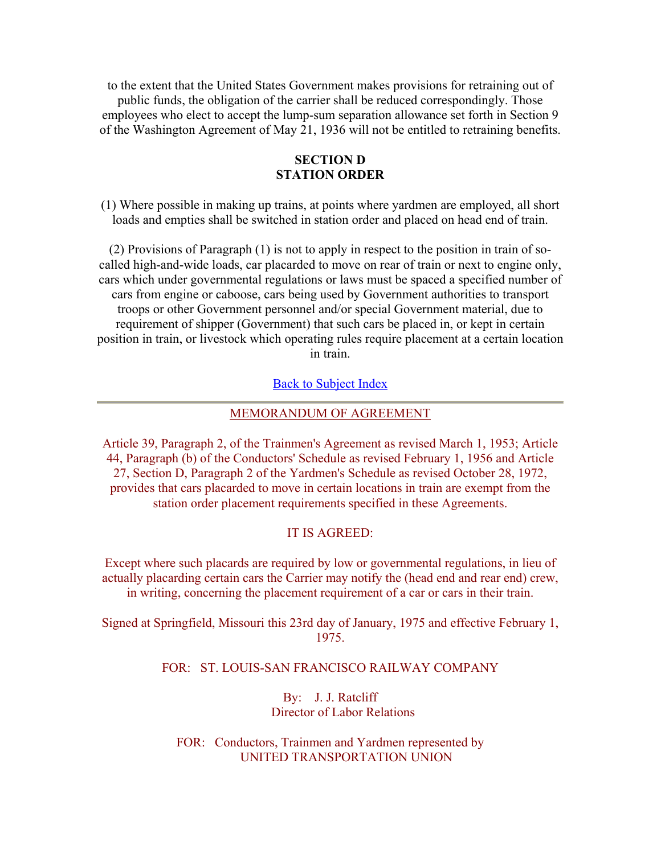to the extent that the United States Government makes provisions for retraining out of public funds, the obligation of the carrier shall be reduced correspondingly. Those employees who elect to accept the lump-sum separation allowance set forth in Section 9 of the Washington Agreement of May 21, 1936 will not be entitled to retraining benefits.

### **SECTION D STATION ORDER**

(1) Where possible in making up trains, at points where yardmen are employed, all short loads and empties shall be switched in station order and placed on head end of train.

(2) Provisions of Paragraph (1) is not to apply in respect to the position in train of socalled high-and-wide loads, car placarded to move on rear of train or next to engine only, cars which under governmental regulations or laws must be spaced a specified number of cars from engine or caboose, cars being used by Government authorities to transport troops or other Government personnel and/or special Government material, due to requirement of shipper (Government) that such cars be placed in, or kept in certain position in train, or livestock which operating rules require placement at a certain location in train.

#### Back to Subject Index

#### MEMORANDUM OF AGREEMENT

Article 39, Paragraph 2, of the Trainmen's Agreement as revised March 1, 1953; Article 44, Paragraph (b) of the Conductors' Schedule as revised February 1, 1956 and Article 27, Section D, Paragraph 2 of the Yardmen's Schedule as revised October 28, 1972, provides that cars placarded to move in certain locations in train are exempt from the station order placement requirements specified in these Agreements.

### IT IS AGREED:

Except where such placards are required by low or governmental regulations, in lieu of actually placarding certain cars the Carrier may notify the (head end and rear end) crew, in writing, concerning the placement requirement of a car or cars in their train.

Signed at Springfield, Missouri this 23rd day of January, 1975 and effective February 1, 1975.

#### FOR: ST. LOUIS-SAN FRANCISCO RAILWAY COMPANY

### By: J. J. Ratcliff Director of Labor Relations

FOR: Conductors, Trainmen and Yardmen represented by UNITED TRANSPORTATION UNION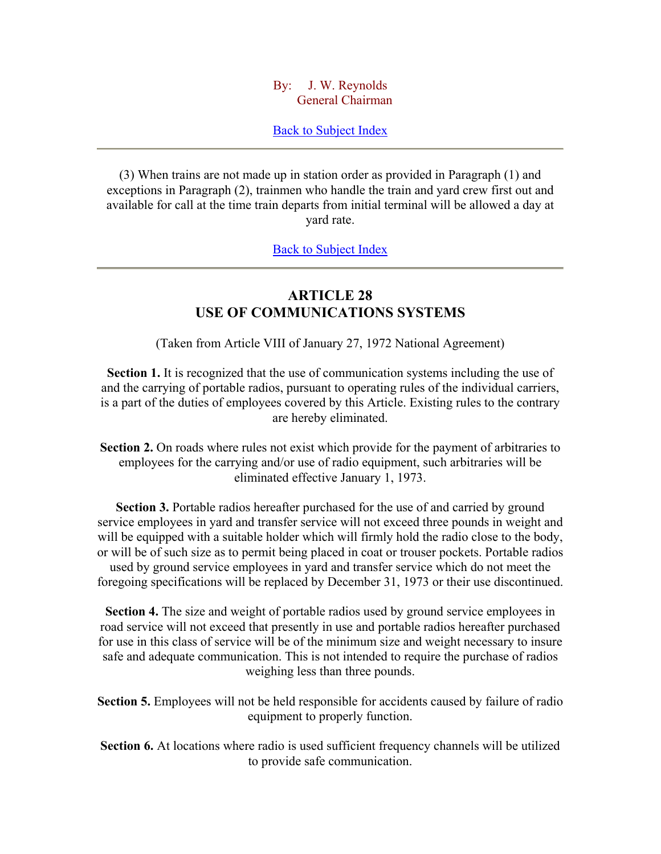### By: J. W. Reynolds General Chairman

### Back to Subject Index

(3) When trains are not made up in station order as provided in Paragraph (1) and exceptions in Paragraph (2), trainmen who handle the train and yard crew first out and available for call at the time train departs from initial terminal will be allowed a day at yard rate.

Back to Subject Index

# **ARTICLE 28 USE OF COMMUNICATIONS SYSTEMS**

(Taken from Article VIII of January 27, 1972 National Agreement)

**Section 1.** It is recognized that the use of communication systems including the use of and the carrying of portable radios, pursuant to operating rules of the individual carriers, is a part of the duties of employees covered by this Article. Existing rules to the contrary are hereby eliminated.

**Section 2.** On roads where rules not exist which provide for the payment of arbitraries to employees for the carrying and/or use of radio equipment, such arbitraries will be eliminated effective January 1, 1973.

**Section 3.** Portable radios hereafter purchased for the use of and carried by ground service employees in yard and transfer service will not exceed three pounds in weight and will be equipped with a suitable holder which will firmly hold the radio close to the body, or will be of such size as to permit being placed in coat or trouser pockets. Portable radios used by ground service employees in yard and transfer service which do not meet the foregoing specifications will be replaced by December 31, 1973 or their use discontinued.

**Section 4.** The size and weight of portable radios used by ground service employees in road service will not exceed that presently in use and portable radios hereafter purchased for use in this class of service will be of the minimum size and weight necessary to insure safe and adequate communication. This is not intended to require the purchase of radios weighing less than three pounds.

**Section 5.** Employees will not be held responsible for accidents caused by failure of radio equipment to properly function.

**Section 6.** At locations where radio is used sufficient frequency channels will be utilized to provide safe communication.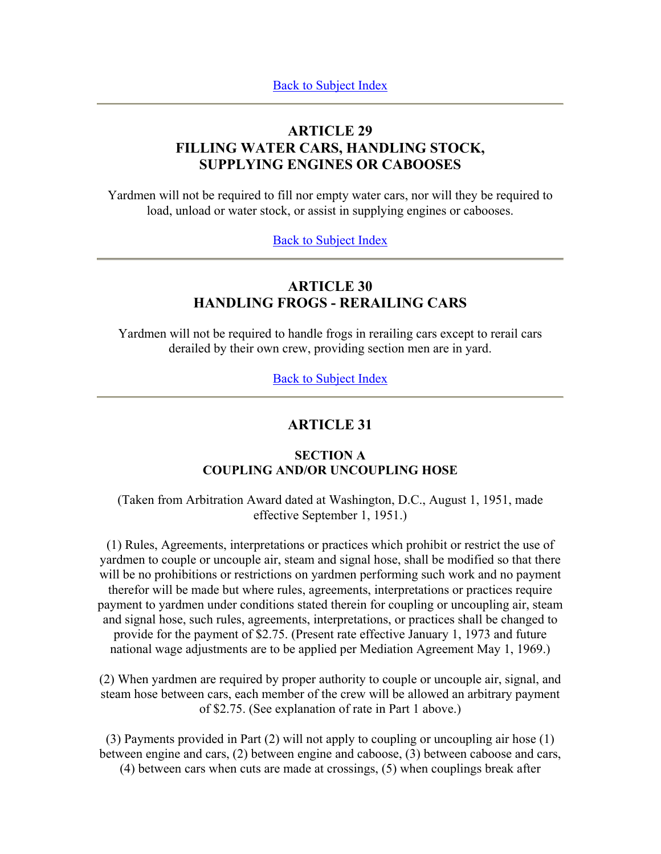# **ARTICLE 29 FILLING WATER CARS, HANDLING STOCK, SUPPLYING ENGINES OR CABOOSES**

Yardmen will not be required to fill nor empty water cars, nor will they be required to load, unload or water stock, or assist in supplying engines or cabooses.

## Back to Subject Index

# **ARTICLE 30 HANDLING FROGS - RERAILING CARS**

Yardmen will not be required to handle frogs in rerailing cars except to rerail cars derailed by their own crew, providing section men are in yard.

Back to Subject Index

# **ARTICLE 31**

# **SECTION A COUPLING AND/OR UNCOUPLING HOSE**

(Taken from Arbitration Award dated at Washington, D.C., August 1, 1951, made effective September 1, 1951.)

(1) Rules, Agreements, interpretations or practices which prohibit or restrict the use of yardmen to couple or uncouple air, steam and signal hose, shall be modified so that there will be no prohibitions or restrictions on yardmen performing such work and no payment therefor will be made but where rules, agreements, interpretations or practices require payment to yardmen under conditions stated therein for coupling or uncoupling air, steam and signal hose, such rules, agreements, interpretations, or practices shall be changed to provide for the payment of \$2.75. (Present rate effective January 1, 1973 and future national wage adjustments are to be applied per Mediation Agreement May 1, 1969.)

(2) When yardmen are required by proper authority to couple or uncouple air, signal, and steam hose between cars, each member of the crew will be allowed an arbitrary payment of \$2.75. (See explanation of rate in Part 1 above.)

(3) Payments provided in Part (2) will not apply to coupling or uncoupling air hose (1) between engine and cars, (2) between engine and caboose, (3) between caboose and cars, (4) between cars when cuts are made at crossings, (5) when couplings break after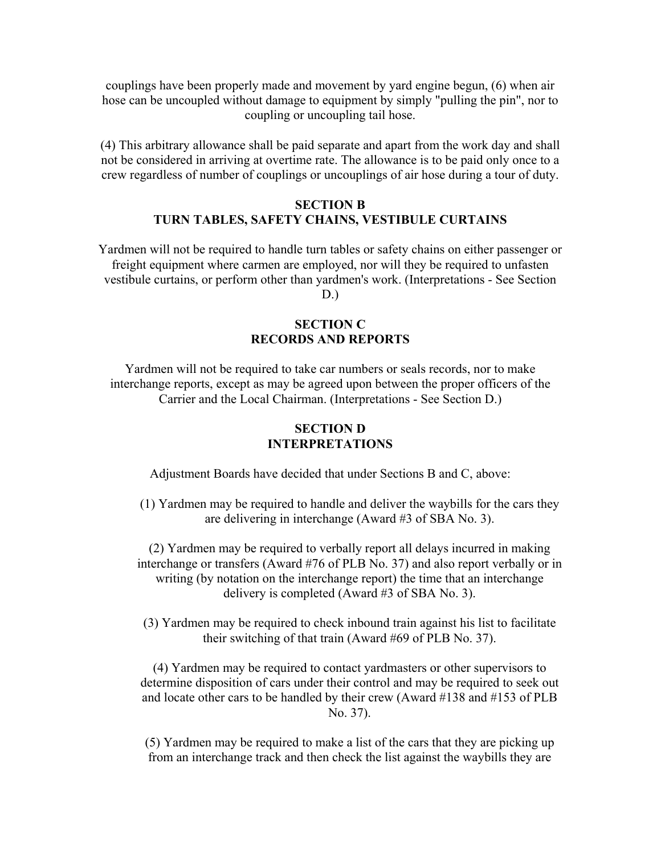couplings have been properly made and movement by yard engine begun, (6) when air hose can be uncoupled without damage to equipment by simply "pulling the pin", nor to coupling or uncoupling tail hose.

(4) This arbitrary allowance shall be paid separate and apart from the work day and shall not be considered in arriving at overtime rate. The allowance is to be paid only once to a crew regardless of number of couplings or uncouplings of air hose during a tour of duty.

### **SECTION B TURN TABLES, SAFETY CHAINS, VESTIBULE CURTAINS**

Yardmen will not be required to handle turn tables or safety chains on either passenger or freight equipment where carmen are employed, nor will they be required to unfasten vestibule curtains, or perform other than yardmen's work. (Interpretations - See Section

 $D.$ )

## **SECTION C RECORDS AND REPORTS**

Yardmen will not be required to take car numbers or seals records, nor to make interchange reports, except as may be agreed upon between the proper officers of the Carrier and the Local Chairman. (Interpretations - See Section D.)

## **SECTION D INTERPRETATIONS**

Adjustment Boards have decided that under Sections B and C, above:

(1) Yardmen may be required to handle and deliver the waybills for the cars they are delivering in interchange (Award #3 of SBA No. 3).

(2) Yardmen may be required to verbally report all delays incurred in making interchange or transfers (Award #76 of PLB No. 37) and also report verbally or in writing (by notation on the interchange report) the time that an interchange delivery is completed (Award #3 of SBA No. 3).

(3) Yardmen may be required to check inbound train against his list to facilitate their switching of that train (Award #69 of PLB No. 37).

(4) Yardmen may be required to contact yardmasters or other supervisors to determine disposition of cars under their control and may be required to seek out and locate other cars to be handled by their crew (Award #138 and #153 of PLB No. 37).

(5) Yardmen may be required to make a list of the cars that they are picking up from an interchange track and then check the list against the waybills they are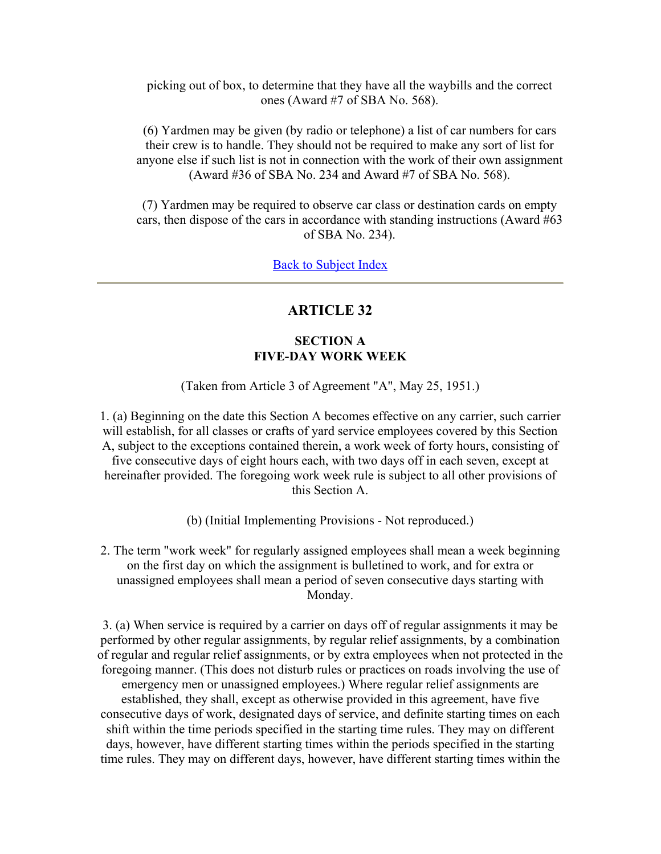picking out of box, to determine that they have all the waybills and the correct ones (Award #7 of SBA No. 568).

(6) Yardmen may be given (by radio or telephone) a list of car numbers for cars their crew is to handle. They should not be required to make any sort of list for anyone else if such list is not in connection with the work of their own assignment (Award #36 of SBA No. 234 and Award #7 of SBA No. 568).

(7) Yardmen may be required to observe car class or destination cards on empty cars, then dispose of the cars in accordance with standing instructions (Award #63 of SBA No. 234).

Back to Subject Index

# **ARTICLE 32**

# **SECTION A FIVE-DAY WORK WEEK**

(Taken from Article 3 of Agreement "A", May 25, 1951.)

1. (a) Beginning on the date this Section A becomes effective on any carrier, such carrier will establish, for all classes or crafts of yard service employees covered by this Section A, subject to the exceptions contained therein, a work week of forty hours, consisting of five consecutive days of eight hours each, with two days off in each seven, except at hereinafter provided. The foregoing work week rule is subject to all other provisions of this Section A.

(b) (Initial Implementing Provisions - Not reproduced.)

2. The term "work week" for regularly assigned employees shall mean a week beginning on the first day on which the assignment is bulletined to work, and for extra or unassigned employees shall mean a period of seven consecutive days starting with Monday.

3. (a) When service is required by a carrier on days off of regular assignments it may be performed by other regular assignments, by regular relief assignments, by a combination of regular and regular relief assignments, or by extra employees when not protected in the foregoing manner. (This does not disturb rules or practices on roads involving the use of emergency men or unassigned employees.) Where regular relief assignments are established, they shall, except as otherwise provided in this agreement, have five consecutive days of work, designated days of service, and definite starting times on each shift within the time periods specified in the starting time rules. They may on different days, however, have different starting times within the periods specified in the starting time rules. They may on different days, however, have different starting times within the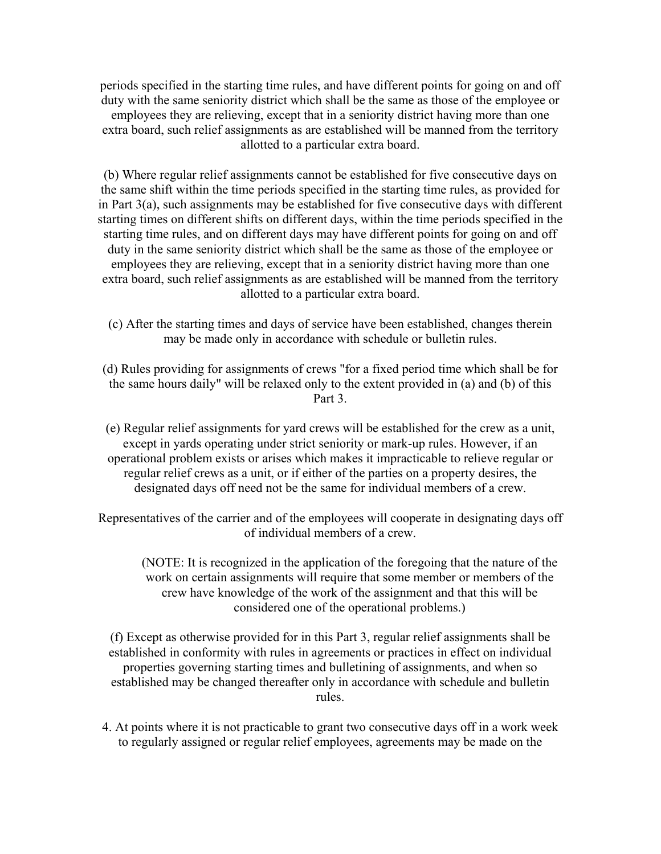periods specified in the starting time rules, and have different points for going on and off duty with the same seniority district which shall be the same as those of the employee or employees they are relieving, except that in a seniority district having more than one extra board, such relief assignments as are established will be manned from the territory allotted to a particular extra board.

(b) Where regular relief assignments cannot be established for five consecutive days on the same shift within the time periods specified in the starting time rules, as provided for in Part 3(a), such assignments may be established for five consecutive days with different starting times on different shifts on different days, within the time periods specified in the starting time rules, and on different days may have different points for going on and off duty in the same seniority district which shall be the same as those of the employee or employees they are relieving, except that in a seniority district having more than one extra board, such relief assignments as are established will be manned from the territory allotted to a particular extra board.

- (c) After the starting times and days of service have been established, changes therein may be made only in accordance with schedule or bulletin rules.
- (d) Rules providing for assignments of crews "for a fixed period time which shall be for the same hours daily" will be relaxed only to the extent provided in (a) and (b) of this Part 3.
- (e) Regular relief assignments for yard crews will be established for the crew as a unit, except in yards operating under strict seniority or mark-up rules. However, if an operational problem exists or arises which makes it impracticable to relieve regular or regular relief crews as a unit, or if either of the parties on a property desires, the designated days off need not be the same for individual members of a crew.

Representatives of the carrier and of the employees will cooperate in designating days off of individual members of a crew.

(NOTE: It is recognized in the application of the foregoing that the nature of the work on certain assignments will require that some member or members of the crew have knowledge of the work of the assignment and that this will be considered one of the operational problems.)

(f) Except as otherwise provided for in this Part 3, regular relief assignments shall be established in conformity with rules in agreements or practices in effect on individual properties governing starting times and bulletining of assignments, and when so established may be changed thereafter only in accordance with schedule and bulletin rules.

4. At points where it is not practicable to grant two consecutive days off in a work week to regularly assigned or regular relief employees, agreements may be made on the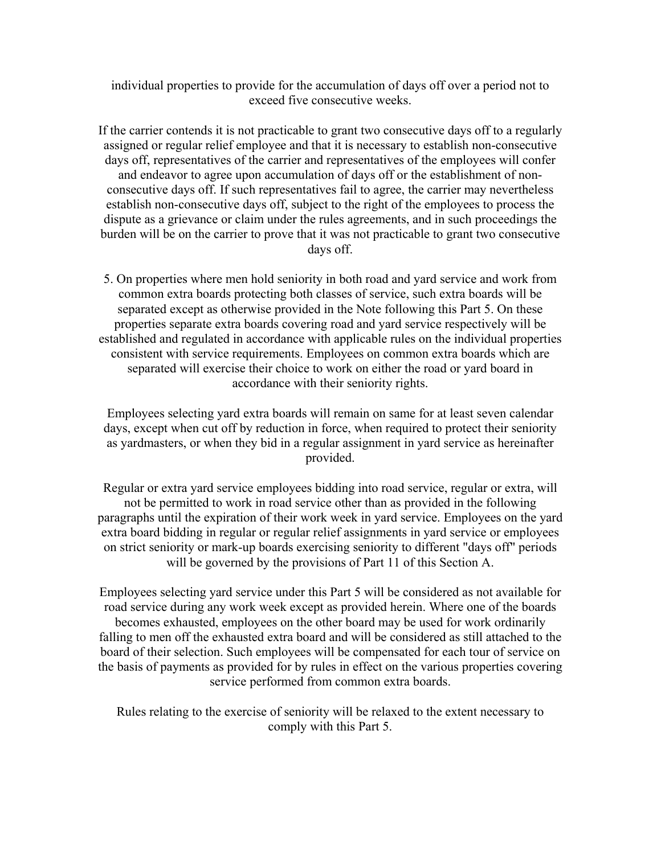individual properties to provide for the accumulation of days off over a period not to exceed five consecutive weeks.

If the carrier contends it is not practicable to grant two consecutive days off to a regularly assigned or regular relief employee and that it is necessary to establish non-consecutive days off, representatives of the carrier and representatives of the employees will confer and endeavor to agree upon accumulation of days off or the establishment of nonconsecutive days off. If such representatives fail to agree, the carrier may nevertheless establish non-consecutive days off, subject to the right of the employees to process the dispute as a grievance or claim under the rules agreements, and in such proceedings the burden will be on the carrier to prove that it was not practicable to grant two consecutive days off.

5. On properties where men hold seniority in both road and yard service and work from common extra boards protecting both classes of service, such extra boards will be separated except as otherwise provided in the Note following this Part 5. On these properties separate extra boards covering road and yard service respectively will be established and regulated in accordance with applicable rules on the individual properties consistent with service requirements. Employees on common extra boards which are separated will exercise their choice to work on either the road or yard board in accordance with their seniority rights.

Employees selecting yard extra boards will remain on same for at least seven calendar days, except when cut off by reduction in force, when required to protect their seniority as yardmasters, or when they bid in a regular assignment in yard service as hereinafter provided.

Regular or extra yard service employees bidding into road service, regular or extra, will not be permitted to work in road service other than as provided in the following paragraphs until the expiration of their work week in yard service. Employees on the yard extra board bidding in regular or regular relief assignments in yard service or employees on strict seniority or mark-up boards exercising seniority to different "days off" periods will be governed by the provisions of Part 11 of this Section A.

Employees selecting yard service under this Part 5 will be considered as not available for road service during any work week except as provided herein. Where one of the boards becomes exhausted, employees on the other board may be used for work ordinarily falling to men off the exhausted extra board and will be considered as still attached to the board of their selection. Such employees will be compensated for each tour of service on the basis of payments as provided for by rules in effect on the various properties covering service performed from common extra boards.

Rules relating to the exercise of seniority will be relaxed to the extent necessary to comply with this Part 5.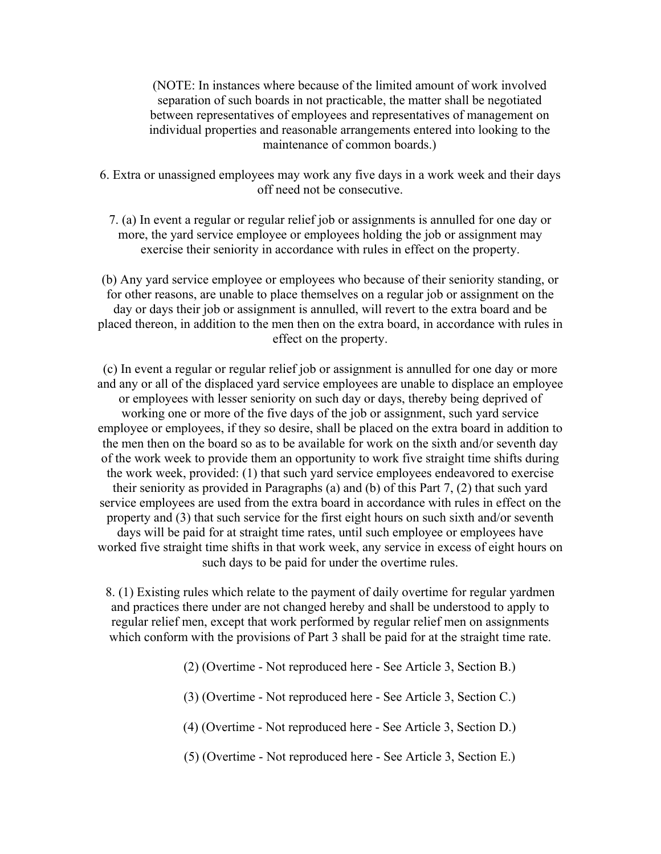(NOTE: In instances where because of the limited amount of work involved separation of such boards in not practicable, the matter shall be negotiated between representatives of employees and representatives of management on individual properties and reasonable arrangements entered into looking to the maintenance of common boards.)

6. Extra or unassigned employees may work any five days in a work week and their days off need not be consecutive.

7. (a) In event a regular or regular relief job or assignments is annulled for one day or more, the yard service employee or employees holding the job or assignment may exercise their seniority in accordance with rules in effect on the property.

(b) Any yard service employee or employees who because of their seniority standing, or for other reasons, are unable to place themselves on a regular job or assignment on the day or days their job or assignment is annulled, will revert to the extra board and be placed thereon, in addition to the men then on the extra board, in accordance with rules in effect on the property.

(c) In event a regular or regular relief job or assignment is annulled for one day or more and any or all of the displaced yard service employees are unable to displace an employee or employees with lesser seniority on such day or days, thereby being deprived of working one or more of the five days of the job or assignment, such yard service employee or employees, if they so desire, shall be placed on the extra board in addition to the men then on the board so as to be available for work on the sixth and/or seventh day of the work week to provide them an opportunity to work five straight time shifts during the work week, provided: (1) that such yard service employees endeavored to exercise their seniority as provided in Paragraphs (a) and (b) of this Part 7, (2) that such yard service employees are used from the extra board in accordance with rules in effect on the property and (3) that such service for the first eight hours on such sixth and/or seventh days will be paid for at straight time rates, until such employee or employees have worked five straight time shifts in that work week, any service in excess of eight hours on such days to be paid for under the overtime rules.

8. (1) Existing rules which relate to the payment of daily overtime for regular yardmen and practices there under are not changed hereby and shall be understood to apply to regular relief men, except that work performed by regular relief men on assignments which conform with the provisions of Part 3 shall be paid for at the straight time rate.

(2) (Overtime - Not reproduced here - See Article 3, Section B.)

(3) (Overtime - Not reproduced here - See Article 3, Section C.)

(4) (Overtime - Not reproduced here - See Article 3, Section D.)

(5) (Overtime - Not reproduced here - See Article 3, Section E.)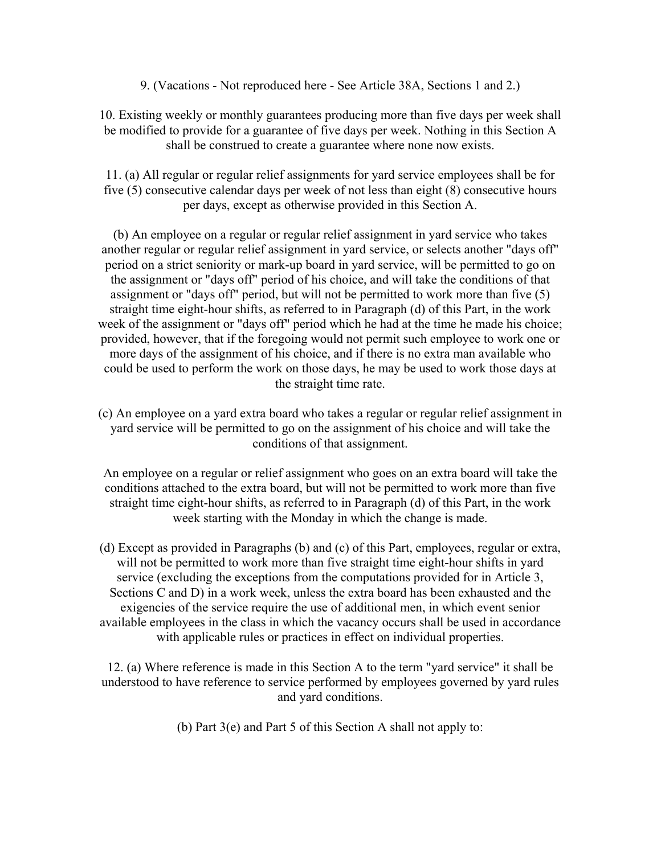9. (Vacations - Not reproduced here - See Article 38A, Sections 1 and 2.)

10. Existing weekly or monthly guarantees producing more than five days per week shall be modified to provide for a guarantee of five days per week. Nothing in this Section A shall be construed to create a guarantee where none now exists.

11. (a) All regular or regular relief assignments for yard service employees shall be for five (5) consecutive calendar days per week of not less than eight (8) consecutive hours per days, except as otherwise provided in this Section A.

(b) An employee on a regular or regular relief assignment in yard service who takes another regular or regular relief assignment in yard service, or selects another "days off" period on a strict seniority or mark-up board in yard service, will be permitted to go on the assignment or "days off" period of his choice, and will take the conditions of that assignment or "days off" period, but will not be permitted to work more than five (5) straight time eight-hour shifts, as referred to in Paragraph (d) of this Part, in the work week of the assignment or "days off" period which he had at the time he made his choice; provided, however, that if the foregoing would not permit such employee to work one or more days of the assignment of his choice, and if there is no extra man available who could be used to perform the work on those days, he may be used to work those days at the straight time rate.

(c) An employee on a yard extra board who takes a regular or regular relief assignment in yard service will be permitted to go on the assignment of his choice and will take the conditions of that assignment.

An employee on a regular or relief assignment who goes on an extra board will take the conditions attached to the extra board, but will not be permitted to work more than five straight time eight-hour shifts, as referred to in Paragraph (d) of this Part, in the work week starting with the Monday in which the change is made.

(d) Except as provided in Paragraphs (b) and (c) of this Part, employees, regular or extra, will not be permitted to work more than five straight time eight-hour shifts in yard service (excluding the exceptions from the computations provided for in Article 3, Sections C and D) in a work week, unless the extra board has been exhausted and the exigencies of the service require the use of additional men, in which event senior available employees in the class in which the vacancy occurs shall be used in accordance with applicable rules or practices in effect on individual properties.

12. (a) Where reference is made in this Section A to the term "yard service" it shall be understood to have reference to service performed by employees governed by yard rules and yard conditions.

(b) Part 3(e) and Part 5 of this Section A shall not apply to: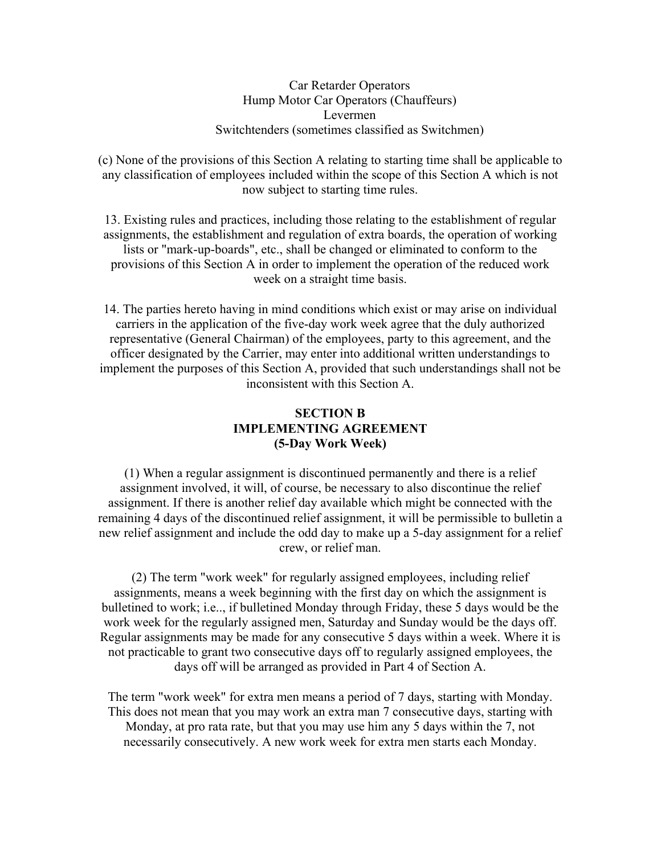### Car Retarder Operators Hump Motor Car Operators (Chauffeurs) Levermen Switchtenders (sometimes classified as Switchmen)

(c) None of the provisions of this Section A relating to starting time shall be applicable to any classification of employees included within the scope of this Section A which is not now subject to starting time rules.

13. Existing rules and practices, including those relating to the establishment of regular assignments, the establishment and regulation of extra boards, the operation of working lists or "mark-up-boards", etc., shall be changed or eliminated to conform to the provisions of this Section A in order to implement the operation of the reduced work week on a straight time basis.

14. The parties hereto having in mind conditions which exist or may arise on individual carriers in the application of the five-day work week agree that the duly authorized representative (General Chairman) of the employees, party to this agreement, and the officer designated by the Carrier, may enter into additional written understandings to implement the purposes of this Section A, provided that such understandings shall not be inconsistent with this Section A.

# **SECTION B IMPLEMENTING AGREEMENT (5-Day Work Week)**

(1) When a regular assignment is discontinued permanently and there is a relief assignment involved, it will, of course, be necessary to also discontinue the relief assignment. If there is another relief day available which might be connected with the remaining 4 days of the discontinued relief assignment, it will be permissible to bulletin a new relief assignment and include the odd day to make up a 5-day assignment for a relief crew, or relief man.

(2) The term "work week" for regularly assigned employees, including relief assignments, means a week beginning with the first day on which the assignment is bulletined to work; i.e.., if bulletined Monday through Friday, these 5 days would be the work week for the regularly assigned men, Saturday and Sunday would be the days off. Regular assignments may be made for any consecutive 5 days within a week. Where it is not practicable to grant two consecutive days off to regularly assigned employees, the days off will be arranged as provided in Part 4 of Section A.

The term "work week" for extra men means a period of 7 days, starting with Monday. This does not mean that you may work an extra man 7 consecutive days, starting with Monday, at pro rata rate, but that you may use him any 5 days within the 7, not necessarily consecutively. A new work week for extra men starts each Monday.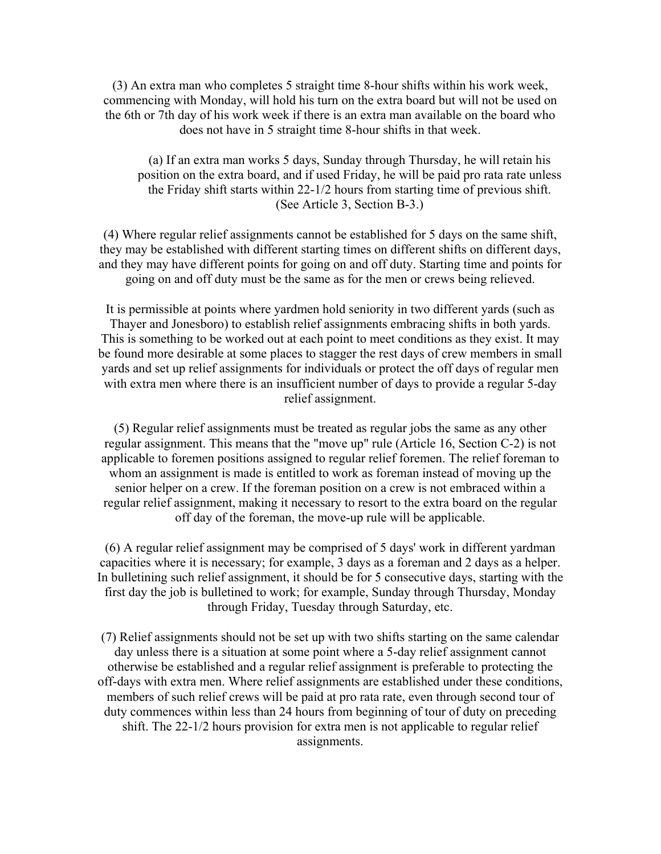(3) An extra man who completes 5 straight time 8-hour shifts within his work week, commencing with Monday, will hold his turn on the extra board but will not be used on the 6th or 7th day of his work week if there is an extra man available on the board who does not have in 5 straight time 8-hour shifts in that week.

(a) If an extra man works 5 days, Sunday through Thursday, he will retain his position on the extra board, and if used Friday, he will be paid pro rata rate unless the Friday shift starts within 22-1/2 hours from starting time of previous shift. (See Article 3, Section B-3.)

(4) Where regular relief assignments cannot be established for 5 days on the same shift, they may be established with different starting times on different shifts on different days, and they may have different points for going on and off duty. Starting time and points for going on and off duty must be the same as for the men or crews being relieved.

It is permissible at points where yardmen hold seniority in two different yards (such as Thayer and Jonesboro) to establish relief assignments embracing shifts in both yards. This is something to be worked out at each point to meet conditions as they exist. It may be found more desirable at some places to stagger the rest days of crew members in small yards and set up relief assignments for individuals or protect the off days of regular men with extra men where there is an insufficient number of days to provide a regular 5-day relief assignment.

(5) Regular relief assignments must be treated as regular jobs the same as any other regular assignment. This means that the "move up" rule (Article 16, Section C-2) is not applicable to foremen positions assigned to regular relief foremen. The relief foreman to whom an assignment is made is entitled to work as foreman instead of moving up the senior helper on a crew. If the foreman position on a crew is not embraced within a regular relief assignment, making it necessary to resort to the extra board on the regular off day of the foreman, the move-up rule will be applicable.

(6) A regular relief assignment may be comprised of 5 days' work in different yardman capacities where it is necessary; for example, 3 days as a foreman and 2 days as a helper. In bulletining such relief assignment, it should be for 5 consecutive days, starting with the first day the job is bulletined to work; for example, Sunday through Thursday, Monday through Friday, Tuesday through Saturday, etc.

(7) Relief assignments should not be set up with two shifts starting on the same calendar day unless there is a situation at some point where a 5-day relief assignment cannot otherwise be established and a regular relief assignment is preferable to protecting the off-days with extra men. Where relief assignments are established under these conditions, members of such relief crews will be paid at pro rata rate, even through second tour of duty commences within less than 24 hours from beginning of tour of duty on preceding shift. The 22-1/2 hours provision for extra men is not applicable to regular relief assignments.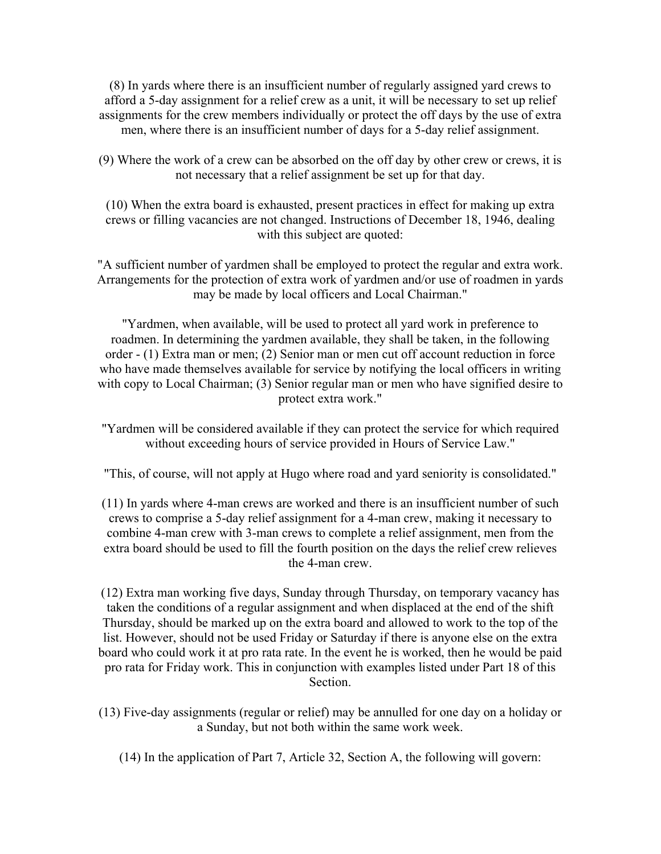(8) In yards where there is an insufficient number of regularly assigned yard crews to afford a 5-day assignment for a relief crew as a unit, it will be necessary to set up relief assignments for the crew members individually or protect the off days by the use of extra men, where there is an insufficient number of days for a 5-day relief assignment.

(9) Where the work of a crew can be absorbed on the off day by other crew or crews, it is not necessary that a relief assignment be set up for that day.

(10) When the extra board is exhausted, present practices in effect for making up extra crews or filling vacancies are not changed. Instructions of December 18, 1946, dealing with this subject are quoted:

"A sufficient number of yardmen shall be employed to protect the regular and extra work. Arrangements for the protection of extra work of yardmen and/or use of roadmen in yards may be made by local officers and Local Chairman."

"Yardmen, when available, will be used to protect all yard work in preference to roadmen. In determining the yardmen available, they shall be taken, in the following order - (1) Extra man or men; (2) Senior man or men cut off account reduction in force who have made themselves available for service by notifying the local officers in writing with copy to Local Chairman; (3) Senior regular man or men who have signified desire to protect extra work."

"Yardmen will be considered available if they can protect the service for which required without exceeding hours of service provided in Hours of Service Law."

"This, of course, will not apply at Hugo where road and yard seniority is consolidated."

(11) In yards where 4-man crews are worked and there is an insufficient number of such crews to comprise a 5-day relief assignment for a 4-man crew, making it necessary to combine 4-man crew with 3-man crews to complete a relief assignment, men from the extra board should be used to fill the fourth position on the days the relief crew relieves the 4-man crew.

(12) Extra man working five days, Sunday through Thursday, on temporary vacancy has taken the conditions of a regular assignment and when displaced at the end of the shift Thursday, should be marked up on the extra board and allowed to work to the top of the list. However, should not be used Friday or Saturday if there is anyone else on the extra board who could work it at pro rata rate. In the event he is worked, then he would be paid pro rata for Friday work. This in conjunction with examples listed under Part 18 of this Section.

- (13) Five-day assignments (regular or relief) may be annulled for one day on a holiday or a Sunday, but not both within the same work week.
	- (14) In the application of Part 7, Article 32, Section A, the following will govern: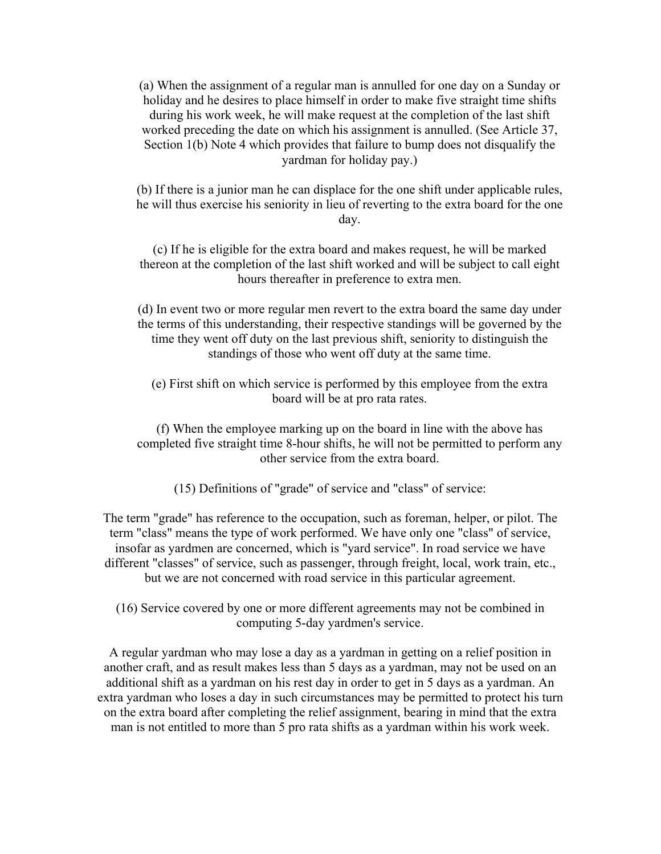(a) When the assignment of a regular man is annulled for one day on a Sunday or holiday and he desires to place himself in order to make five straight time shifts during his work week, he will make request at the completion of the last shift worked preceding the date on which his assignment is annulled. (See Article 37, Section 1(b) Note 4 which provides that failure to bump does not disqualify the yardman for holiday pay.)

(b) If there is a junior man he can displace for the one shift under applicable rules, he will thus exercise his seniority in lieu of reverting to the extra board for the one day.

(c) If he is eligible for the extra board and makes request, he will be marked thereon at the completion of the last shift worked and will be subject to call eight hours thereafter in preference to extra men.

(d) In event two or more regular men revert to the extra board the same day under the terms of this understanding, their respective standings will be governed by the time they went off duty on the last previous shift, seniority to distinguish the standings of those who went off duty at the same time.

(e) First shift on which service is performed by this employee from the extra board will be at pro rata rates.

(f) When the employee marking up on the board in line with the above has completed five straight time 8-hour shifts, he will not be permitted to perform any other service from the extra board.

(15) Definitions of "grade" of service and "class" of service:

The term "grade" has reference to the occupation, such as foreman, helper, or pilot. The term "class" means the type of work performed. We have only one "class" of service, insofar as yardmen are concerned, which is "yard service". In road service we have different "classes" of service, such as passenger, through freight, local, work train, etc., but we are not concerned with road service in this particular agreement.

(16) Service covered by one or more different agreements may not be combined in computing 5-day yardmen's service.

A regular yardman who may lose a day as a yardman in getting on a relief position in another craft, and as result makes less than 5 days as a yardman, may not be used on an additional shift as a yardman on his rest day in order to get in 5 days as a yardman. An extra yardman who loses a day in such circumstances may be permitted to protect his turn on the extra board after completing the relief assignment, bearing in mind that the extra man is not entitled to more than 5 pro rata shifts as a yardman within his work week.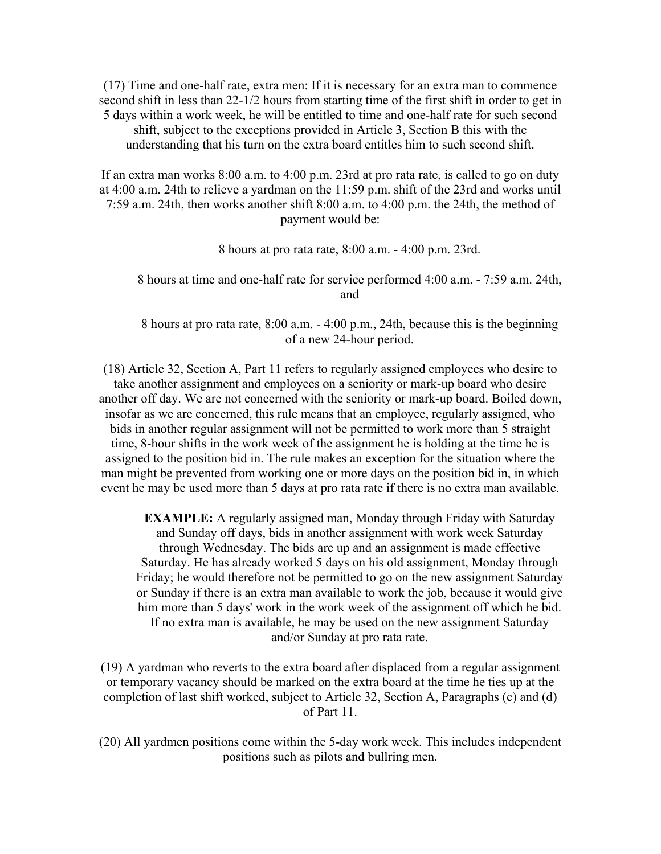(17) Time and one-half rate, extra men: If it is necessary for an extra man to commence second shift in less than 22-1/2 hours from starting time of the first shift in order to get in 5 days within a work week, he will be entitled to time and one-half rate for such second shift, subject to the exceptions provided in Article 3, Section B this with the understanding that his turn on the extra board entitles him to such second shift.

If an extra man works 8:00 a.m. to 4:00 p.m. 23rd at pro rata rate, is called to go on duty at 4:00 a.m. 24th to relieve a yardman on the 11:59 p.m. shift of the 23rd and works until 7:59 a.m. 24th, then works another shift 8:00 a.m. to 4:00 p.m. the 24th, the method of payment would be:

8 hours at pro rata rate, 8:00 a.m. - 4:00 p.m. 23rd.

8 hours at time and one-half rate for service performed 4:00 a.m. - 7:59 a.m. 24th, and

8 hours at pro rata rate, 8:00 a.m. - 4:00 p.m., 24th, because this is the beginning of a new 24-hour period.

(18) Article 32, Section A, Part 11 refers to regularly assigned employees who desire to take another assignment and employees on a seniority or mark-up board who desire another off day. We are not concerned with the seniority or mark-up board. Boiled down, insofar as we are concerned, this rule means that an employee, regularly assigned, who bids in another regular assignment will not be permitted to work more than 5 straight time, 8-hour shifts in the work week of the assignment he is holding at the time he is assigned to the position bid in. The rule makes an exception for the situation where the man might be prevented from working one or more days on the position bid in, in which event he may be used more than 5 days at pro rata rate if there is no extra man available.

**EXAMPLE:** A regularly assigned man, Monday through Friday with Saturday and Sunday off days, bids in another assignment with work week Saturday through Wednesday. The bids are up and an assignment is made effective Saturday. He has already worked 5 days on his old assignment, Monday through Friday; he would therefore not be permitted to go on the new assignment Saturday or Sunday if there is an extra man available to work the job, because it would give him more than 5 days' work in the work week of the assignment off which he bid. If no extra man is available, he may be used on the new assignment Saturday and/or Sunday at pro rata rate.

(19) A yardman who reverts to the extra board after displaced from a regular assignment or temporary vacancy should be marked on the extra board at the time he ties up at the completion of last shift worked, subject to Article 32, Section A, Paragraphs (c) and (d) of Part 11.

(20) All yardmen positions come within the 5-day work week. This includes independent positions such as pilots and bullring men.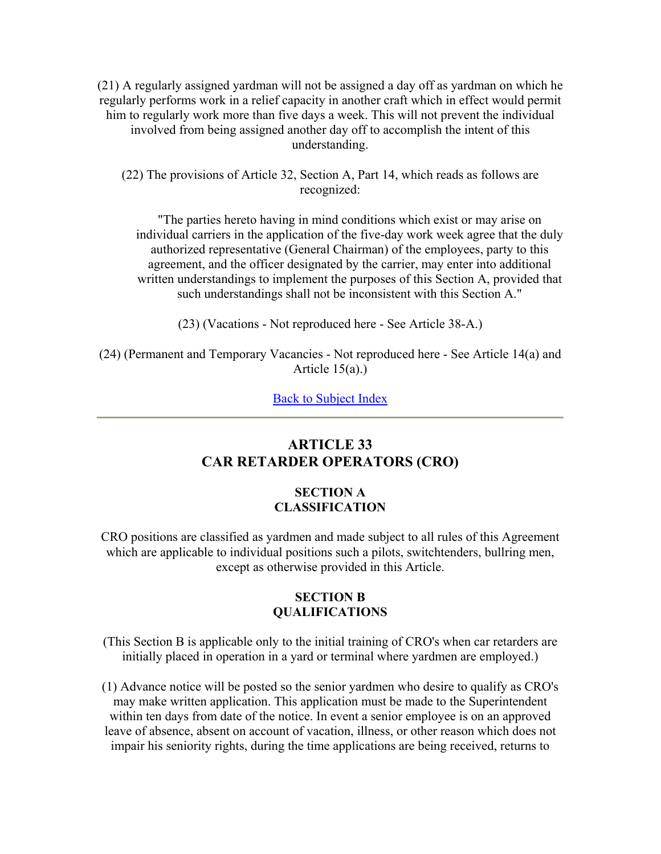(21) A regularly assigned yardman will not be assigned a day off as yardman on which he regularly performs work in a relief capacity in another craft which in effect would permit him to regularly work more than five days a week. This will not prevent the individual involved from being assigned another day off to accomplish the intent of this understanding.

(22) The provisions of Article 32, Section A, Part 14, which reads as follows are recognized:

"The parties hereto having in mind conditions which exist or may arise on individual carriers in the application of the five-day work week agree that the duly authorized representative (General Chairman) of the employees, party to this agreement, and the officer designated by the carrier, may enter into additional written understandings to implement the purposes of this Section A, provided that such understandings shall not be inconsistent with this Section A."

(23) (Vacations - Not reproduced here - See Article 38-A.)

(24) (Permanent and Temporary Vacancies - Not reproduced here - See Article 14(a) and Article 15(a).)

Back to Subject Index

# **ARTICLE 33 CAR RETARDER OPERATORS (CRO)**

# **SECTION A CLASSIFICATION**

CRO positions are classified as yardmen and made subject to all rules of this Agreement which are applicable to individual positions such a pilots, switchtenders, bullring men, except as otherwise provided in this Article.

# **SECTION B QUALIFICATIONS**

(This Section B is applicable only to the initial training of CRO's when car retarders are initially placed in operation in a yard or terminal where yardmen are employed.)

(1) Advance notice will be posted so the senior yardmen who desire to qualify as CRO's may make written application. This application must be made to the Superintendent within ten days from date of the notice. In event a senior employee is on an approved leave of absence, absent on account of vacation, illness, or other reason which does not impair his seniority rights, during the time applications are being received, returns to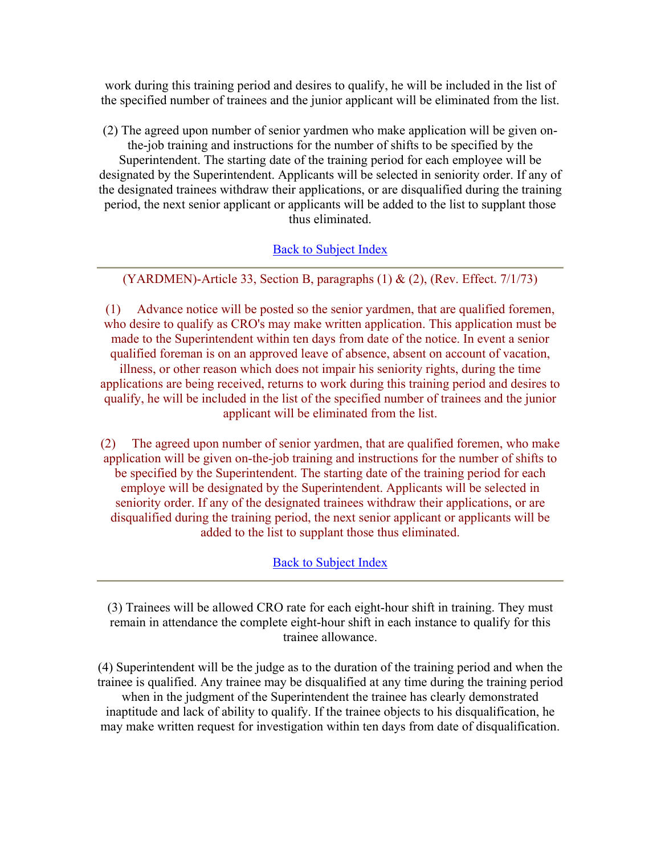work during this training period and desires to qualify, he will be included in the list of the specified number of trainees and the junior applicant will be eliminated from the list.

(2) The agreed upon number of senior yardmen who make application will be given onthe-job training and instructions for the number of shifts to be specified by the Superintendent. The starting date of the training period for each employee will be designated by the Superintendent. Applicants will be selected in seniority order. If any of the designated trainees withdraw their applications, or are disqualified during the training period, the next senior applicant or applicants will be added to the list to supplant those thus eliminated.

# Back to Subject Index

(YARDMEN)-Article 33, Section B, paragraphs  $(1)$  &  $(2)$ , (Rev. Effect. 7/1/73)

(1) Advance notice will be posted so the senior yardmen, that are qualified foremen, who desire to qualify as CRO's may make written application. This application must be made to the Superintendent within ten days from date of the notice. In event a senior qualified foreman is on an approved leave of absence, absent on account of vacation, illness, or other reason which does not impair his seniority rights, during the time applications are being received, returns to work during this training period and desires to qualify, he will be included in the list of the specified number of trainees and the junior applicant will be eliminated from the list.

(2) The agreed upon number of senior yardmen, that are qualified foremen, who make application will be given on-the-job training and instructions for the number of shifts to be specified by the Superintendent. The starting date of the training period for each employe will be designated by the Superintendent. Applicants will be selected in seniority order. If any of the designated trainees withdraw their applications, or are disqualified during the training period, the next senior applicant or applicants will be added to the list to supplant those thus eliminated.

# Back to Subject Index

(3) Trainees will be allowed CRO rate for each eight-hour shift in training. They must remain in attendance the complete eight-hour shift in each instance to qualify for this trainee allowance.

(4) Superintendent will be the judge as to the duration of the training period and when the trainee is qualified. Any trainee may be disqualified at any time during the training period when in the judgment of the Superintendent the trainee has clearly demonstrated inaptitude and lack of ability to qualify. If the trainee objects to his disqualification, he may make written request for investigation within ten days from date of disqualification.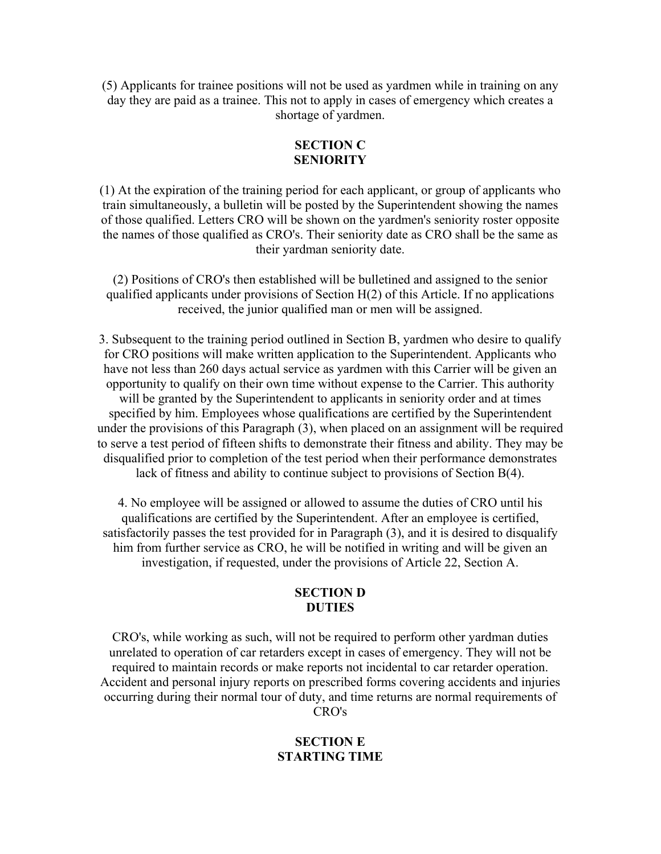(5) Applicants for trainee positions will not be used as yardmen while in training on any day they are paid as a trainee. This not to apply in cases of emergency which creates a shortage of yardmen.

### **SECTION C SENIORITY**

(1) At the expiration of the training period for each applicant, or group of applicants who train simultaneously, a bulletin will be posted by the Superintendent showing the names of those qualified. Letters CRO will be shown on the yardmen's seniority roster opposite the names of those qualified as CRO's. Their seniority date as CRO shall be the same as their yardman seniority date.

(2) Positions of CRO's then established will be bulletined and assigned to the senior qualified applicants under provisions of Section H(2) of this Article. If no applications received, the junior qualified man or men will be assigned.

3. Subsequent to the training period outlined in Section B, yardmen who desire to qualify for CRO positions will make written application to the Superintendent. Applicants who have not less than 260 days actual service as yardmen with this Carrier will be given an opportunity to qualify on their own time without expense to the Carrier. This authority will be granted by the Superintendent to applicants in seniority order and at times specified by him. Employees whose qualifications are certified by the Superintendent under the provisions of this Paragraph (3), when placed on an assignment will be required to serve a test period of fifteen shifts to demonstrate their fitness and ability. They may be disqualified prior to completion of the test period when their performance demonstrates lack of fitness and ability to continue subject to provisions of Section B(4).

4. No employee will be assigned or allowed to assume the duties of CRO until his qualifications are certified by the Superintendent. After an employee is certified, satisfactorily passes the test provided for in Paragraph (3), and it is desired to disqualify him from further service as CRO, he will be notified in writing and will be given an investigation, if requested, under the provisions of Article 22, Section A.

### **SECTION D DUTIES**

CRO's, while working as such, will not be required to perform other yardman duties unrelated to operation of car retarders except in cases of emergency. They will not be required to maintain records or make reports not incidental to car retarder operation. Accident and personal injury reports on prescribed forms covering accidents and injuries occurring during their normal tour of duty, and time returns are normal requirements of CRO's

# **SECTION E STARTING TIME**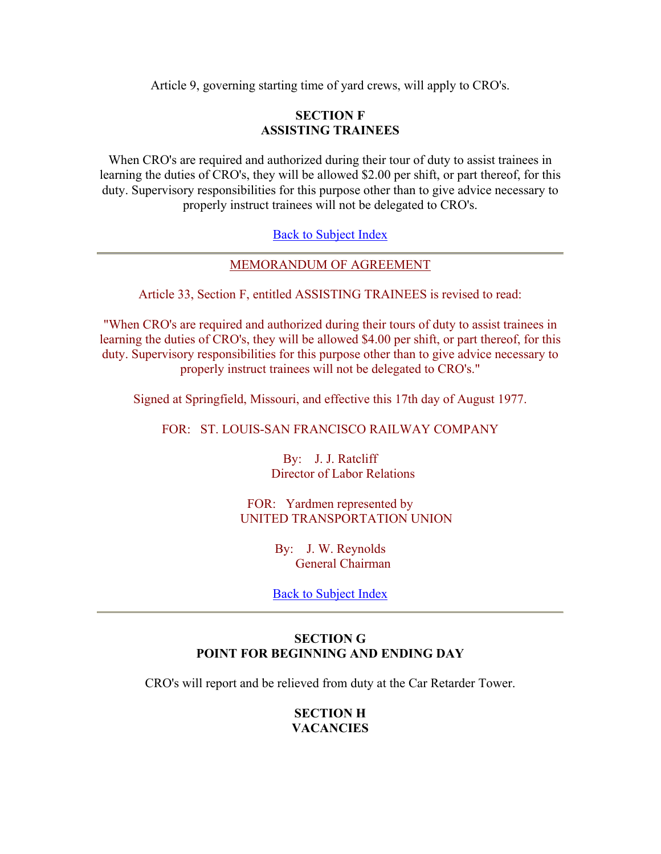Article 9, governing starting time of yard crews, will apply to CRO's.

### **SECTION F ASSISTING TRAINEES**

When CRO's are required and authorized during their tour of duty to assist trainees in learning the duties of CRO's, they will be allowed \$2.00 per shift, or part thereof, for this duty. Supervisory responsibilities for this purpose other than to give advice necessary to properly instruct trainees will not be delegated to CRO's.

### Back to Subject Index

### MEMORANDUM OF AGREEMENT

Article 33, Section F, entitled ASSISTING TRAINEES is revised to read:

"When CRO's are required and authorized during their tours of duty to assist trainees in learning the duties of CRO's, they will be allowed \$4.00 per shift, or part thereof, for this duty. Supervisory responsibilities for this purpose other than to give advice necessary to properly instruct trainees will not be delegated to CRO's."

Signed at Springfield, Missouri, and effective this 17th day of August 1977.

### FOR: ST. LOUIS-SAN FRANCISCO RAILWAY COMPANY

By: J. J. Ratcliff Director of Labor Relations

FOR: Yardmen represented by UNITED TRANSPORTATION UNION

> By: J. W. Reynolds General Chairman

Back to Subject Index

# **SECTION G POINT FOR BEGINNING AND ENDING DAY**

CRO's will report and be relieved from duty at the Car Retarder Tower.

## **SECTION H VACANCIES**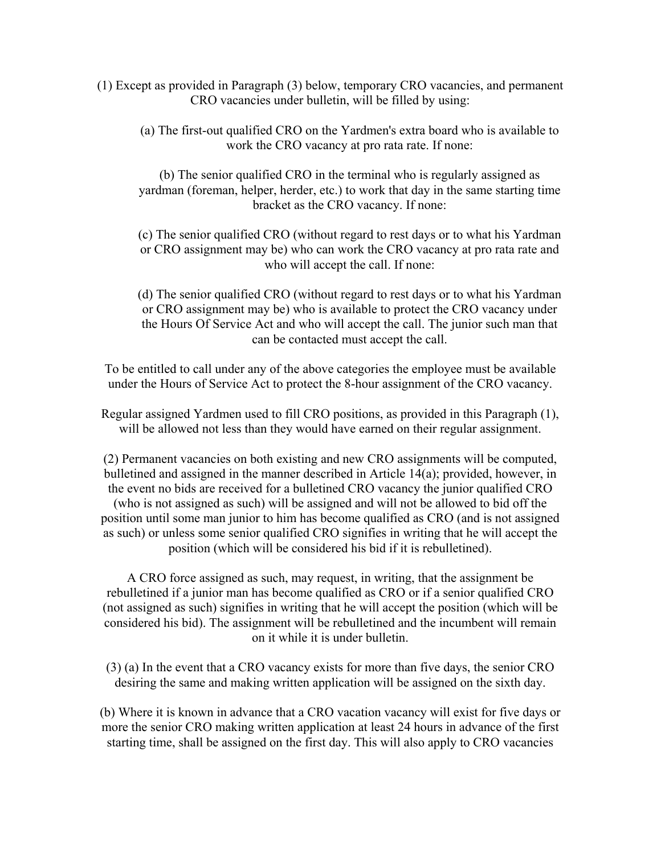- (1) Except as provided in Paragraph (3) below, temporary CRO vacancies, and permanent CRO vacancies under bulletin, will be filled by using:
	- (a) The first-out qualified CRO on the Yardmen's extra board who is available to work the CRO vacancy at pro rata rate. If none:

(b) The senior qualified CRO in the terminal who is regularly assigned as yardman (foreman, helper, herder, etc.) to work that day in the same starting time bracket as the CRO vacancy. If none:

(c) The senior qualified CRO (without regard to rest days or to what his Yardman or CRO assignment may be) who can work the CRO vacancy at pro rata rate and who will accept the call. If none:

(d) The senior qualified CRO (without regard to rest days or to what his Yardman or CRO assignment may be) who is available to protect the CRO vacancy under the Hours Of Service Act and who will accept the call. The junior such man that can be contacted must accept the call.

To be entitled to call under any of the above categories the employee must be available under the Hours of Service Act to protect the 8-hour assignment of the CRO vacancy.

Regular assigned Yardmen used to fill CRO positions, as provided in this Paragraph (1), will be allowed not less than they would have earned on their regular assignment.

(2) Permanent vacancies on both existing and new CRO assignments will be computed, bulletined and assigned in the manner described in Article 14(a); provided, however, in the event no bids are received for a bulletined CRO vacancy the junior qualified CRO (who is not assigned as such) will be assigned and will not be allowed to bid off the position until some man junior to him has become qualified as CRO (and is not assigned as such) or unless some senior qualified CRO signifies in writing that he will accept the position (which will be considered his bid if it is rebulletined).

A CRO force assigned as such, may request, in writing, that the assignment be rebulletined if a junior man has become qualified as CRO or if a senior qualified CRO (not assigned as such) signifies in writing that he will accept the position (which will be considered his bid). The assignment will be rebulletined and the incumbent will remain on it while it is under bulletin.

(3) (a) In the event that a CRO vacancy exists for more than five days, the senior CRO desiring the same and making written application will be assigned on the sixth day.

(b) Where it is known in advance that a CRO vacation vacancy will exist for five days or more the senior CRO making written application at least 24 hours in advance of the first starting time, shall be assigned on the first day. This will also apply to CRO vacancies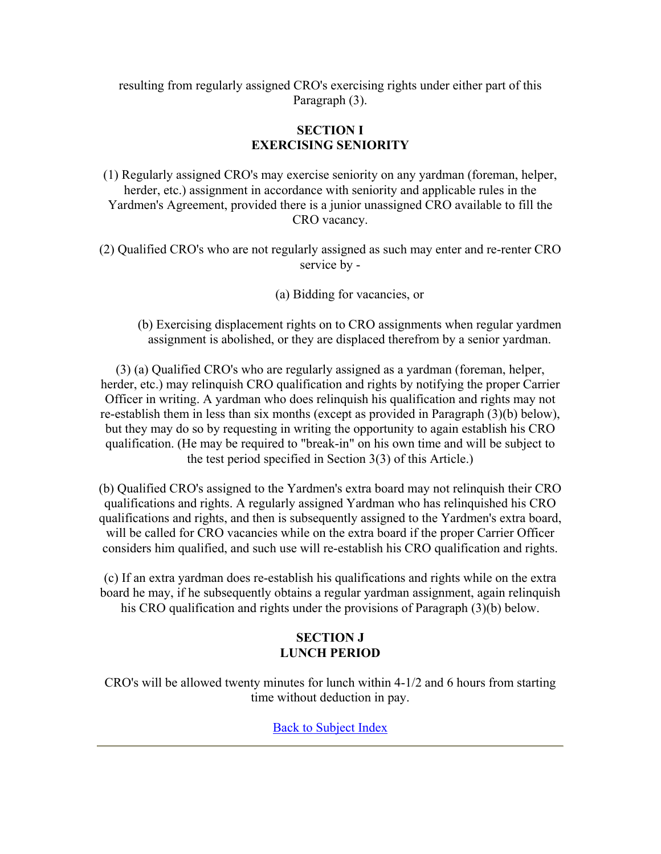resulting from regularly assigned CRO's exercising rights under either part of this Paragraph (3).

# **SECTION I EXERCISING SENIORITY**

(1) Regularly assigned CRO's may exercise seniority on any yardman (foreman, helper, herder, etc.) assignment in accordance with seniority and applicable rules in the Yardmen's Agreement, provided there is a junior unassigned CRO available to fill the CRO vacancy.

(2) Qualified CRO's who are not regularly assigned as such may enter and re-renter CRO service by -

(a) Bidding for vacancies, or

(b) Exercising displacement rights on to CRO assignments when regular yardmen assignment is abolished, or they are displaced therefrom by a senior yardman.

(3) (a) Qualified CRO's who are regularly assigned as a yardman (foreman, helper, herder, etc.) may relinquish CRO qualification and rights by notifying the proper Carrier Officer in writing. A yardman who does relinquish his qualification and rights may not re-establish them in less than six months (except as provided in Paragraph (3)(b) below), but they may do so by requesting in writing the opportunity to again establish his CRO qualification. (He may be required to "break-in" on his own time and will be subject to the test period specified in Section 3(3) of this Article.)

(b) Qualified CRO's assigned to the Yardmen's extra board may not relinquish their CRO qualifications and rights. A regularly assigned Yardman who has relinquished his CRO qualifications and rights, and then is subsequently assigned to the Yardmen's extra board, will be called for CRO vacancies while on the extra board if the proper Carrier Officer considers him qualified, and such use will re-establish his CRO qualification and rights.

(c) If an extra yardman does re-establish his qualifications and rights while on the extra board he may, if he subsequently obtains a regular yardman assignment, again relinquish his CRO qualification and rights under the provisions of Paragraph (3)(b) below.

# **SECTION J LUNCH PERIOD**

CRO's will be allowed twenty minutes for lunch within 4-1/2 and 6 hours from starting time without deduction in pay.

Back to Subject Index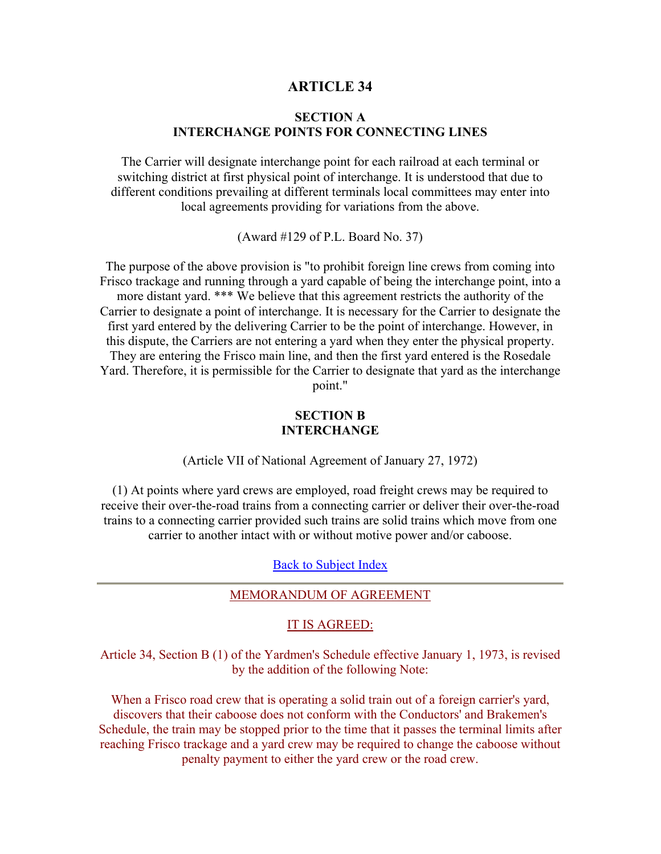### **ARTICLE 34**

### **SECTION A INTERCHANGE POINTS FOR CONNECTING LINES**

The Carrier will designate interchange point for each railroad at each terminal or switching district at first physical point of interchange. It is understood that due to different conditions prevailing at different terminals local committees may enter into local agreements providing for variations from the above.

(Award #129 of P.L. Board No. 37)

The purpose of the above provision is "to prohibit foreign line crews from coming into Frisco trackage and running through a yard capable of being the interchange point, into a more distant yard. \*\*\* We believe that this agreement restricts the authority of the Carrier to designate a point of interchange. It is necessary for the Carrier to designate the first yard entered by the delivering Carrier to be the point of interchange. However, in this dispute, the Carriers are not entering a yard when they enter the physical property. They are entering the Frisco main line, and then the first yard entered is the Rosedale Yard. Therefore, it is permissible for the Carrier to designate that yard as the interchange point."

### **SECTION B INTERCHANGE**

(Article VII of National Agreement of January 27, 1972)

(1) At points where yard crews are employed, road freight crews may be required to receive their over-the-road trains from a connecting carrier or deliver their over-the-road trains to a connecting carrier provided such trains are solid trains which move from one carrier to another intact with or without motive power and/or caboose.

Back to Subject Index

### MEMORANDUM OF AGREEMENT

### IT IS AGREED:

Article 34, Section B (1) of the Yardmen's Schedule effective January 1, 1973, is revised by the addition of the following Note:

When a Frisco road crew that is operating a solid train out of a foreign carrier's yard, discovers that their caboose does not conform with the Conductors' and Brakemen's Schedule, the train may be stopped prior to the time that it passes the terminal limits after reaching Frisco trackage and a yard crew may be required to change the caboose without penalty payment to either the yard crew or the road crew.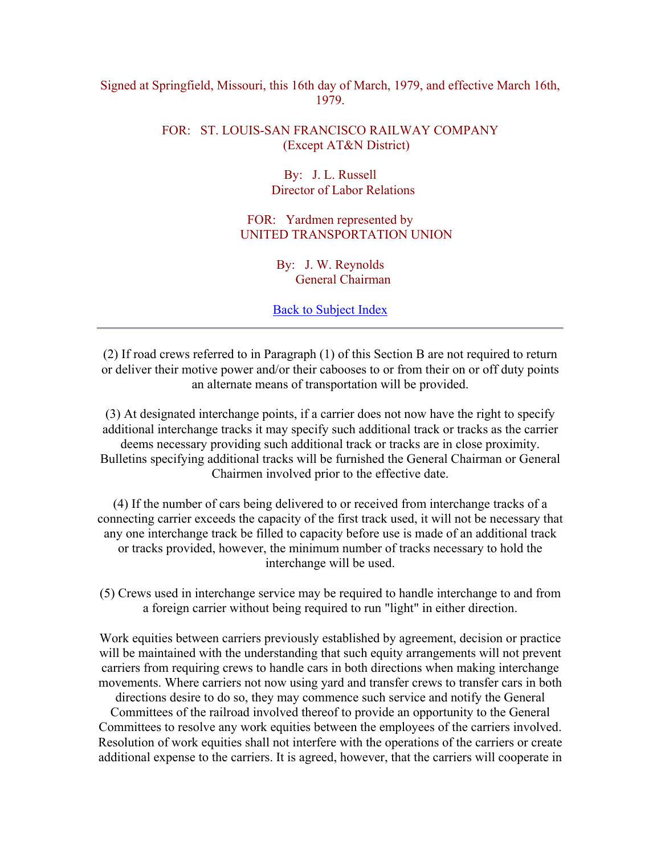### Signed at Springfield, Missouri, this 16th day of March, 1979, and effective March 16th, 1979.

# FOR: ST. LOUIS-SAN FRANCISCO RAILWAY COMPANY (Except AT&N District)

By: J. L. Russell Director of Labor Relations

FOR: Yardmen represented by UNITED TRANSPORTATION UNION

> By: J. W. Reynolds General Chairman

Back to Subject Index

(2) If road crews referred to in Paragraph (1) of this Section B are not required to return or deliver their motive power and/or their cabooses to or from their on or off duty points an alternate means of transportation will be provided.

(3) At designated interchange points, if a carrier does not now have the right to specify additional interchange tracks it may specify such additional track or tracks as the carrier deems necessary providing such additional track or tracks are in close proximity. Bulletins specifying additional tracks will be furnished the General Chairman or General Chairmen involved prior to the effective date.

(4) If the number of cars being delivered to or received from interchange tracks of a connecting carrier exceeds the capacity of the first track used, it will not be necessary that any one interchange track be filled to capacity before use is made of an additional track or tracks provided, however, the minimum number of tracks necessary to hold the interchange will be used.

(5) Crews used in interchange service may be required to handle interchange to and from a foreign carrier without being required to run "light" in either direction.

Work equities between carriers previously established by agreement, decision or practice will be maintained with the understanding that such equity arrangements will not prevent carriers from requiring crews to handle cars in both directions when making interchange movements. Where carriers not now using yard and transfer crews to transfer cars in both

directions desire to do so, they may commence such service and notify the General Committees of the railroad involved thereof to provide an opportunity to the General Committees to resolve any work equities between the employees of the carriers involved. Resolution of work equities shall not interfere with the operations of the carriers or create additional expense to the carriers. It is agreed, however, that the carriers will cooperate in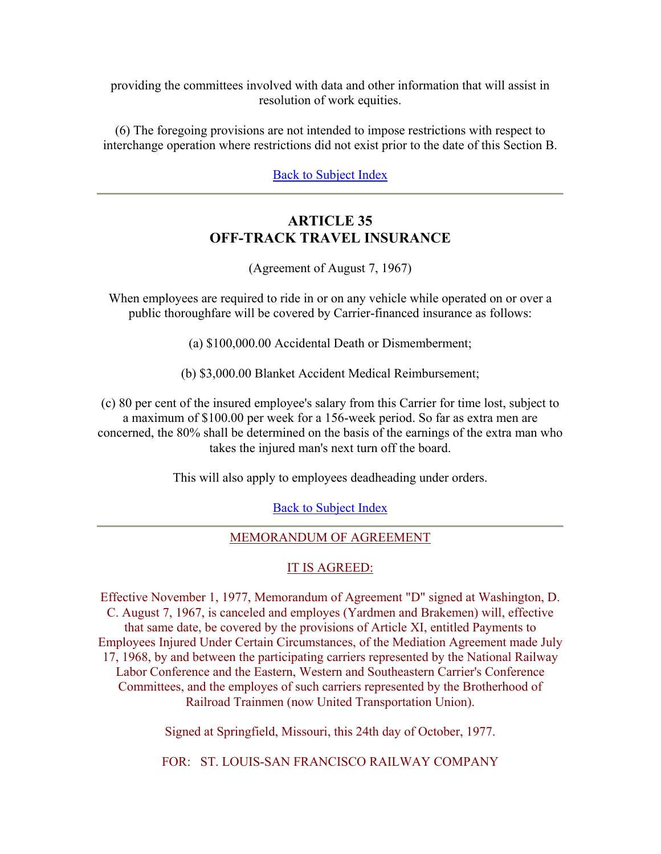providing the committees involved with data and other information that will assist in resolution of work equities.

(6) The foregoing provisions are not intended to impose restrictions with respect to interchange operation where restrictions did not exist prior to the date of this Section B.

Back to Subject Index

# **ARTICLE 35 OFF-TRACK TRAVEL INSURANCE**

(Agreement of August 7, 1967)

When employees are required to ride in or on any vehicle while operated on or over a public thoroughfare will be covered by Carrier-financed insurance as follows:

(a) \$100,000.00 Accidental Death or Dismemberment;

(b) \$3,000.00 Blanket Accident Medical Reimbursement;

(c) 80 per cent of the insured employee's salary from this Carrier for time lost, subject to a maximum of \$100.00 per week for a 156-week period. So far as extra men are concerned, the 80% shall be determined on the basis of the earnings of the extra man who takes the injured man's next turn off the board.

This will also apply to employees deadheading under orders.

Back to Subject Index

# MEMORANDUM OF AGREEMENT

# IT IS AGREED:

Effective November 1, 1977, Memorandum of Agreement "D" signed at Washington, D. C. August 7, 1967, is canceled and employes (Yardmen and Brakemen) will, effective that same date, be covered by the provisions of Article XI, entitled Payments to Employees Injured Under Certain Circumstances, of the Mediation Agreement made July 17, 1968, by and between the participating carriers represented by the National Railway Labor Conference and the Eastern, Western and Southeastern Carrier's Conference Committees, and the employes of such carriers represented by the Brotherhood of Railroad Trainmen (now United Transportation Union).

Signed at Springfield, Missouri, this 24th day of October, 1977.

FOR: ST. LOUIS-SAN FRANCISCO RAILWAY COMPANY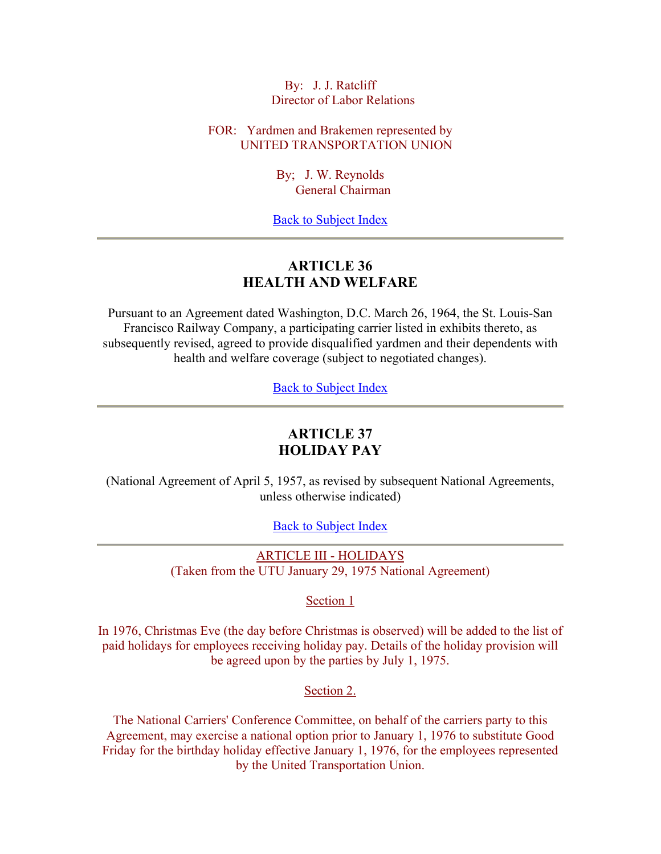By: J. J. Ratcliff Director of Labor Relations

FOR: Yardmen and Brakemen represented by UNITED TRANSPORTATION UNION

> By; J. W. Reynolds General Chairman

Back to Subject Index

# **ARTICLE 36 HEALTH AND WELFARE**

Pursuant to an Agreement dated Washington, D.C. March 26, 1964, the St. Louis-San Francisco Railway Company, a participating carrier listed in exhibits thereto, as subsequently revised, agreed to provide disqualified yardmen and their dependents with health and welfare coverage (subject to negotiated changes).

Back to Subject Index

# **ARTICLE 37 HOLIDAY PAY**

(National Agreement of April 5, 1957, as revised by subsequent National Agreements, unless otherwise indicated)

Back to Subject Index

ARTICLE III - HOLIDAYS (Taken from the UTU January 29, 1975 National Agreement)

Section 1

In 1976, Christmas Eve (the day before Christmas is observed) will be added to the list of paid holidays for employees receiving holiday pay. Details of the holiday provision will be agreed upon by the parties by July 1, 1975.

Section 2.

The National Carriers' Conference Committee, on behalf of the carriers party to this Agreement, may exercise a national option prior to January 1, 1976 to substitute Good Friday for the birthday holiday effective January 1, 1976, for the employees represented by the United Transportation Union.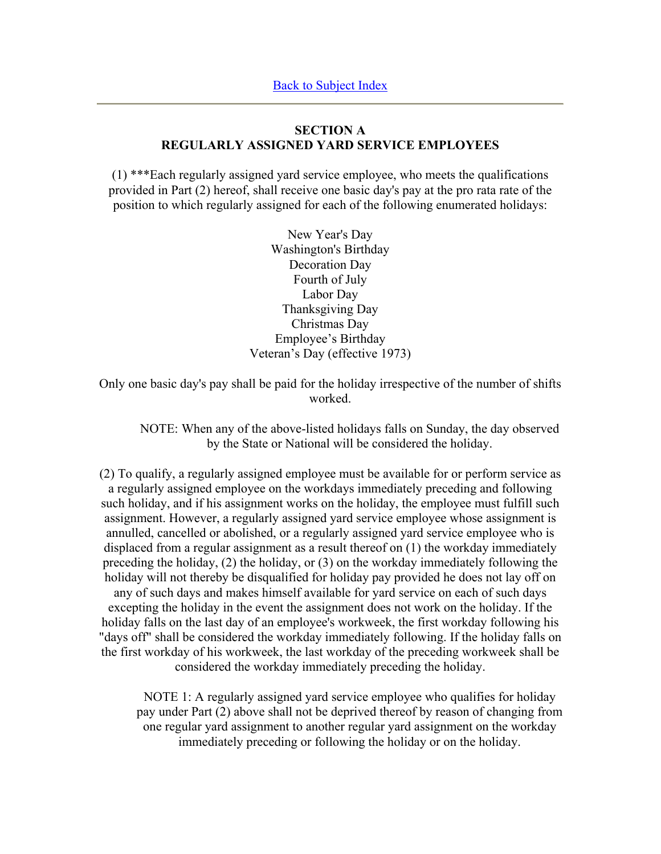# **SECTION A REGULARLY ASSIGNED YARD SERVICE EMPLOYEES**

(1) \*\*\*Each regularly assigned yard service employee, who meets the qualifications provided in Part (2) hereof, shall receive one basic day's pay at the pro rata rate of the position to which regularly assigned for each of the following enumerated holidays:

> New Year's Day Washington's Birthday Decoration Day Fourth of July Labor Day Thanksgiving Day Christmas Day Employee's Birthday Veteran's Day (effective 1973)

Only one basic day's pay shall be paid for the holiday irrespective of the number of shifts worked.

NOTE: When any of the above-listed holidays falls on Sunday, the day observed by the State or National will be considered the holiday.

(2) To qualify, a regularly assigned employee must be available for or perform service as a regularly assigned employee on the workdays immediately preceding and following such holiday, and if his assignment works on the holiday, the employee must fulfill such assignment. However, a regularly assigned yard service employee whose assignment is annulled, cancelled or abolished, or a regularly assigned yard service employee who is displaced from a regular assignment as a result thereof on (1) the workday immediately preceding the holiday, (2) the holiday, or (3) on the workday immediately following the holiday will not thereby be disqualified for holiday pay provided he does not lay off on any of such days and makes himself available for yard service on each of such days excepting the holiday in the event the assignment does not work on the holiday. If the holiday falls on the last day of an employee's workweek, the first workday following his "days off" shall be considered the workday immediately following. If the holiday falls on the first workday of his workweek, the last workday of the preceding workweek shall be considered the workday immediately preceding the holiday.

NOTE 1: A regularly assigned yard service employee who qualifies for holiday pay under Part (2) above shall not be deprived thereof by reason of changing from one regular yard assignment to another regular yard assignment on the workday immediately preceding or following the holiday or on the holiday.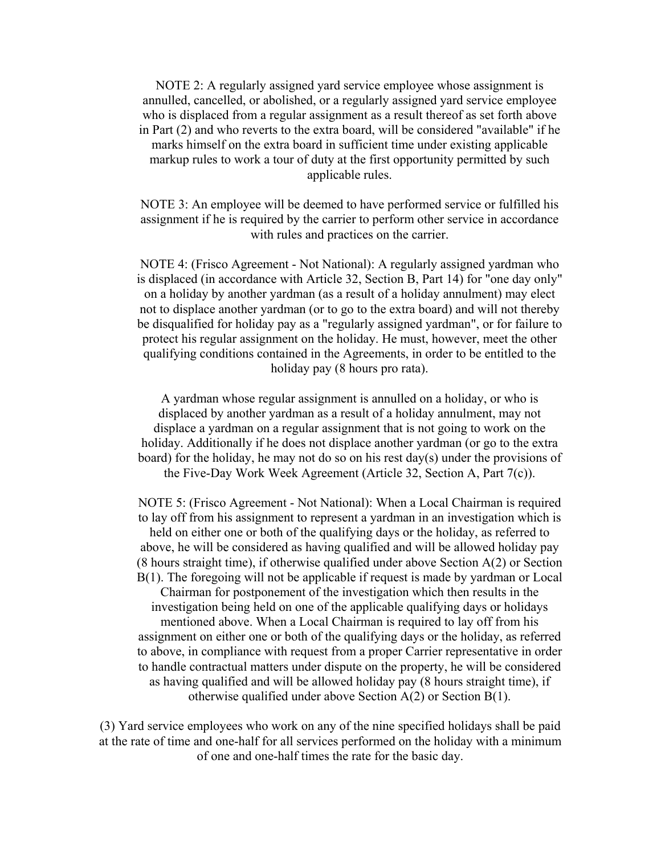NOTE 2: A regularly assigned yard service employee whose assignment is annulled, cancelled, or abolished, or a regularly assigned yard service employee who is displaced from a regular assignment as a result thereof as set forth above in Part (2) and who reverts to the extra board, will be considered "available" if he marks himself on the extra board in sufficient time under existing applicable markup rules to work a tour of duty at the first opportunity permitted by such applicable rules.

NOTE 3: An employee will be deemed to have performed service or fulfilled his assignment if he is required by the carrier to perform other service in accordance with rules and practices on the carrier.

NOTE 4: (Frisco Agreement - Not National): A regularly assigned yardman who is displaced (in accordance with Article 32, Section B, Part 14) for "one day only" on a holiday by another yardman (as a result of a holiday annulment) may elect not to displace another yardman (or to go to the extra board) and will not thereby be disqualified for holiday pay as a "regularly assigned yardman", or for failure to protect his regular assignment on the holiday. He must, however, meet the other qualifying conditions contained in the Agreements, in order to be entitled to the holiday pay (8 hours pro rata).

A yardman whose regular assignment is annulled on a holiday, or who is displaced by another yardman as a result of a holiday annulment, may not displace a yardman on a regular assignment that is not going to work on the holiday. Additionally if he does not displace another yardman (or go to the extra board) for the holiday, he may not do so on his rest day(s) under the provisions of the Five-Day Work Week Agreement (Article 32, Section A, Part 7(c)).

NOTE 5: (Frisco Agreement - Not National): When a Local Chairman is required to lay off from his assignment to represent a yardman in an investigation which is held on either one or both of the qualifying days or the holiday, as referred to above, he will be considered as having qualified and will be allowed holiday pay (8 hours straight time), if otherwise qualified under above Section A(2) or Section B(1). The foregoing will not be applicable if request is made by yardman or Local Chairman for postponement of the investigation which then results in the investigation being held on one of the applicable qualifying days or holidays mentioned above. When a Local Chairman is required to lay off from his assignment on either one or both of the qualifying days or the holiday, as referred to above, in compliance with request from a proper Carrier representative in order to handle contractual matters under dispute on the property, he will be considered as having qualified and will be allowed holiday pay (8 hours straight time), if otherwise qualified under above Section A(2) or Section B(1).

(3) Yard service employees who work on any of the nine specified holidays shall be paid at the rate of time and one-half for all services performed on the holiday with a minimum of one and one-half times the rate for the basic day.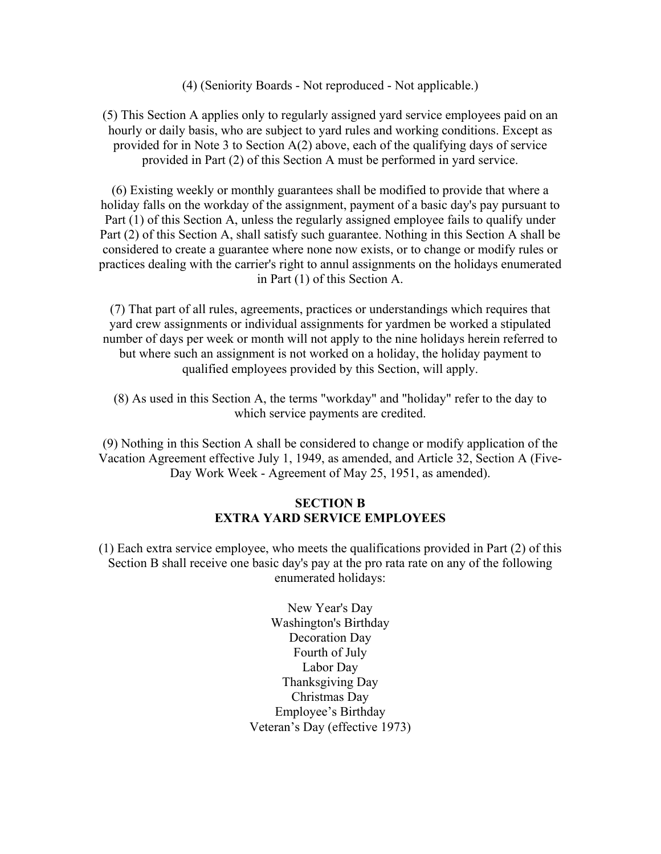(4) (Seniority Boards - Not reproduced - Not applicable.)

(5) This Section A applies only to regularly assigned yard service employees paid on an hourly or daily basis, who are subject to yard rules and working conditions. Except as provided for in Note 3 to Section A(2) above, each of the qualifying days of service provided in Part (2) of this Section A must be performed in yard service.

(6) Existing weekly or monthly guarantees shall be modified to provide that where a holiday falls on the workday of the assignment, payment of a basic day's pay pursuant to Part (1) of this Section A, unless the regularly assigned employee fails to qualify under Part (2) of this Section A, shall satisfy such guarantee. Nothing in this Section A shall be considered to create a guarantee where none now exists, or to change or modify rules or practices dealing with the carrier's right to annul assignments on the holidays enumerated in Part (1) of this Section A.

(7) That part of all rules, agreements, practices or understandings which requires that yard crew assignments or individual assignments for yardmen be worked a stipulated number of days per week or month will not apply to the nine holidays herein referred to but where such an assignment is not worked on a holiday, the holiday payment to qualified employees provided by this Section, will apply.

(8) As used in this Section A, the terms "workday" and "holiday" refer to the day to which service payments are credited.

(9) Nothing in this Section A shall be considered to change or modify application of the Vacation Agreement effective July 1, 1949, as amended, and Article 32, Section A (Five-Day Work Week - Agreement of May 25, 1951, as amended).

### **SECTION B EXTRA YARD SERVICE EMPLOYEES**

(1) Each extra service employee, who meets the qualifications provided in Part (2) of this Section B shall receive one basic day's pay at the pro rata rate on any of the following enumerated holidays:

> New Year's Day Washington's Birthday Decoration Day Fourth of July Labor Day Thanksgiving Day Christmas Day Employee's Birthday Veteran's Day (effective 1973)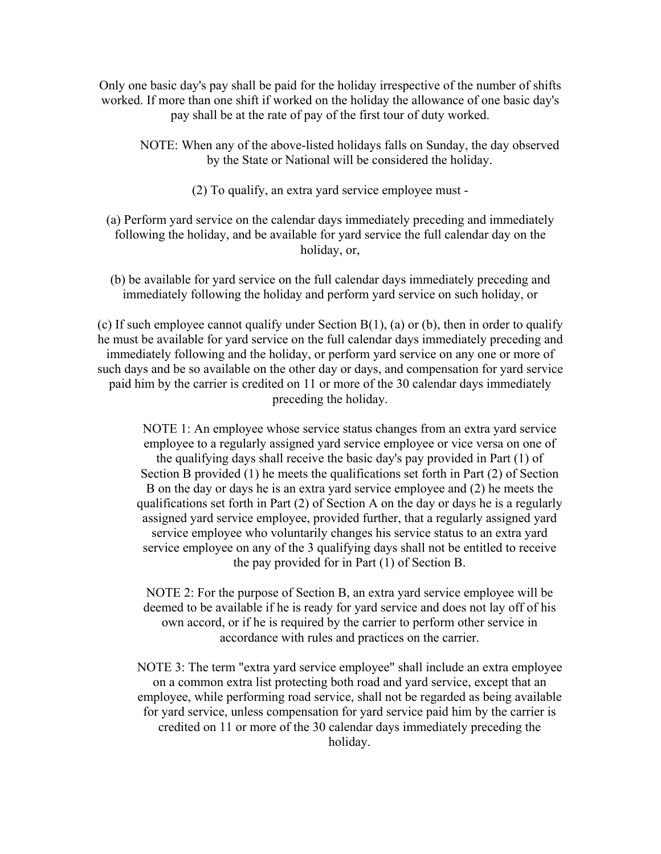Only one basic day's pay shall be paid for the holiday irrespective of the number of shifts worked. If more than one shift if worked on the holiday the allowance of one basic day's pay shall be at the rate of pay of the first tour of duty worked.

NOTE: When any of the above-listed holidays falls on Sunday, the day observed by the State or National will be considered the holiday.

(2) To qualify, an extra yard service employee must -

(a) Perform yard service on the calendar days immediately preceding and immediately following the holiday, and be available for yard service the full calendar day on the holiday, or,

(b) be available for yard service on the full calendar days immediately preceding and immediately following the holiday and perform yard service on such holiday, or

(c) If such employee cannot qualify under Section  $B(1)$ , (a) or (b), then in order to qualify he must be available for yard service on the full calendar days immediately preceding and immediately following and the holiday, or perform yard service on any one or more of such days and be so available on the other day or days, and compensation for yard service paid him by the carrier is credited on 11 or more of the 30 calendar days immediately preceding the holiday.

NOTE 1: An employee whose service status changes from an extra yard service employee to a regularly assigned yard service employee or vice versa on one of the qualifying days shall receive the basic day's pay provided in Part (1) of Section B provided (1) he meets the qualifications set forth in Part (2) of Section B on the day or days he is an extra yard service employee and (2) he meets the qualifications set forth in Part (2) of Section A on the day or days he is a regularly assigned yard service employee, provided further, that a regularly assigned yard service employee who voluntarily changes his service status to an extra yard service employee on any of the 3 qualifying days shall not be entitled to receive the pay provided for in Part (1) of Section B.

NOTE 2: For the purpose of Section B, an extra yard service employee will be deemed to be available if he is ready for yard service and does not lay off of his own accord, or if he is required by the carrier to perform other service in accordance with rules and practices on the carrier.

NOTE 3: The term "extra yard service employee" shall include an extra employee on a common extra list protecting both road and yard service, except that an employee, while performing road service, shall not be regarded as being available for yard service, unless compensation for yard service paid him by the carrier is credited on 11 or more of the 30 calendar days immediately preceding the holiday.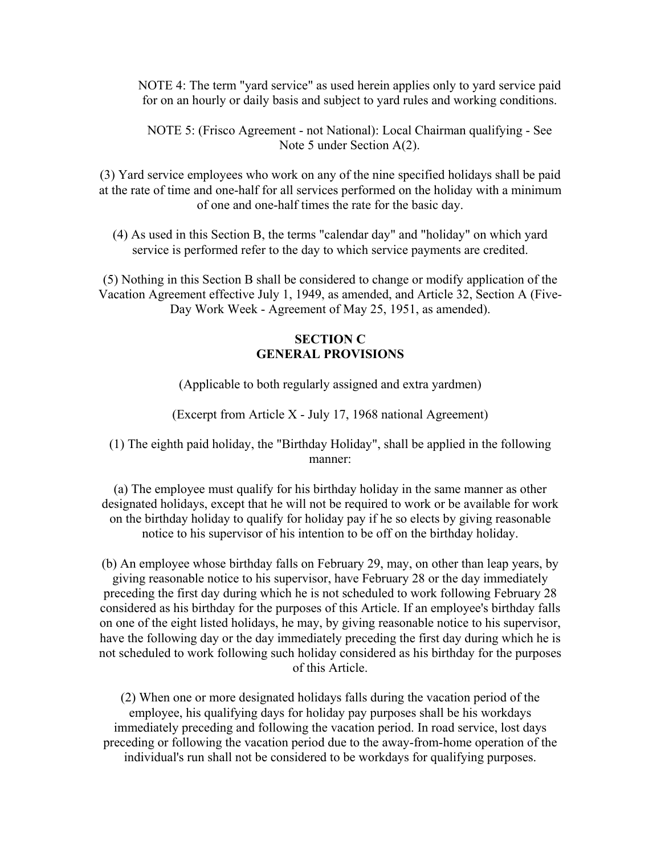NOTE 4: The term "yard service" as used herein applies only to yard service paid for on an hourly or daily basis and subject to yard rules and working conditions.

NOTE 5: (Frisco Agreement - not National): Local Chairman qualifying - See Note 5 under Section A(2).

(3) Yard service employees who work on any of the nine specified holidays shall be paid at the rate of time and one-half for all services performed on the holiday with a minimum of one and one-half times the rate for the basic day.

(4) As used in this Section B, the terms "calendar day" and "holiday" on which yard service is performed refer to the day to which service payments are credited.

(5) Nothing in this Section B shall be considered to change or modify application of the Vacation Agreement effective July 1, 1949, as amended, and Article 32, Section A (Five-Day Work Week - Agreement of May 25, 1951, as amended).

### **SECTION C GENERAL PROVISIONS**

(Applicable to both regularly assigned and extra yardmen)

(Excerpt from Article X - July 17, 1968 national Agreement)

(1) The eighth paid holiday, the "Birthday Holiday", shall be applied in the following manner:

(a) The employee must qualify for his birthday holiday in the same manner as other designated holidays, except that he will not be required to work or be available for work on the birthday holiday to qualify for holiday pay if he so elects by giving reasonable notice to his supervisor of his intention to be off on the birthday holiday.

(b) An employee whose birthday falls on February 29, may, on other than leap years, by giving reasonable notice to his supervisor, have February 28 or the day immediately preceding the first day during which he is not scheduled to work following February 28 considered as his birthday for the purposes of this Article. If an employee's birthday falls on one of the eight listed holidays, he may, by giving reasonable notice to his supervisor, have the following day or the day immediately preceding the first day during which he is not scheduled to work following such holiday considered as his birthday for the purposes of this Article.

(2) When one or more designated holidays falls during the vacation period of the employee, his qualifying days for holiday pay purposes shall be his workdays immediately preceding and following the vacation period. In road service, lost days preceding or following the vacation period due to the away-from-home operation of the individual's run shall not be considered to be workdays for qualifying purposes.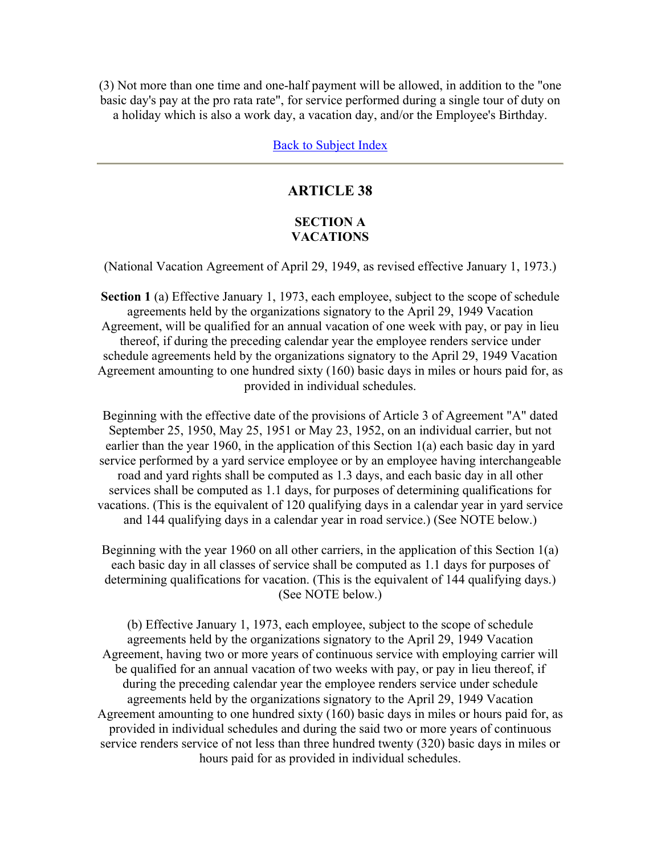(3) Not more than one time and one-half payment will be allowed, in addition to the "one basic day's pay at the pro rata rate", for service performed during a single tour of duty on a holiday which is also a work day, a vacation day, and/or the Employee's Birthday.

Back to Subject Index

# **ARTICLE 38**

### **SECTION A VACATIONS**

(National Vacation Agreement of April 29, 1949, as revised effective January 1, 1973.)

**Section 1** (a) Effective January 1, 1973, each employee, subject to the scope of schedule agreements held by the organizations signatory to the April 29, 1949 Vacation Agreement, will be qualified for an annual vacation of one week with pay, or pay in lieu thereof, if during the preceding calendar year the employee renders service under schedule agreements held by the organizations signatory to the April 29, 1949 Vacation Agreement amounting to one hundred sixty (160) basic days in miles or hours paid for, as provided in individual schedules.

Beginning with the effective date of the provisions of Article 3 of Agreement "A" dated September 25, 1950, May 25, 1951 or May 23, 1952, on an individual carrier, but not earlier than the year 1960, in the application of this Section 1(a) each basic day in yard service performed by a yard service employee or by an employee having interchangeable road and yard rights shall be computed as 1.3 days, and each basic day in all other services shall be computed as 1.1 days, for purposes of determining qualifications for vacations. (This is the equivalent of 120 qualifying days in a calendar year in yard service and 144 qualifying days in a calendar year in road service.) (See NOTE below.)

Beginning with the year 1960 on all other carriers, in the application of this Section 1(a) each basic day in all classes of service shall be computed as 1.1 days for purposes of determining qualifications for vacation. (This is the equivalent of 144 qualifying days.) (See NOTE below.)

(b) Effective January 1, 1973, each employee, subject to the scope of schedule agreements held by the organizations signatory to the April 29, 1949 Vacation Agreement, having two or more years of continuous service with employing carrier will be qualified for an annual vacation of two weeks with pay, or pay in lieu thereof, if during the preceding calendar year the employee renders service under schedule agreements held by the organizations signatory to the April 29, 1949 Vacation Agreement amounting to one hundred sixty (160) basic days in miles or hours paid for, as provided in individual schedules and during the said two or more years of continuous service renders service of not less than three hundred twenty (320) basic days in miles or hours paid for as provided in individual schedules.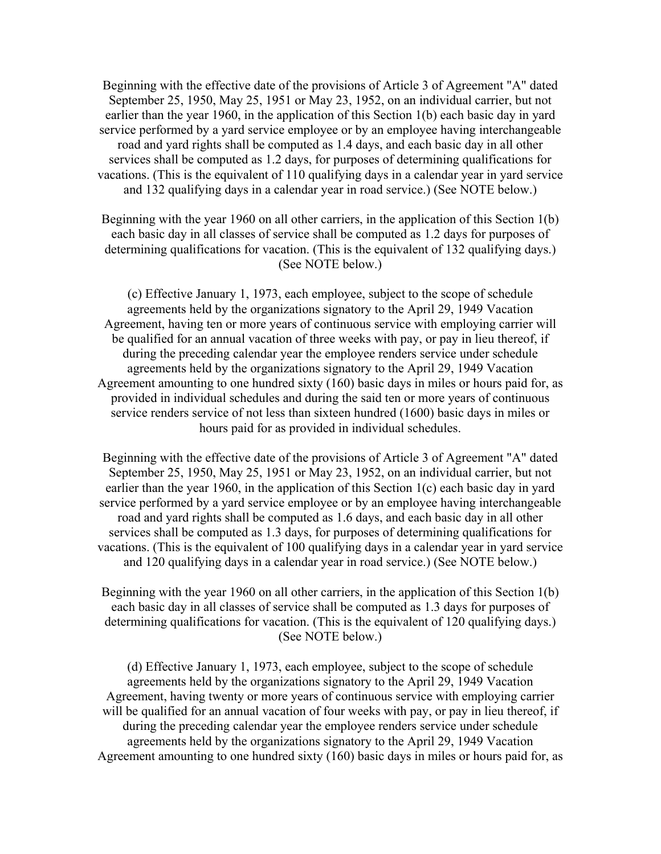Beginning with the effective date of the provisions of Article 3 of Agreement "A" dated September 25, 1950, May 25, 1951 or May 23, 1952, on an individual carrier, but not earlier than the year 1960, in the application of this Section 1(b) each basic day in yard service performed by a yard service employee or by an employee having interchangeable road and yard rights shall be computed as 1.4 days, and each basic day in all other services shall be computed as 1.2 days, for purposes of determining qualifications for vacations. (This is the equivalent of 110 qualifying days in a calendar year in yard service and 132 qualifying days in a calendar year in road service.) (See NOTE below.)

Beginning with the year 1960 on all other carriers, in the application of this Section 1(b) each basic day in all classes of service shall be computed as 1.2 days for purposes of determining qualifications for vacation. (This is the equivalent of 132 qualifying days.) (See NOTE below.)

(c) Effective January 1, 1973, each employee, subject to the scope of schedule agreements held by the organizations signatory to the April 29, 1949 Vacation Agreement, having ten or more years of continuous service with employing carrier will be qualified for an annual vacation of three weeks with pay, or pay in lieu thereof, if during the preceding calendar year the employee renders service under schedule agreements held by the organizations signatory to the April 29, 1949 Vacation Agreement amounting to one hundred sixty (160) basic days in miles or hours paid for, as provided in individual schedules and during the said ten or more years of continuous service renders service of not less than sixteen hundred (1600) basic days in miles or hours paid for as provided in individual schedules.

Beginning with the effective date of the provisions of Article 3 of Agreement "A" dated September 25, 1950, May 25, 1951 or May 23, 1952, on an individual carrier, but not earlier than the year 1960, in the application of this Section 1(c) each basic day in yard service performed by a yard service employee or by an employee having interchangeable road and yard rights shall be computed as 1.6 days, and each basic day in all other services shall be computed as 1.3 days, for purposes of determining qualifications for vacations. (This is the equivalent of 100 qualifying days in a calendar year in yard service and 120 qualifying days in a calendar year in road service.) (See NOTE below.)

Beginning with the year 1960 on all other carriers, in the application of this Section 1(b) each basic day in all classes of service shall be computed as 1.3 days for purposes of determining qualifications for vacation. (This is the equivalent of 120 qualifying days.) (See NOTE below.)

(d) Effective January 1, 1973, each employee, subject to the scope of schedule agreements held by the organizations signatory to the April 29, 1949 Vacation Agreement, having twenty or more years of continuous service with employing carrier will be qualified for an annual vacation of four weeks with pay, or pay in lieu thereof, if during the preceding calendar year the employee renders service under schedule agreements held by the organizations signatory to the April 29, 1949 Vacation Agreement amounting to one hundred sixty (160) basic days in miles or hours paid for, as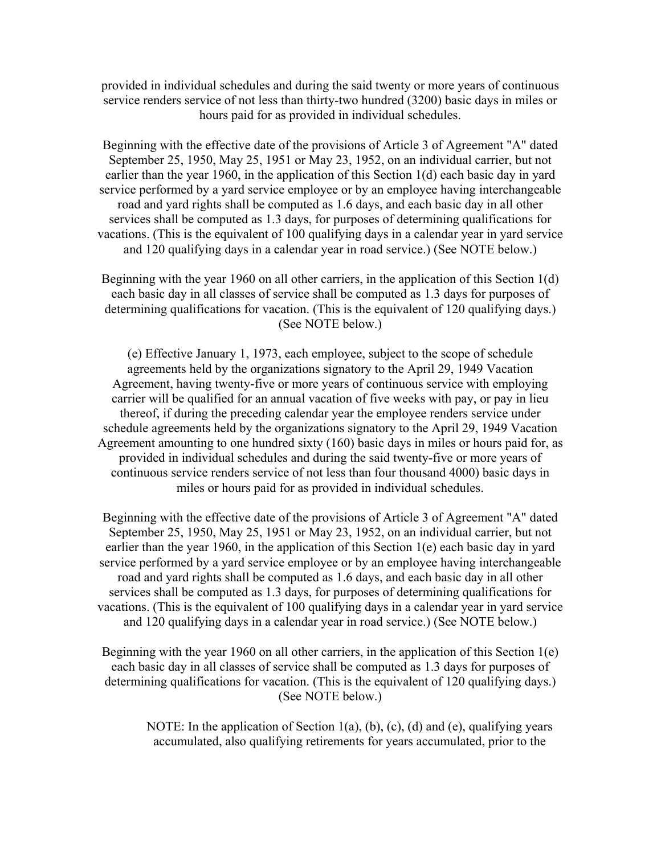provided in individual schedules and during the said twenty or more years of continuous service renders service of not less than thirty-two hundred (3200) basic days in miles or hours paid for as provided in individual schedules.

Beginning with the effective date of the provisions of Article 3 of Agreement "A" dated September 25, 1950, May 25, 1951 or May 23, 1952, on an individual carrier, but not earlier than the year 1960, in the application of this Section 1(d) each basic day in yard service performed by a yard service employee or by an employee having interchangeable road and yard rights shall be computed as 1.6 days, and each basic day in all other services shall be computed as 1.3 days, for purposes of determining qualifications for vacations. (This is the equivalent of 100 qualifying days in a calendar year in yard service and 120 qualifying days in a calendar year in road service.) (See NOTE below.)

Beginning with the year 1960 on all other carriers, in the application of this Section 1(d) each basic day in all classes of service shall be computed as 1.3 days for purposes of determining qualifications for vacation. (This is the equivalent of 120 qualifying days.) (See NOTE below.)

(e) Effective January 1, 1973, each employee, subject to the scope of schedule agreements held by the organizations signatory to the April 29, 1949 Vacation Agreement, having twenty-five or more years of continuous service with employing carrier will be qualified for an annual vacation of five weeks with pay, or pay in lieu thereof, if during the preceding calendar year the employee renders service under schedule agreements held by the organizations signatory to the April 29, 1949 Vacation Agreement amounting to one hundred sixty (160) basic days in miles or hours paid for, as provided in individual schedules and during the said twenty-five or more years of continuous service renders service of not less than four thousand 4000) basic days in miles or hours paid for as provided in individual schedules.

Beginning with the effective date of the provisions of Article 3 of Agreement "A" dated September 25, 1950, May 25, 1951 or May 23, 1952, on an individual carrier, but not earlier than the year 1960, in the application of this Section 1(e) each basic day in yard service performed by a yard service employee or by an employee having interchangeable road and yard rights shall be computed as 1.6 days, and each basic day in all other services shall be computed as 1.3 days, for purposes of determining qualifications for vacations. (This is the equivalent of 100 qualifying days in a calendar year in yard service and 120 qualifying days in a calendar year in road service.) (See NOTE below.)

Beginning with the year 1960 on all other carriers, in the application of this Section 1(e) each basic day in all classes of service shall be computed as 1.3 days for purposes of determining qualifications for vacation. (This is the equivalent of 120 qualifying days.) (See NOTE below.)

NOTE: In the application of Section 1(a), (b), (c), (d) and (e), qualifying years accumulated, also qualifying retirements for years accumulated, prior to the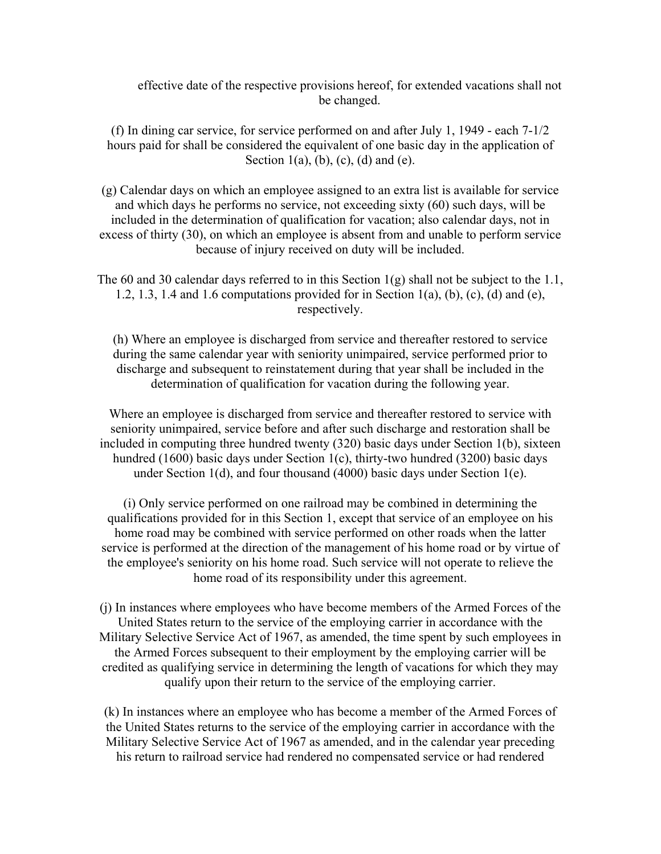effective date of the respective provisions hereof, for extended vacations shall not be changed.

(f) In dining car service, for service performed on and after July 1, 1949 - each 7-1/2 hours paid for shall be considered the equivalent of one basic day in the application of Section 1(a), (b), (c), (d) and (e).

(g) Calendar days on which an employee assigned to an extra list is available for service and which days he performs no service, not exceeding sixty (60) such days, will be included in the determination of qualification for vacation; also calendar days, not in excess of thirty (30), on which an employee is absent from and unable to perform service because of injury received on duty will be included.

The 60 and 30 calendar days referred to in this Section 1(g) shall not be subject to the 1.1, 1.2, 1.3, 1.4 and 1.6 computations provided for in Section 1(a), (b), (c), (d) and (e), respectively.

(h) Where an employee is discharged from service and thereafter restored to service during the same calendar year with seniority unimpaired, service performed prior to discharge and subsequent to reinstatement during that year shall be included in the determination of qualification for vacation during the following year.

Where an employee is discharged from service and thereafter restored to service with seniority unimpaired, service before and after such discharge and restoration shall be included in computing three hundred twenty (320) basic days under Section 1(b), sixteen hundred (1600) basic days under Section 1(c), thirty-two hundred (3200) basic days under Section 1(d), and four thousand (4000) basic days under Section 1(e).

(i) Only service performed on one railroad may be combined in determining the qualifications provided for in this Section 1, except that service of an employee on his home road may be combined with service performed on other roads when the latter service is performed at the direction of the management of his home road or by virtue of the employee's seniority on his home road. Such service will not operate to relieve the home road of its responsibility under this agreement.

(j) In instances where employees who have become members of the Armed Forces of the United States return to the service of the employing carrier in accordance with the Military Selective Service Act of 1967, as amended, the time spent by such employees in the Armed Forces subsequent to their employment by the employing carrier will be credited as qualifying service in determining the length of vacations for which they may qualify upon their return to the service of the employing carrier.

(k) In instances where an employee who has become a member of the Armed Forces of the United States returns to the service of the employing carrier in accordance with the Military Selective Service Act of 1967 as amended, and in the calendar year preceding his return to railroad service had rendered no compensated service or had rendered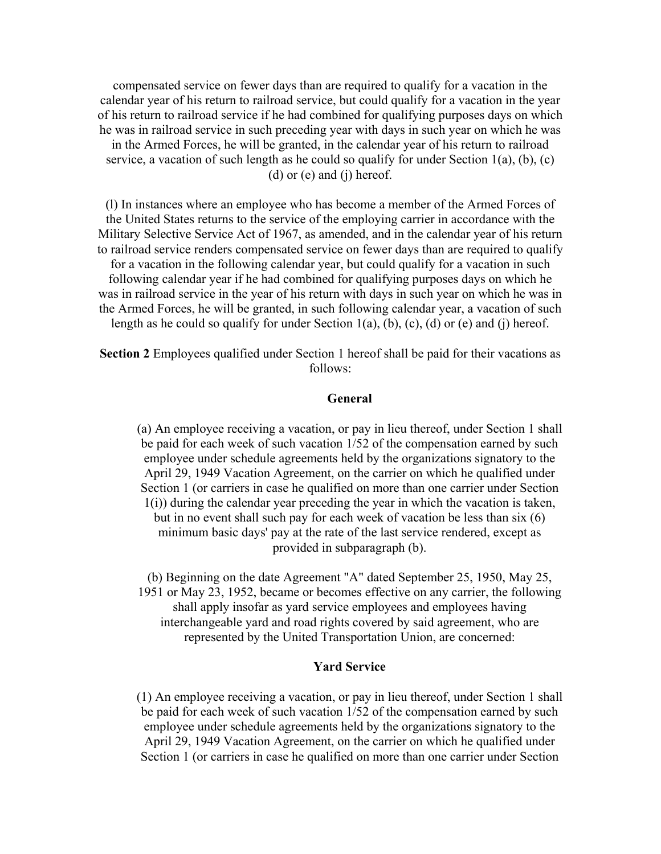compensated service on fewer days than are required to qualify for a vacation in the calendar year of his return to railroad service, but could qualify for a vacation in the year of his return to railroad service if he had combined for qualifying purposes days on which he was in railroad service in such preceding year with days in such year on which he was in the Armed Forces, he will be granted, in the calendar year of his return to railroad service, a vacation of such length as he could so qualify for under Section  $1(a)$ ,  $(b)$ ,  $(c)$ (d) or (e) and (j) hereof.

(l) In instances where an employee who has become a member of the Armed Forces of the United States returns to the service of the employing carrier in accordance with the Military Selective Service Act of 1967, as amended, and in the calendar year of his return to railroad service renders compensated service on fewer days than are required to qualify for a vacation in the following calendar year, but could qualify for a vacation in such following calendar year if he had combined for qualifying purposes days on which he was in railroad service in the year of his return with days in such year on which he was in the Armed Forces, he will be granted, in such following calendar year, a vacation of such length as he could so qualify for under Section  $1(a)$ , (b), (c), (d) or (e) and (j) hereof.

**Section 2** Employees qualified under Section 1 hereof shall be paid for their vacations as follows:

### **General**

(a) An employee receiving a vacation, or pay in lieu thereof, under Section 1 shall be paid for each week of such vacation 1/52 of the compensation earned by such employee under schedule agreements held by the organizations signatory to the April 29, 1949 Vacation Agreement, on the carrier on which he qualified under Section 1 (or carriers in case he qualified on more than one carrier under Section 1(i)) during the calendar year preceding the year in which the vacation is taken, but in no event shall such pay for each week of vacation be less than six (6) minimum basic days' pay at the rate of the last service rendered, except as provided in subparagraph (b).

(b) Beginning on the date Agreement "A" dated September 25, 1950, May 25, 1951 or May 23, 1952, became or becomes effective on any carrier, the following shall apply insofar as yard service employees and employees having interchangeable yard and road rights covered by said agreement, who are represented by the United Transportation Union, are concerned:

### **Yard Service**

(1) An employee receiving a vacation, or pay in lieu thereof, under Section 1 shall be paid for each week of such vacation 1/52 of the compensation earned by such employee under schedule agreements held by the organizations signatory to the April 29, 1949 Vacation Agreement, on the carrier on which he qualified under Section 1 (or carriers in case he qualified on more than one carrier under Section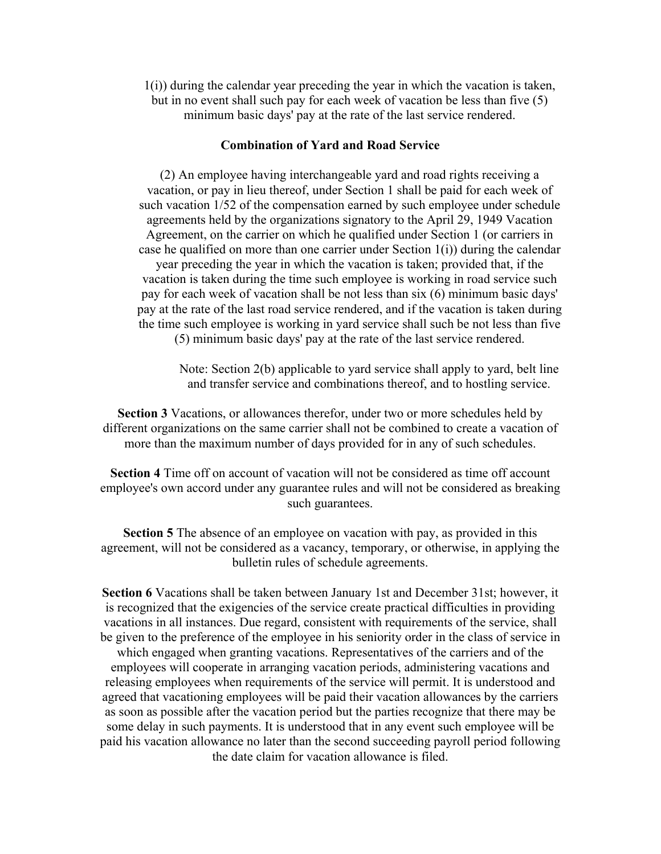1(i)) during the calendar year preceding the year in which the vacation is taken, but in no event shall such pay for each week of vacation be less than five (5) minimum basic days' pay at the rate of the last service rendered.

#### **Combination of Yard and Road Service**

(2) An employee having interchangeable yard and road rights receiving a vacation, or pay in lieu thereof, under Section 1 shall be paid for each week of such vacation 1/52 of the compensation earned by such employee under schedule agreements held by the organizations signatory to the April 29, 1949 Vacation Agreement, on the carrier on which he qualified under Section 1 (or carriers in case he qualified on more than one carrier under Section 1(i)) during the calendar year preceding the year in which the vacation is taken; provided that, if the vacation is taken during the time such employee is working in road service such pay for each week of vacation shall be not less than six (6) minimum basic days' pay at the rate of the last road service rendered, and if the vacation is taken during the time such employee is working in yard service shall such be not less than five (5) minimum basic days' pay at the rate of the last service rendered.

Note: Section 2(b) applicable to yard service shall apply to yard, belt line and transfer service and combinations thereof, and to hostling service.

**Section 3** Vacations, or allowances therefor, under two or more schedules held by different organizations on the same carrier shall not be combined to create a vacation of more than the maximum number of days provided for in any of such schedules.

**Section 4** Time off on account of vacation will not be considered as time off account employee's own accord under any guarantee rules and will not be considered as breaking such guarantees.

**Section 5** The absence of an employee on vacation with pay, as provided in this agreement, will not be considered as a vacancy, temporary, or otherwise, in applying the bulletin rules of schedule agreements.

**Section 6** Vacations shall be taken between January 1st and December 31st; however, it is recognized that the exigencies of the service create practical difficulties in providing vacations in all instances. Due regard, consistent with requirements of the service, shall be given to the preference of the employee in his seniority order in the class of service in which engaged when granting vacations. Representatives of the carriers and of the employees will cooperate in arranging vacation periods, administering vacations and releasing employees when requirements of the service will permit. It is understood and agreed that vacationing employees will be paid their vacation allowances by the carriers as soon as possible after the vacation period but the parties recognize that there may be some delay in such payments. It is understood that in any event such employee will be paid his vacation allowance no later than the second succeeding payroll period following the date claim for vacation allowance is filed.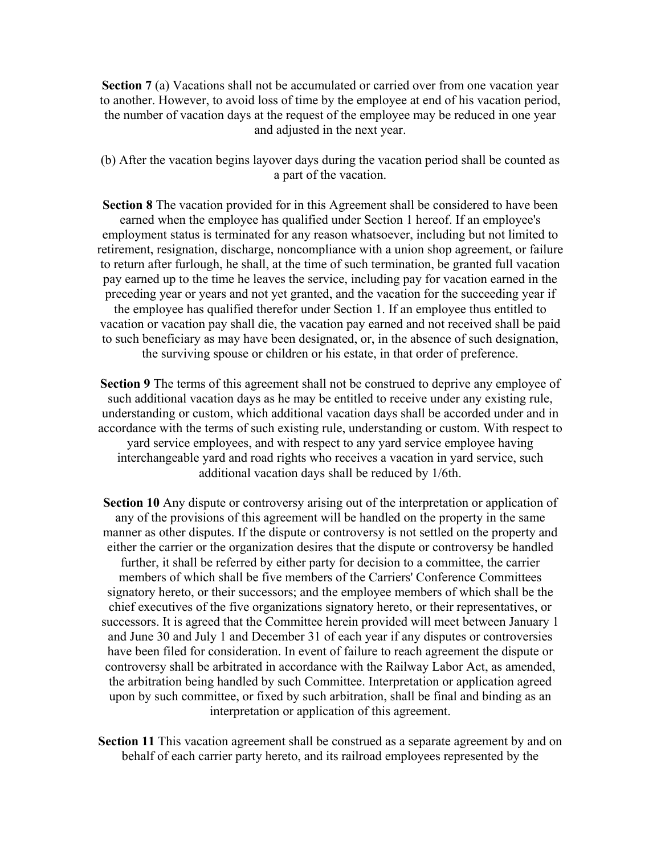**Section 7** (a) Vacations shall not be accumulated or carried over from one vacation year to another. However, to avoid loss of time by the employee at end of his vacation period, the number of vacation days at the request of the employee may be reduced in one year and adjusted in the next year.

(b) After the vacation begins layover days during the vacation period shall be counted as a part of the vacation.

**Section 8** The vacation provided for in this Agreement shall be considered to have been earned when the employee has qualified under Section 1 hereof. If an employee's employment status is terminated for any reason whatsoever, including but not limited to retirement, resignation, discharge, noncompliance with a union shop agreement, or failure to return after furlough, he shall, at the time of such termination, be granted full vacation pay earned up to the time he leaves the service, including pay for vacation earned in the preceding year or years and not yet granted, and the vacation for the succeeding year if the employee has qualified therefor under Section 1. If an employee thus entitled to vacation or vacation pay shall die, the vacation pay earned and not received shall be paid to such beneficiary as may have been designated, or, in the absence of such designation, the surviving spouse or children or his estate, in that order of preference.

**Section 9** The terms of this agreement shall not be construed to deprive any employee of such additional vacation days as he may be entitled to receive under any existing rule, understanding or custom, which additional vacation days shall be accorded under and in accordance with the terms of such existing rule, understanding or custom. With respect to yard service employees, and with respect to any yard service employee having interchangeable yard and road rights who receives a vacation in yard service, such additional vacation days shall be reduced by 1/6th.

**Section 10** Any dispute or controversy arising out of the interpretation or application of any of the provisions of this agreement will be handled on the property in the same manner as other disputes. If the dispute or controversy is not settled on the property and either the carrier or the organization desires that the dispute or controversy be handled further, it shall be referred by either party for decision to a committee, the carrier members of which shall be five members of the Carriers' Conference Committees signatory hereto, or their successors; and the employee members of which shall be the chief executives of the five organizations signatory hereto, or their representatives, or successors. It is agreed that the Committee herein provided will meet between January 1 and June 30 and July 1 and December 31 of each year if any disputes or controversies have been filed for consideration. In event of failure to reach agreement the dispute or controversy shall be arbitrated in accordance with the Railway Labor Act, as amended, the arbitration being handled by such Committee. Interpretation or application agreed upon by such committee, or fixed by such arbitration, shall be final and binding as an interpretation or application of this agreement.

Section 11 This vacation agreement shall be construed as a separate agreement by and on behalf of each carrier party hereto, and its railroad employees represented by the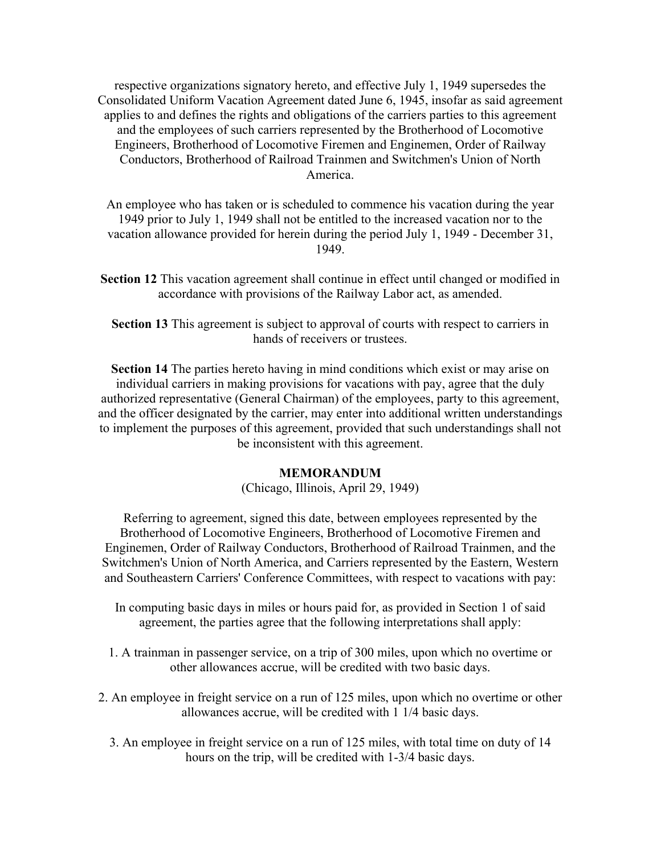respective organizations signatory hereto, and effective July 1, 1949 supersedes the Consolidated Uniform Vacation Agreement dated June 6, 1945, insofar as said agreement applies to and defines the rights and obligations of the carriers parties to this agreement and the employees of such carriers represented by the Brotherhood of Locomotive Engineers, Brotherhood of Locomotive Firemen and Enginemen, Order of Railway Conductors, Brotherhood of Railroad Trainmen and Switchmen's Union of North America.

An employee who has taken or is scheduled to commence his vacation during the year 1949 prior to July 1, 1949 shall not be entitled to the increased vacation nor to the vacation allowance provided for herein during the period July 1, 1949 - December 31, 1949.

**Section 12** This vacation agreement shall continue in effect until changed or modified in accordance with provisions of the Railway Labor act, as amended.

**Section 13** This agreement is subject to approval of courts with respect to carriers in hands of receivers or trustees.

**Section 14** The parties hereto having in mind conditions which exist or may arise on individual carriers in making provisions for vacations with pay, agree that the duly authorized representative (General Chairman) of the employees, party to this agreement, and the officer designated by the carrier, may enter into additional written understandings to implement the purposes of this agreement, provided that such understandings shall not be inconsistent with this agreement.

#### **MEMORANDUM**

(Chicago, Illinois, April 29, 1949)

Referring to agreement, signed this date, between employees represented by the Brotherhood of Locomotive Engineers, Brotherhood of Locomotive Firemen and Enginemen, Order of Railway Conductors, Brotherhood of Railroad Trainmen, and the Switchmen's Union of North America, and Carriers represented by the Eastern, Western and Southeastern Carriers' Conference Committees, with respect to vacations with pay:

- In computing basic days in miles or hours paid for, as provided in Section 1 of said agreement, the parties agree that the following interpretations shall apply:
- 1. A trainman in passenger service, on a trip of 300 miles, upon which no overtime or other allowances accrue, will be credited with two basic days.
- 2. An employee in freight service on a run of 125 miles, upon which no overtime or other allowances accrue, will be credited with 1 1/4 basic days.
	- 3. An employee in freight service on a run of 125 miles, with total time on duty of 14 hours on the trip, will be credited with 1-3/4 basic days.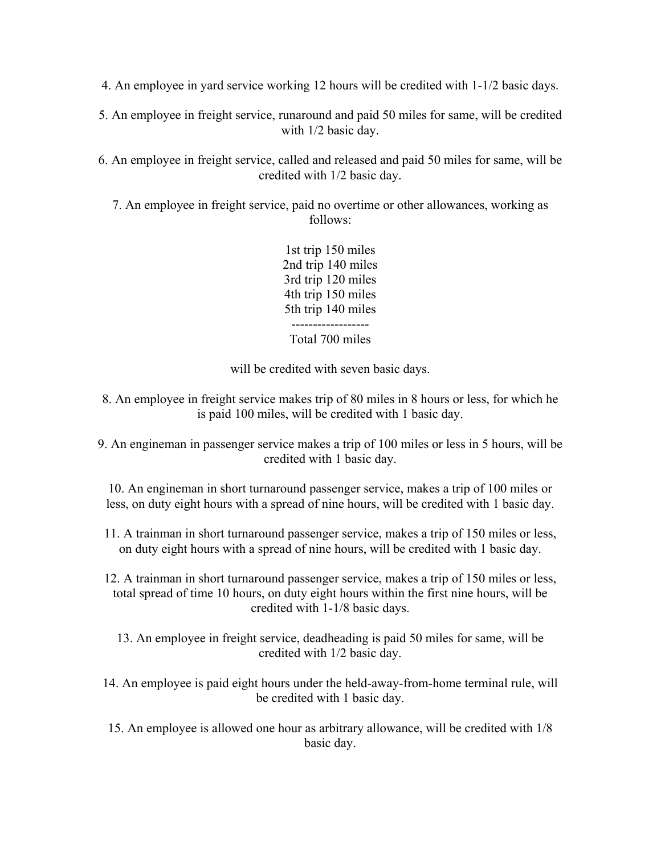4. An employee in yard service working 12 hours will be credited with 1-1/2 basic days.

5. An employee in freight service, runaround and paid 50 miles for same, will be credited with 1/2 basic day.

6. An employee in freight service, called and released and paid 50 miles for same, will be credited with 1/2 basic day.

7. An employee in freight service, paid no overtime or other allowances, working as follows:

> 1st trip 150 miles 2nd trip 140 miles 3rd trip 120 miles 4th trip 150 miles 5th trip 140 miles ------------------ Total 700 miles

will be credited with seven basic days.

- 8. An employee in freight service makes trip of 80 miles in 8 hours or less, for which he is paid 100 miles, will be credited with 1 basic day.
- 9. An engineman in passenger service makes a trip of 100 miles or less in 5 hours, will be credited with 1 basic day.

10. An engineman in short turnaround passenger service, makes a trip of 100 miles or less, on duty eight hours with a spread of nine hours, will be credited with 1 basic day.

11. A trainman in short turnaround passenger service, makes a trip of 150 miles or less, on duty eight hours with a spread of nine hours, will be credited with 1 basic day.

12. A trainman in short turnaround passenger service, makes a trip of 150 miles or less, total spread of time 10 hours, on duty eight hours within the first nine hours, will be credited with 1-1/8 basic days.

13. An employee in freight service, deadheading is paid 50 miles for same, will be credited with 1/2 basic day.

14. An employee is paid eight hours under the held-away-from-home terminal rule, will be credited with 1 basic day.

15. An employee is allowed one hour as arbitrary allowance, will be credited with 1/8 basic day.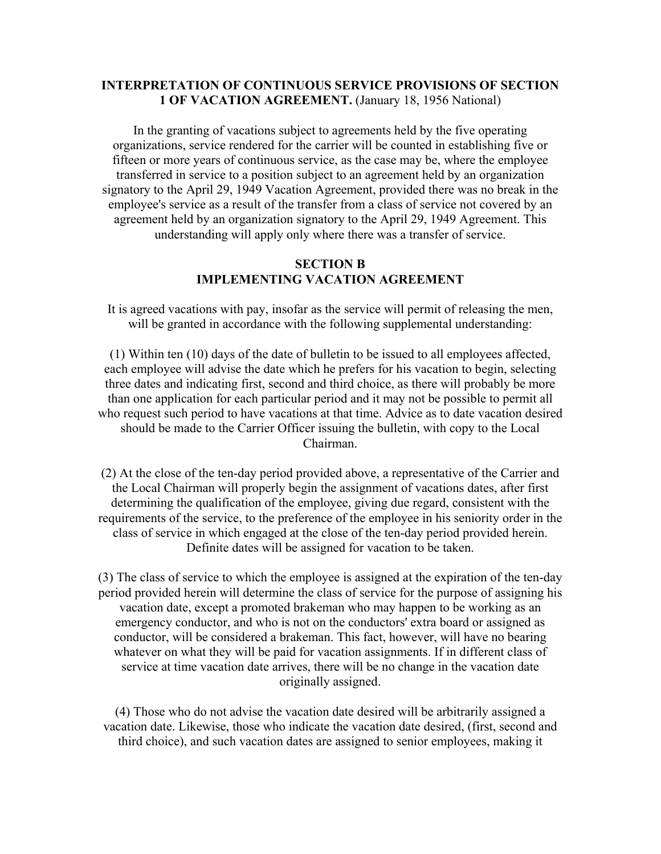# **INTERPRETATION OF CONTINUOUS SERVICE PROVISIONS OF SECTION 1 OF VACATION AGREEMENT.** (January 18, 1956 National)

In the granting of vacations subject to agreements held by the five operating organizations, service rendered for the carrier will be counted in establishing five or fifteen or more years of continuous service, as the case may be, where the employee transferred in service to a position subject to an agreement held by an organization signatory to the April 29, 1949 Vacation Agreement, provided there was no break in the employee's service as a result of the transfer from a class of service not covered by an agreement held by an organization signatory to the April 29, 1949 Agreement. This understanding will apply only where there was a transfer of service.

## **SECTION B IMPLEMENTING VACATION AGREEMENT**

It is agreed vacations with pay, insofar as the service will permit of releasing the men, will be granted in accordance with the following supplemental understanding:

(1) Within ten (10) days of the date of bulletin to be issued to all employees affected, each employee will advise the date which he prefers for his vacation to begin, selecting three dates and indicating first, second and third choice, as there will probably be more than one application for each particular period and it may not be possible to permit all who request such period to have vacations at that time. Advice as to date vacation desired should be made to the Carrier Officer issuing the bulletin, with copy to the Local Chairman.

(2) At the close of the ten-day period provided above, a representative of the Carrier and the Local Chairman will properly begin the assignment of vacations dates, after first determining the qualification of the employee, giving due regard, consistent with the requirements of the service, to the preference of the employee in his seniority order in the class of service in which engaged at the close of the ten-day period provided herein. Definite dates will be assigned for vacation to be taken.

(3) The class of service to which the employee is assigned at the expiration of the ten-day period provided herein will determine the class of service for the purpose of assigning his vacation date, except a promoted brakeman who may happen to be working as an emergency conductor, and who is not on the conductors' extra board or assigned as conductor, will be considered a brakeman. This fact, however, will have no bearing whatever on what they will be paid for vacation assignments. If in different class of service at time vacation date arrives, there will be no change in the vacation date originally assigned.

(4) Those who do not advise the vacation date desired will be arbitrarily assigned a vacation date. Likewise, those who indicate the vacation date desired, (first, second and third choice), and such vacation dates are assigned to senior employees, making it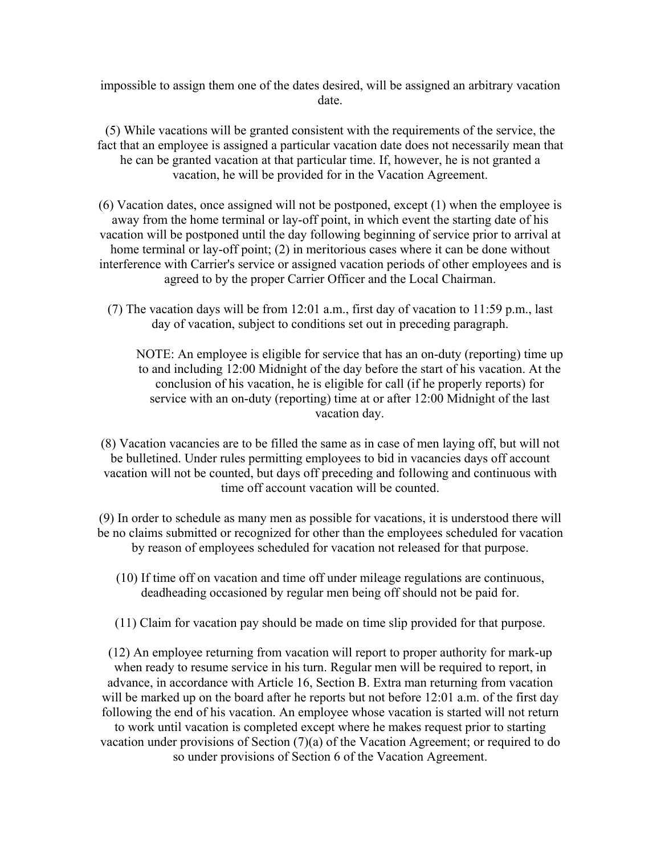impossible to assign them one of the dates desired, will be assigned an arbitrary vacation date.

(5) While vacations will be granted consistent with the requirements of the service, the fact that an employee is assigned a particular vacation date does not necessarily mean that he can be granted vacation at that particular time. If, however, he is not granted a vacation, he will be provided for in the Vacation Agreement.

(6) Vacation dates, once assigned will not be postponed, except (1) when the employee is away from the home terminal or lay-off point, in which event the starting date of his vacation will be postponed until the day following beginning of service prior to arrival at home terminal or lay-off point; (2) in meritorious cases where it can be done without interference with Carrier's service or assigned vacation periods of other employees and is agreed to by the proper Carrier Officer and the Local Chairman.

(7) The vacation days will be from 12:01 a.m., first day of vacation to 11:59 p.m., last day of vacation, subject to conditions set out in preceding paragraph.

NOTE: An employee is eligible for service that has an on-duty (reporting) time up to and including 12:00 Midnight of the day before the start of his vacation. At the conclusion of his vacation, he is eligible for call (if he properly reports) for service with an on-duty (reporting) time at or after 12:00 Midnight of the last vacation day.

(8) Vacation vacancies are to be filled the same as in case of men laying off, but will not be bulletined. Under rules permitting employees to bid in vacancies days off account vacation will not be counted, but days off preceding and following and continuous with time off account vacation will be counted.

(9) In order to schedule as many men as possible for vacations, it is understood there will be no claims submitted or recognized for other than the employees scheduled for vacation by reason of employees scheduled for vacation not released for that purpose.

- (10) If time off on vacation and time off under mileage regulations are continuous, deadheading occasioned by regular men being off should not be paid for.
- (11) Claim for vacation pay should be made on time slip provided for that purpose.

(12) An employee returning from vacation will report to proper authority for mark-up when ready to resume service in his turn. Regular men will be required to report, in advance, in accordance with Article 16, Section B. Extra man returning from vacation will be marked up on the board after he reports but not before 12:01 a.m. of the first day following the end of his vacation. An employee whose vacation is started will not return to work until vacation is completed except where he makes request prior to starting vacation under provisions of Section (7)(a) of the Vacation Agreement; or required to do so under provisions of Section 6 of the Vacation Agreement.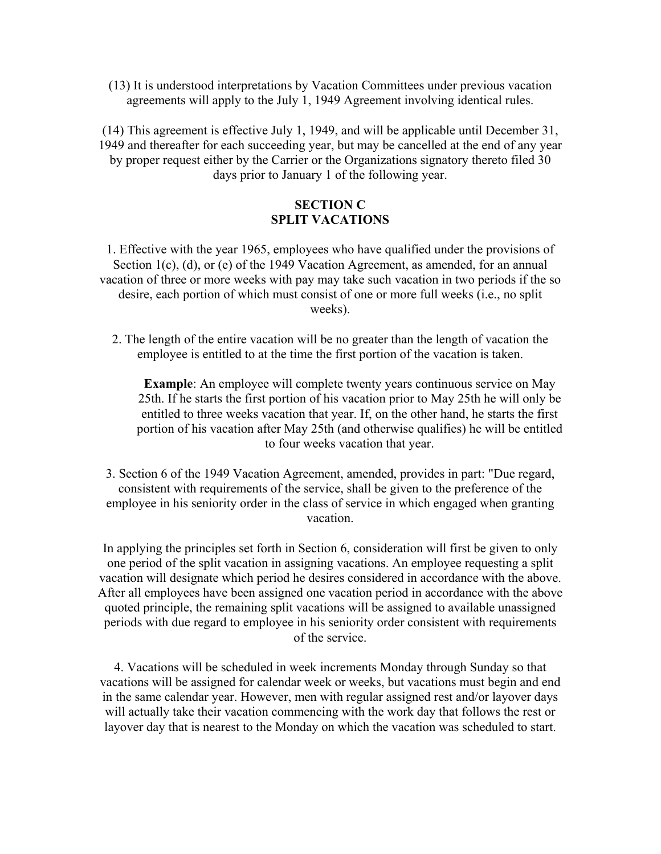(13) It is understood interpretations by Vacation Committees under previous vacation agreements will apply to the July 1, 1949 Agreement involving identical rules.

(14) This agreement is effective July 1, 1949, and will be applicable until December 31, 1949 and thereafter for each succeeding year, but may be cancelled at the end of any year by proper request either by the Carrier or the Organizations signatory thereto filed 30 days prior to January 1 of the following year.

### **SECTION C SPLIT VACATIONS**

1. Effective with the year 1965, employees who have qualified under the provisions of Section 1(c), (d), or (e) of the 1949 Vacation Agreement, as amended, for an annual vacation of three or more weeks with pay may take such vacation in two periods if the so desire, each portion of which must consist of one or more full weeks (i.e., no split weeks).

2. The length of the entire vacation will be no greater than the length of vacation the employee is entitled to at the time the first portion of the vacation is taken.

**Example**: An employee will complete twenty years continuous service on May 25th. If he starts the first portion of his vacation prior to May 25th he will only be entitled to three weeks vacation that year. If, on the other hand, he starts the first portion of his vacation after May 25th (and otherwise qualifies) he will be entitled to four weeks vacation that year.

3. Section 6 of the 1949 Vacation Agreement, amended, provides in part: "Due regard, consistent with requirements of the service, shall be given to the preference of the employee in his seniority order in the class of service in which engaged when granting vacation.

In applying the principles set forth in Section 6, consideration will first be given to only one period of the split vacation in assigning vacations. An employee requesting a split vacation will designate which period he desires considered in accordance with the above. After all employees have been assigned one vacation period in accordance with the above quoted principle, the remaining split vacations will be assigned to available unassigned periods with due regard to employee in his seniority order consistent with requirements of the service.

4. Vacations will be scheduled in week increments Monday through Sunday so that vacations will be assigned for calendar week or weeks, but vacations must begin and end in the same calendar year. However, men with regular assigned rest and/or layover days will actually take their vacation commencing with the work day that follows the rest or layover day that is nearest to the Monday on which the vacation was scheduled to start.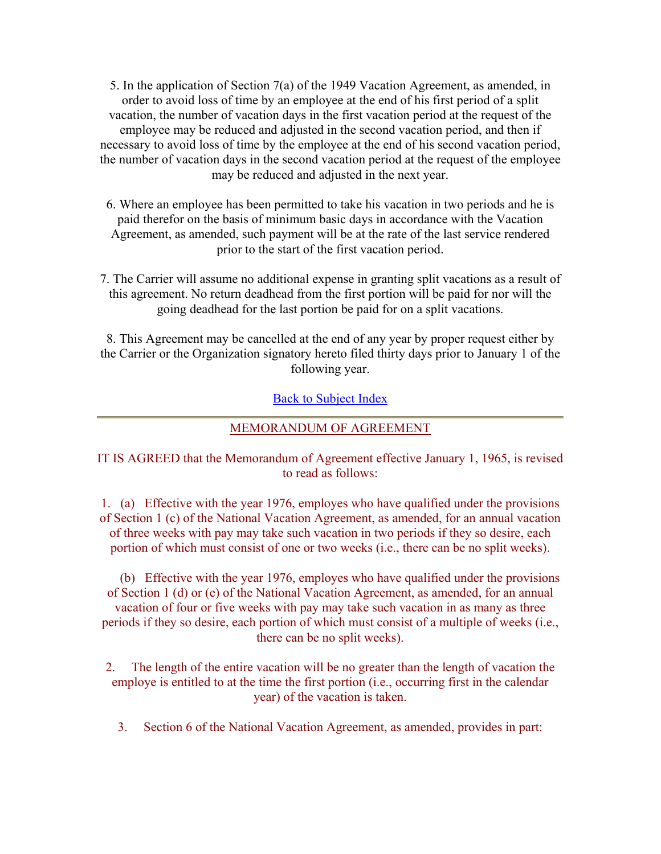5. In the application of Section 7(a) of the 1949 Vacation Agreement, as amended, in order to avoid loss of time by an employee at the end of his first period of a split vacation, the number of vacation days in the first vacation period at the request of the employee may be reduced and adjusted in the second vacation period, and then if necessary to avoid loss of time by the employee at the end of his second vacation period, the number of vacation days in the second vacation period at the request of the employee may be reduced and adjusted in the next year.

6. Where an employee has been permitted to take his vacation in two periods and he is paid therefor on the basis of minimum basic days in accordance with the Vacation Agreement, as amended, such payment will be at the rate of the last service rendered prior to the start of the first vacation period.

7. The Carrier will assume no additional expense in granting split vacations as a result of this agreement. No return deadhead from the first portion will be paid for nor will the going deadhead for the last portion be paid for on a split vacations.

8. This Agreement may be cancelled at the end of any year by proper request either by the Carrier or the Organization signatory hereto filed thirty days prior to January 1 of the following year.

# Back to Subject Index

## MEMORANDUM OF AGREEMENT

IT IS AGREED that the Memorandum of Agreement effective January 1, 1965, is revised to read as follows:

1. (a) Effective with the year 1976, employes who have qualified under the provisions of Section 1 (c) of the National Vacation Agreement, as amended, for an annual vacation of three weeks with pay may take such vacation in two periods if they so desire, each portion of which must consist of one or two weeks (i.e., there can be no split weeks).

 (b) Effective with the year 1976, employes who have qualified under the provisions of Section 1 (d) or (e) of the National Vacation Agreement, as amended, for an annual vacation of four or five weeks with pay may take such vacation in as many as three periods if they so desire, each portion of which must consist of a multiple of weeks (i.e., there can be no split weeks).

2. The length of the entire vacation will be no greater than the length of vacation the employe is entitled to at the time the first portion (i.e., occurring first in the calendar year) of the vacation is taken.

3. Section 6 of the National Vacation Agreement, as amended, provides in part: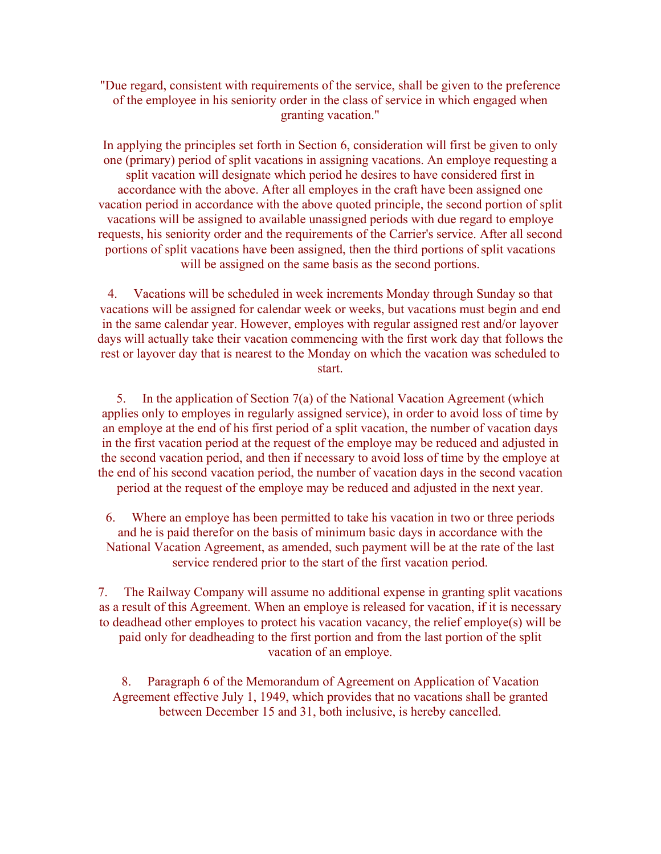"Due regard, consistent with requirements of the service, shall be given to the preference of the employee in his seniority order in the class of service in which engaged when granting vacation."

In applying the principles set forth in Section 6, consideration will first be given to only one (primary) period of split vacations in assigning vacations. An employe requesting a split vacation will designate which period he desires to have considered first in accordance with the above. After all employes in the craft have been assigned one vacation period in accordance with the above quoted principle, the second portion of split vacations will be assigned to available unassigned periods with due regard to employe requests, his seniority order and the requirements of the Carrier's service. After all second portions of split vacations have been assigned, then the third portions of split vacations will be assigned on the same basis as the second portions.

4. Vacations will be scheduled in week increments Monday through Sunday so that vacations will be assigned for calendar week or weeks, but vacations must begin and end in the same calendar year. However, employes with regular assigned rest and/or layover days will actually take their vacation commencing with the first work day that follows the rest or layover day that is nearest to the Monday on which the vacation was scheduled to start.

5. In the application of Section 7(a) of the National Vacation Agreement (which applies only to employes in regularly assigned service), in order to avoid loss of time by an employe at the end of his first period of a split vacation, the number of vacation days in the first vacation period at the request of the employe may be reduced and adjusted in the second vacation period, and then if necessary to avoid loss of time by the employe at the end of his second vacation period, the number of vacation days in the second vacation period at the request of the employe may be reduced and adjusted in the next year.

6. Where an employe has been permitted to take his vacation in two or three periods and he is paid therefor on the basis of minimum basic days in accordance with the National Vacation Agreement, as amended, such payment will be at the rate of the last service rendered prior to the start of the first vacation period.

7. The Railway Company will assume no additional expense in granting split vacations as a result of this Agreement. When an employe is released for vacation, if it is necessary to deadhead other employes to protect his vacation vacancy, the relief employe(s) will be paid only for deadheading to the first portion and from the last portion of the split vacation of an employe.

8. Paragraph 6 of the Memorandum of Agreement on Application of Vacation Agreement effective July 1, 1949, which provides that no vacations shall be granted between December 15 and 31, both inclusive, is hereby cancelled.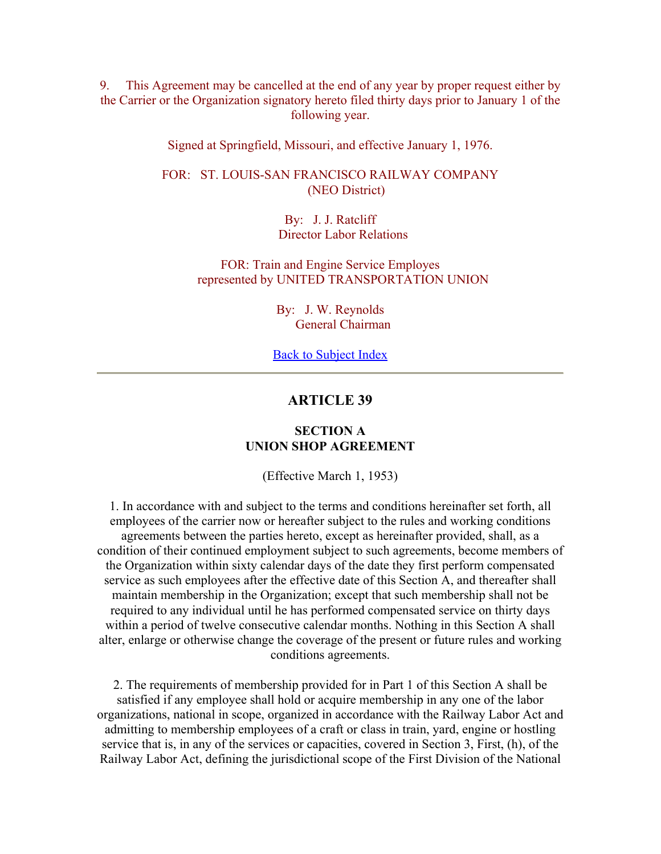9. This Agreement may be cancelled at the end of any year by proper request either by the Carrier or the Organization signatory hereto filed thirty days prior to January 1 of the following year.

Signed at Springfield, Missouri, and effective January 1, 1976.

FOR: ST. LOUIS-SAN FRANCISCO RAILWAY COMPANY (NEO District)

> By: J. J. Ratcliff Director Labor Relations

FOR: Train and Engine Service Employes represented by UNITED TRANSPORTATION UNION

> By: J. W. Reynolds General Chairman

Back to Subject Index

## **ARTICLE 39**

### **SECTION A UNION SHOP AGREEMENT**

(Effective March 1, 1953)

1. In accordance with and subject to the terms and conditions hereinafter set forth, all employees of the carrier now or hereafter subject to the rules and working conditions agreements between the parties hereto, except as hereinafter provided, shall, as a condition of their continued employment subject to such agreements, become members of the Organization within sixty calendar days of the date they first perform compensated service as such employees after the effective date of this Section A, and thereafter shall maintain membership in the Organization; except that such membership shall not be required to any individual until he has performed compensated service on thirty days within a period of twelve consecutive calendar months. Nothing in this Section A shall alter, enlarge or otherwise change the coverage of the present or future rules and working conditions agreements.

2. The requirements of membership provided for in Part 1 of this Section A shall be satisfied if any employee shall hold or acquire membership in any one of the labor organizations, national in scope, organized in accordance with the Railway Labor Act and admitting to membership employees of a craft or class in train, yard, engine or hostling service that is, in any of the services or capacities, covered in Section 3, First, (h), of the Railway Labor Act, defining the jurisdictional scope of the First Division of the National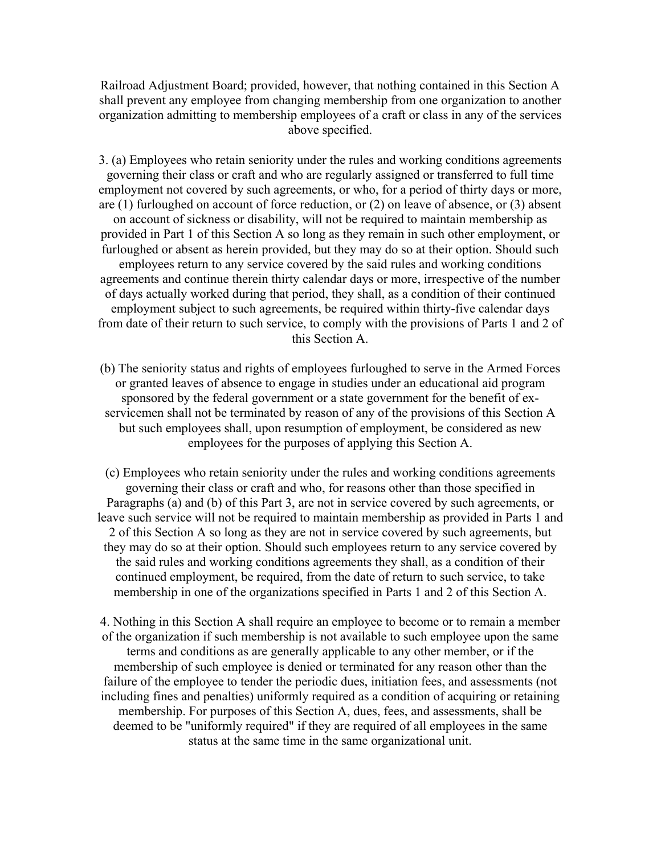Railroad Adjustment Board; provided, however, that nothing contained in this Section A shall prevent any employee from changing membership from one organization to another organization admitting to membership employees of a craft or class in any of the services above specified.

3. (a) Employees who retain seniority under the rules and working conditions agreements governing their class or craft and who are regularly assigned or transferred to full time employment not covered by such agreements, or who, for a period of thirty days or more, are (1) furloughed on account of force reduction, or (2) on leave of absence, or (3) absent on account of sickness or disability, will not be required to maintain membership as provided in Part 1 of this Section A so long as they remain in such other employment, or furloughed or absent as herein provided, but they may do so at their option. Should such employees return to any service covered by the said rules and working conditions agreements and continue therein thirty calendar days or more, irrespective of the number of days actually worked during that period, they shall, as a condition of their continued employment subject to such agreements, be required within thirty-five calendar days from date of their return to such service, to comply with the provisions of Parts 1 and 2 of this Section A.

(b) The seniority status and rights of employees furloughed to serve in the Armed Forces or granted leaves of absence to engage in studies under an educational aid program sponsored by the federal government or a state government for the benefit of exservicemen shall not be terminated by reason of any of the provisions of this Section A but such employees shall, upon resumption of employment, be considered as new employees for the purposes of applying this Section A.

(c) Employees who retain seniority under the rules and working conditions agreements governing their class or craft and who, for reasons other than those specified in Paragraphs (a) and (b) of this Part 3, are not in service covered by such agreements, or leave such service will not be required to maintain membership as provided in Parts 1 and 2 of this Section A so long as they are not in service covered by such agreements, but they may do so at their option. Should such employees return to any service covered by the said rules and working conditions agreements they shall, as a condition of their continued employment, be required, from the date of return to such service, to take membership in one of the organizations specified in Parts 1 and 2 of this Section A.

4. Nothing in this Section A shall require an employee to become or to remain a member of the organization if such membership is not available to such employee upon the same terms and conditions as are generally applicable to any other member, or if the membership of such employee is denied or terminated for any reason other than the failure of the employee to tender the periodic dues, initiation fees, and assessments (not including fines and penalties) uniformly required as a condition of acquiring or retaining membership. For purposes of this Section A, dues, fees, and assessments, shall be deemed to be "uniformly required" if they are required of all employees in the same status at the same time in the same organizational unit.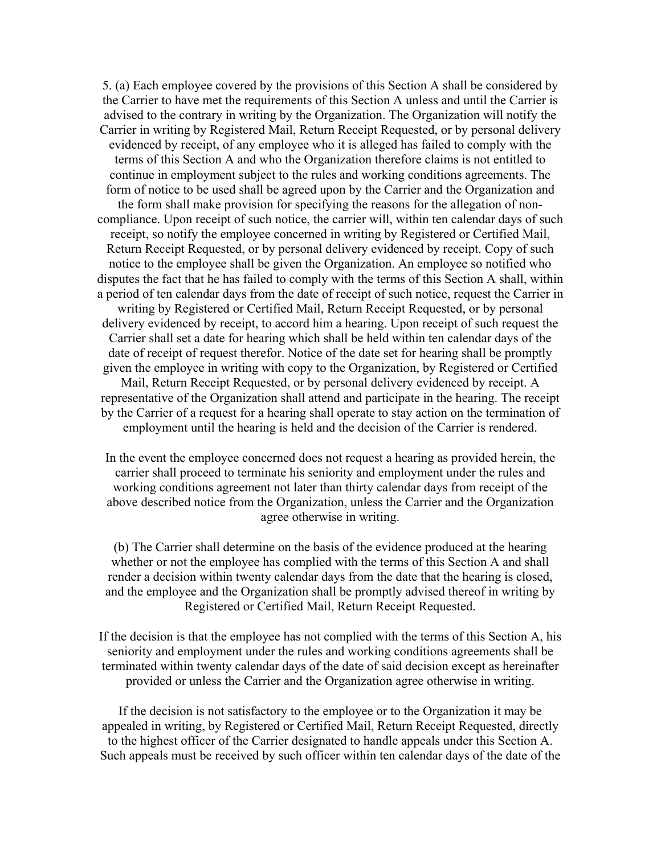5. (a) Each employee covered by the provisions of this Section A shall be considered by the Carrier to have met the requirements of this Section A unless and until the Carrier is advised to the contrary in writing by the Organization. The Organization will notify the Carrier in writing by Registered Mail, Return Receipt Requested, or by personal delivery evidenced by receipt, of any employee who it is alleged has failed to comply with the terms of this Section A and who the Organization therefore claims is not entitled to continue in employment subject to the rules and working conditions agreements. The form of notice to be used shall be agreed upon by the Carrier and the Organization and the form shall make provision for specifying the reasons for the allegation of noncompliance. Upon receipt of such notice, the carrier will, within ten calendar days of such receipt, so notify the employee concerned in writing by Registered or Certified Mail, Return Receipt Requested, or by personal delivery evidenced by receipt. Copy of such notice to the employee shall be given the Organization. An employee so notified who disputes the fact that he has failed to comply with the terms of this Section A shall, within a period of ten calendar days from the date of receipt of such notice, request the Carrier in writing by Registered or Certified Mail, Return Receipt Requested, or by personal delivery evidenced by receipt, to accord him a hearing. Upon receipt of such request the Carrier shall set a date for hearing which shall be held within ten calendar days of the date of receipt of request therefor. Notice of the date set for hearing shall be promptly given the employee in writing with copy to the Organization, by Registered or Certified Mail, Return Receipt Requested, or by personal delivery evidenced by receipt. A representative of the Organization shall attend and participate in the hearing. The receipt by the Carrier of a request for a hearing shall operate to stay action on the termination of employment until the hearing is held and the decision of the Carrier is rendered.

In the event the employee concerned does not request a hearing as provided herein, the carrier shall proceed to terminate his seniority and employment under the rules and working conditions agreement not later than thirty calendar days from receipt of the above described notice from the Organization, unless the Carrier and the Organization agree otherwise in writing.

(b) The Carrier shall determine on the basis of the evidence produced at the hearing whether or not the employee has complied with the terms of this Section A and shall render a decision within twenty calendar days from the date that the hearing is closed, and the employee and the Organization shall be promptly advised thereof in writing by Registered or Certified Mail, Return Receipt Requested.

If the decision is that the employee has not complied with the terms of this Section A, his seniority and employment under the rules and working conditions agreements shall be terminated within twenty calendar days of the date of said decision except as hereinafter provided or unless the Carrier and the Organization agree otherwise in writing.

If the decision is not satisfactory to the employee or to the Organization it may be appealed in writing, by Registered or Certified Mail, Return Receipt Requested, directly to the highest officer of the Carrier designated to handle appeals under this Section A. Such appeals must be received by such officer within ten calendar days of the date of the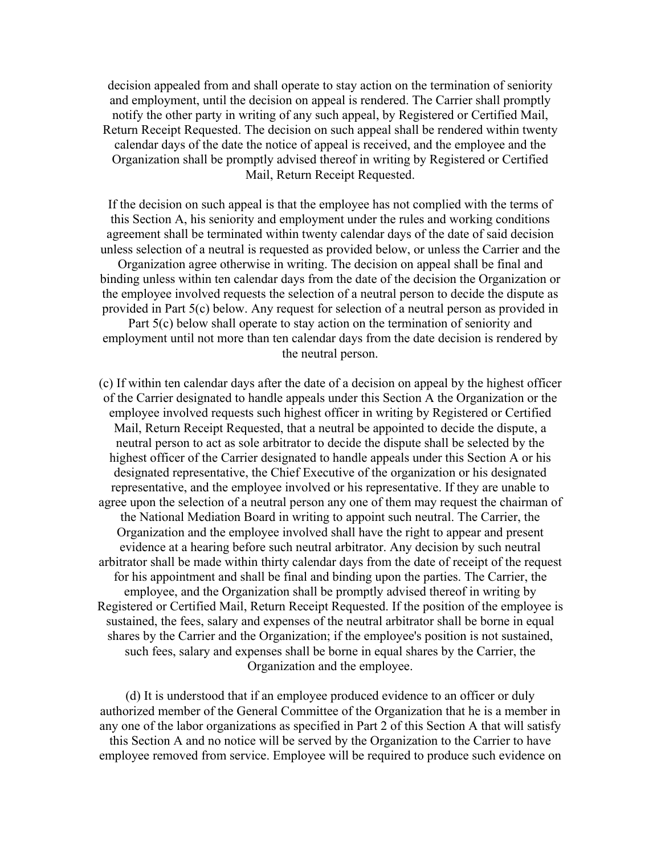decision appealed from and shall operate to stay action on the termination of seniority and employment, until the decision on appeal is rendered. The Carrier shall promptly notify the other party in writing of any such appeal, by Registered or Certified Mail, Return Receipt Requested. The decision on such appeal shall be rendered within twenty calendar days of the date the notice of appeal is received, and the employee and the Organization shall be promptly advised thereof in writing by Registered or Certified Mail, Return Receipt Requested.

If the decision on such appeal is that the employee has not complied with the terms of this Section A, his seniority and employment under the rules and working conditions agreement shall be terminated within twenty calendar days of the date of said decision unless selection of a neutral is requested as provided below, or unless the Carrier and the Organization agree otherwise in writing. The decision on appeal shall be final and binding unless within ten calendar days from the date of the decision the Organization or the employee involved requests the selection of a neutral person to decide the dispute as provided in Part 5(c) below. Any request for selection of a neutral person as provided in Part 5(c) below shall operate to stay action on the termination of seniority and

employment until not more than ten calendar days from the date decision is rendered by the neutral person.

(c) If within ten calendar days after the date of a decision on appeal by the highest officer of the Carrier designated to handle appeals under this Section A the Organization or the employee involved requests such highest officer in writing by Registered or Certified Mail, Return Receipt Requested, that a neutral be appointed to decide the dispute, a neutral person to act as sole arbitrator to decide the dispute shall be selected by the highest officer of the Carrier designated to handle appeals under this Section A or his designated representative, the Chief Executive of the organization or his designated representative, and the employee involved or his representative. If they are unable to agree upon the selection of a neutral person any one of them may request the chairman of the National Mediation Board in writing to appoint such neutral. The Carrier, the Organization and the employee involved shall have the right to appear and present evidence at a hearing before such neutral arbitrator. Any decision by such neutral arbitrator shall be made within thirty calendar days from the date of receipt of the request for his appointment and shall be final and binding upon the parties. The Carrier, the employee, and the Organization shall be promptly advised thereof in writing by Registered or Certified Mail, Return Receipt Requested. If the position of the employee is sustained, the fees, salary and expenses of the neutral arbitrator shall be borne in equal shares by the Carrier and the Organization; if the employee's position is not sustained, such fees, salary and expenses shall be borne in equal shares by the Carrier, the Organization and the employee.

(d) It is understood that if an employee produced evidence to an officer or duly authorized member of the General Committee of the Organization that he is a member in any one of the labor organizations as specified in Part 2 of this Section A that will satisfy this Section A and no notice will be served by the Organization to the Carrier to have employee removed from service. Employee will be required to produce such evidence on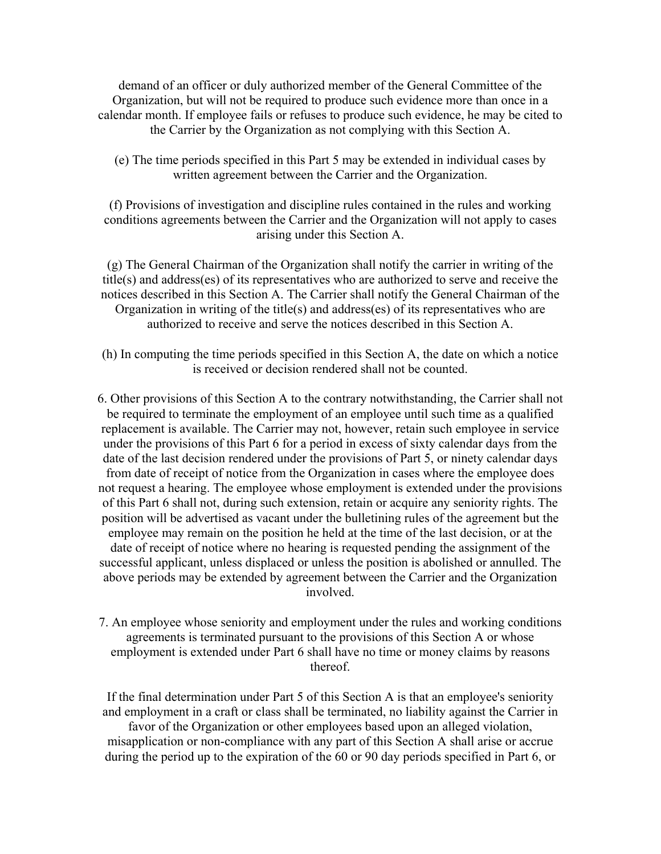demand of an officer or duly authorized member of the General Committee of the Organization, but will not be required to produce such evidence more than once in a calendar month. If employee fails or refuses to produce such evidence, he may be cited to the Carrier by the Organization as not complying with this Section A.

(e) The time periods specified in this Part 5 may be extended in individual cases by written agreement between the Carrier and the Organization.

(f) Provisions of investigation and discipline rules contained in the rules and working conditions agreements between the Carrier and the Organization will not apply to cases arising under this Section A.

(g) The General Chairman of the Organization shall notify the carrier in writing of the title(s) and address(es) of its representatives who are authorized to serve and receive the notices described in this Section A. The Carrier shall notify the General Chairman of the Organization in writing of the title(s) and address(es) of its representatives who are authorized to receive and serve the notices described in this Section A.

(h) In computing the time periods specified in this Section A, the date on which a notice is received or decision rendered shall not be counted.

6. Other provisions of this Section A to the contrary notwithstanding, the Carrier shall not be required to terminate the employment of an employee until such time as a qualified replacement is available. The Carrier may not, however, retain such employee in service under the provisions of this Part 6 for a period in excess of sixty calendar days from the date of the last decision rendered under the provisions of Part 5, or ninety calendar days from date of receipt of notice from the Organization in cases where the employee does not request a hearing. The employee whose employment is extended under the provisions of this Part 6 shall not, during such extension, retain or acquire any seniority rights. The position will be advertised as vacant under the bulletining rules of the agreement but the employee may remain on the position he held at the time of the last decision, or at the date of receipt of notice where no hearing is requested pending the assignment of the successful applicant, unless displaced or unless the position is abolished or annulled. The above periods may be extended by agreement between the Carrier and the Organization involved.

7. An employee whose seniority and employment under the rules and working conditions agreements is terminated pursuant to the provisions of this Section A or whose employment is extended under Part 6 shall have no time or money claims by reasons thereof.

If the final determination under Part 5 of this Section A is that an employee's seniority and employment in a craft or class shall be terminated, no liability against the Carrier in

favor of the Organization or other employees based upon an alleged violation, misapplication or non-compliance with any part of this Section A shall arise or accrue during the period up to the expiration of the 60 or 90 day periods specified in Part 6, or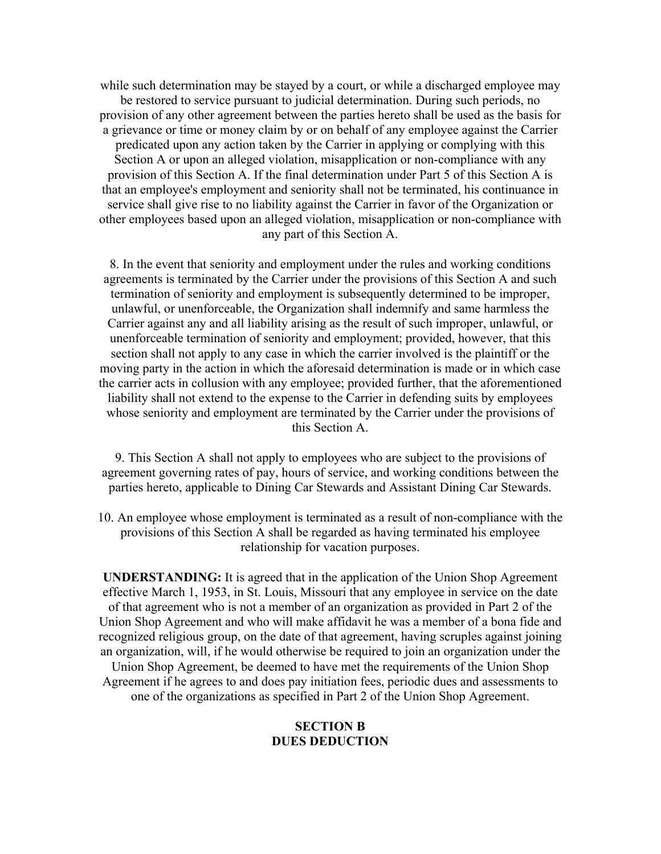while such determination may be stayed by a court, or while a discharged employee may be restored to service pursuant to judicial determination. During such periods, no provision of any other agreement between the parties hereto shall be used as the basis for a grievance or time or money claim by or on behalf of any employee against the Carrier predicated upon any action taken by the Carrier in applying or complying with this Section A or upon an alleged violation, misapplication or non-compliance with any provision of this Section A. If the final determination under Part 5 of this Section A is that an employee's employment and seniority shall not be terminated, his continuance in service shall give rise to no liability against the Carrier in favor of the Organization or other employees based upon an alleged violation, misapplication or non-compliance with any part of this Section A.

8. In the event that seniority and employment under the rules and working conditions agreements is terminated by the Carrier under the provisions of this Section A and such termination of seniority and employment is subsequently determined to be improper, unlawful, or unenforceable, the Organization shall indemnify and same harmless the Carrier against any and all liability arising as the result of such improper, unlawful, or unenforceable termination of seniority and employment; provided, however, that this section shall not apply to any case in which the carrier involved is the plaintiff or the moving party in the action in which the aforesaid determination is made or in which case the carrier acts in collusion with any employee; provided further, that the aforementioned liability shall not extend to the expense to the Carrier in defending suits by employees whose seniority and employment are terminated by the Carrier under the provisions of this Section A.

9. This Section A shall not apply to employees who are subject to the provisions of agreement governing rates of pay, hours of service, and working conditions between the parties hereto, applicable to Dining Car Stewards and Assistant Dining Car Stewards.

10. An employee whose employment is terminated as a result of non-compliance with the provisions of this Section A shall be regarded as having terminated his employee relationship for vacation purposes.

**UNDERSTANDING:** It is agreed that in the application of the Union Shop Agreement effective March 1, 1953, in St. Louis, Missouri that any employee in service on the date of that agreement who is not a member of an organization as provided in Part 2 of the Union Shop Agreement and who will make affidavit he was a member of a bona fide and recognized religious group, on the date of that agreement, having scruples against joining an organization, will, if he would otherwise be required to join an organization under the Union Shop Agreement, be deemed to have met the requirements of the Union Shop Agreement if he agrees to and does pay initiation fees, periodic dues and assessments to one of the organizations as specified in Part 2 of the Union Shop Agreement.

## **SECTION B DUES DEDUCTION**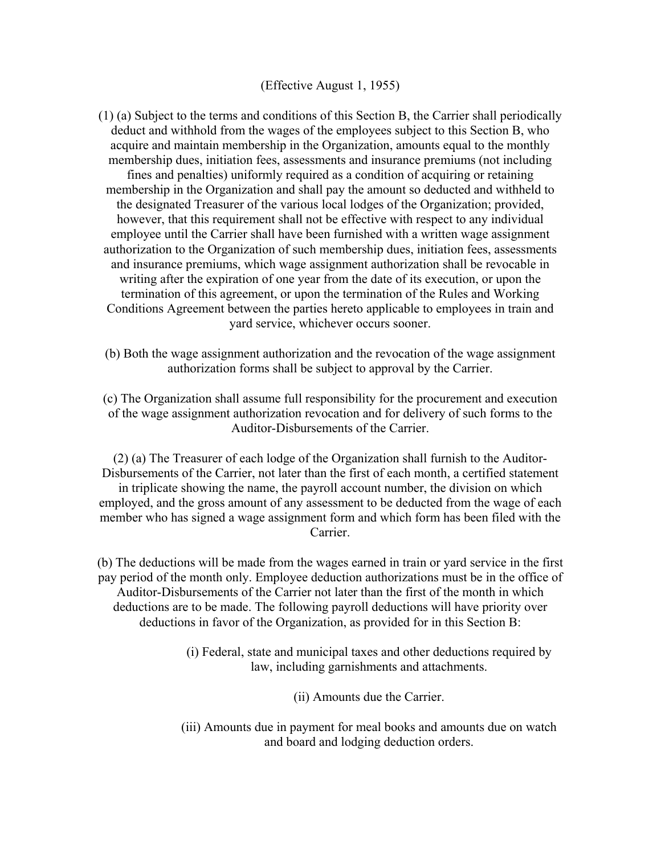## (Effective August 1, 1955)

(1) (a) Subject to the terms and conditions of this Section B, the Carrier shall periodically deduct and withhold from the wages of the employees subject to this Section B, who acquire and maintain membership in the Organization, amounts equal to the monthly membership dues, initiation fees, assessments and insurance premiums (not including fines and penalties) uniformly required as a condition of acquiring or retaining membership in the Organization and shall pay the amount so deducted and withheld to the designated Treasurer of the various local lodges of the Organization; provided, however, that this requirement shall not be effective with respect to any individual employee until the Carrier shall have been furnished with a written wage assignment authorization to the Organization of such membership dues, initiation fees, assessments and insurance premiums, which wage assignment authorization shall be revocable in writing after the expiration of one year from the date of its execution, or upon the termination of this agreement, or upon the termination of the Rules and Working Conditions Agreement between the parties hereto applicable to employees in train and yard service, whichever occurs sooner.

(b) Both the wage assignment authorization and the revocation of the wage assignment authorization forms shall be subject to approval by the Carrier.

(c) The Organization shall assume full responsibility for the procurement and execution of the wage assignment authorization revocation and for delivery of such forms to the Auditor-Disbursements of the Carrier.

(2) (a) The Treasurer of each lodge of the Organization shall furnish to the Auditor-Disbursements of the Carrier, not later than the first of each month, a certified statement in triplicate showing the name, the payroll account number, the division on which employed, and the gross amount of any assessment to be deducted from the wage of each member who has signed a wage assignment form and which form has been filed with the **Carrier** 

(b) The deductions will be made from the wages earned in train or yard service in the first pay period of the month only. Employee deduction authorizations must be in the office of Auditor-Disbursements of the Carrier not later than the first of the month in which deductions are to be made. The following payroll deductions will have priority over deductions in favor of the Organization, as provided for in this Section B:

- (i) Federal, state and municipal taxes and other deductions required by law, including garnishments and attachments.
	- (ii) Amounts due the Carrier.
- (iii) Amounts due in payment for meal books and amounts due on watch and board and lodging deduction orders.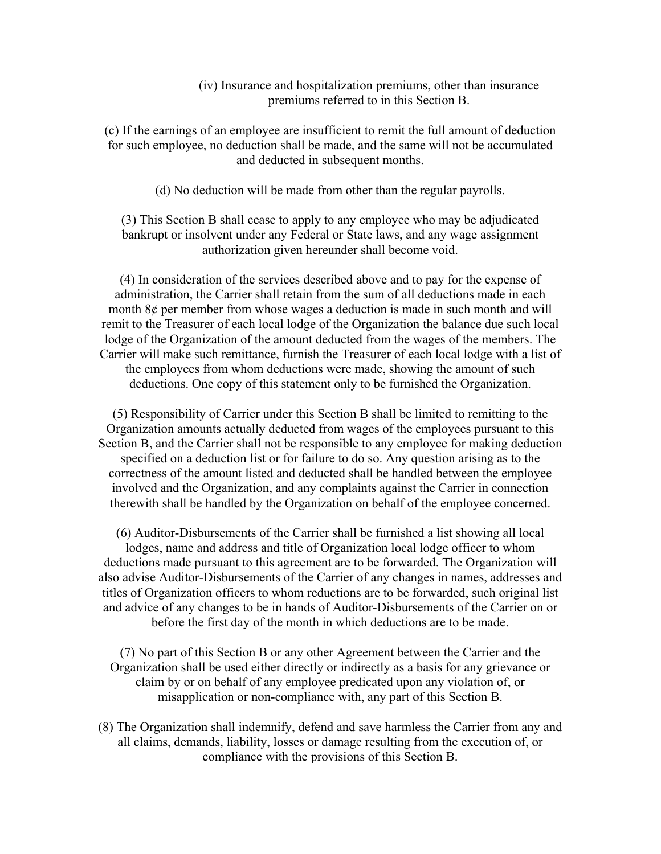## (iv) Insurance and hospitalization premiums, other than insurance premiums referred to in this Section B.

(c) If the earnings of an employee are insufficient to remit the full amount of deduction for such employee, no deduction shall be made, and the same will not be accumulated and deducted in subsequent months.

(d) No deduction will be made from other than the regular payrolls.

(3) This Section B shall cease to apply to any employee who may be adjudicated bankrupt or insolvent under any Federal or State laws, and any wage assignment authorization given hereunder shall become void.

(4) In consideration of the services described above and to pay for the expense of administration, the Carrier shall retain from the sum of all deductions made in each month 8¢ per member from whose wages a deduction is made in such month and will remit to the Treasurer of each local lodge of the Organization the balance due such local lodge of the Organization of the amount deducted from the wages of the members. The Carrier will make such remittance, furnish the Treasurer of each local lodge with a list of the employees from whom deductions were made, showing the amount of such deductions. One copy of this statement only to be furnished the Organization.

(5) Responsibility of Carrier under this Section B shall be limited to remitting to the Organization amounts actually deducted from wages of the employees pursuant to this Section B, and the Carrier shall not be responsible to any employee for making deduction specified on a deduction list or for failure to do so. Any question arising as to the correctness of the amount listed and deducted shall be handled between the employee involved and the Organization, and any complaints against the Carrier in connection therewith shall be handled by the Organization on behalf of the employee concerned.

(6) Auditor-Disbursements of the Carrier shall be furnished a list showing all local lodges, name and address and title of Organization local lodge officer to whom deductions made pursuant to this agreement are to be forwarded. The Organization will also advise Auditor-Disbursements of the Carrier of any changes in names, addresses and titles of Organization officers to whom reductions are to be forwarded, such original list and advice of any changes to be in hands of Auditor-Disbursements of the Carrier on or before the first day of the month in which deductions are to be made.

(7) No part of this Section B or any other Agreement between the Carrier and the Organization shall be used either directly or indirectly as a basis for any grievance or claim by or on behalf of any employee predicated upon any violation of, or misapplication or non-compliance with, any part of this Section B.

(8) The Organization shall indemnify, defend and save harmless the Carrier from any and all claims, demands, liability, losses or damage resulting from the execution of, or compliance with the provisions of this Section B.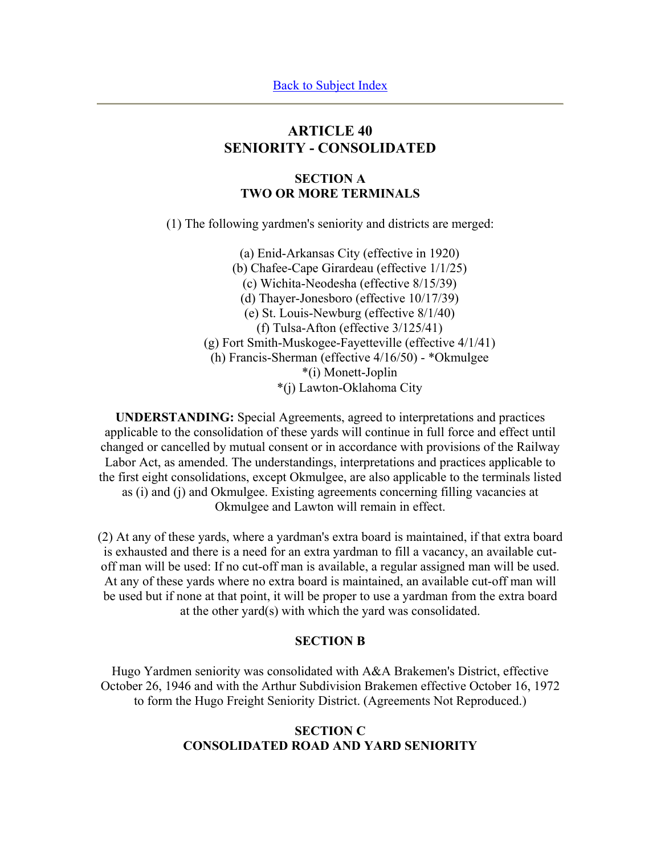# **ARTICLE 40 SENIORITY - CONSOLIDATED**

## **SECTION A TWO OR MORE TERMINALS**

(1) The following yardmen's seniority and districts are merged:

(a) Enid-Arkansas City (effective in 1920) (b) Chafee-Cape Girardeau (effective 1/1/25) (c) Wichita-Neodesha (effective 8/15/39) (d) Thayer-Jonesboro (effective 10/17/39) (e) St. Louis-Newburg (effective 8/1/40) (f) Tulsa-Afton (effective 3/125/41) (g) Fort Smith-Muskogee-Fayetteville (effective 4/1/41) (h) Francis-Sherman (effective 4/16/50) - \*Okmulgee \*(i) Monett-Joplin \*(j) Lawton-Oklahoma City

**UNDERSTANDING:** Special Agreements, agreed to interpretations and practices applicable to the consolidation of these yards will continue in full force and effect until changed or cancelled by mutual consent or in accordance with provisions of the Railway Labor Act, as amended. The understandings, interpretations and practices applicable to the first eight consolidations, except Okmulgee, are also applicable to the terminals listed as (i) and (j) and Okmulgee. Existing agreements concerning filling vacancies at Okmulgee and Lawton will remain in effect.

(2) At any of these yards, where a yardman's extra board is maintained, if that extra board is exhausted and there is a need for an extra yardman to fill a vacancy, an available cutoff man will be used: If no cut-off man is available, a regular assigned man will be used. At any of these yards where no extra board is maintained, an available cut-off man will be used but if none at that point, it will be proper to use a yardman from the extra board at the other yard(s) with which the yard was consolidated.

#### **SECTION B**

Hugo Yardmen seniority was consolidated with A&A Brakemen's District, effective October 26, 1946 and with the Arthur Subdivision Brakemen effective October 16, 1972 to form the Hugo Freight Seniority District. (Agreements Not Reproduced.)

# **SECTION C CONSOLIDATED ROAD AND YARD SENIORITY**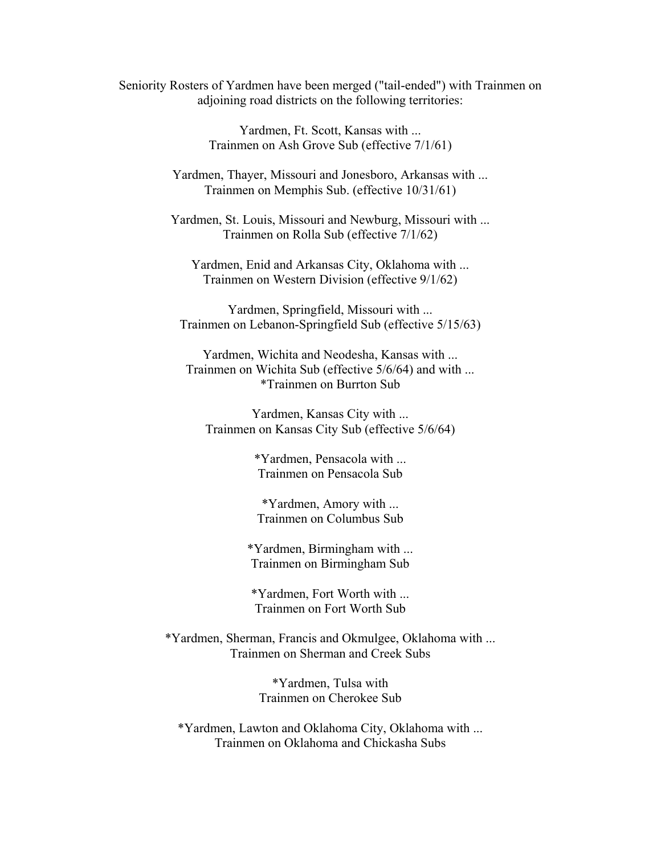Seniority Rosters of Yardmen have been merged ("tail-ended") with Trainmen on adjoining road districts on the following territories:

> Yardmen, Ft. Scott, Kansas with ... Trainmen on Ash Grove Sub (effective 7/1/61)

Yardmen, Thayer, Missouri and Jonesboro, Arkansas with ... Trainmen on Memphis Sub. (effective 10/31/61)

Yardmen, St. Louis, Missouri and Newburg, Missouri with ... Trainmen on Rolla Sub (effective 7/1/62)

Yardmen, Enid and Arkansas City, Oklahoma with ... Trainmen on Western Division (effective 9/1/62)

Yardmen, Springfield, Missouri with ... Trainmen on Lebanon-Springfield Sub (effective 5/15/63)

Yardmen, Wichita and Neodesha, Kansas with ... Trainmen on Wichita Sub (effective 5/6/64) and with ... \*Trainmen on Burrton Sub

Yardmen, Kansas City with ... Trainmen on Kansas City Sub (effective 5/6/64)

> \*Yardmen, Pensacola with ... Trainmen on Pensacola Sub

\*Yardmen, Amory with ... Trainmen on Columbus Sub

\*Yardmen, Birmingham with ... Trainmen on Birmingham Sub

\*Yardmen, Fort Worth with ... Trainmen on Fort Worth Sub

\*Yardmen, Sherman, Francis and Okmulgee, Oklahoma with ... Trainmen on Sherman and Creek Subs

> \*Yardmen, Tulsa with Trainmen on Cherokee Sub

\*Yardmen, Lawton and Oklahoma City, Oklahoma with ... Trainmen on Oklahoma and Chickasha Subs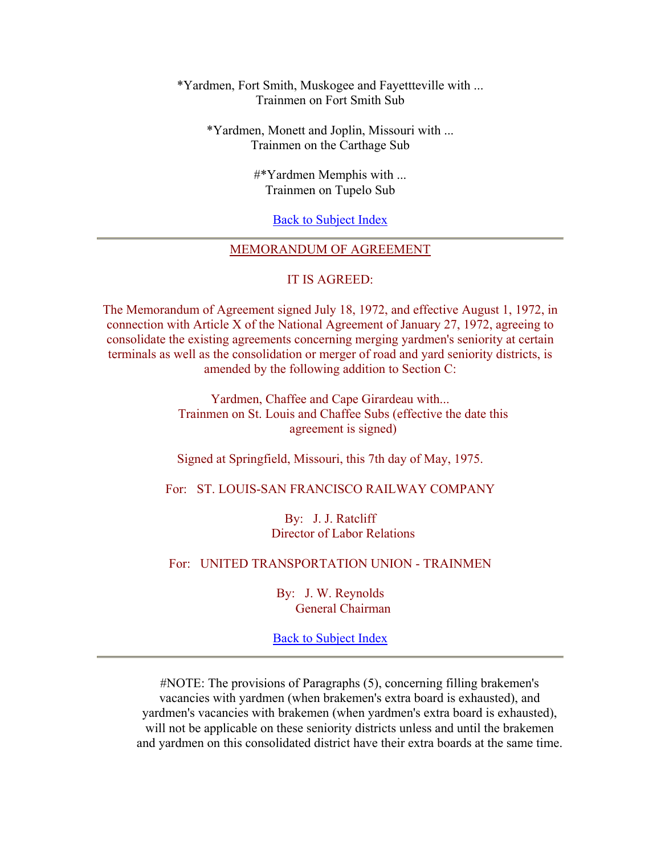## \*Yardmen, Fort Smith, Muskogee and Fayettteville with ... Trainmen on Fort Smith Sub

\*Yardmen, Monett and Joplin, Missouri with ... Trainmen on the Carthage Sub

> #\*Yardmen Memphis with ... Trainmen on Tupelo Sub

> > Back to Subject Index

## MEMORANDUM OF AGREEMENT

#### IT IS AGREED:

The Memorandum of Agreement signed July 18, 1972, and effective August 1, 1972, in connection with Article X of the National Agreement of January 27, 1972, agreeing to consolidate the existing agreements concerning merging yardmen's seniority at certain terminals as well as the consolidation or merger of road and yard seniority districts, is amended by the following addition to Section C:

> Yardmen, Chaffee and Cape Girardeau with... Trainmen on St. Louis and Chaffee Subs (effective the date this agreement is signed)

Signed at Springfield, Missouri, this 7th day of May, 1975.

For: ST. LOUIS-SAN FRANCISCO RAILWAY COMPANY

By: J. J. Ratcliff Director of Labor Relations

## For: UNITED TRANSPORTATION UNION - TRAINMEN

By: J. W. Reynolds General Chairman

Back to Subject Index

#NOTE: The provisions of Paragraphs (5), concerning filling brakemen's vacancies with yardmen (when brakemen's extra board is exhausted), and yardmen's vacancies with brakemen (when yardmen's extra board is exhausted), will not be applicable on these seniority districts unless and until the brakemen and yardmen on this consolidated district have their extra boards at the same time.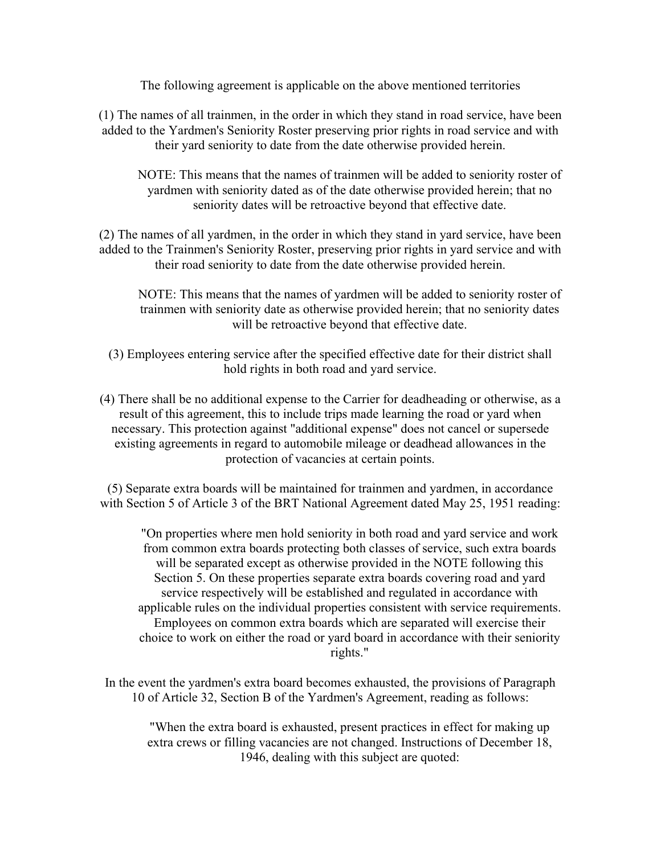The following agreement is applicable on the above mentioned territories

(1) The names of all trainmen, in the order in which they stand in road service, have been added to the Yardmen's Seniority Roster preserving prior rights in road service and with their yard seniority to date from the date otherwise provided herein.

NOTE: This means that the names of trainmen will be added to seniority roster of yardmen with seniority dated as of the date otherwise provided herein; that no seniority dates will be retroactive beyond that effective date.

(2) The names of all yardmen, in the order in which they stand in yard service, have been added to the Trainmen's Seniority Roster, preserving prior rights in yard service and with their road seniority to date from the date otherwise provided herein.

NOTE: This means that the names of yardmen will be added to seniority roster of trainmen with seniority date as otherwise provided herein; that no seniority dates will be retroactive beyond that effective date.

(3) Employees entering service after the specified effective date for their district shall hold rights in both road and yard service.

(4) There shall be no additional expense to the Carrier for deadheading or otherwise, as a result of this agreement, this to include trips made learning the road or yard when necessary. This protection against "additional expense" does not cancel or supersede existing agreements in regard to automobile mileage or deadhead allowances in the protection of vacancies at certain points.

(5) Separate extra boards will be maintained for trainmen and yardmen, in accordance with Section 5 of Article 3 of the BRT National Agreement dated May 25, 1951 reading:

"On properties where men hold seniority in both road and yard service and work from common extra boards protecting both classes of service, such extra boards will be separated except as otherwise provided in the NOTE following this Section 5. On these properties separate extra boards covering road and yard service respectively will be established and regulated in accordance with applicable rules on the individual properties consistent with service requirements. Employees on common extra boards which are separated will exercise their choice to work on either the road or yard board in accordance with their seniority rights."

In the event the yardmen's extra board becomes exhausted, the provisions of Paragraph 10 of Article 32, Section B of the Yardmen's Agreement, reading as follows:

"When the extra board is exhausted, present practices in effect for making up extra crews or filling vacancies are not changed. Instructions of December 18, 1946, dealing with this subject are quoted: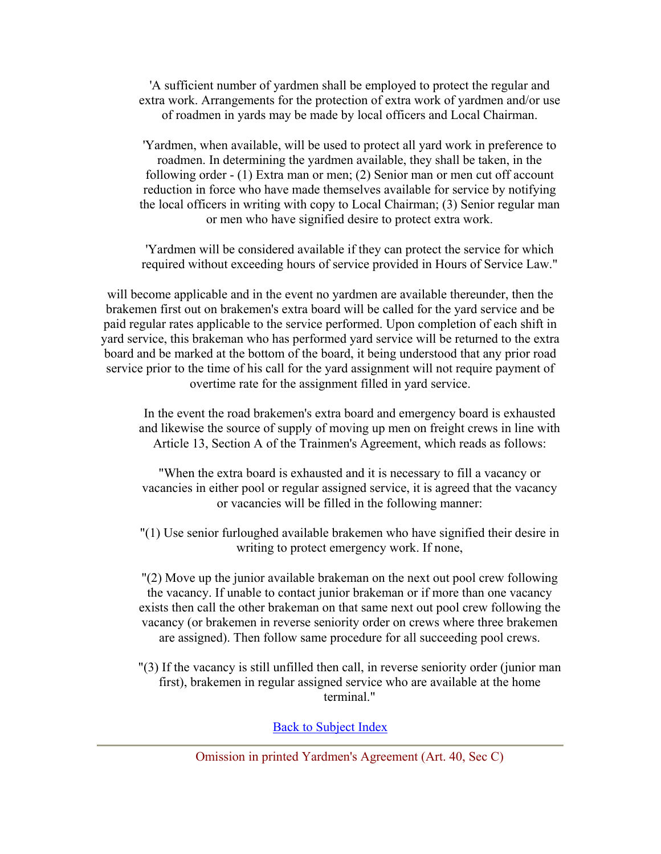'A sufficient number of yardmen shall be employed to protect the regular and extra work. Arrangements for the protection of extra work of yardmen and/or use of roadmen in yards may be made by local officers and Local Chairman.

'Yardmen, when available, will be used to protect all yard work in preference to roadmen. In determining the yardmen available, they shall be taken, in the following order - (1) Extra man or men; (2) Senior man or men cut off account reduction in force who have made themselves available for service by notifying the local officers in writing with copy to Local Chairman; (3) Senior regular man or men who have signified desire to protect extra work.

'Yardmen will be considered available if they can protect the service for which required without exceeding hours of service provided in Hours of Service Law."

will become applicable and in the event no yardmen are available thereunder, then the brakemen first out on brakemen's extra board will be called for the yard service and be paid regular rates applicable to the service performed. Upon completion of each shift in yard service, this brakeman who has performed yard service will be returned to the extra board and be marked at the bottom of the board, it being understood that any prior road service prior to the time of his call for the yard assignment will not require payment of overtime rate for the assignment filled in yard service.

In the event the road brakemen's extra board and emergency board is exhausted and likewise the source of supply of moving up men on freight crews in line with Article 13, Section A of the Trainmen's Agreement, which reads as follows:

"When the extra board is exhausted and it is necessary to fill a vacancy or vacancies in either pool or regular assigned service, it is agreed that the vacancy or vacancies will be filled in the following manner:

"(1) Use senior furloughed available brakemen who have signified their desire in writing to protect emergency work. If none,

"(2) Move up the junior available brakeman on the next out pool crew following the vacancy. If unable to contact junior brakeman or if more than one vacancy exists then call the other brakeman on that same next out pool crew following the vacancy (or brakemen in reverse seniority order on crews where three brakemen are assigned). Then follow same procedure for all succeeding pool crews.

"(3) If the vacancy is still unfilled then call, in reverse seniority order (junior man first), brakemen in regular assigned service who are available at the home terminal."

Back to Subject Index

Omission in printed Yardmen's Agreement (Art. 40, Sec C)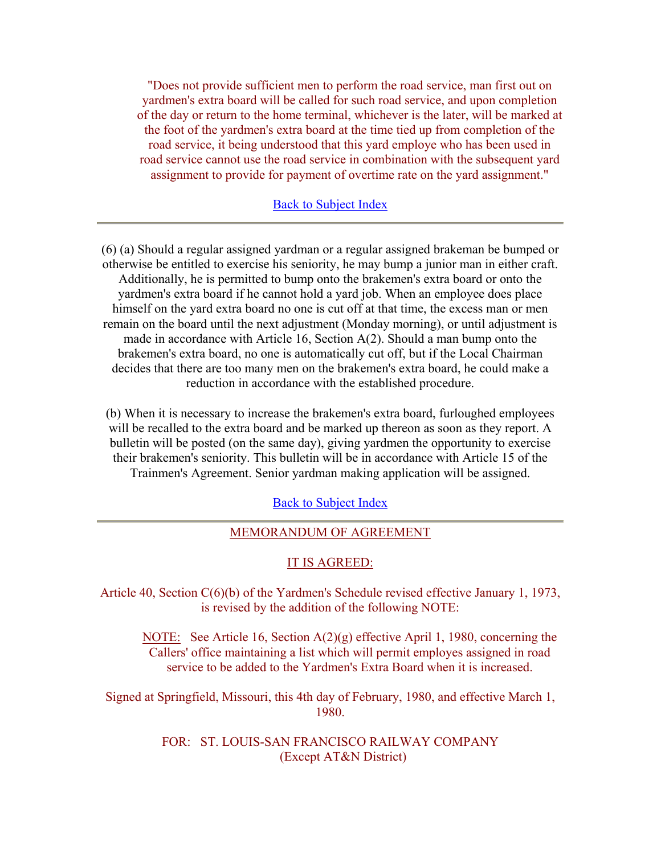"Does not provide sufficient men to perform the road service, man first out on yardmen's extra board will be called for such road service, and upon completion of the day or return to the home terminal, whichever is the later, will be marked at the foot of the yardmen's extra board at the time tied up from completion of the road service, it being understood that this yard employe who has been used in road service cannot use the road service in combination with the subsequent yard assignment to provide for payment of overtime rate on the yard assignment."

**Back to Subject Index** 

(6) (a) Should a regular assigned yardman or a regular assigned brakeman be bumped or otherwise be entitled to exercise his seniority, he may bump a junior man in either craft. Additionally, he is permitted to bump onto the brakemen's extra board or onto the yardmen's extra board if he cannot hold a yard job. When an employee does place himself on the yard extra board no one is cut off at that time, the excess man or men remain on the board until the next adjustment (Monday morning), or until adjustment is made in accordance with Article 16, Section A(2). Should a man bump onto the brakemen's extra board, no one is automatically cut off, but if the Local Chairman decides that there are too many men on the brakemen's extra board, he could make a reduction in accordance with the established procedure.

(b) When it is necessary to increase the brakemen's extra board, furloughed employees will be recalled to the extra board and be marked up thereon as soon as they report. A bulletin will be posted (on the same day), giving yardmen the opportunity to exercise their brakemen's seniority. This bulletin will be in accordance with Article 15 of the Trainmen's Agreement. Senior yardman making application will be assigned.

Back to Subject Index

## MEMORANDUM OF AGREEMENT

#### IT IS AGREED:

Article 40, Section C(6)(b) of the Yardmen's Schedule revised effective January 1, 1973, is revised by the addition of the following NOTE:

NOTE: See Article 16, Section A(2)(g) effective April 1, 1980, concerning the Callers' office maintaining a list which will permit employes assigned in road service to be added to the Yardmen's Extra Board when it is increased.

Signed at Springfield, Missouri, this 4th day of February, 1980, and effective March 1, 1980.

> FOR: ST. LOUIS-SAN FRANCISCO RAILWAY COMPANY (Except AT&N District)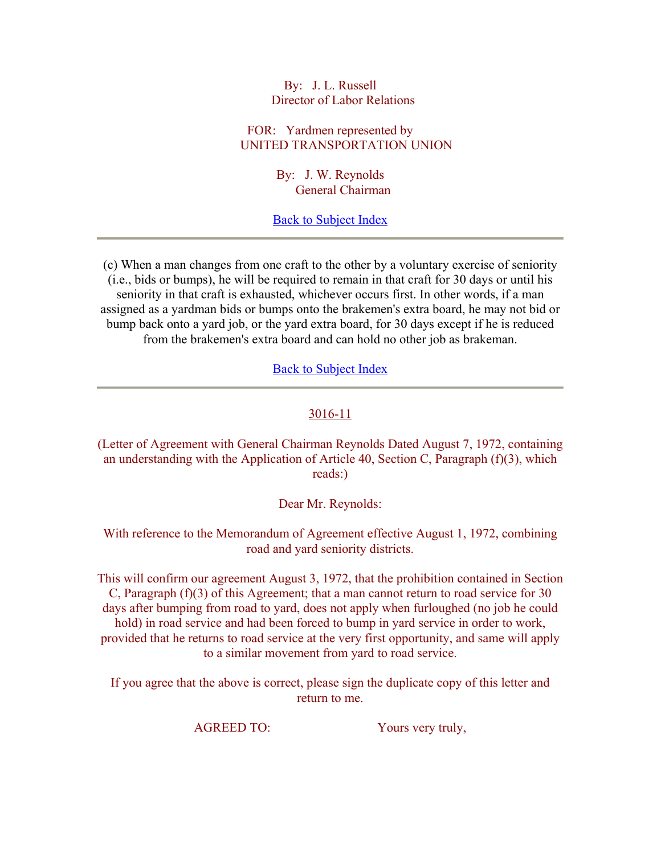By: J. L. Russell Director of Labor Relations

FOR: Yardmen represented by UNITED TRANSPORTATION UNION

> By: J. W. Reynolds General Chairman

Back to Subject Index

(c) When a man changes from one craft to the other by a voluntary exercise of seniority (i.e., bids or bumps), he will be required to remain in that craft for 30 days or until his seniority in that craft is exhausted, whichever occurs first. In other words, if a man assigned as a yardman bids or bumps onto the brakemen's extra board, he may not bid or bump back onto a yard job, or the yard extra board, for 30 days except if he is reduced from the brakemen's extra board and can hold no other job as brakeman.

Back to Subject Index

## 3016-11

(Letter of Agreement with General Chairman Reynolds Dated August 7, 1972, containing an understanding with the Application of Article 40, Section C, Paragraph (f)(3), which reads:)

Dear Mr. Reynolds:

With reference to the Memorandum of Agreement effective August 1, 1972, combining road and yard seniority districts.

This will confirm our agreement August 3, 1972, that the prohibition contained in Section C, Paragraph (f)(3) of this Agreement; that a man cannot return to road service for 30 days after bumping from road to yard, does not apply when furloughed (no job he could hold) in road service and had been forced to bump in yard service in order to work, provided that he returns to road service at the very first opportunity, and same will apply to a similar movement from yard to road service.

If you agree that the above is correct, please sign the duplicate copy of this letter and return to me.

AGREED TO: Yours very truly,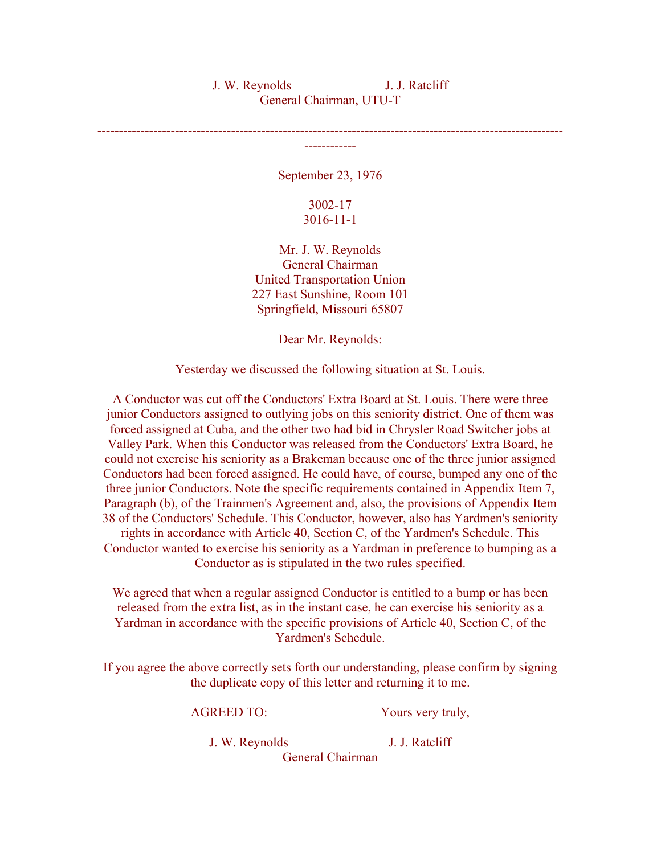## J. W. Reynolds J. J. Ratcliff General Chairman, UTU-T

------------------------------------------------------------------------------------------------------------ ------------

September 23, 1976

## 3002-17 3016-11-1

Mr. J. W. Reynolds General Chairman United Transportation Union 227 East Sunshine, Room 101 Springfield, Missouri 65807

Dear Mr. Reynolds:

Yesterday we discussed the following situation at St. Louis.

A Conductor was cut off the Conductors' Extra Board at St. Louis. There were three junior Conductors assigned to outlying jobs on this seniority district. One of them was forced assigned at Cuba, and the other two had bid in Chrysler Road Switcher jobs at Valley Park. When this Conductor was released from the Conductors' Extra Board, he could not exercise his seniority as a Brakeman because one of the three junior assigned Conductors had been forced assigned. He could have, of course, bumped any one of the three junior Conductors. Note the specific requirements contained in Appendix Item 7, Paragraph (b), of the Trainmen's Agreement and, also, the provisions of Appendix Item 38 of the Conductors' Schedule. This Conductor, however, also has Yardmen's seniority rights in accordance with Article 40, Section C, of the Yardmen's Schedule. This Conductor wanted to exercise his seniority as a Yardman in preference to bumping as a Conductor as is stipulated in the two rules specified.

We agreed that when a regular assigned Conductor is entitled to a bump or has been released from the extra list, as in the instant case, he can exercise his seniority as a Yardman in accordance with the specific provisions of Article 40, Section C, of the Yardmen's Schedule.

If you agree the above correctly sets forth our understanding, please confirm by signing the duplicate copy of this letter and returning it to me.

AGREED TO: Yours very truly,

J. W. Reynolds J. J. Ratcliff

General Chairman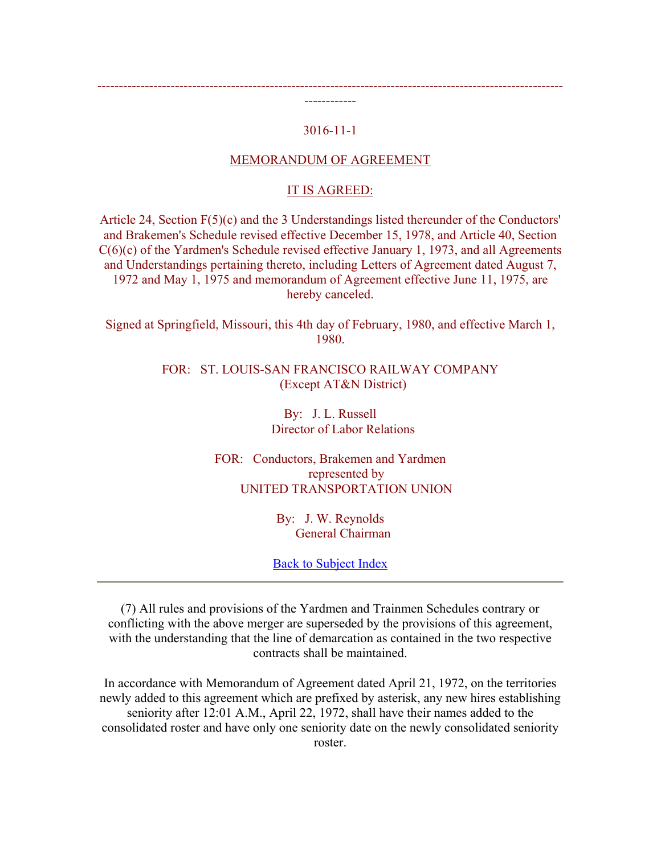## 3016-11-1

------------------------------------------------------------------------------------------------------------ ------------

#### MEMORANDUM OF AGREEMENT

# IT IS AGREED:

Article 24, Section F(5)(c) and the 3 Understandings listed thereunder of the Conductors' and Brakemen's Schedule revised effective December 15, 1978, and Article 40, Section C(6)(c) of the Yardmen's Schedule revised effective January 1, 1973, and all Agreements and Understandings pertaining thereto, including Letters of Agreement dated August 7, 1972 and May 1, 1975 and memorandum of Agreement effective June 11, 1975, are hereby canceled.

Signed at Springfield, Missouri, this 4th day of February, 1980, and effective March 1, 1980.

> FOR: ST. LOUIS-SAN FRANCISCO RAILWAY COMPANY (Except AT&N District)

> > By: J. L. Russell Director of Labor Relations

FOR: Conductors, Brakemen and Yardmen represented by UNITED TRANSPORTATION UNION

> By: J. W. Reynolds General Chairman

Back to Subject Index

(7) All rules and provisions of the Yardmen and Trainmen Schedules contrary or conflicting with the above merger are superseded by the provisions of this agreement, with the understanding that the line of demarcation as contained in the two respective contracts shall be maintained.

In accordance with Memorandum of Agreement dated April 21, 1972, on the territories newly added to this agreement which are prefixed by asterisk, any new hires establishing seniority after 12:01 A.M., April 22, 1972, shall have their names added to the consolidated roster and have only one seniority date on the newly consolidated seniority roster.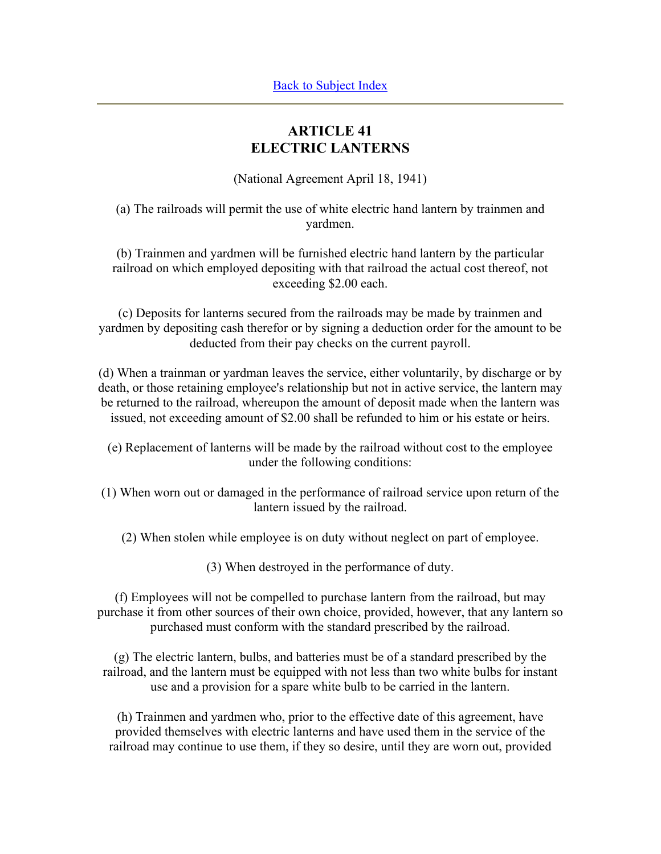# **ARTICLE 41 ELECTRIC LANTERNS**

(National Agreement April 18, 1941)

(a) The railroads will permit the use of white electric hand lantern by trainmen and yardmen.

(b) Trainmen and yardmen will be furnished electric hand lantern by the particular railroad on which employed depositing with that railroad the actual cost thereof, not exceeding \$2.00 each.

(c) Deposits for lanterns secured from the railroads may be made by trainmen and yardmen by depositing cash therefor or by signing a deduction order for the amount to be deducted from their pay checks on the current payroll.

(d) When a trainman or yardman leaves the service, either voluntarily, by discharge or by death, or those retaining employee's relationship but not in active service, the lantern may be returned to the railroad, whereupon the amount of deposit made when the lantern was issued, not exceeding amount of \$2.00 shall be refunded to him or his estate or heirs.

- (e) Replacement of lanterns will be made by the railroad without cost to the employee under the following conditions:
- (1) When worn out or damaged in the performance of railroad service upon return of the lantern issued by the railroad.
	- (2) When stolen while employee is on duty without neglect on part of employee.

(3) When destroyed in the performance of duty.

(f) Employees will not be compelled to purchase lantern from the railroad, but may purchase it from other sources of their own choice, provided, however, that any lantern so purchased must conform with the standard prescribed by the railroad.

(g) The electric lantern, bulbs, and batteries must be of a standard prescribed by the railroad, and the lantern must be equipped with not less than two white bulbs for instant use and a provision for a spare white bulb to be carried in the lantern.

(h) Trainmen and yardmen who, prior to the effective date of this agreement, have provided themselves with electric lanterns and have used them in the service of the railroad may continue to use them, if they so desire, until they are worn out, provided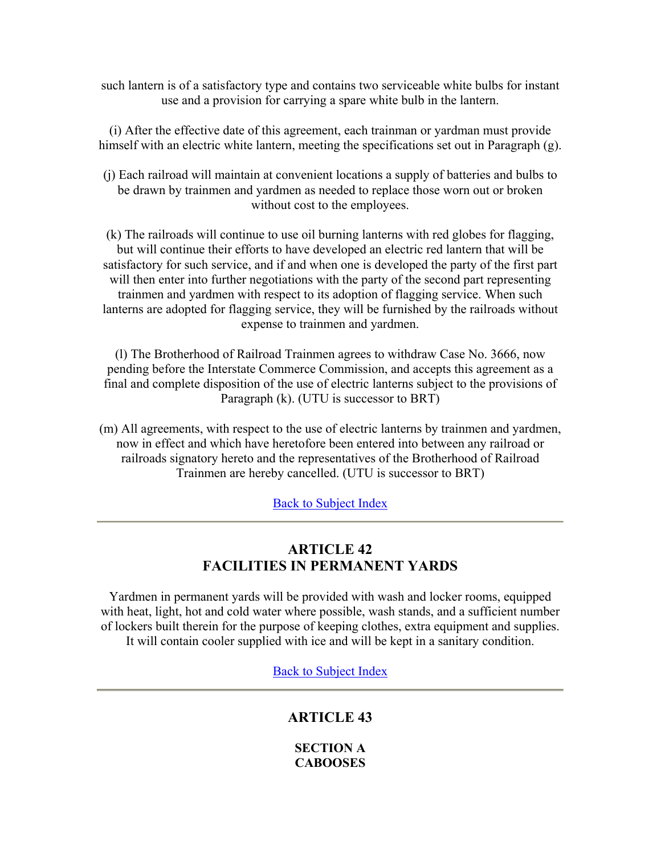such lantern is of a satisfactory type and contains two serviceable white bulbs for instant use and a provision for carrying a spare white bulb in the lantern.

(i) After the effective date of this agreement, each trainman or yardman must provide himself with an electric white lantern, meeting the specifications set out in Paragraph (g).

(j) Each railroad will maintain at convenient locations a supply of batteries and bulbs to be drawn by trainmen and yardmen as needed to replace those worn out or broken without cost to the employees.

(k) The railroads will continue to use oil burning lanterns with red globes for flagging, but will continue their efforts to have developed an electric red lantern that will be satisfactory for such service, and if and when one is developed the party of the first part will then enter into further negotiations with the party of the second part representing trainmen and yardmen with respect to its adoption of flagging service. When such lanterns are adopted for flagging service, they will be furnished by the railroads without expense to trainmen and yardmen.

(l) The Brotherhood of Railroad Trainmen agrees to withdraw Case No. 3666, now pending before the Interstate Commerce Commission, and accepts this agreement as a final and complete disposition of the use of electric lanterns subject to the provisions of Paragraph (k). (UTU is successor to BRT)

(m) All agreements, with respect to the use of electric lanterns by trainmen and yardmen, now in effect and which have heretofore been entered into between any railroad or railroads signatory hereto and the representatives of the Brotherhood of Railroad Trainmen are hereby cancelled. (UTU is successor to BRT)

**Back to Subject Index** 

# **ARTICLE 42 FACILITIES IN PERMANENT YARDS**

Yardmen in permanent yards will be provided with wash and locker rooms, equipped with heat, light, hot and cold water where possible, wash stands, and a sufficient number of lockers built therein for the purpose of keeping clothes, extra equipment and supplies. It will contain cooler supplied with ice and will be kept in a sanitary condition.

Back to Subject Index

# **ARTICLE 43**

**SECTION A CABOOSES**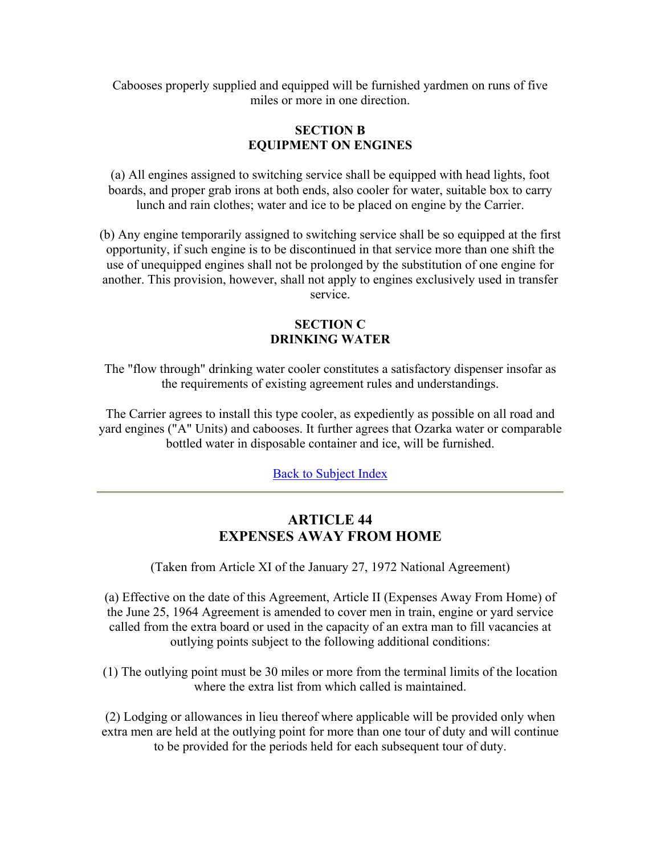Cabooses properly supplied and equipped will be furnished yardmen on runs of five miles or more in one direction.

## **SECTION B EQUIPMENT ON ENGINES**

(a) All engines assigned to switching service shall be equipped with head lights, foot boards, and proper grab irons at both ends, also cooler for water, suitable box to carry lunch and rain clothes; water and ice to be placed on engine by the Carrier.

(b) Any engine temporarily assigned to switching service shall be so equipped at the first opportunity, if such engine is to be discontinued in that service more than one shift the use of unequipped engines shall not be prolonged by the substitution of one engine for another. This provision, however, shall not apply to engines exclusively used in transfer service.

# **SECTION C DRINKING WATER**

The "flow through" drinking water cooler constitutes a satisfactory dispenser insofar as the requirements of existing agreement rules and understandings.

The Carrier agrees to install this type cooler, as expediently as possible on all road and yard engines ("A" Units) and cabooses. It further agrees that Ozarka water or comparable bottled water in disposable container and ice, will be furnished.

Back to Subject Index

# **ARTICLE 44 EXPENSES AWAY FROM HOME**

(Taken from Article XI of the January 27, 1972 National Agreement)

(a) Effective on the date of this Agreement, Article II (Expenses Away From Home) of the June 25, 1964 Agreement is amended to cover men in train, engine or yard service called from the extra board or used in the capacity of an extra man to fill vacancies at outlying points subject to the following additional conditions:

(1) The outlying point must be 30 miles or more from the terminal limits of the location where the extra list from which called is maintained.

(2) Lodging or allowances in lieu thereof where applicable will be provided only when extra men are held at the outlying point for more than one tour of duty and will continue to be provided for the periods held for each subsequent tour of duty.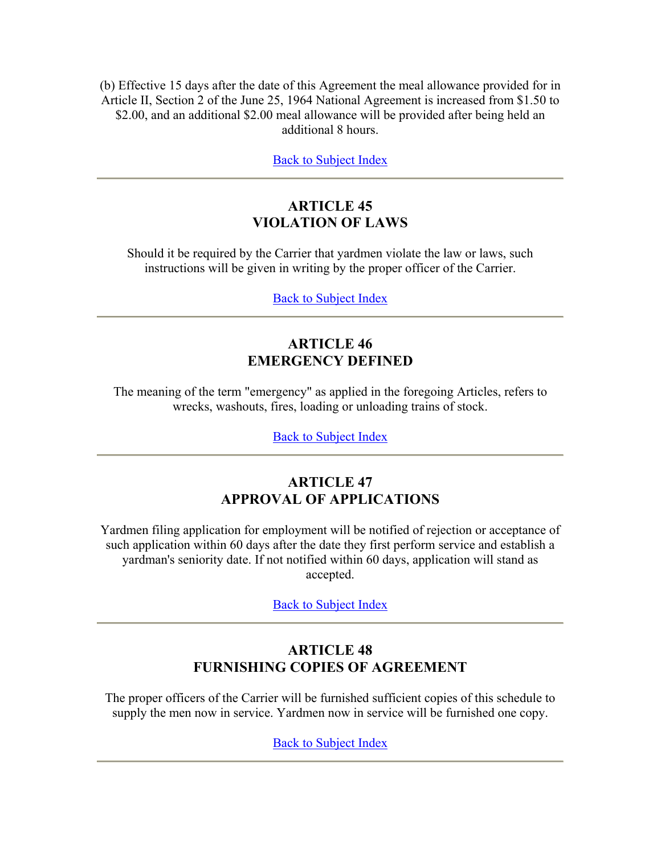(b) Effective 15 days after the date of this Agreement the meal allowance provided for in Article II, Section 2 of the June 25, 1964 National Agreement is increased from \$1.50 to \$2.00, and an additional \$2.00 meal allowance will be provided after being held an additional 8 hours.

Back to Subject Index

# **ARTICLE 45 VIOLATION OF LAWS**

Should it be required by the Carrier that yardmen violate the law or laws, such instructions will be given in writing by the proper officer of the Carrier.

Back to Subject Index

# **ARTICLE 46 EMERGENCY DEFINED**

The meaning of the term "emergency" as applied in the foregoing Articles, refers to wrecks, washouts, fires, loading or unloading trains of stock.

Back to Subject Index

# **ARTICLE 47 APPROVAL OF APPLICATIONS**

Yardmen filing application for employment will be notified of rejection or acceptance of such application within 60 days after the date they first perform service and establish a yardman's seniority date. If not notified within 60 days, application will stand as accepted.

Back to Subject Index

# **ARTICLE 48 FURNISHING COPIES OF AGREEMENT**

The proper officers of the Carrier will be furnished sufficient copies of this schedule to supply the men now in service. Yardmen now in service will be furnished one copy.

Back to Subject Index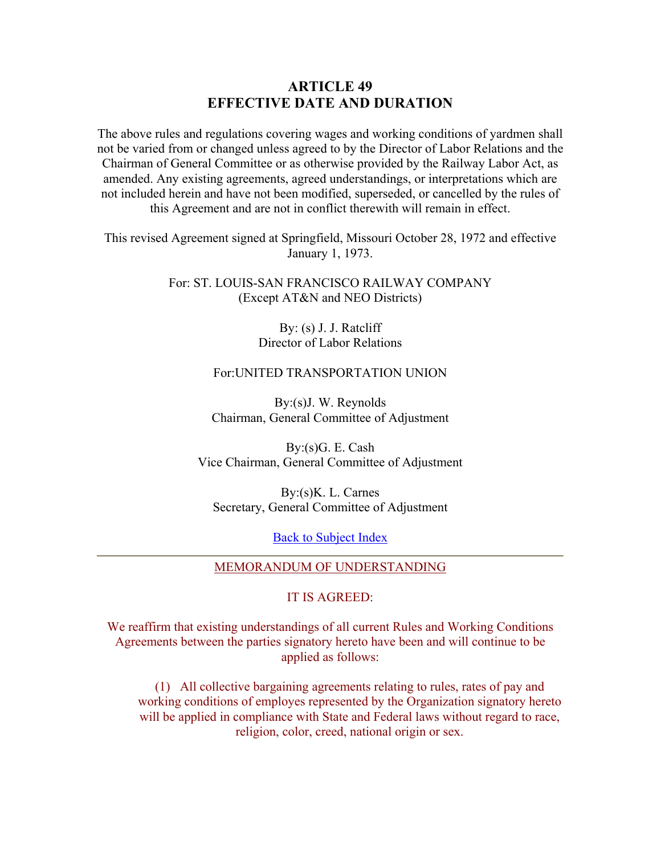# **ARTICLE 49 EFFECTIVE DATE AND DURATION**

The above rules and regulations covering wages and working conditions of yardmen shall not be varied from or changed unless agreed to by the Director of Labor Relations and the Chairman of General Committee or as otherwise provided by the Railway Labor Act, as amended. Any existing agreements, agreed understandings, or interpretations which are not included herein and have not been modified, superseded, or cancelled by the rules of this Agreement and are not in conflict therewith will remain in effect.

This revised Agreement signed at Springfield, Missouri October 28, 1972 and effective January 1, 1973.

> For: ST. LOUIS-SAN FRANCISCO RAILWAY COMPANY (Except AT&N and NEO Districts)

> > By: (s) J. J. Ratcliff Director of Labor Relations

## For:UNITED TRANSPORTATION UNION

By:(s)J. W. Reynolds Chairman, General Committee of Adjustment

By:(s)G. E. Cash Vice Chairman, General Committee of Adjustment

By:(s)K. L. Carnes Secretary, General Committee of Adjustment

Back to Subject Index

## MEMORANDUM OF UNDERSTANDING

## IT IS AGREED:

We reaffirm that existing understandings of all current Rules and Working Conditions Agreements between the parties signatory hereto have been and will continue to be applied as follows:

(1) All collective bargaining agreements relating to rules, rates of pay and working conditions of employes represented by the Organization signatory hereto will be applied in compliance with State and Federal laws without regard to race, religion, color, creed, national origin or sex.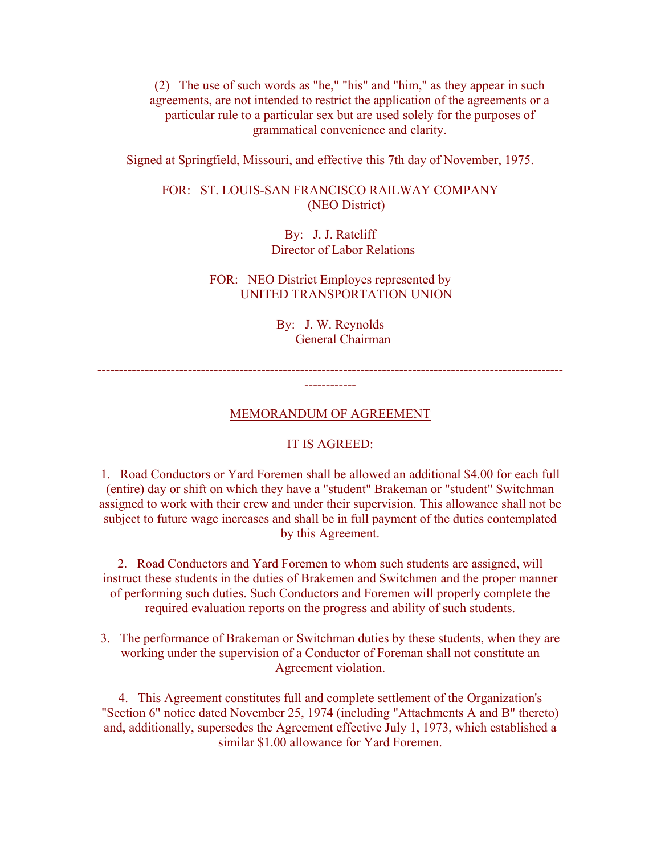(2) The use of such words as "he," "his" and "him," as they appear in such agreements, are not intended to restrict the application of the agreements or a particular rule to a particular sex but are used solely for the purposes of grammatical convenience and clarity.

Signed at Springfield, Missouri, and effective this 7th day of November, 1975.

FOR: ST. LOUIS-SAN FRANCISCO RAILWAY COMPANY (NEO District)

> By: J. J. Ratcliff Director of Labor Relations

FOR: NEO District Employes represented by UNITED TRANSPORTATION UNION

> By: J. W. Reynolds General Chairman

------------------------------------------------------------------------------------------------------------ ------------

MEMORANDUM OF AGREEMENT

#### IT IS AGREED:

1. Road Conductors or Yard Foremen shall be allowed an additional \$4.00 for each full (entire) day or shift on which they have a "student" Brakeman or "student" Switchman assigned to work with their crew and under their supervision. This allowance shall not be subject to future wage increases and shall be in full payment of the duties contemplated by this Agreement.

2. Road Conductors and Yard Foremen to whom such students are assigned, will instruct these students in the duties of Brakemen and Switchmen and the proper manner of performing such duties. Such Conductors and Foremen will properly complete the required evaluation reports on the progress and ability of such students.

3. The performance of Brakeman or Switchman duties by these students, when they are working under the supervision of a Conductor of Foreman shall not constitute an Agreement violation.

4. This Agreement constitutes full and complete settlement of the Organization's "Section 6" notice dated November 25, 1974 (including "Attachments A and B" thereto) and, additionally, supersedes the Agreement effective July 1, 1973, which established a similar \$1.00 allowance for Yard Foremen.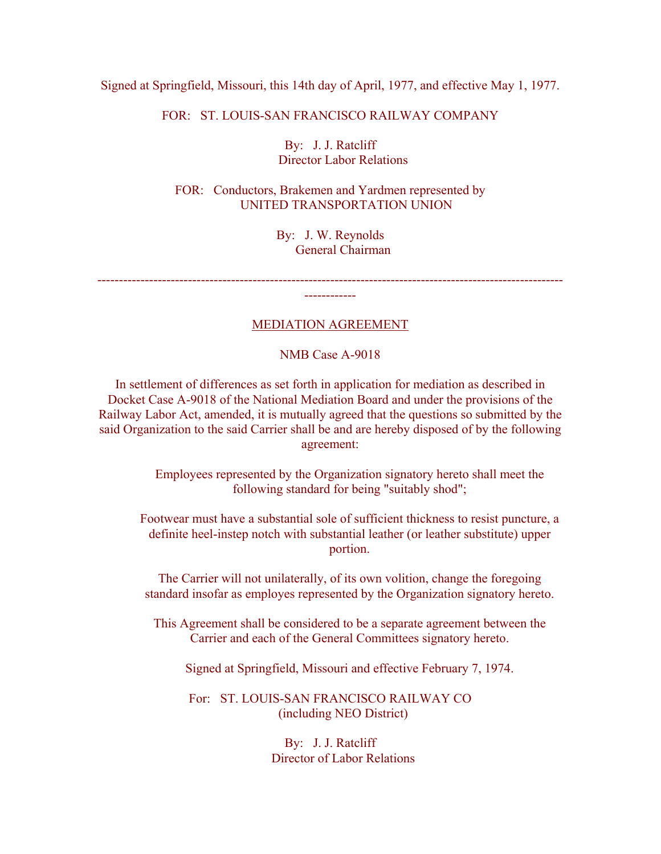## Signed at Springfield, Missouri, this 14th day of April, 1977, and effective May 1, 1977.

FOR: ST. LOUIS-SAN FRANCISCO RAILWAY COMPANY

By: J. J. Ratcliff Director Labor Relations

FOR: Conductors, Brakemen and Yardmen represented by UNITED TRANSPORTATION UNION

> By: J. W. Reynolds General Chairman

> > ------------------------------------------------------------------------------------------------------------

MEDIATION AGREEMENT

------------

NMB Case A-9018

In settlement of differences as set forth in application for mediation as described in Docket Case A-9018 of the National Mediation Board and under the provisions of the Railway Labor Act, amended, it is mutually agreed that the questions so submitted by the said Organization to the said Carrier shall be and are hereby disposed of by the following agreement:

> Employees represented by the Organization signatory hereto shall meet the following standard for being "suitably shod";

Footwear must have a substantial sole of sufficient thickness to resist puncture, a definite heel-instep notch with substantial leather (or leather substitute) upper portion.

The Carrier will not unilaterally, of its own volition, change the foregoing standard insofar as employes represented by the Organization signatory hereto.

This Agreement shall be considered to be a separate agreement between the Carrier and each of the General Committees signatory hereto.

Signed at Springfield, Missouri and effective February 7, 1974.

For: ST. LOUIS-SAN FRANCISCO RAILWAY CO (including NEO District)

> By: J. J. Ratcliff Director of Labor Relations